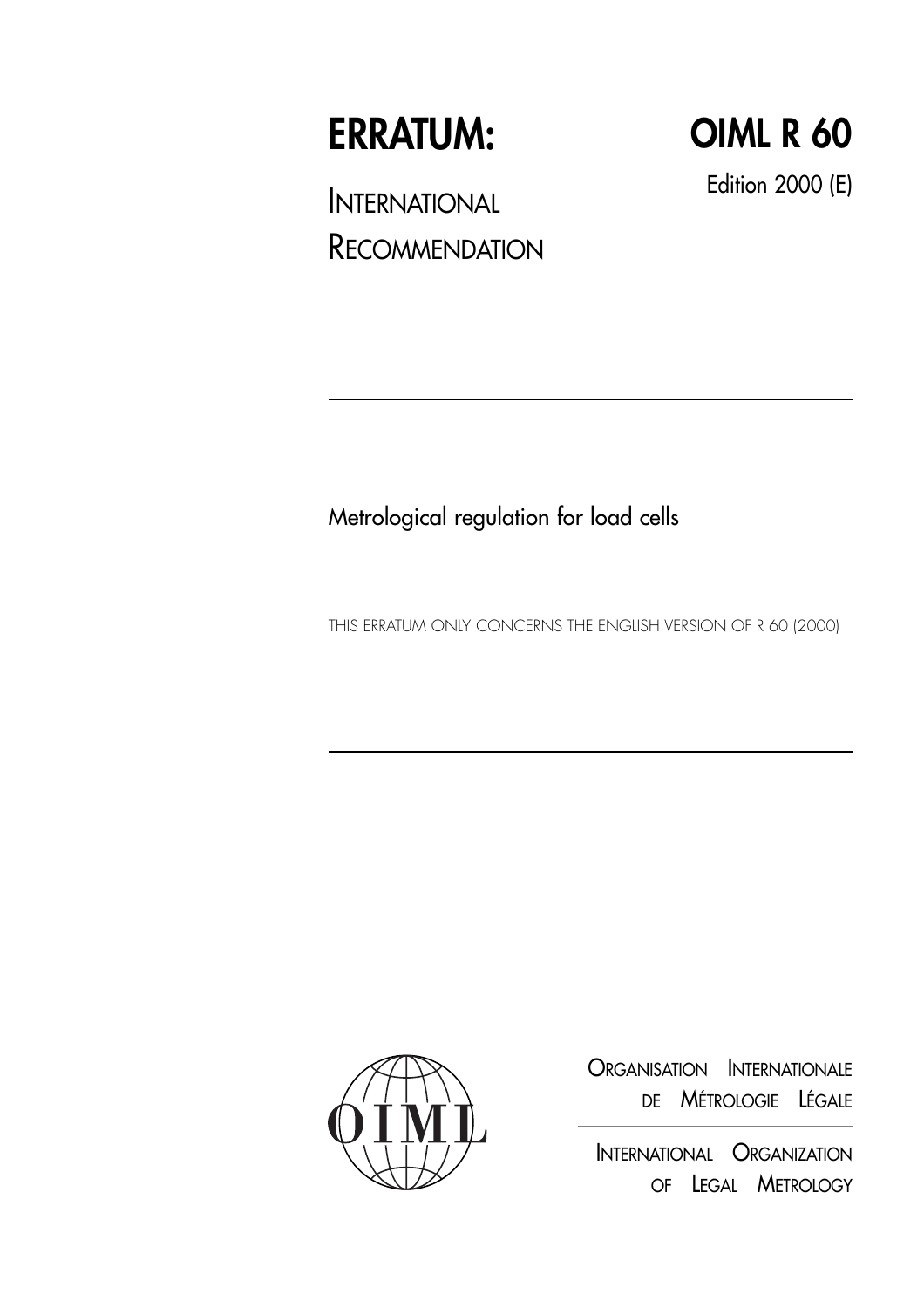# **ERRATUM:**

**OIML R 60**

INTERNATIONAL **RECOMMENDATION**  Edition 2000 (E)

# Metrological regulation for load cells

THIS ERRATUM ONLY CONCERNS THE ENGLISH VERSION OF R 60 (2000)



ORGANISATION INTERNATIONALE DE MÉTROLOGIE LÉGALE

INTERNATIONAL ORGANIZATION OF LEGAL METROLOGY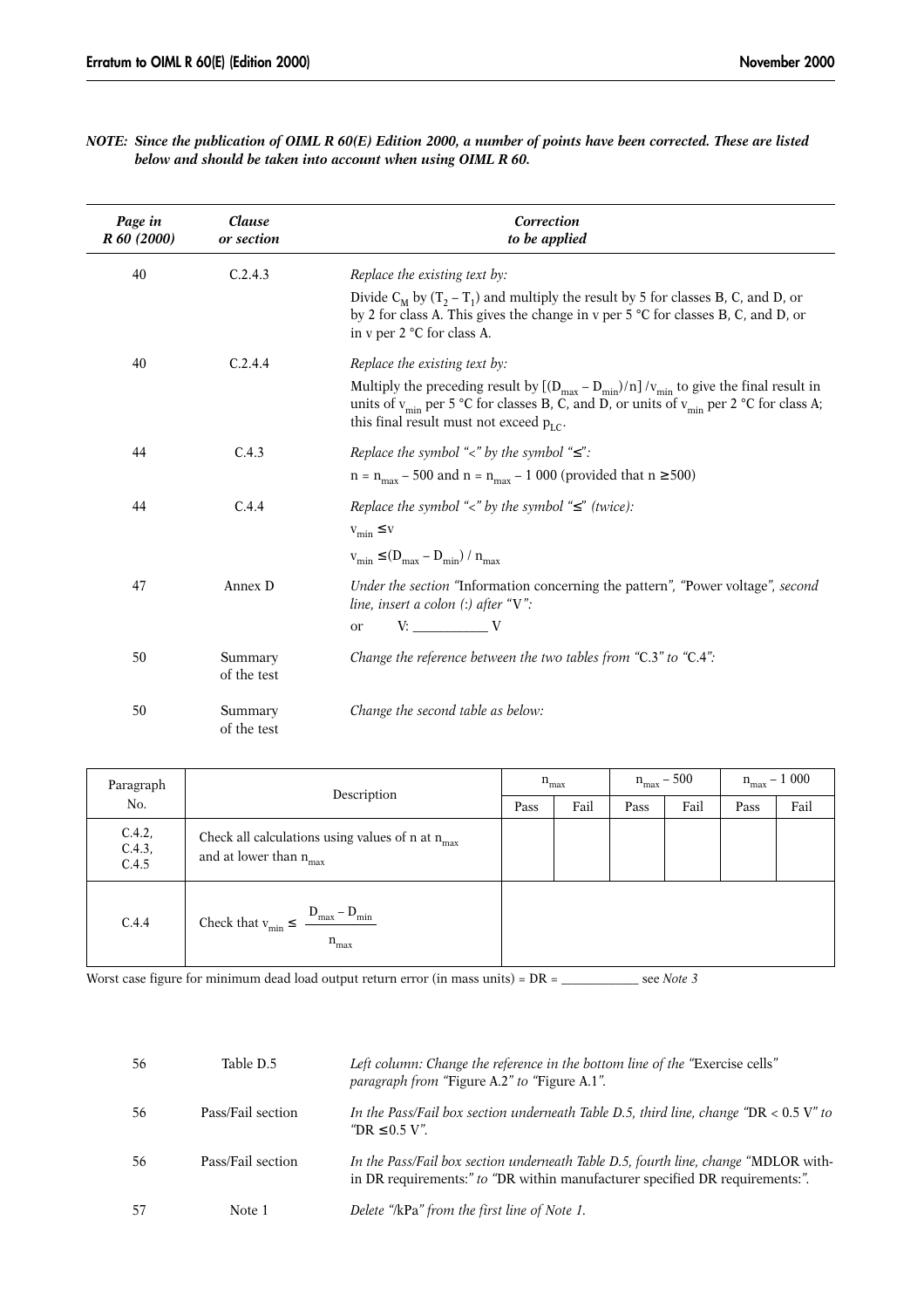| NOTE: Since the publication of OIML R 60(E) Edition 2000, a number of points have been corrected. These are listed |  |  |  |
|--------------------------------------------------------------------------------------------------------------------|--|--|--|
| below and should be taken into account when using OIML R 60.                                                       |  |  |  |

| Page in<br>R 60 (2000) | Clause<br>or section   | Correction<br>to be applied                                                                                                                                                                                                                                      |
|------------------------|------------------------|------------------------------------------------------------------------------------------------------------------------------------------------------------------------------------------------------------------------------------------------------------------|
| 40                     | C.2.4.3                | Replace the existing text by:                                                                                                                                                                                                                                    |
|                        |                        | Divide $C_M$ by $(T_2 - T_1)$ and multiply the result by 5 for classes B, C, and D, or<br>by 2 for class A. This gives the change in v per 5 °C for classes B, C, and D, or<br>in v per 2 °C for class A.                                                        |
| 40                     | C.2.4.4                | Replace the existing text by:                                                                                                                                                                                                                                    |
|                        |                        | Multiply the preceding result by $[(D_{max} - D_{min})/n]/v_{min}$ to give the final result in<br>units of $v_{\text{min}}$ per 5 °C for classes B, C, and D, or units of $v_{\text{min}}$ per 2 °C for class A;<br>this final result must not exceed $p_{LC}$ . |
| 44                     | C.4.3                  | Replace the symbol "<" by the symbol " $\le$ ":                                                                                                                                                                                                                  |
|                        |                        | $n = n_{max} - 500$ and $n = n_{max} - 1000$ (provided that $n \ge 500$ )                                                                                                                                                                                        |
| 44                     | C.4.4                  | Replace the symbol "<" by the symbol " $\le$ " (twice):                                                                                                                                                                                                          |
|                        |                        | $v_{\min} \leq v$                                                                                                                                                                                                                                                |
|                        |                        | $v_{\min} \leq (D_{\max} - D_{\min}) / n_{\max}$                                                                                                                                                                                                                 |
| 47                     | Annex D                | Under the section "Information concerning the pattern", "Power voltage", second<br>line, insert a colon $(:)$ after "V":                                                                                                                                         |
|                        |                        | $V:$ $V:$<br>or                                                                                                                                                                                                                                                  |
| 50                     | Summary<br>of the test | Change the reference between the two tables from "C.3" to "C.4":                                                                                                                                                                                                 |
| 50                     | Summary<br>of the test | Change the second table as below:                                                                                                                                                                                                                                |

| Paragraph                 | Description                                                                              |  | $n_{max}$ |      | $n_{max}$ – 500 |      | $\rm n_{max}-1$ 000 |  |
|---------------------------|------------------------------------------------------------------------------------------|--|-----------|------|-----------------|------|---------------------|--|
| No.                       |                                                                                          |  | Fail      | Pass | Fail            | Pass | Fail                |  |
| C.4.2,<br>C.4.3,<br>C.4.5 | Check all calculations using values of n at $n_{max}$<br>and at lower than $n_{\rm max}$ |  |           |      |                 |      |                     |  |
| C.4.4                     | Check that $v_{\min} \leq \frac{D_{\max} - D_{\min}}{2}$<br>$n_{max}$                    |  |           |      |                 |      |                     |  |

Worst case figure for minimum dead load output return error (in mass units) = DR = \_\_\_\_\_\_\_\_\_\_\_\_ see *Note 3* 

| 56 | Table D.5         | Left column: Change the reference in the bottom line of the "Exercise cells"<br><i>paragraph from "Figure A.2" to "Figure A.1".</i>                                 |
|----|-------------------|---------------------------------------------------------------------------------------------------------------------------------------------------------------------|
| 56 | Pass/Fail section | In the Pass/Fail box section underneath Table D.5, third line, change "DR $< 0.5$ V" to<br>"DR $\leq 0.5$ V".                                                       |
| 56 | Pass/Fail section | In the Pass/Fail box section underneath Table D.5, fourth line, change "MDLOR with-<br>in DR requirements:" to "DR within manufacturer specified DR requirements:". |
| 57 | Note 1            | Delete "/kPa" from the first line of Note 1.                                                                                                                        |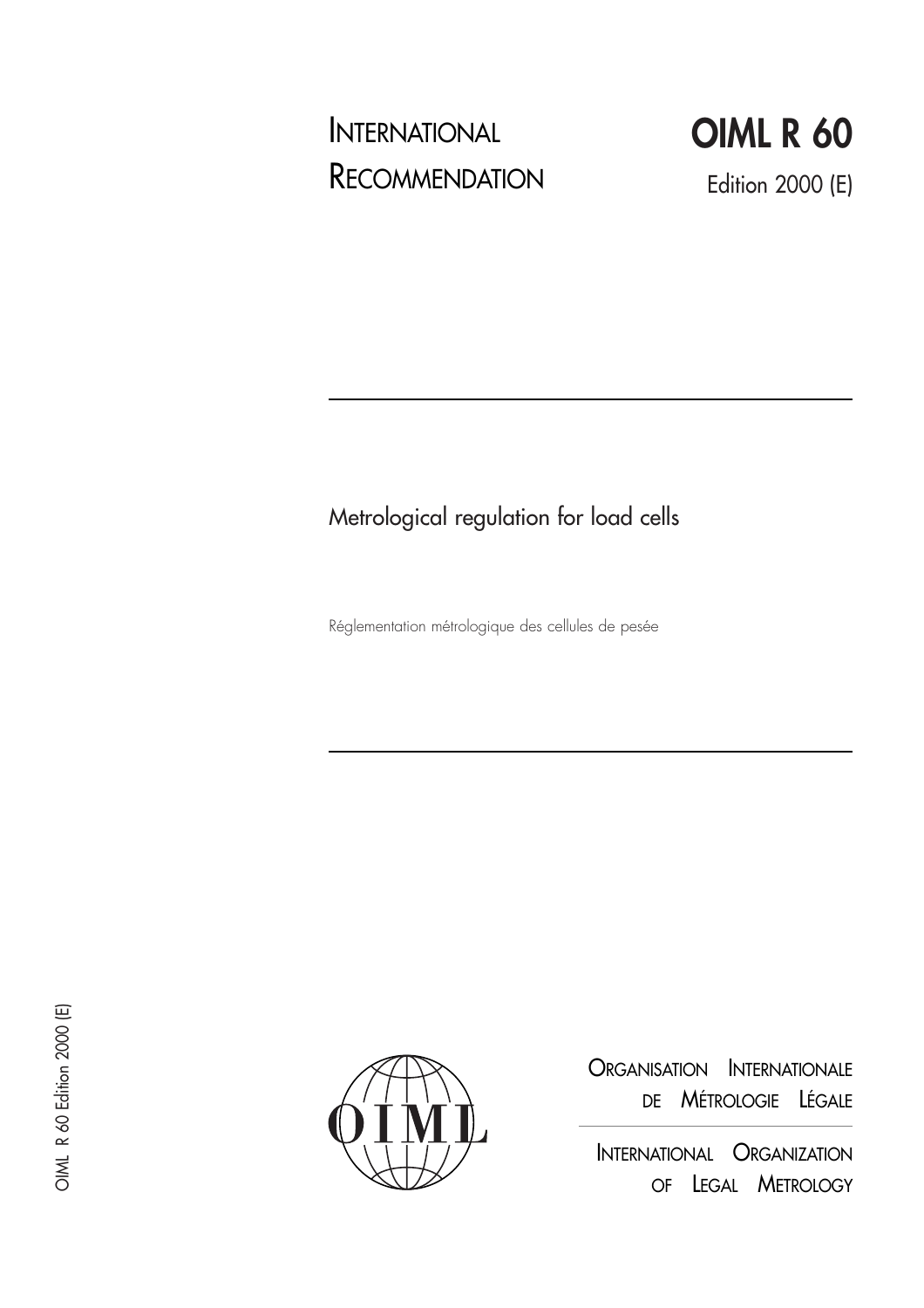# INTERNATIONAL **RECOMMENDATION**



# Metrological regulation for load cells

Réglementation métrologique des cellules de pesée



ORGANISATION INTERNATIONALE DE MÉTROLOGIE LÉGALE

INTERNATIONAL ORGANIZATION OF LEGAL METROLOGY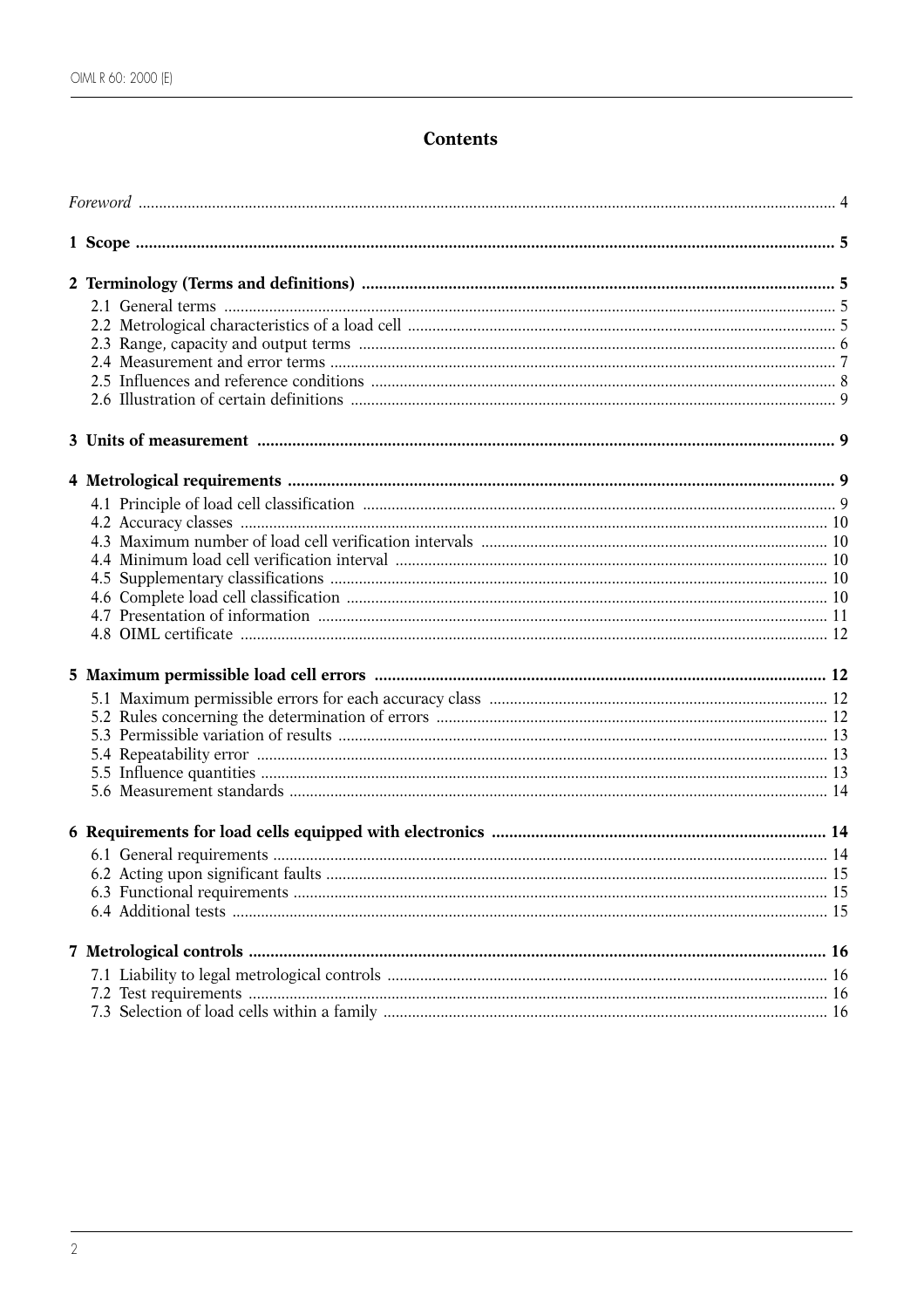# **Contents**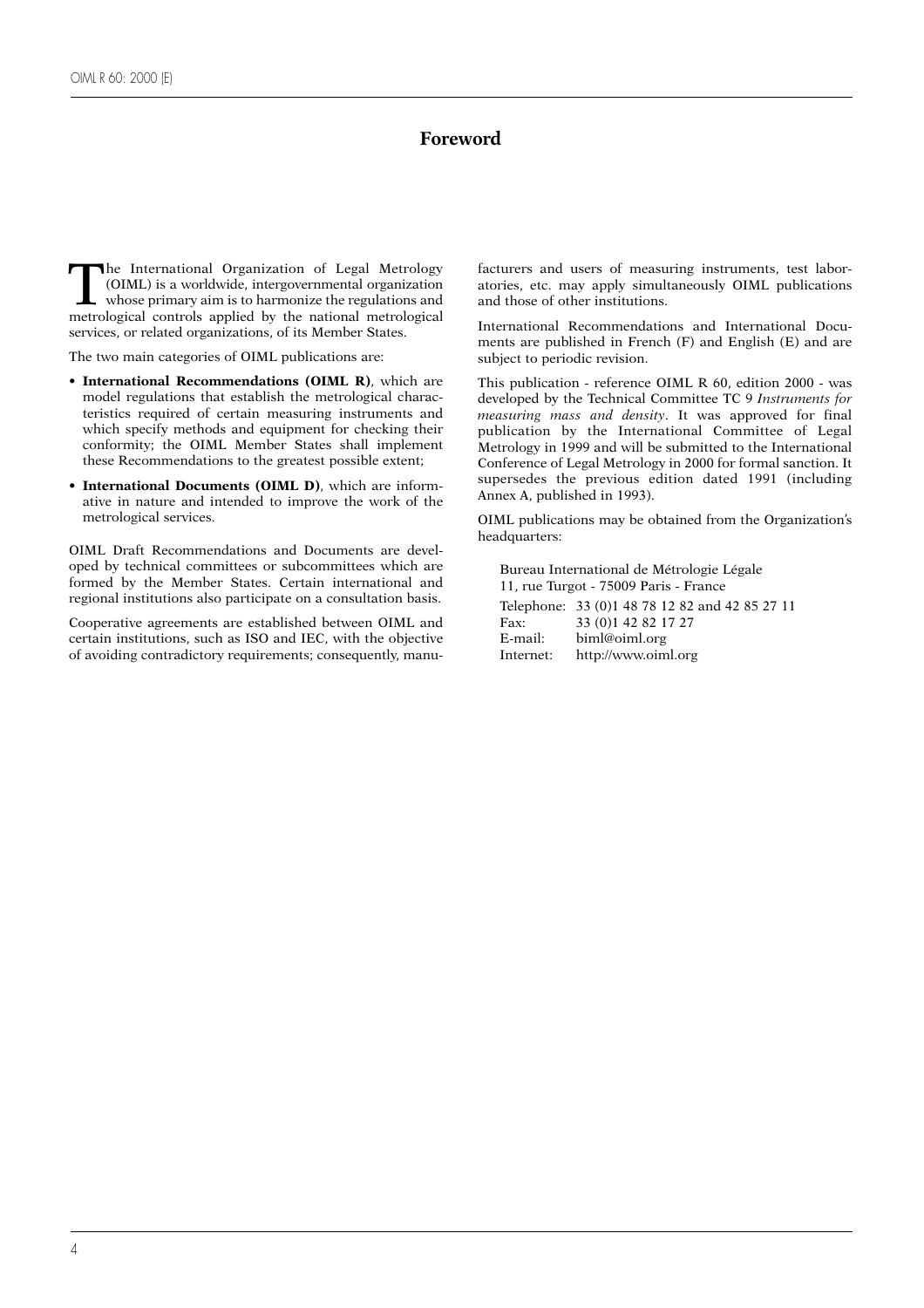# **Foreword**

The International Organization of Legal Metrology<br>
(OIML) is a worldwide, intergovernmental organization<br>
whose primary aim is to harmonize the regulations and<br>
metrological controls annied by the national metrological (OIML) is a worldwide, intergovernmental organization whose primary aim is to harmonize the regulations and metrological controls applied by the national metrological services, or related organizations, of its Member States.

The two main categories of OIML publications are:

- **International Recommendations (OIML R)**, which are model regulations that establish the metrological characteristics required of certain measuring instruments and which specify methods and equipment for checking their conformity; the OIML Member States shall implement these Recommendations to the greatest possible extent;
- **International Documents (OIML D)**, which are informative in nature and intended to improve the work of the metrological services.

OIML Draft Recommendations and Documents are developed by technical committees or subcommittees which are formed by the Member States. Certain international and regional institutions also participate on a consultation basis.

Cooperative agreements are established between OIML and certain institutions, such as ISO and IEC, with the objective of avoiding contradictory requirements; consequently, manufacturers and users of measuring instruments, test laboratories, etc. may apply simultaneously OIML publications and those of other institutions.

International Recommendations and International Documents are published in French (F) and English (E) and are subject to periodic revision.

This publication - reference OIML R 60, edition 2000 - was developed by the Technical Committee TC 9 *Instruments for measuring mass and density*. It was approved for final publication by the International Committee of Legal Metrology in 1999 and will be submitted to the International Conference of Legal Metrology in 2000 for formal sanction. It supersedes the previous edition dated 1991 (including Annex A, published in 1993).

OIML publications may be obtained from the Organization's headquarters:

Bureau International de Métrologie Légale 11, rue Turgot - 75009 Paris - France Telephone: 33 (0)1 48 78 12 82 and 42 85 27 11

Fax: 33 (0)1 42 82 17 27<br>E-mail: biml@oiml.org biml@oiml.org Internet: http://www.oiml.org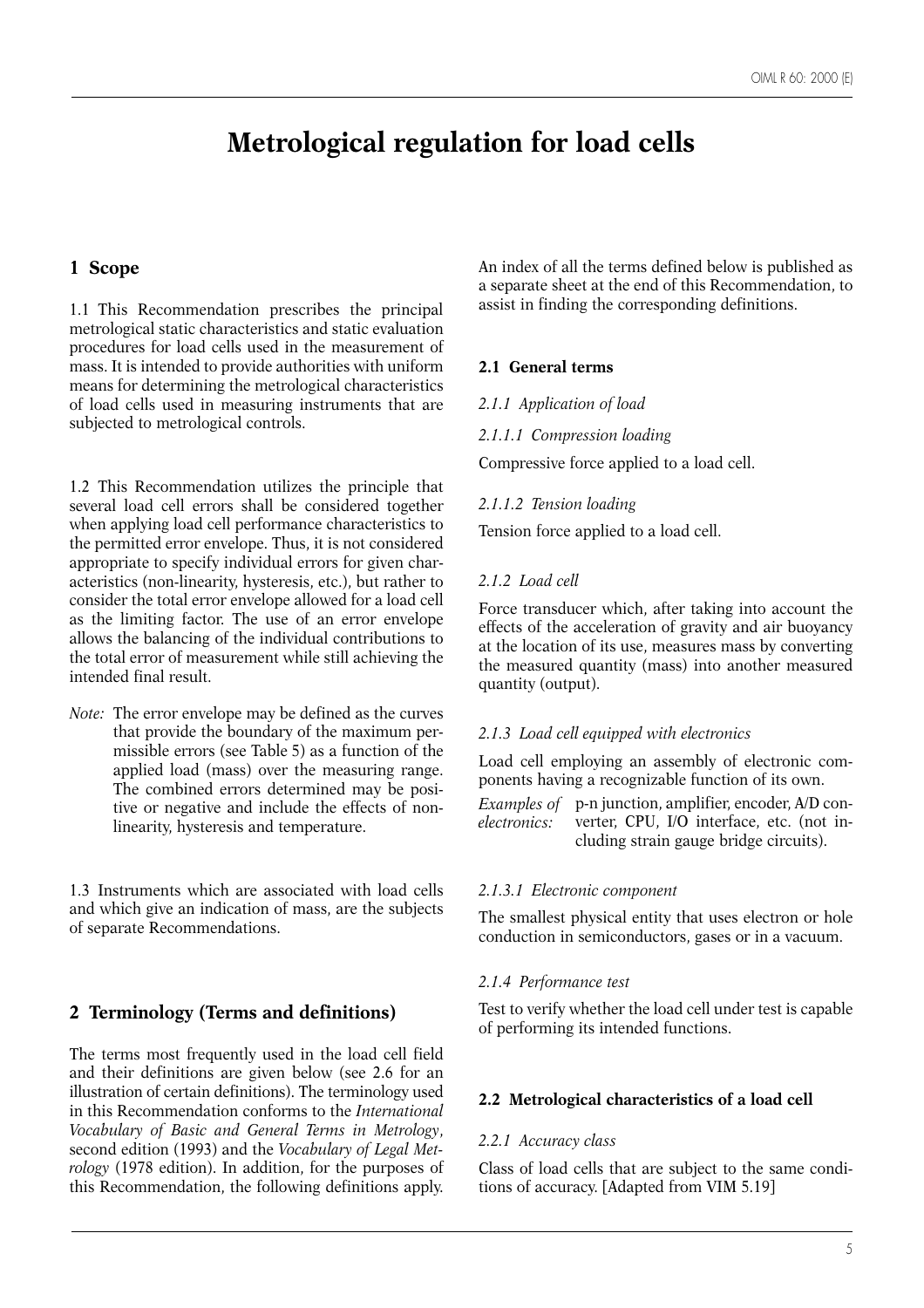# **Metrological regulation for load cells**

# **1 Scope**

1.1 This Recommendation prescribes the principal metrological static characteristics and static evaluation procedures for load cells used in the measurement of mass. It is intended to provide authorities with uniform means for determining the metrological characteristics of load cells used in measuring instruments that are subjected to metrological controls.

1.2 This Recommendation utilizes the principle that several load cell errors shall be considered together when applying load cell performance characteristics to the permitted error envelope. Thus, it is not considered appropriate to specify individual errors for given characteristics (non-linearity, hysteresis, etc.), but rather to consider the total error envelope allowed for a load cell as the limiting factor. The use of an error envelope allows the balancing of the individual contributions to the total error of measurement while still achieving the intended final result.

*Note:* The error envelope may be defined as the curves that provide the boundary of the maximum permissible errors (see Table 5) as a function of the applied load (mass) over the measuring range. The combined errors determined may be positive or negative and include the effects of nonlinearity, hysteresis and temperature.

1.3 Instruments which are associated with load cells and which give an indication of mass, are the subjects of separate Recommendations.

# **2 Terminology (Terms and definitions)**

The terms most frequently used in the load cell field and their definitions are given below (see 2.6 for an illustration of certain definitions). The terminology used in this Recommendation conforms to the *International Vocabulary of Basic and General Terms in Metrology*, second edition (1993) and the *Vocabulary of Legal Metrology* (1978 edition). In addition, for the purposes of this Recommendation, the following definitions apply.

An index of all the terms defined below is published as a separate sheet at the end of this Recommendation, to assist in finding the corresponding definitions.

# **2.1 General terms**

#### *2.1.1 Application of load*

#### *2.1.1.1 Compression loading*

Compressive force applied to a load cell.

#### *2.1.1.2 Tension loading*

Tension force applied to a load cell.

#### *2.1.2 Load cell*

Force transducer which, after taking into account the effects of the acceleration of gravity and air buoyancy at the location of its use, measures mass by converting the measured quantity (mass) into another measured quantity (output).

#### *2.1.3 Load cell equipped with electronics*

Load cell employing an assembly of electronic components having a recognizable function of its own.

p-n junction, amplifier, encoder, A/D converter, CPU, I/O interface, etc. (not including strain gauge bridge circuits). *Examples of electronics:*

#### *2.1.3.1 Electronic component*

The smallest physical entity that uses electron or hole conduction in semiconductors, gases or in a vacuum.

#### *2.1.4 Performance test*

Test to verify whether the load cell under test is capable of performing its intended functions.

#### **2.2 Metrological characteristics of a load cell**

#### *2.2.1 Accuracy class*

Class of load cells that are subject to the same conditions of accuracy. [Adapted from VIM 5.19]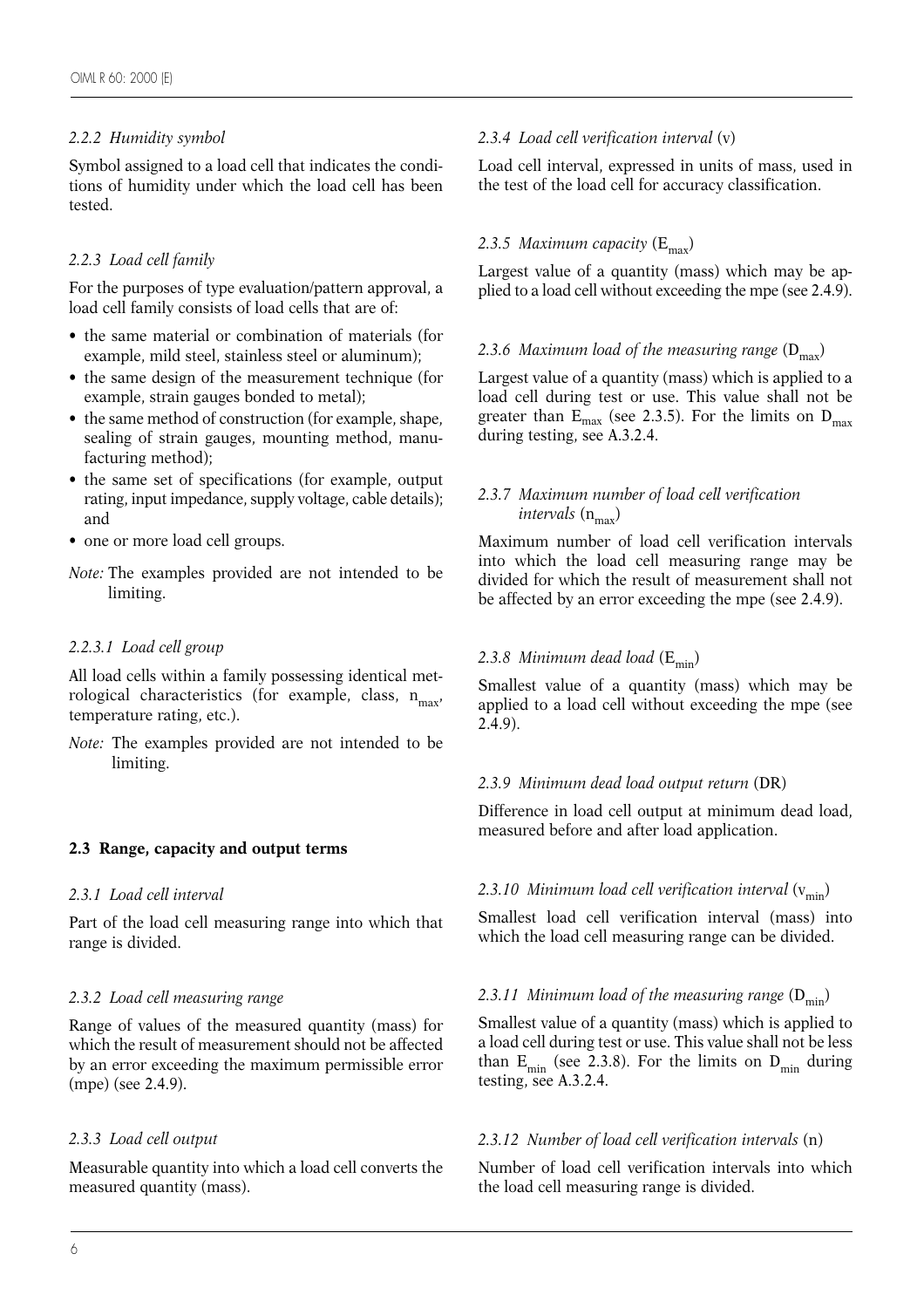# *2.2.2 Humidity symbol*

Symbol assigned to a load cell that indicates the conditions of humidity under which the load cell has been tested.

# *2.2.3 Load cell family*

For the purposes of type evaluation/pattern approval, a load cell family consists of load cells that are of:

- the same material or combination of materials (for example, mild steel, stainless steel or aluminum);
- the same design of the measurement technique (for example, strain gauges bonded to metal);
- the same method of construction (for example, shape, sealing of strain gauges, mounting method, manufacturing method);
- the same set of specifications (for example, output rating, input impedance, supply voltage, cable details); and
- one or more load cell groups.
- *Note:* The examples provided are not intended to be limiting.

# *2.2.3.1 Load cell group*

All load cells within a family possessing identical metrological characteristics (for example, class,  $n_{max}$ , temperature rating, etc.).

*Note:* The examples provided are not intended to be limiting.

# **2.3 Range, capacity and output terms**

# *2.3.1 Load cell interval*

Part of the load cell measuring range into which that range is divided.

# *2.3.2 Load cell measuring range*

Range of values of the measured quantity (mass) for which the result of measurement should not be affected by an error exceeding the maximum permissible error (mpe) (see 2.4.9).

#### *2.3.3 Load cell output*

Measurable quantity into which a load cell converts the measured quantity (mass).

#### *2.3.4 Load cell verification interval* (v)

Load cell interval, expressed in units of mass, used in the test of the load cell for accuracy classification.

# 2.3.5 Maximum capacity (E<sub>max</sub>)

Largest value of a quantity (mass) which may be applied to a load cell without exceeding the mpe (see 2.4.9).

#### 2.3.6 Maximum load of the measuring range  $(D_{\text{max}})$

Largest value of a quantity (mass) which is applied to a load cell during test or use. This value shall not be greater than  $E_{\text{max}}$  (see 2.3.5). For the limits on  $D_{\text{max}}$ during testing, see A.3.2.4.

# *2.3.7 Maximum number of load cell verification intervals*  $(n_{max})$

Maximum number of load cell verification intervals into which the load cell measuring range may be divided for which the result of measurement shall not be affected by an error exceeding the mpe (see 2.4.9).

# 2.3.8 Minimum dead load  $(E_{\text{min}})$

Smallest value of a quantity (mass) which may be applied to a load cell without exceeding the mpe (see 2.4.9).

#### *2.3.9 Minimum dead load output return* (DR)

Difference in load cell output at minimum dead load, measured before and after load application.

# 2.3.10 Minimum load cell verification interval  $(v_{min})$

Smallest load cell verification interval (mass) into which the load cell measuring range can be divided.

# 2.3.11 Minimum load of the measuring range  $(D_{\min})$

Smallest value of a quantity (mass) which is applied to a load cell during test or use. This value shall not be less than  $E_{\text{min}}$  (see 2.3.8). For the limits on  $D_{\text{min}}$  during testing, see A.3.2.4.

#### *2.3.12 Number of load cell verification intervals* (n)

Number of load cell verification intervals into which the load cell measuring range is divided.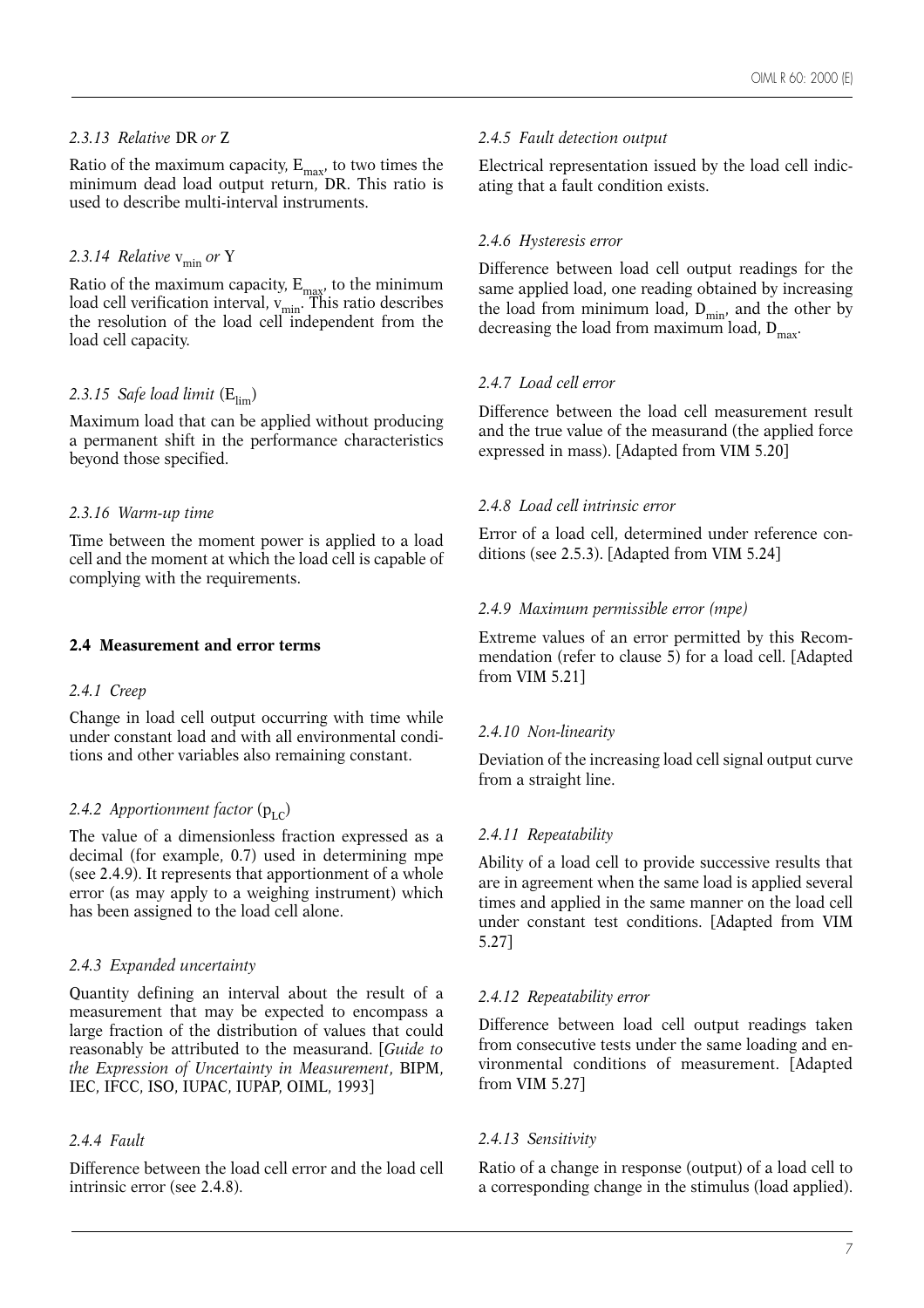# *2.3.13 Relative* DR *or* Z

Ratio of the maximum capacity,  $E_{\text{max}}$ , to two times the minimum dead load output return, DR. This ratio is used to describe multi-interval instruments.

# 2.3.14 Relative  $v_{\min}$  or Y

Ratio of the maximum capacity,  $E_{\text{max}}$ , to the minimum load cell verification interval, v<sub>min</sub>. This ratio describes the resolution of the load cell independent from the load cell capacity.

# 2.3.15 Safe load limit  $(E_{\text{lim}})$

Maximum load that can be applied without producing a permanent shift in the performance characteristics beyond those specified.

# *2.3.16 Warm-up time*

Time between the moment power is applied to a load cell and the moment at which the load cell is capable of complying with the requirements.

# **2.4 Measurement and error terms**

# *2.4.1 Creep*

Change in load cell output occurring with time while under constant load and with all environmental conditions and other variables also remaining constant.

# 2.4.2 Apportionment factor  $(p_{\text{LC}})$

The value of a dimensionless fraction expressed as a decimal (for example, 0.7) used in determining mpe (see 2.4.9). It represents that apportionment of a whole error (as may apply to a weighing instrument) which has been assigned to the load cell alone.

# *2.4.3 Expanded uncertainty*

Quantity defining an interval about the result of a measurement that may be expected to encompass a large fraction of the distribution of values that could reasonably be attributed to the measurand. [*Guide to the Expression of Uncertainty in Measurement*, BIPM, IEC, IFCC, ISO, IUPAC, IUPAP, OIML, 1993]

# *2.4.4 Fault*

Difference between the load cell error and the load cell intrinsic error (see 2.4.8).

# *2.4.5 Fault detection output*

Electrical representation issued by the load cell indicating that a fault condition exists.

# *2.4.6 Hysteresis error*

Difference between load cell output readings for the same applied load, one reading obtained by increasing the load from minimum load,  $D_{min}$ , and the other by decreasing the load from maximum load,  $D_{\text{max}}$ .

# *2.4.7 Load cell error*

Difference between the load cell measurement result and the true value of the measurand (the applied force expressed in mass). [Adapted from VIM 5.20]

# *2.4.8 Load cell intrinsic error*

Error of a load cell, determined under reference conditions (see 2.5.3). [Adapted from VIM 5.24]

# *2.4.9 Maximum permissible error (mpe)*

Extreme values of an error permitted by this Recommendation (refer to clause 5) for a load cell. [Adapted from VIM 5.21]

# *2.4.10 Non-linearity*

Deviation of the increasing load cell signal output curve from a straight line.

# *2.4.11 Repeatability*

Ability of a load cell to provide successive results that are in agreement when the same load is applied several times and applied in the same manner on the load cell under constant test conditions. [Adapted from VIM 5.27]

# *2.4.12 Repeatability error*

Difference between load cell output readings taken from consecutive tests under the same loading and environmental conditions of measurement. [Adapted from VIM 5.27]

# *2.4.13 Sensitivity*

Ratio of a change in response (output) of a load cell to a corresponding change in the stimulus (load applied).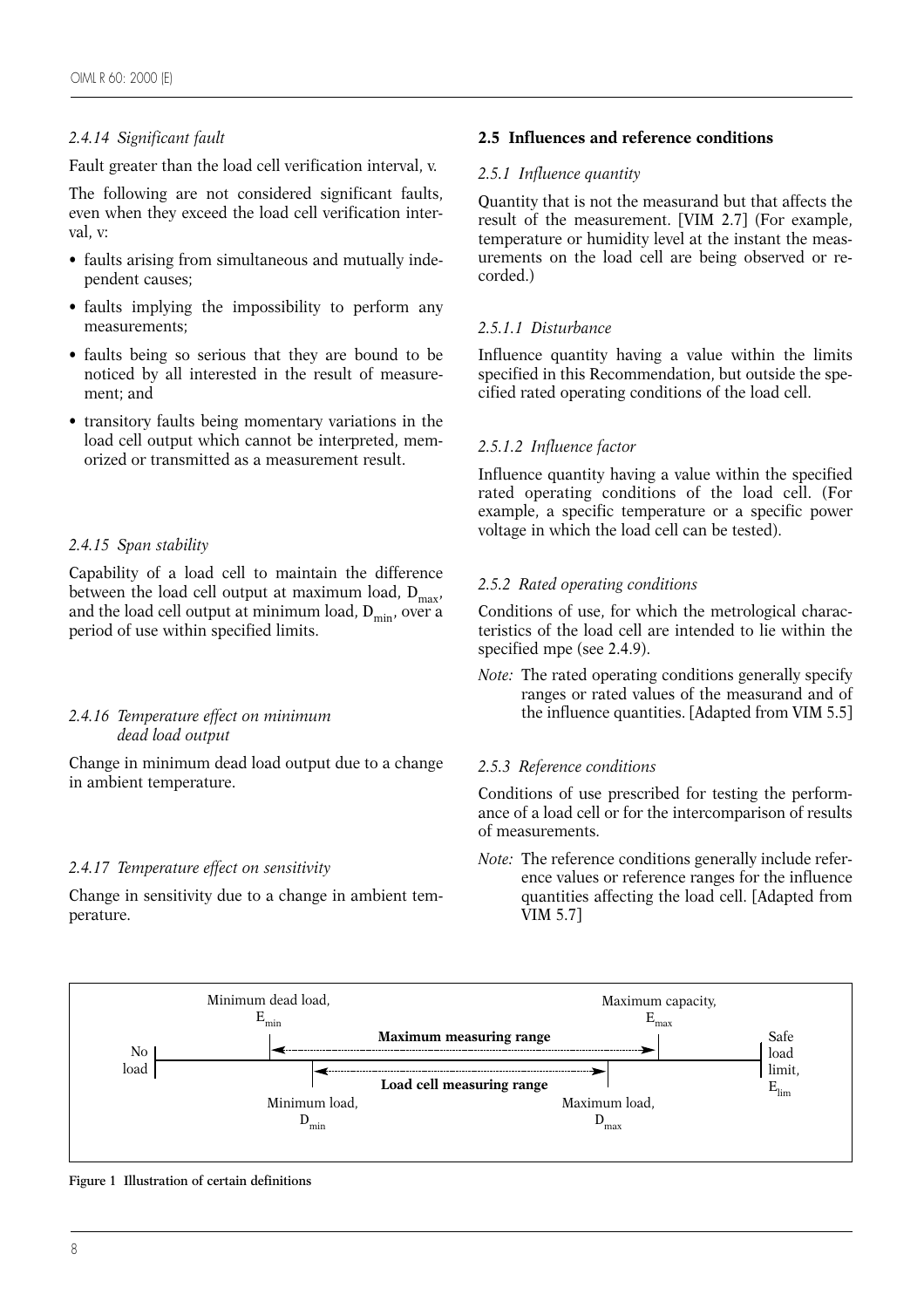# *2.4.14 Significant fault*

Fault greater than the load cell verification interval, v.

The following are not considered significant faults, even when they exceed the load cell verification interval, v:

- faults arising from simultaneous and mutually independent causes;
- faults implying the impossibility to perform any measurements;
- faults being so serious that they are bound to be noticed by all interested in the result of measurement; and
- transitory faults being momentary variations in the load cell output which cannot be interpreted, memorized or transmitted as a measurement result.

# *2.4.15 Span stability*

Capability of a load cell to maintain the difference between the load cell output at maximum load,  $D_{max}$ , and the load cell output at minimum load,  $D_{\min}$ , over a period of use within specified limits.

# *2.4.16 Temperature effect on minimum dead load output*

Change in minimum dead load output due to a change in ambient temperature.

# *2.4.17 Temperature effect on sensitivity*

Change in sensitivity due to a change in ambient temperature.

# **2.5 Influences and reference conditions**

#### *2.5.1 Influence quantity*

Quantity that is not the measurand but that affects the result of the measurement. [VIM 2.7] (For example, temperature or humidity level at the instant the measurements on the load cell are being observed or recorded.)

# *2.5.1.1 Disturbance*

Influence quantity having a value within the limits specified in this Recommendation, but outside the specified rated operating conditions of the load cell.

# *2.5.1.2 Influence factor*

Influence quantity having a value within the specified rated operating conditions of the load cell. (For example, a specific temperature or a specific power voltage in which the load cell can be tested).

# *2.5.2 Rated operating conditions*

Conditions of use, for which the metrological characteristics of the load cell are intended to lie within the specified mpe (see 2.4.9).

*Note:* The rated operating conditions generally specify ranges or rated values of the measurand and of the influence quantities. [Adapted from VIM 5.5]

# *2.5.3 Reference conditions*

Conditions of use prescribed for testing the performance of a load cell or for the intercomparison of results of measurements.

*Note:* The reference conditions generally include reference values or reference ranges for the influence quantities affecting the load cell. [Adapted from VIM 5.7]



**Figure 1 Illustration of certain definitions**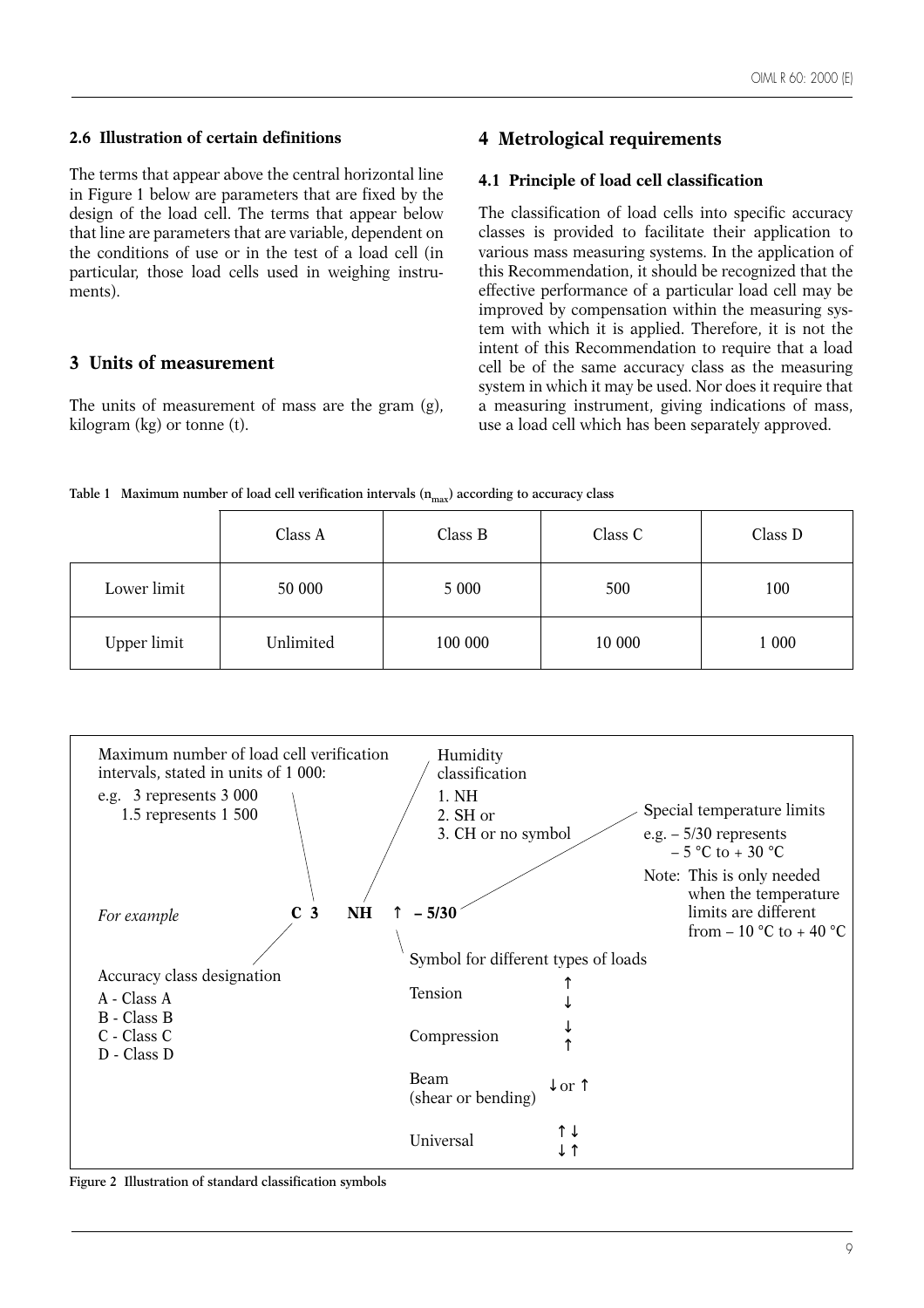# **2.6 Illustration of certain definitions**

The terms that appear above the central horizontal line in Figure 1 below are parameters that are fixed by the design of the load cell. The terms that appear below that line are parameters that are variable, dependent on the conditions of use or in the test of a load cell (in particular, those load cells used in weighing instruments).

# **3 Units of measurement**

The units of measurement of mass are the gram (g), kilogram (kg) or tonne (t).

# **4 Metrological requirements**

#### **4.1 Principle of load cell classification**

The classification of load cells into specific accuracy classes is provided to facilitate their application to various mass measuring systems. In the application of this Recommendation, it should be recognized that the effective performance of a particular load cell may be improved by compensation within the measuring system with which it is applied. Therefore, it is not the intent of this Recommendation to require that a load cell be of the same accuracy class as the measuring system in which it may be used. Nor does it require that a measuring instrument, giving indications of mass, use a load cell which has been separately approved.

|  |  |  |  |  | Table 1 Maximum number of load cell verification intervals $(n_{max})$ according to accuracy class |  |  |  |  |  |
|--|--|--|--|--|----------------------------------------------------------------------------------------------------|--|--|--|--|--|
|--|--|--|--|--|----------------------------------------------------------------------------------------------------|--|--|--|--|--|

|             | Class A   | Class B | Class C | Class D |
|-------------|-----------|---------|---------|---------|
| Lower limit | 50 000    | 5 0 0 0 | 500     | 100     |
| Upper limit | Unlimited | 100 000 | 10 000  | 1 000   |



**Figure 2 Illustration of standard classification symbols**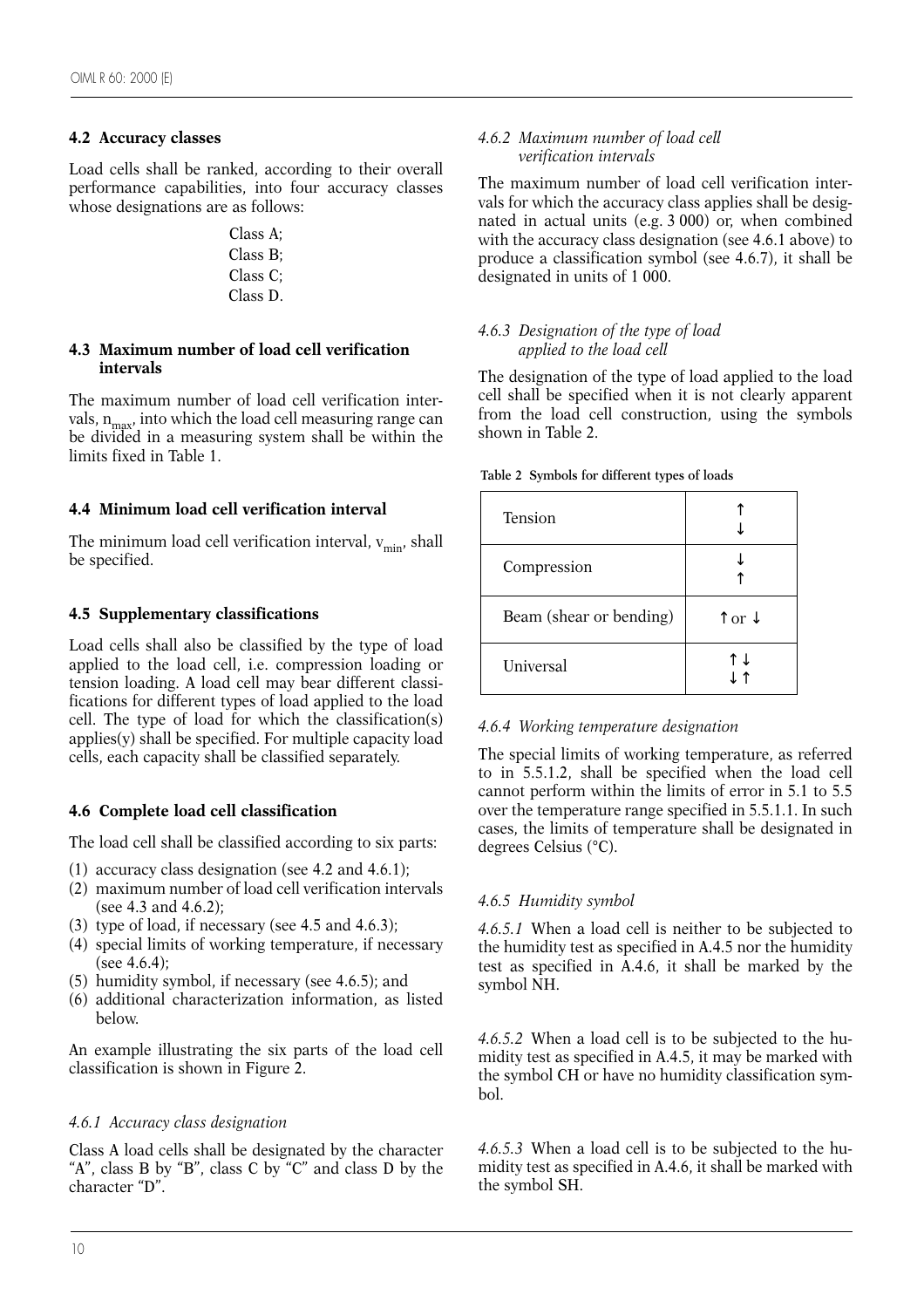# **4.2 Accuracy classes**

Load cells shall be ranked, according to their overall performance capabilities, into four accuracy classes whose designations are as follows:

> Class A; Class B; Class C; Class D.

# **4.3 Maximum number of load cell verification intervals**

The maximum number of load cell verification intervals,  $n_{max}$ , into which the load cell measuring range can be divided in a measuring system shall be within the limits fixed in Table 1.

# **4.4 Minimum load cell verification interval**

The minimum load cell verification interval,  $v_{\text{min}}$ , shall be specified.

# **4.5 Supplementary classifications**

Load cells shall also be classified by the type of load applied to the load cell, i.e. compression loading or tension loading. A load cell may bear different classifications for different types of load applied to the load cell. The type of load for which the classification(s) applies(y) shall be specified. For multiple capacity load cells, each capacity shall be classified separately.

# **4.6 Complete load cell classification**

The load cell shall be classified according to six parts:

- (1) accuracy class designation (see 4.2 and 4.6.1);
- (2) maximum number of load cell verification intervals (see 4.3 and 4.6.2);
- (3) type of load, if necessary (see 4.5 and 4.6.3);
- (4) special limits of working temperature, if necessary (see  $4.6.4$ ):
- (5) humidity symbol, if necessary (see 4.6.5); and
- (6) additional characterization information, as listed below.

An example illustrating the six parts of the load cell classification is shown in Figure 2.

# *4.6.1 Accuracy class designation*

Class A load cells shall be designated by the character "A", class B by "B", class C by "C" and class D by the character "D".

#### *4.6.2 Maximum number of load cell verification intervals*

The maximum number of load cell verification intervals for which the accuracy class applies shall be designated in actual units (e.g. 3 000) or, when combined with the accuracy class designation (see 4.6.1 above) to produce a classification symbol (see 4.6.7), it shall be designated in units of 1 000.

#### *4.6.3 Designation of the type of load applied to the load cell*

The designation of the type of load applied to the load cell shall be specified when it is not clearly apparent from the load cell construction, using the symbols shown in Table 2.

|  |  | Table 2 Symbols for different types of loads |  |  |
|--|--|----------------------------------------------|--|--|
|--|--|----------------------------------------------|--|--|

| <b>Tension</b>          |                            |
|-------------------------|----------------------------|
| Compression             |                            |
| Beam (shear or bending) | $\uparrow$ or $\downarrow$ |
| Universal               | Դ                          |

# *4.6.4 Working temperature designation*

The special limits of working temperature, as referred to in 5.5.1.2, shall be specified when the load cell cannot perform within the limits of error in 5.1 to 5.5 over the temperature range specified in 5.5.1.1. In such cases, the limits of temperature shall be designated in degrees Celsius (°C).

# *4.6.5 Humidity symbol*

*4.6.5.1* When a load cell is neither to be subjected to the humidity test as specified in A.4.5 nor the humidity test as specified in A.4.6, it shall be marked by the symbol NH.

*4.6.5.2* When a load cell is to be subjected to the humidity test as specified in A.4.5, it may be marked with the symbol CH or have no humidity classification symbol.

*4.6.5.3* When a load cell is to be subjected to the humidity test as specified in A.4.6, it shall be marked with the symbol SH.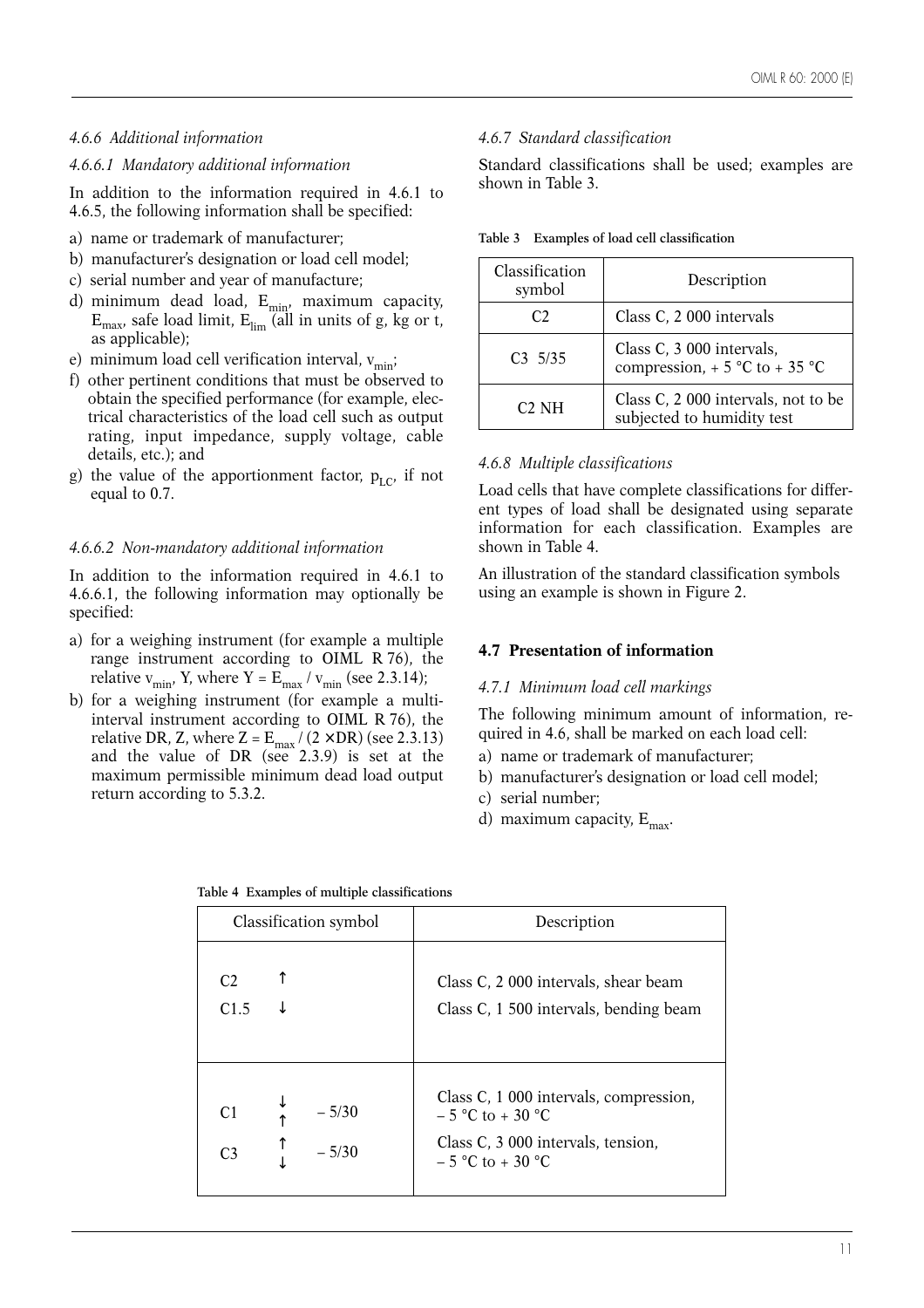#### *4.6.6 Additional information*

#### *4.6.6.1 Mandatory additional information*

In addition to the information required in 4.6.1 to 4.6.5, the following information shall be specified:

- a) name or trademark of manufacturer;
- b) manufacturer's designation or load cell model;
- c) serial number and year of manufacture;
- d) minimum dead load, E<sub>min,</sub> maximum capacity,  $\text{E}_{\text{max}}$ , safe load limit,  $\text{E}_{\text{lim}}$  (all in units of g, kg or t, as applicable);
- e) minimum load cell verification interval,  $v_{\text{min}}$ ;
- f) other pertinent conditions that must be observed to obtain the specified performance (for example, electrical characteristics of the load cell such as output rating, input impedance, supply voltage, cable details, etc.); and
- g) the value of the apportionment factor,  $p_{LC}$  if not equal to 0.7.

#### *4.6.6.2 Non-mandatory additional information*

In addition to the information required in 4.6.1 to 4.6.6.1, the following information may optionally be specified:

- a) for a weighing instrument (for example a multiple range instrument according to OIML R 76), the relative  $v_{\text{min}}$ , Y, where Y =  $E_{\text{max}} / v_{\text{min}}$  (see 2.3.14);
- b) for a weighing instrument (for example a multiinterval instrument according to OIML R 76), the relative DR, Z, where Z =  $E_{\text{max}}/(2 \times \text{DR})$  (see 2.3.13) and the value of DR (see 2.3.9) is set at the maximum permissible minimum dead load output return according to 5.3.2.

#### *4.6.7 Standard classification*

Standard classifications shall be used; examples are shown in Table 3.

| Classification<br>symbol | Description                                                       |
|--------------------------|-------------------------------------------------------------------|
| C2                       | Class C, 2 000 intervals                                          |
| C3, 5/35                 | Class C, 3 000 intervals,<br>compression, $+5$ °C to $+35$ °C     |
| $C2$ NH                  | Class C, 2 000 intervals, not to be<br>subjected to humidity test |

#### *4.6.8 Multiple classifications*

Load cells that have complete classifications for different types of load shall be designated using separate information for each classification. Examples are shown in Table 4.

An illustration of the standard classification symbols using an example is shown in Figure 2.

#### **4.7 Presentation of information**

#### *4.7.1 Minimum load cell markings*

The following minimum amount of information, required in 4.6, shall be marked on each load cell:

- a) name or trademark of manufacturer;
- b) manufacturer's designation or load cell model;
- c) serial number;
- d) maximum capacity,  $E_{\text{max}}$ .

|                                  | Classification symbol | Description                                                                                                               |
|----------------------------------|-----------------------|---------------------------------------------------------------------------------------------------------------------------|
| C <sub>2</sub><br>C1.5           |                       | Class C, 2 000 intervals, shear beam<br>Class C, 1 500 intervals, bending beam                                            |
| C <sub>1</sub><br>C <sub>3</sub> | $-5/30$<br>$-5/30$    | Class C, 1 000 intervals, compression,<br>$-5$ °C to + 30 °C<br>Class C, 3 000 intervals, tension,<br>$-5$ °C to $+30$ °C |

|  |  |  | Table 4 Examples of multiple classifications |
|--|--|--|----------------------------------------------|
|--|--|--|----------------------------------------------|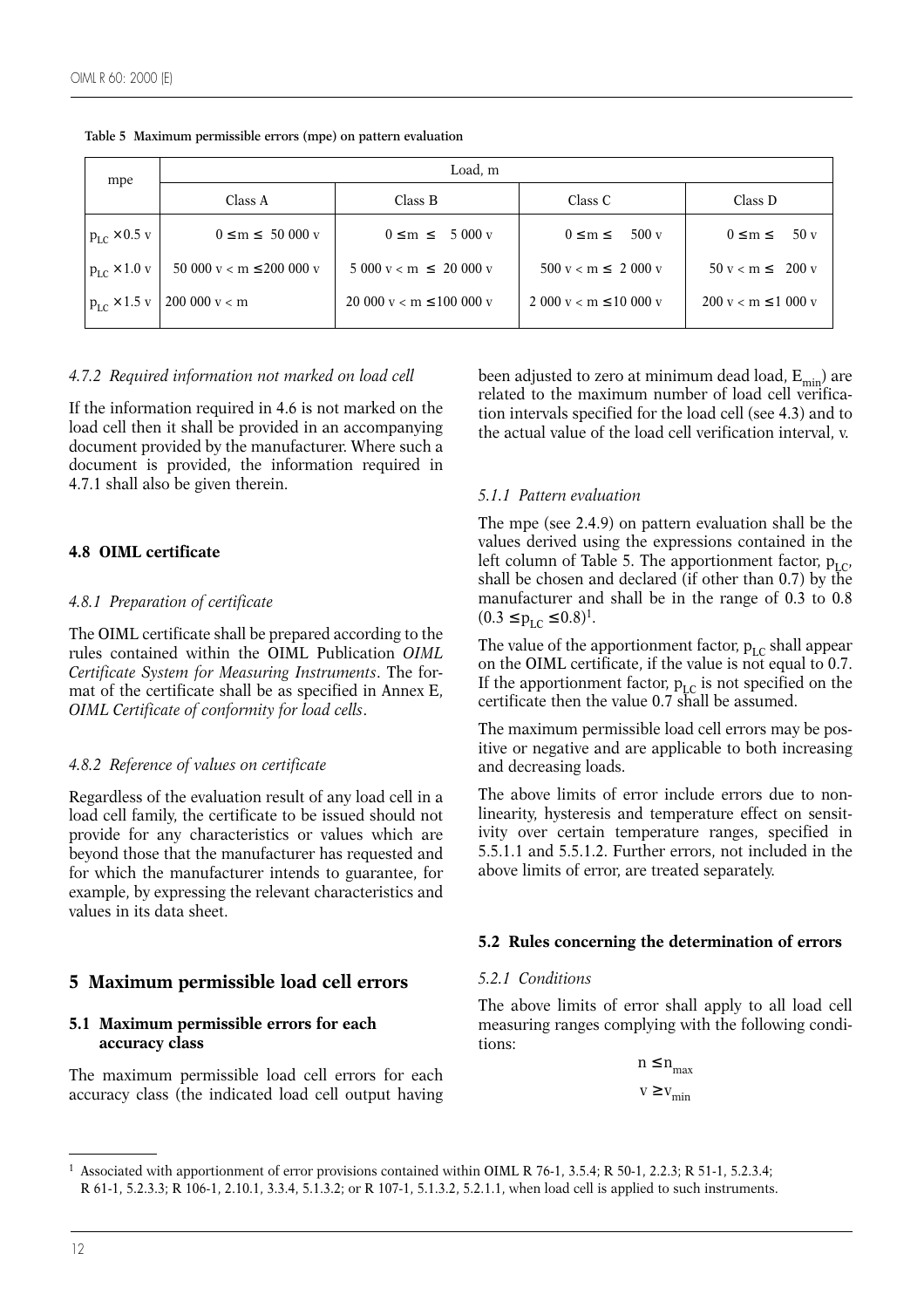| mpe                        | Load, m                       |                                                  |                                          |                                        |  |  |  |  |  |  |  |  |
|----------------------------|-------------------------------|--------------------------------------------------|------------------------------------------|----------------------------------------|--|--|--|--|--|--|--|--|
|                            | Class A                       | Class B                                          | Class C                                  | Class D                                |  |  |  |  |  |  |  |  |
| $p_{LC}$ × 0.5 v           | $0 \le m \le 50000 \text{ v}$ | $0 \le m \le 5000 \text{ v}$                     | 500v<br>$0 \leq m \leq$                  | 50v<br>$0 \leq m \leq$                 |  |  |  |  |  |  |  |  |
| $ p_{\rm LC} \times 1.0$ v | 50 000 $v < m \le 200 000 v$  | $5000 \text{ y} < \text{m} \leq 20000 \text{ y}$ | $500 \text{ y} < m \leq 2000 \text{ y}$  | $50 \text{ y} < m \leq 200 \text{ y}$  |  |  |  |  |  |  |  |  |
| $\n  1 pLC \times 1.5 v$   | 200 000 v < m                 | 20 000 $v < m \le 100000 v$                      | $2000 \text{ y} < m \le 10000 \text{ y}$ | $200 \text{ y} < m \le 1000 \text{ y}$ |  |  |  |  |  |  |  |  |

**Table 5 Maximum permissible errors (mpe) on pattern evaluation**

#### *4.7.2 Required information not marked on load cell*

If the information required in 4.6 is not marked on the load cell then it shall be provided in an accompanying document provided by the manufacturer. Where such a document is provided, the information required in 4.7.1 shall also be given therein.

# **4.8 OIML certificate**

#### *4.8.1 Preparation of certificate*

The OIML certificate shall be prepared according to the rules contained within the OIML Publication *OIML Certificate System for Measuring Instruments*. The format of the certificate shall be as specified in Annex E, *OIML Certificate of conformity for load cells*.

# *4.8.2 Reference of values on certificate*

Regardless of the evaluation result of any load cell in a load cell family, the certificate to be issued should not provide for any characteristics or values which are beyond those that the manufacturer has requested and for which the manufacturer intends to guarantee, for example, by expressing the relevant characteristics and values in its data sheet.

# been adjusted to zero at minimum dead load,  $E_{min}$ ) are related to the maximum number of load cell verification intervals specified for the load cell (see 4.3) and to the actual value of the load cell verification interval, v.

# *5.1.1 Pattern evaluation*

The mpe (see 2.4.9) on pattern evaluation shall be the values derived using the expressions contained in the left column of Table 5. The apportionment factor,  $p_{LC}$ , shall be chosen and declared (if other than 0.7) by the manufacturer and shall be in the range of 0.3 to 0.8  $(0.3 \le p_{\text{LC}} \le 0.8)^1$ .

The value of the apportionment factor,  $p_{LC}$  shall appear on the OIML certificate, if the value is not equal to 0.7. If the apportionment factor,  $p_{LC}$  is not specified on the certificate then the value 0.7 shall be assumed.

The maximum permissible load cell errors may be positive or negative and are applicable to both increasing and decreasing loads.

The above limits of error include errors due to nonlinearity, hysteresis and temperature effect on sensitivity over certain temperature ranges, specified in 5.5.1.1 and 5.5.1.2. Further errors, not included in the above limits of error, are treated separately.

#### **5.2 Rules concerning the determination of errors**

#### *5.2.1 Conditions*

The above limits of error shall apply to all load cell measuring ranges complying with the following conditions:

 $n \leq n_{\text{max}}$  $v \ge v_{\min}$ 

The maximum permissible load cell errors for each accuracy class (the indicated load cell output having

**5 Maximum permissible load cell errors**

**5.1 Maximum permissible errors for each**

**accuracy class** 

<sup>1</sup> Associated with apportionment of error provisions contained within OIML R 76-1, 3.5.4; R 50-1, 2.2.3; R 51-1, 5.2.3.4; R 61-1, 5.2.3.3; R 106-1, 2.10.1, 3.3.4, 5.1.3.2; or R 107-1, 5.1.3.2, 5.2.1.1, when load cell is applied to such instruments.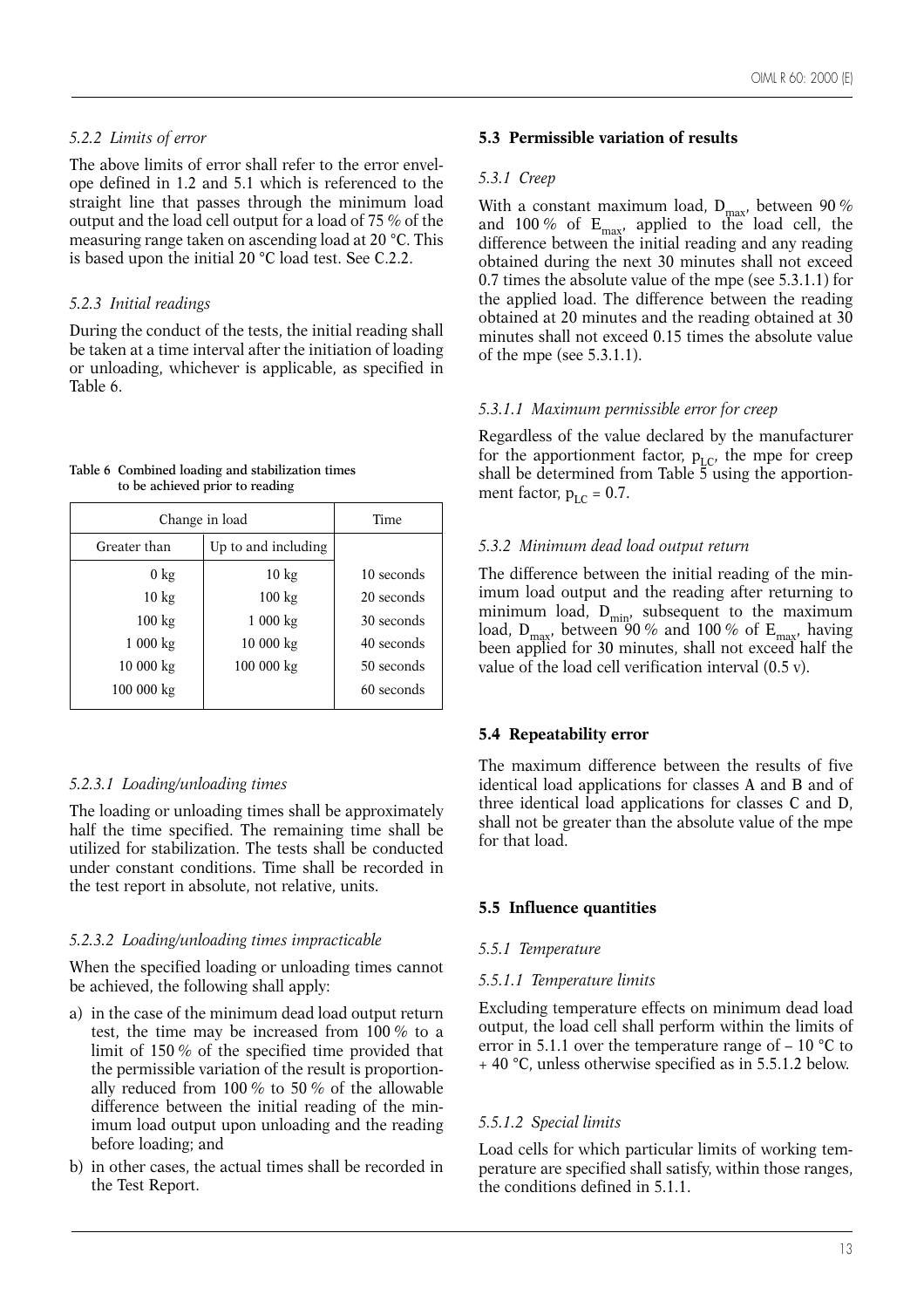# *5.2.2 Limits of error*

The above limits of error shall refer to the error envelope defined in 1.2 and 5.1 which is referenced to the straight line that passes through the minimum load output and the load cell output for a load of 75 % of the measuring range taken on ascending load at 20 °C. This is based upon the initial 20 °C load test. See C.2.2.

# *5.2.3 Initial readings*

During the conduct of the tests, the initial reading shall be taken at a time interval after the initiation of loading or unloading, whichever is applicable, as specified in Table 6.

**Table 6 Combined loading and stabilization times to be achieved prior to reading** 

| Change in load   | Time                |            |  |  |  |  |
|------------------|---------------------|------------|--|--|--|--|
| Greater than     | Up to and including |            |  |  |  |  |
| $0 \text{ kg}$   | $10 \text{ kg}$     | 10 seconds |  |  |  |  |
| $10 \text{ kg}$  | $100 \text{ kg}$    | 20 seconds |  |  |  |  |
| $100 \text{ kg}$ | 1000 kg             | 30 seconds |  |  |  |  |
| 1000 kg          | 10000 kg            | 40 seconds |  |  |  |  |
| 10 000 kg        | 100 000 kg          | 50 seconds |  |  |  |  |
| 100 000 kg       |                     | 60 seconds |  |  |  |  |

# *5.2.3.1 Loading/unloading times*

The loading or unloading times shall be approximately half the time specified. The remaining time shall be utilized for stabilization. The tests shall be conducted under constant conditions. Time shall be recorded in the test report in absolute, not relative, units.

# *5.2.3.2 Loading/unloading times impracticable*

When the specified loading or unloading times cannot be achieved, the following shall apply:

- a) in the case of the minimum dead load output return test, the time may be increased from 100 % to a limit of 150 % of the specified time provided that the permissible variation of the result is proportionally reduced from 100 % to 50 % of the allowable difference between the initial reading of the minimum load output upon unloading and the reading before loading; and
- b) in other cases, the actual times shall be recorded in the Test Report.

# **5.3 Permissible variation of results**

# *5.3.1 Creep*

With a constant maximum load,  $D_{max}$ , between 90 % and 100 % of  $E_{\text{max}}$ , applied to the load cell, the difference between the initial reading and any reading obtained during the next 30 minutes shall not exceed 0.7 times the absolute value of the mpe (see 5.3.1.1) for the applied load. The difference between the reading obtained at 20 minutes and the reading obtained at 30 minutes shall not exceed 0.15 times the absolute value of the mpe (see 5.3.1.1).

# *5.3.1.1 Maximum permissible error for creep*

Regardless of the value declared by the manufacturer for the apportionment factor,  $p_{LC}$ , the mpe for creep shall be determined from Table  $\bar{5}$  using the apportionment factor,  $p_{\text{LC}} = 0.7$ .

# *5.3.2 Minimum dead load output return*

The difference between the initial reading of the minimum load output and the reading after returning to minimum load,  $D_{\min}$ , subsequent to the maximum load,  $D_{\text{max}}$ , between 90 % and 100 % of  $E_{\text{max}}$ , having been applied for 30 minutes, shall not exceed half the value of the load cell verification interval (0.5 v).

# **5.4 Repeatability error**

The maximum difference between the results of five identical load applications for classes A and B and of three identical load applications for classes C and D, shall not be greater than the absolute value of the mpe for that load.

# **5.5 Influence quantities**

# *5.5.1 Temperature*

# *5.5.1.1 Temperature limits*

Excluding temperature effects on minimum dead load output, the load cell shall perform within the limits of error in 5.1.1 over the temperature range of  $-10$  °C to + 40 °C, unless otherwise specified as in 5.5.1.2 below.

# *5.5.1.2 Special limits*

Load cells for which particular limits of working temperature are specified shall satisfy, within those ranges, the conditions defined in 5.1.1.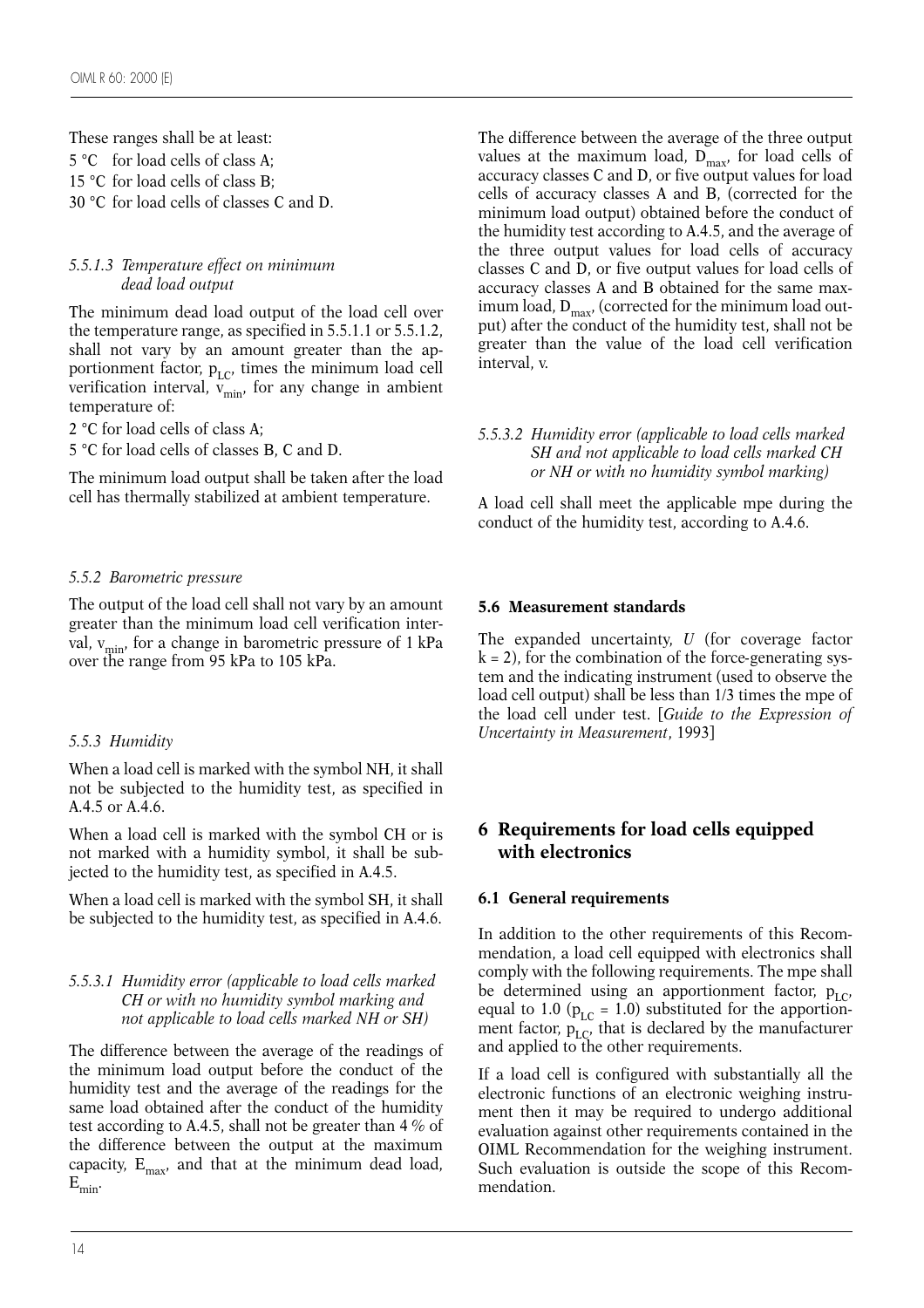These ranges shall be at least: 5 °C for load cells of class A; 15 °C for load cells of class B; 30 °C for load cells of classes C and D.

#### *5.5.1.3 Temperature effect on minimum dead load output*

The minimum dead load output of the load cell over the temperature range, as specified in 5.5.1.1 or 5.5.1.2, shall not vary by an amount greater than the apportionment factor,  $p_{LC}$ , times the minimum load cell verification interval,  $\widetilde{v_{\text{min}}}$ , for any change in ambient temperature of:

2 °C for load cells of class A;

5 °C for load cells of classes B, C and D.

The minimum load output shall be taken after the load cell has thermally stabilized at ambient temperature.

# *5.5.2 Barometric pressure*

The output of the load cell shall not vary by an amount greater than the minimum load cell verification interval,  $v_{\text{min}}$ , for a change in barometric pressure of 1 kPa over the range from 95 kPa to 105 kPa.

# *5.5.3 Humidity*

When a load cell is marked with the symbol NH, it shall not be subjected to the humidity test, as specified in A.4.5 or A.4.6.

When a load cell is marked with the symbol CH or is not marked with a humidity symbol, it shall be subjected to the humidity test, as specified in A.4.5.

When a load cell is marked with the symbol SH, it shall be subjected to the humidity test, as specified in A.4.6.

#### *5.5.3.1 Humidity error (applicable to load cells marked CH or with no humidity symbol marking and not applicable to load cells marked NH or SH)*

The difference between the average of the readings of the minimum load output before the conduct of the humidity test and the average of the readings for the same load obtained after the conduct of the humidity test according to A.4.5, shall not be greater than 4 % of the difference between the output at the maximum capacity,  $E_{max}$ , and that at the minimum dead load,  $\mathbf{E}_{\text{min}}.$ 

The difference between the average of the three output values at the maximum load,  $D_{\text{max}}$ , for load cells of accuracy classes C and D, or five output values for load cells of accuracy classes A and B, (corrected for the minimum load output) obtained before the conduct of the humidity test according to A.4.5, and the average of the three output values for load cells of accuracy classes C and D, or five output values for load cells of accuracy classes A and B obtained for the same maximum load,  $D_{\text{max}}$ , (corrected for the minimum load output) after the conduct of the humidity test, shall not be greater than the value of the load cell verification interval, v.

#### *5.5.3.2 Humidity error (applicable to load cells marked SH and not applicable to load cells marked CH or NH or with no humidity symbol marking)*

A load cell shall meet the applicable mpe during the conduct of the humidity test, according to A.4.6.

# **5.6 Measurement standards**

The expanded uncertainty, *U* (for coverage factor k = 2), for the combination of the force*-*generating system and the indicating instrument (used to observe the load cell output) shall be less than 1/3 times the mpe of the load cell under test. [*Guide to the Expression of Uncertainty in Measurement*, 1993]

# **6 Requirements for load cells equipped with electronics**

# **6.1 General requirements**

In addition to the other requirements of this Recommendation, a load cell equipped with electronics shall comply with the following requirements. The mpe shall be determined using an apportionment factor,  $p_{LC}$ , equal to 1.0 ( $p_{LC}$  = 1.0) substituted for the apportionment factor,  $p_{LC}$ , that is declared by the manufacturer and applied to the other requirements.

If a load cell is configured with substantially all the electronic functions of an electronic weighing instrument then it may be required to undergo additional evaluation against other requirements contained in the OIML Recommendation for the weighing instrument. Such evaluation is outside the scope of this Recommendation.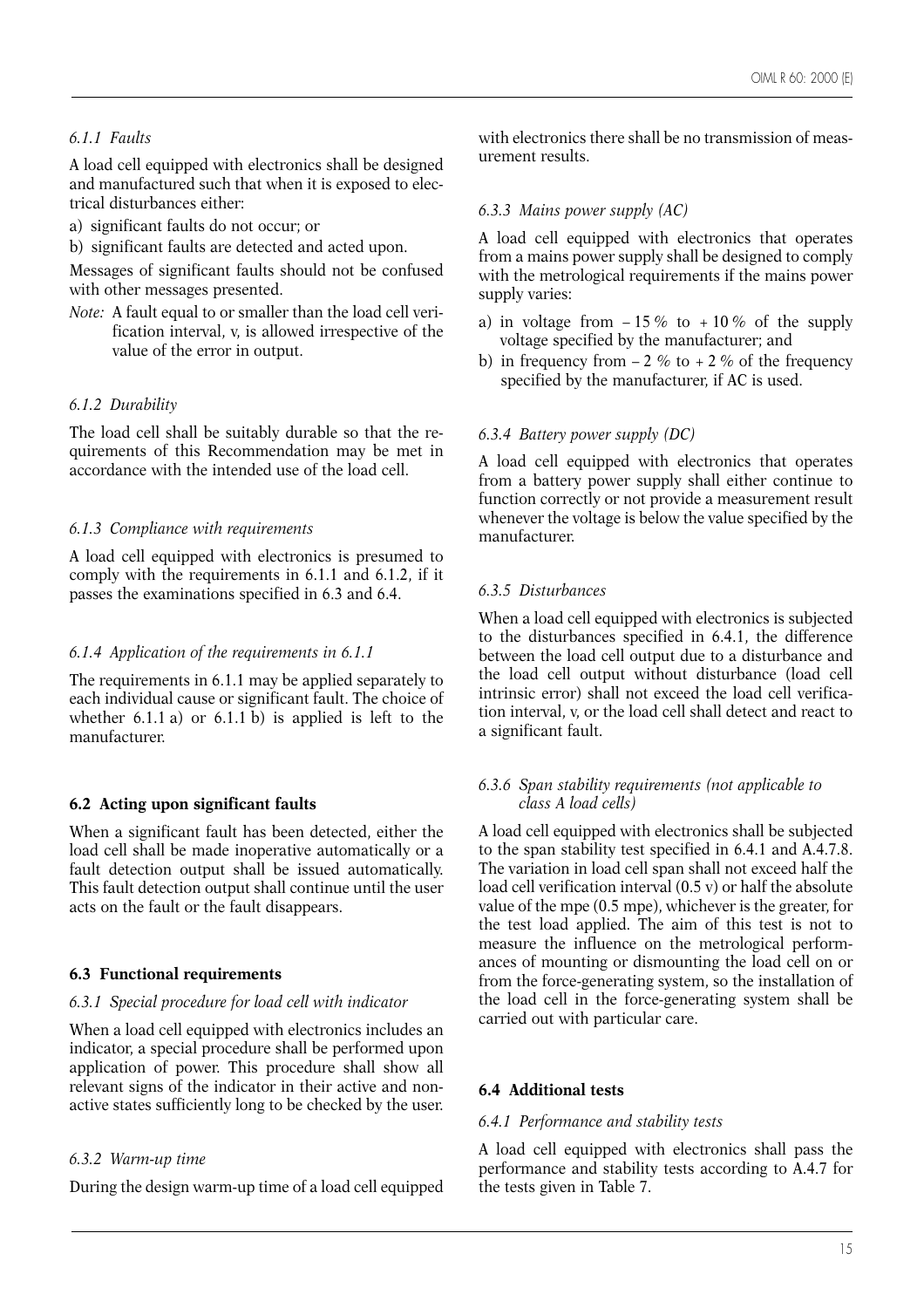# *6.1.1 Faults*

A load cell equipped with electronics shall be designed and manufactured such that when it is exposed to electrical disturbances either:

a) significant faults do not occur; or

b) significant faults are detected and acted upon.

Messages of significant faults should not be confused with other messages presented.

*Note:* A fault equal to or smaller than the load cell verification interval, v, is allowed irrespective of the value of the error in output.

#### *6.1.2 Durability*

The load cell shall be suitably durable so that the requirements of this Recommendation may be met in accordance with the intended use of the load cell.

#### *6.1.3 Compliance with requirements*

A load cell equipped with electronics is presumed to comply with the requirements in 6.1.1 and 6.1.2, if it passes the examinations specified in 6.3 and 6.4.

#### *6.1.4 Application of the requirements in 6.1.1*

The requirements in 6.1.1 may be applied separately to each individual cause or significant fault. The choice of whether  $6.1.1$  a) or  $6.1.1$  b) is applied is left to the manufacturer.

#### **6.2 Acting upon significant faults**

When a significant fault has been detected, either the load cell shall be made inoperative automatically or a fault detection output shall be issued automatically. This fault detection output shall continue until the user acts on the fault or the fault disappears.

#### **6.3 Functional requirements**

#### *6.3.1 Special procedure for load cell with indicator*

When a load cell equipped with electronics includes an indicator, a special procedure shall be performed upon application of power. This procedure shall show all relevant signs of the indicator in their active and nonactive states sufficiently long to be checked by the user.

#### *6.3.2 Warm-up time*

During the design warm-up time of a load cell equipped

with electronics there shall be no transmission of measurement results.

#### *6.3.3 Mains power supply (AC)*

A load cell equipped with electronics that operates from a mains power supply shall be designed to comply with the metrological requirements if the mains power supply varies:

- a) in voltage from  $-15\%$  to  $+10\%$  of the supply voltage specified by the manufacturer; and
- b) in frequency from  $-2\%$  to  $+2\%$  of the frequency specified by the manufacturer, if AC is used.

#### *6.3.4 Battery power supply (DC)*

A load cell equipped with electronics that operates from a battery power supply shall either continue to function correctly or not provide a measurement result whenever the voltage is below the value specified by the manufacturer.

#### *6.3.5 Disturbances*

When a load cell equipped with electronics is subjected to the disturbances specified in 6.4.1, the difference between the load cell output due to a disturbance and the load cell output without disturbance (load cell intrinsic error) shall not exceed the load cell verification interval, v, or the load cell shall detect and react to a significant fault.

#### *6.3.6 Span stability requirements (not applicable to class A load cells)*

A load cell equipped with electronics shall be subjected to the span stability test specified in 6.4.1 and A.4.7.8. The variation in load cell span shall not exceed half the load cell verification interval (0.5 v) or half the absolute value of the mpe (0.5 mpe), whichever is the greater, for the test load applied. The aim of this test is not to measure the influence on the metrological performances of mounting or dismounting the load cell on or from the force-generating system, so the installation of the load cell in the force-generating system shall be carried out with particular care.

#### **6.4 Additional tests**

#### *6.4.1 Performance and stability tests*

A load cell equipped with electronics shall pass the performance and stability tests according to A.4.7 for the tests given in Table 7.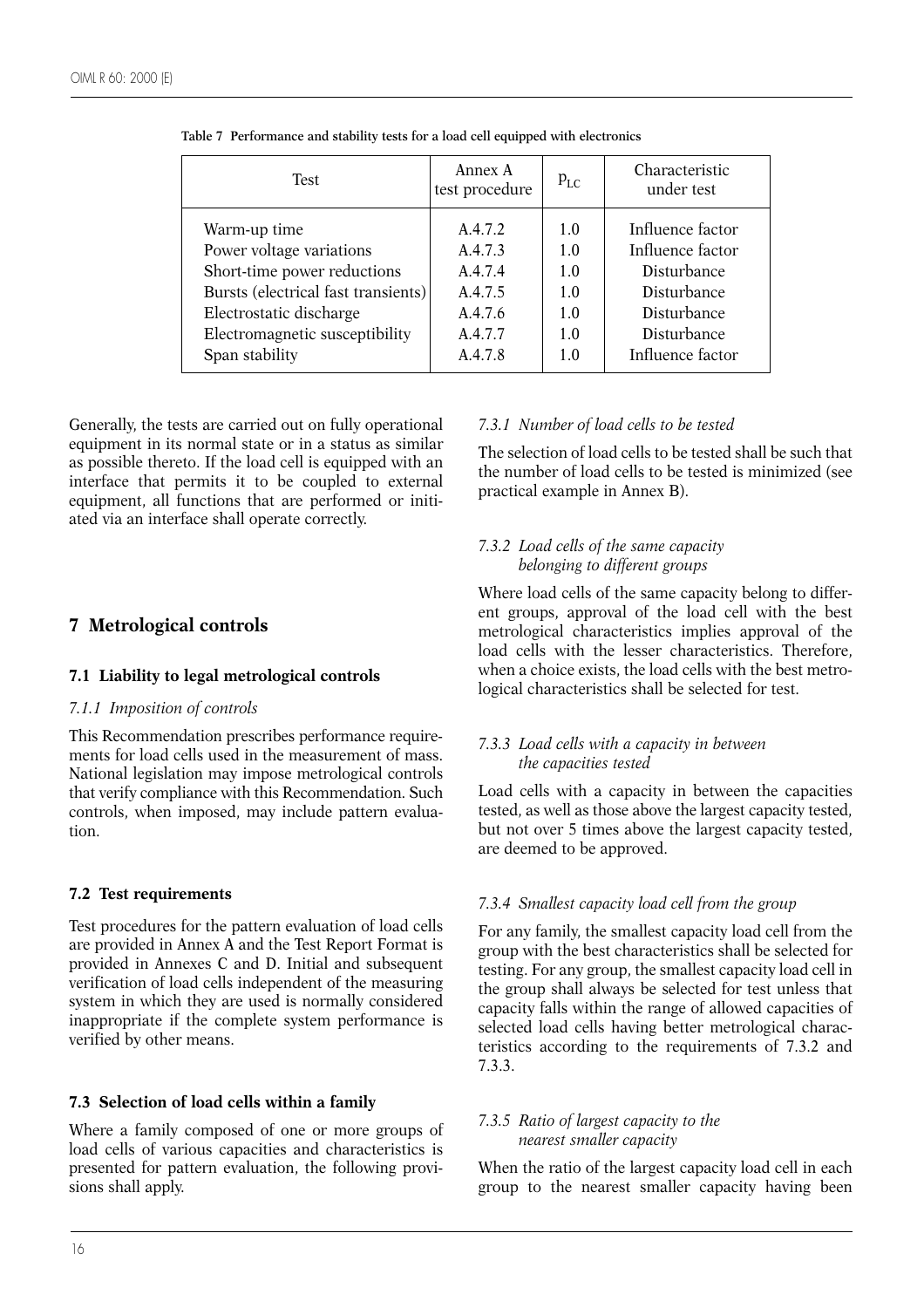| <b>Test</b>                         | Annex A<br>test procedure | $p_{LC}$ | Characteristic<br>under test |
|-------------------------------------|---------------------------|----------|------------------------------|
| Warm-up time                        | A.4.7.2                   | 1.0      | Influence factor             |
| Power voltage variations            | A.4.7.3                   | 1.0      | Influence factor             |
| Short-time power reductions         | A.4.7.4                   | 1.0      | Disturbance                  |
| Bursts (electrical fast transients) | A.4.7.5                   | 1.0      | Disturbance                  |
| Electrostatic discharge             | A.4.7.6                   | 1.0      | Disturbance                  |
| Electromagnetic susceptibility      | A.4.7.7                   | 1.0      | Disturbance                  |
| Span stability                      | A.4.7.8                   | 1.0      | Influence factor             |

**Table 7 Performance and stability tests for a load cell equipped with electronics**

Generally, the tests are carried out on fully operational equipment in its normal state or in a status as similar as possible thereto. If the load cell is equipped with an interface that permits it to be coupled to external equipment, all functions that are performed or initiated via an interface shall operate correctly.

# **7 Metrological controls**

# **7.1 Liability to legal metrological controls**

#### *7.1.1 Imposition of controls*

This Recommendation prescribes performance requirements for load cells used in the measurement of mass. National legislation may impose metrological controls that verify compliance with this Recommendation. Such controls, when imposed, may include pattern evaluation.

# **7.2 Test requirements**

Test procedures for the pattern evaluation of load cells are provided in Annex A and the Test Report Format is provided in Annexes C and D. Initial and subsequent verification of load cells independent of the measuring system in which they are used is normally considered inappropriate if the complete system performance is verified by other means.

#### **7.3 Selection of load cells within a family**

Where a family composed of one or more groups of load cells of various capacities and characteristics is presented for pattern evaluation, the following provisions shall apply.

# *7.3.1 Number of load cells to be tested*

The selection of load cells to be tested shall be such that the number of load cells to be tested is minimized (see practical example in Annex B).

# *7.3.2 Load cells of the same capacity belonging to different groups*

Where load cells of the same capacity belong to different groups, approval of the load cell with the best metrological characteristics implies approval of the load cells with the lesser characteristics. Therefore, when a choice exists, the load cells with the best metrological characteristics shall be selected for test.

# *7.3.3 Load cells with a capacity in between the capacities tested*

Load cells with a capacity in between the capacities tested, as well as those above the largest capacity tested, but not over 5 times above the largest capacity tested, are deemed to be approved.

# *7.3.4 Smallest capacity load cell from the group*

For any family, the smallest capacity load cell from the group with the best characteristics shall be selected for testing. For any group, the smallest capacity load cell in the group shall always be selected for test unless that capacity falls within the range of allowed capacities of selected load cells having better metrological characteristics according to the requirements of 7.3.2 and 7.3.3.

#### *7.3.5 Ratio of largest capacity to the nearest smaller capacity*

When the ratio of the largest capacity load cell in each group to the nearest smaller capacity having been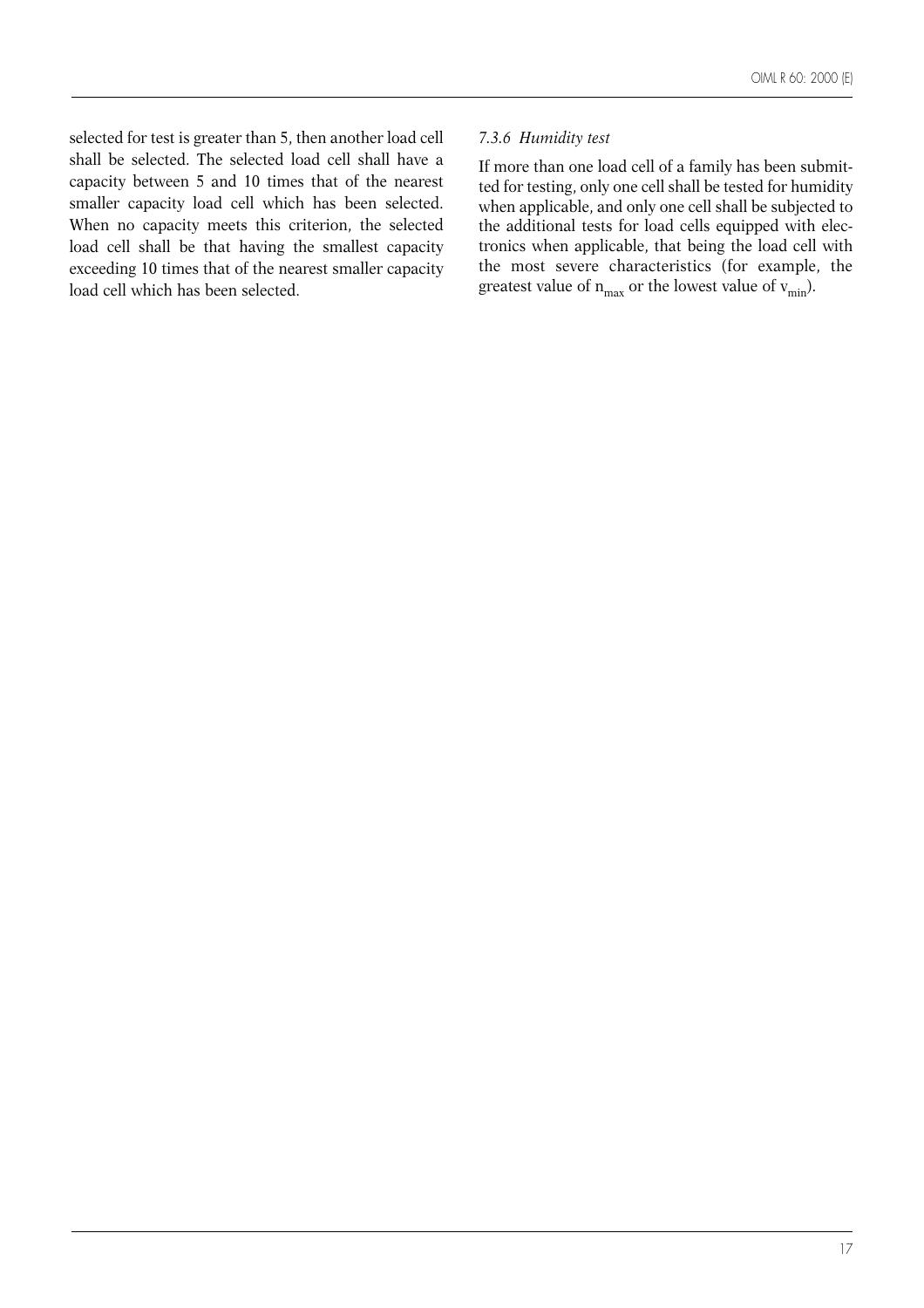selected for test is greater than 5, then another load cell shall be selected. The selected load cell shall have a capacity between 5 and 10 times that of the nearest smaller capacity load cell which has been selected. When no capacity meets this criterion, the selected load cell shall be that having the smallest capacity exceeding 10 times that of the nearest smaller capacity load cell which has been selected.

#### *7.3.6 Humidity test*

If more than one load cell of a family has been submitted for testing, only one cell shall be tested for humidity when applicable, and only one cell shall be subjected to the additional tests for load cells equipped with electronics when applicable, that being the load cell with the most severe characteristics (for example, the greatest value of  $n_{max}$  or the lowest value of  $v_{min}$ ).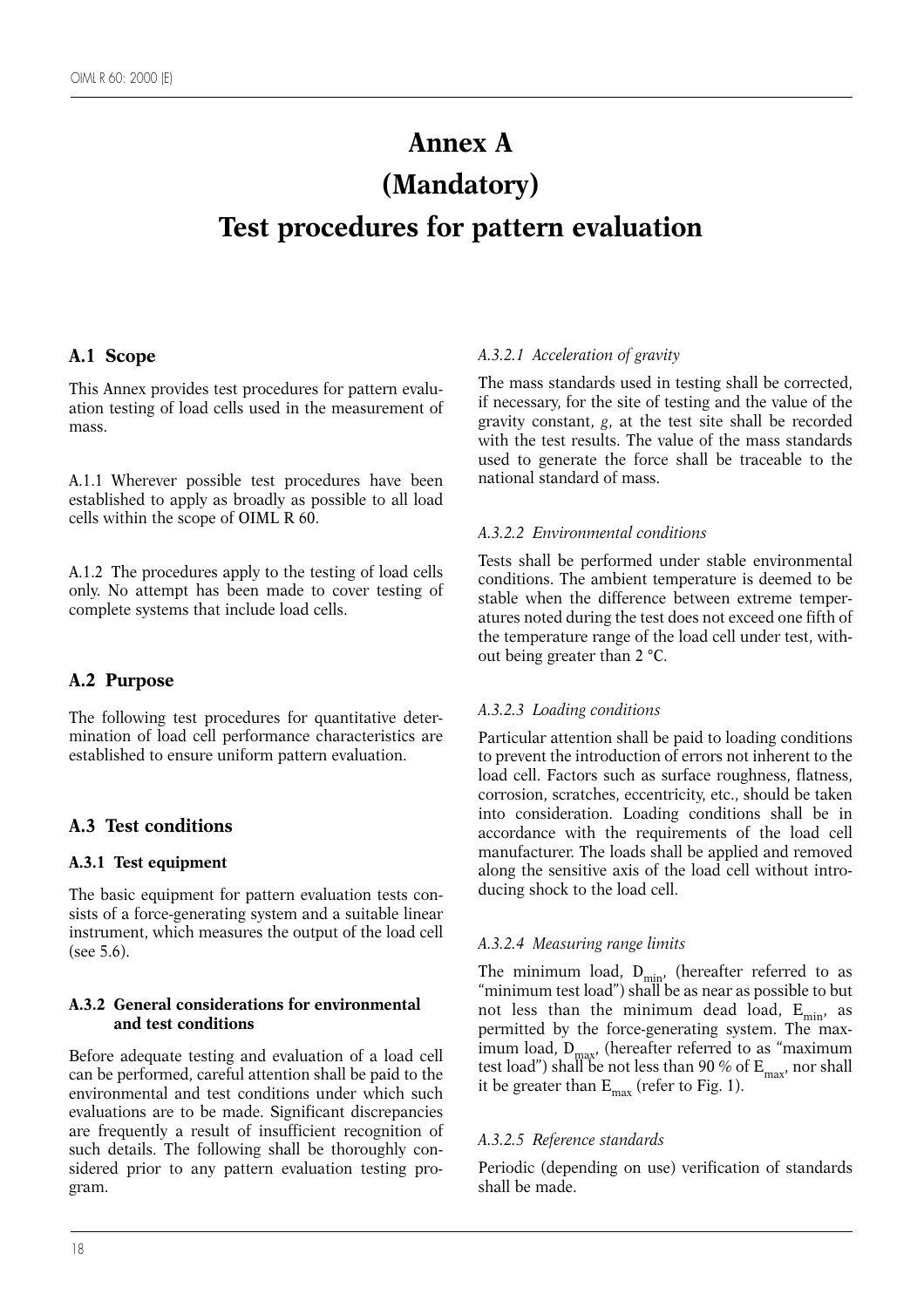# **Annex A (Mandatory) Test procedures for pattern evaluation**

# **A.1 Scope**

This Annex provides test procedures for pattern evaluation testing of load cells used in the measurement of mass.

A.1.1 Wherever possible test procedures have been established to apply as broadly as possible to all load cells within the scope of OIML R 60.

A.1.2 The procedures apply to the testing of load cells only. No attempt has been made to cover testing of complete systems that include load cells.

# **A.2 Purpose**

The following test procedures for quantitative determination of load cell performance characteristics are established to ensure uniform pattern evaluation.

# **A.3 Test conditions**

# **A.3.1 Test equipment**

The basic equipment for pattern evaluation tests consists of a force-generating system and a suitable linear instrument, which measures the output of the load cell (see 5.6).

#### **A.3.2 General considerations for environmental and test conditions**

Before adequate testing and evaluation of a load cell can be performed, careful attention shall be paid to the environmental and test conditions under which such evaluations are to be made. Significant discrepancies are frequently a result of insufficient recognition of such details. The following shall be thoroughly considered prior to any pattern evaluation testing program.

#### *A.3.2.1 Acceleration of gravity*

The mass standards used in testing shall be corrected, if necessary, for the site of testing and the value of the gravity constant, *g*, at the test site shall be recorded with the test results. The value of the mass standards used to generate the force shall be traceable to the national standard of mass.

#### *A.3.2.2 Environmental conditions*

Tests shall be performed under stable environmental conditions. The ambient temperature is deemed to be stable when the difference between extreme temperatures noted during the test does not exceed one fifth of the temperature range of the load cell under test, without being greater than 2 °C.

# *A.3.2.3 Loading conditions*

Particular attention shall be paid to loading conditions to prevent the introduction of errors not inherent to the load cell. Factors such as surface roughness, flatness, corrosion, scratches, eccentricity, etc., should be taken into consideration. Loading conditions shall be in accordance with the requirements of the load cell manufacturer. The loads shall be applied and removed along the sensitive axis of the load cell without introducing shock to the load cell.

#### *A.3.2.4 Measuring range limits*

The minimum load,  $D_{\text{min}}$  (hereafter referred to as "minimum test load") shall be as near as possible to but not less than the minimum dead load,  $E_{min}$ , as permitted by the force-generating system. The maximum load,  $D_{\text{max}}$ , (hereafter referred to as "maximum test load") shall be not less than 90 % of  $E_{\text{max}}$ , nor shall it be greater than  $E_{\text{max}}$  (refer to Fig. 1).

#### *A.3.2.5 Reference standards*

Periodic (depending on use) verification of standards shall be made.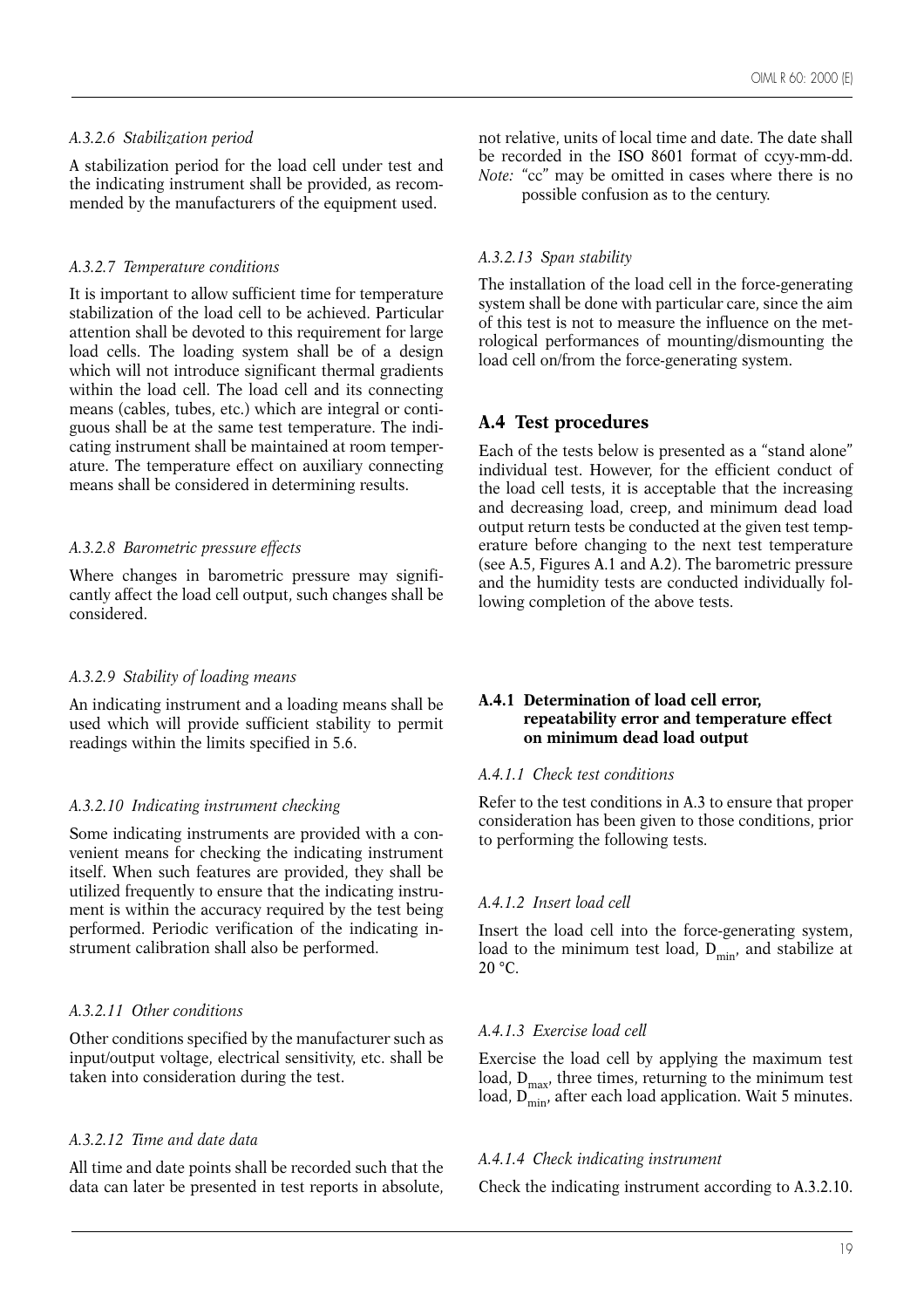# *A.3.2.6 Stabilization period*

A stabilization period for the load cell under test and the indicating instrument shall be provided, as recommended by the manufacturers of the equipment used.

# *A.3.2.7 Temperature conditions*

It is important to allow sufficient time for temperature stabilization of the load cell to be achieved. Particular attention shall be devoted to this requirement for large load cells. The loading system shall be of a design which will not introduce significant thermal gradients within the load cell. The load cell and its connecting means (cables, tubes, etc.) which are integral or contiguous shall be at the same test temperature. The indicating instrument shall be maintained at room temperature. The temperature effect on auxiliary connecting means shall be considered in determining results.

# *A.3.2.8 Barometric pressure effects*

Where changes in barometric pressure may significantly affect the load cell output, such changes shall be considered.

# *A.3.2.9 Stability of loading means*

An indicating instrument and a loading means shall be used which will provide sufficient stability to permit readings within the limits specified in 5.6.

# *A.3.2.10 Indicating instrument checking*

Some indicating instruments are provided with a convenient means for checking the indicating instrument itself. When such features are provided, they shall be utilized frequently to ensure that the indicating instrument is within the accuracy required by the test being performed. Periodic verification of the indicating instrument calibration shall also be performed.

# *A.3.2.11 Other conditions*

Other conditions specified by the manufacturer such as input/output voltage, electrical sensitivity, etc. shall be taken into consideration during the test.

# *A.3.2.12 Time and date data*

All time and date points shall be recorded such that the data can later be presented in test reports in absolute,

not relative, units of local time and date. The date shall be recorded in the ISO 8601 format of ccyy-mm-dd. *Note:* "cc" may be omitted in cases where there is no

possible confusion as to the century.

# *A.3.2.13 Span stability*

The installation of the load cell in the force-generating system shall be done with particular care, since the aim of this test is not to measure the influence on the metrological performances of mounting/dismounting the load cell on/from the force-generating system.

# **A.4 Test procedures**

Each of the tests below is presented as a "stand alone" individual test. However, for the efficient conduct of the load cell tests, it is acceptable that the increasing and decreasing load, creep, and minimum dead load output return tests be conducted at the given test temperature before changing to the next test temperature (see A.5, Figures A.1 and A.2). The barometric pressure and the humidity tests are conducted individually following completion of the above tests.

#### **A.4.1 Determination of load cell error, repeatability error and temperature effect on minimum dead load output**

# *A.4.1.1 Check test conditions*

Refer to the test conditions in A.3 to ensure that proper consideration has been given to those conditions, prior to performing the following tests.

# *A.4.1.2 Insert load cell*

Insert the load cell into the force-generating system, load to the minimum test load,  $D_{\min}$ , and stabilize at  $20 °C$ .

# *A.4.1.3 Exercise load cell*

Exercise the load cell by applying the maximum test load,  $D_{\text{max}}$ , three times, returning to the minimum test load,  $D_{\min}^{m}$ , after each load application. Wait 5 minutes.

# *A.4.1.4 Check indicating instrument*

Check the indicating instrument according to A.3.2.10.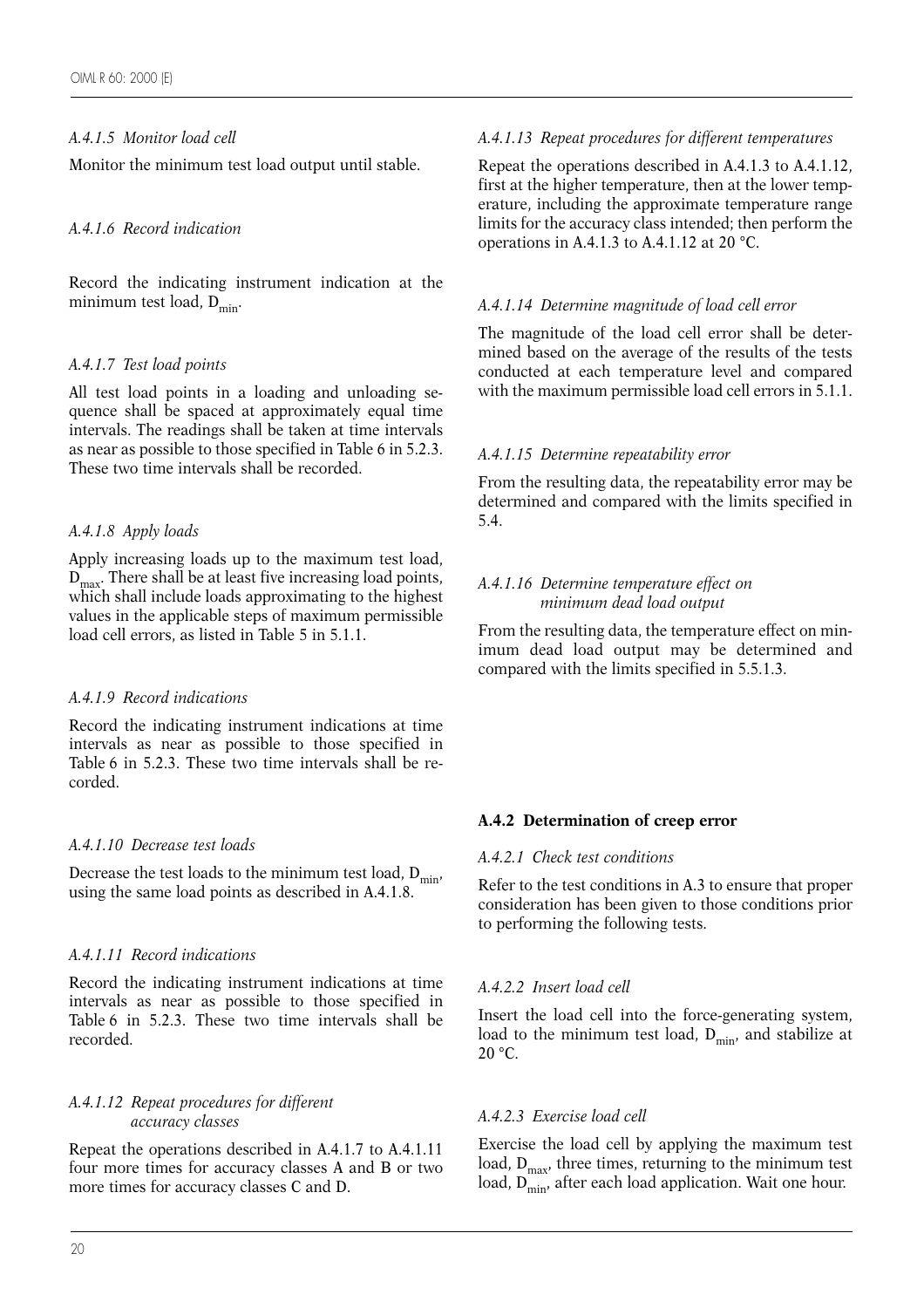# *A.4.1.5 Monitor load cell*

Monitor the minimum test load output until stable.

# *A.4.1.6 Record indication*

Record the indicating instrument indication at the minimum test load,  $D_{\min}$ .

#### *A.4.1.7 Test load points*

All test load points in a loading and unloading sequence shall be spaced at approximately equal time intervals. The readings shall be taken at time intervals as near as possible to those specified in Table 6 in 5.2.3. These two time intervals shall be recorded.

# *A.4.1.8 Apply loads*

Apply increasing loads up to the maximum test load,  $D_{\text{max}}$ . There shall be at least five increasing load points, which shall include loads approximating to the highest values in the applicable steps of maximum permissible load cell errors, as listed in Table 5 in 5.1.1.

# *A.4.1.9 Record indications*

Record the indicating instrument indications at time intervals as near as possible to those specified in Table 6 in 5.2.3. These two time intervals shall be recorded.

# *A.4.1.10 Decrease test loads*

Decrease the test loads to the minimum test load,  $D_{\text{min}}$ , using the same load points as described in A.4.1.8.

# *A.4.1.11 Record indications*

Record the indicating instrument indications at time intervals as near as possible to those specified in Table 6 in 5.2.3. These two time intervals shall be recorded.

#### *A.4.1.12 Repeat procedures for different accuracy classes*

Repeat the operations described in A.4.1.7 to A.4.1.11 four more times for accuracy classes A and B or two more times for accuracy classes C and D.

# *A.4.1.13 Repeat procedures for different temperatures*

Repeat the operations described in A.4.1.3 to A.4.1.12, first at the higher temperature, then at the lower temperature, including the approximate temperature range limits for the accuracy class intended; then perform the operations in A.4.1.3 to A.4.1.12 at 20 °C.

# *A.4.1.14 Determine magnitude of load cell error*

The magnitude of the load cell error shall be determined based on the average of the results of the tests conducted at each temperature level and compared with the maximum permissible load cell errors in 5.1.1.

#### *A.4.1.15 Determine repeatability error*

From the resulting data, the repeatability error may be determined and compared with the limits specified in 5.4.

#### *A.4.1.16 Determine temperature effect on minimum dead load output*

From the resulting data, the temperature effect on minimum dead load output may be determined and compared with the limits specified in 5.5.1.3.

# **A.4.2 Determination of creep error**

#### *A.4.2.1 Check test conditions*

Refer to the test conditions in A.3 to ensure that proper consideration has been given to those conditions prior to performing the following tests.

# *A.4.2.2 Insert load cell*

Insert the load cell into the force-generating system, load to the minimum test load,  $D_{\min}$ , and stabilize at 20 °C.

# *A.4.2.3 Exercise load cell*

Exercise the load cell by applying the maximum test load,  $D_{\text{max}}$ , three times, returning to the minimum test load,  $D_{\min}^{\max}$ , after each load application. Wait one hour.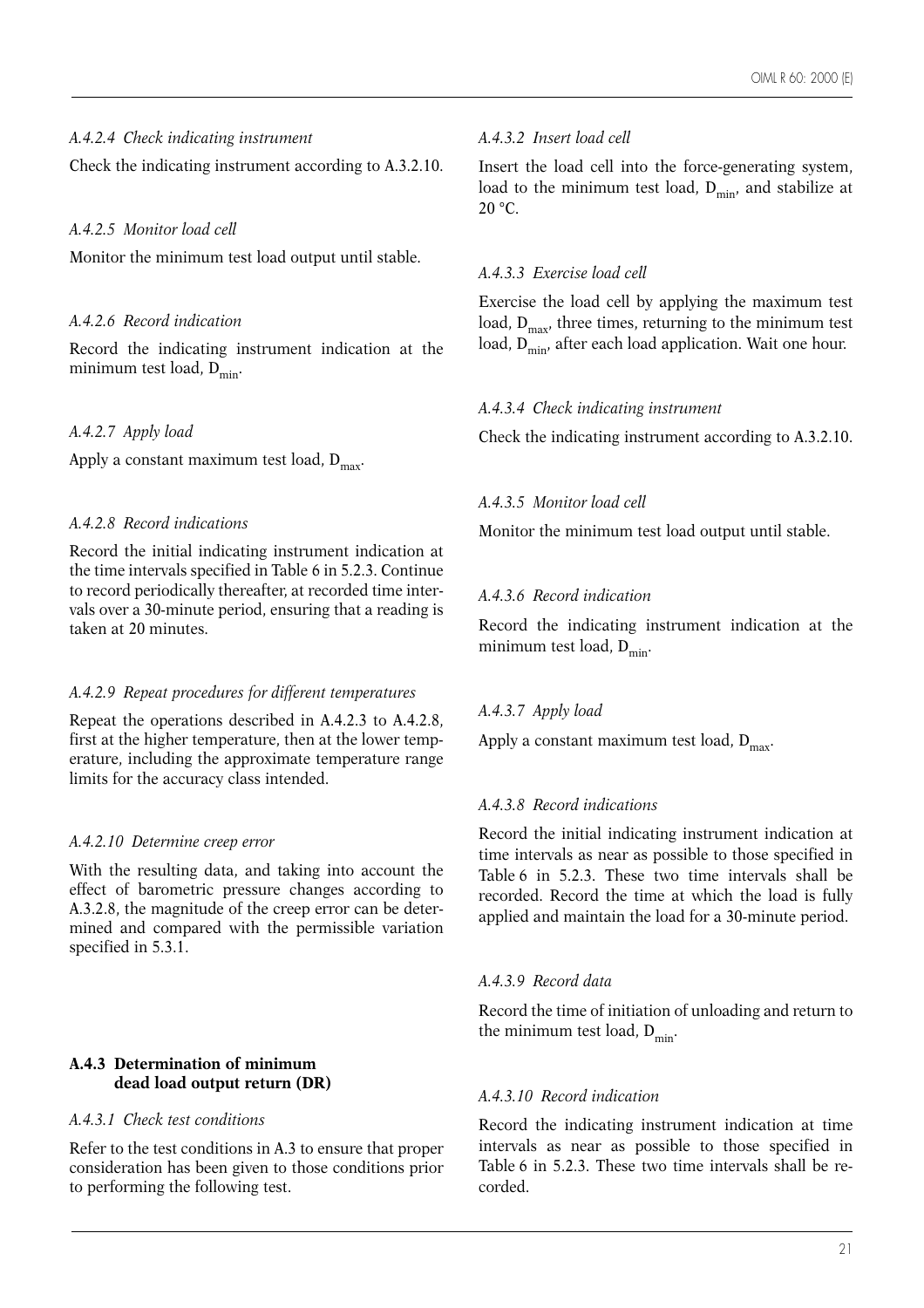# *A.4.2.4 Check indicating instrument*

Check the indicating instrument according to A.3.2.10.

#### *A.4.2.5 Monitor load cell*

Monitor the minimum test load output until stable.

#### *A.4.2.6 Record indication*

Record the indicating instrument indication at the minimum test load,  $D_{\text{min}}$ .

#### *A.4.2.7 Apply load*

Apply a constant maximum test load,  $D_{\text{max}}$ .

#### *A.4.2.8 Record indications*

Record the initial indicating instrument indication at the time intervals specified in Table 6 in 5.2.3. Continue to record periodically thereafter, at recorded time intervals over a 30-minute period, ensuring that a reading is taken at 20 minutes.

#### *A.4.2.9 Repeat procedures for different temperatures*

Repeat the operations described in A.4.2.3 to A.4.2.8, first at the higher temperature, then at the lower temperature, including the approximate temperature range limits for the accuracy class intended.

#### *A.4.2.10 Determine creep error*

With the resulting data, and taking into account the effect of barometric pressure changes according to A.3.2.8, the magnitude of the creep error can be determined and compared with the permissible variation specified in 5.3.1.

#### **A.4.3 Determination of minimum dead load output return (DR)**

#### *A.4.3.1 Check test conditions*

Refer to the test conditions in A.3 to ensure that proper consideration has been given to those conditions prior to performing the following test.

#### *A.4.3.2 Insert load cell*

Insert the load cell into the force-generating system, load to the minimum test load,  $D_{\text{min}}$ , and stabilize at  $20 °C$ .

#### *A.4.3.3 Exercise load cell*

Exercise the load cell by applying the maximum test load,  $D_{\text{max}}$ , three times, returning to the minimum test load,  $D_{\text{min}}$ , after each load application. Wait one hour.

#### *A.4.3.4 Check indicating instrument*

Check the indicating instrument according to A.3.2.10.

# *A.4.3.5 Monitor load cell*

Monitor the minimum test load output until stable.

# *A.4.3.6 Record indication*

Record the indicating instrument indication at the minimum test load,  $D_{\min}$ .

# *A.4.3.7 Apply load*

Apply a constant maximum test load,  $D_{\text{max}}$ .

# *A.4.3.8 Record indications*

Record the initial indicating instrument indication at time intervals as near as possible to those specified in Table 6 in 5.2.3. These two time intervals shall be recorded. Record the time at which the load is fully applied and maintain the load for a 30-minute period.

#### *A.4.3.9 Record data*

Record the time of initiation of unloading and return to the minimum test load,  $D_{\text{min}}$ .

#### *A.4.3.10 Record indication*

Record the indicating instrument indication at time intervals as near as possible to those specified in Table 6 in 5.2.3. These two time intervals shall be recorded.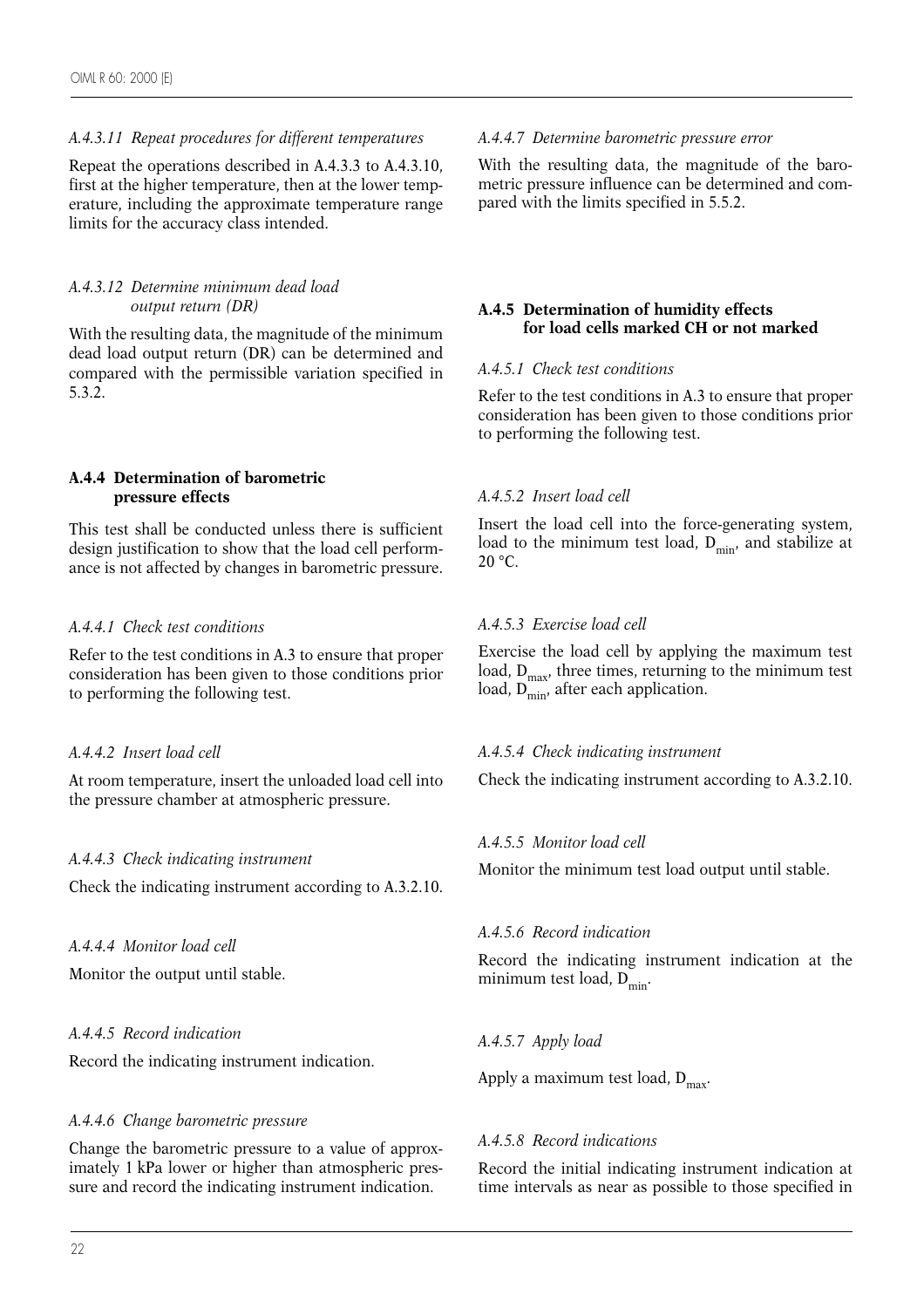#### *A.4.3.11 Repeat procedures for different temperatures*

Repeat the operations described in A.4.3.3 to A.4.3.10, first at the higher temperature, then at the lower temperature, including the approximate temperature range limits for the accuracy class intended.

#### *A.4.3.12 Determine minimum dead load output return (DR)*

With the resulting data, the magnitude of the minimum dead load output return (DR) can be determined and compared with the permissible variation specified in 5.3.2.

#### **A.4.4 Determination of barometric pressure effects**

This test shall be conducted unless there is sufficient design justification to show that the load cell performance is not affected by changes in barometric pressure.

#### *A.4.4.1 Check test conditions*

Refer to the test conditions in A.3 to ensure that proper consideration has been given to those conditions prior to performing the following test.

#### *A.4.4.2 Insert load cell*

At room temperature, insert the unloaded load cell into the pressure chamber at atmospheric pressure.

# *A.4.4.3 Check indicating instrument*

Check the indicating instrument according to A.3.2.10.

#### *A.4.4.4 Monitor load cell*

Monitor the output until stable.

# *A.4.4.5 Record indication*

Record the indicating instrument indication.

# *A.4.4.6 Change barometric pressure*

Change the barometric pressure to a value of approximately 1 kPa lower or higher than atmospheric pressure and record the indicating instrument indication.

#### *A.4.4.7 Determine barometric pressure error*

With the resulting data, the magnitude of the barometric pressure influence can be determined and compared with the limits specified in 5.5.2.

# **A.4.5 Determination of humidity effects for load cells marked CH or not marked**

# *A.4.5.1 Check test conditions*

Refer to the test conditions in A.3 to ensure that proper consideration has been given to those conditions prior to performing the following test.

# *A.4.5.2 Insert load cell*

Insert the load cell into the force-generating system, load to the minimum test load,  $D_{\min}$ , and stabilize at  $20 °C$ .

# *A.4.5.3 Exercise load cell*

Exercise the load cell by applying the maximum test load,  $D_{\text{max}}$ , three times, returning to the minimum test load,  $D_{\min}$ , after each application.

#### *A.4.5.4 Check indicating instrument*

Check the indicating instrument according to A.3.2.10.

# *A.4.5.5 Monitor load cell*

Monitor the minimum test load output until stable.

# *A.4.5.6 Record indication*

Record the indicating instrument indication at the minimum test load,  $D_{\text{min}}$ .

# *A.4.5.7 Apply load*

Apply a maximum test load,  $D_{\text{max}}$ .

#### *A.4.5.8 Record indications*

Record the initial indicating instrument indication at time intervals as near as possible to those specified in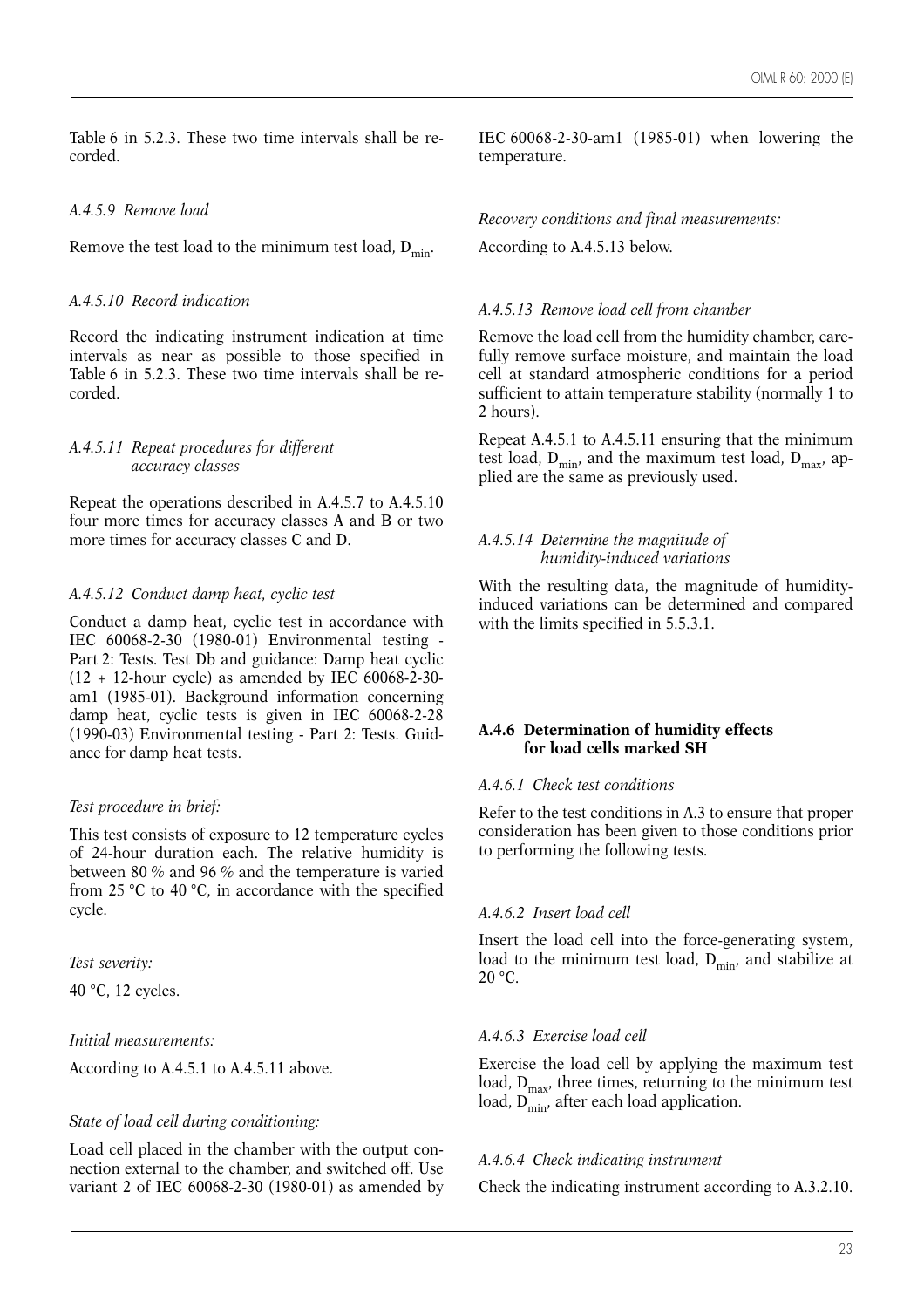Table 6 in 5.2.3. These two time intervals shall be recorded.

#### *A.4.5.9 Remove load*

Remove the test load to the minimum test load,  $D_{\text{min}}$ .

#### *A.4.5.10 Record indication*

Record the indicating instrument indication at time intervals as near as possible to those specified in Table 6 in 5.2.3. These two time intervals shall be recorded.

#### *A.4.5.11 Repeat procedures for different accuracy classes*

Repeat the operations described in A.4.5.7 to A.4.5.10 four more times for accuracy classes A and B or two more times for accuracy classes C and D.

# *A.4.5.12 Conduct damp heat, cyclic test*

Conduct a damp heat, cyclic test in accordance with IEC 60068-2-30 (1980-01) Environmental testing - Part 2: Tests. Test Db and guidance: Damp heat cyclic  $(12 + 12$ -hour cycle) as amended by IEC 60068-2-30am1 (1985-01). Background information concerning damp heat, cyclic tests is given in IEC 60068-2-28 (1990-03) Environmental testing - Part 2: Tests. Guidance for damp heat tests.

# *Test procedure in brief:*

This test consists of exposure to 12 temperature cycles of 24-hour duration each. The relative humidity is between 80 % and 96 % and the temperature is varied from 25 °C to 40 °C, in accordance with the specified cycle.

*Test severity:*

40 °C, 12 cycles.

#### *Initial measurements:*

According to A.4.5.1 to A.4.5.11 above.

# *State of load cell during conditioning:*

Load cell placed in the chamber with the output connection external to the chamber, and switched off. Use variant 2 of IEC 60068-2-30 (1980-01) as amended by

IEC 60068-2-30-am1 (1985-01) when lowering the temperature.

*Recovery conditions and final measurements:* According to A.4.5.13 below.

#### *A.4.5.13 Remove load cell from chamber*

Remove the load cell from the humidity chamber, carefully remove surface moisture, and maintain the load cell at standard atmospheric conditions for a period sufficient to attain temperature stability (normally 1 to 2 hours).

Repeat A.4.5.1 to A.4.5.11 ensuring that the minimum test load,  $D_{\min}$ , and the maximum test load,  $D_{\max}$ , applied are the same as previously used.

#### *A.4.5.14 Determine the magnitude of humidity-induced variations*

With the resulting data, the magnitude of humidityinduced variations can be determined and compared with the limits specified in 5.5.3.1.

# **A.4.6 Determination of humidity effects for load cells marked SH**

#### *A.4.6.1 Check test conditions*

Refer to the test conditions in A.3 to ensure that proper consideration has been given to those conditions prior to performing the following tests.

# *A.4.6.2 Insert load cell*

Insert the load cell into the force-generating system, load to the minimum test load,  $D_{\min}$ , and stabilize at 20 °C.

#### *A.4.6.3 Exercise load cell*

Exercise the load cell by applying the maximum test load,  $D_{\text{max}}$ , three times, returning to the minimum test  $load, D<sub>min</sub>, after each load application.$ 

# *A.4.6.4 Check indicating instrument*

Check the indicating instrument according to A.3.2.10.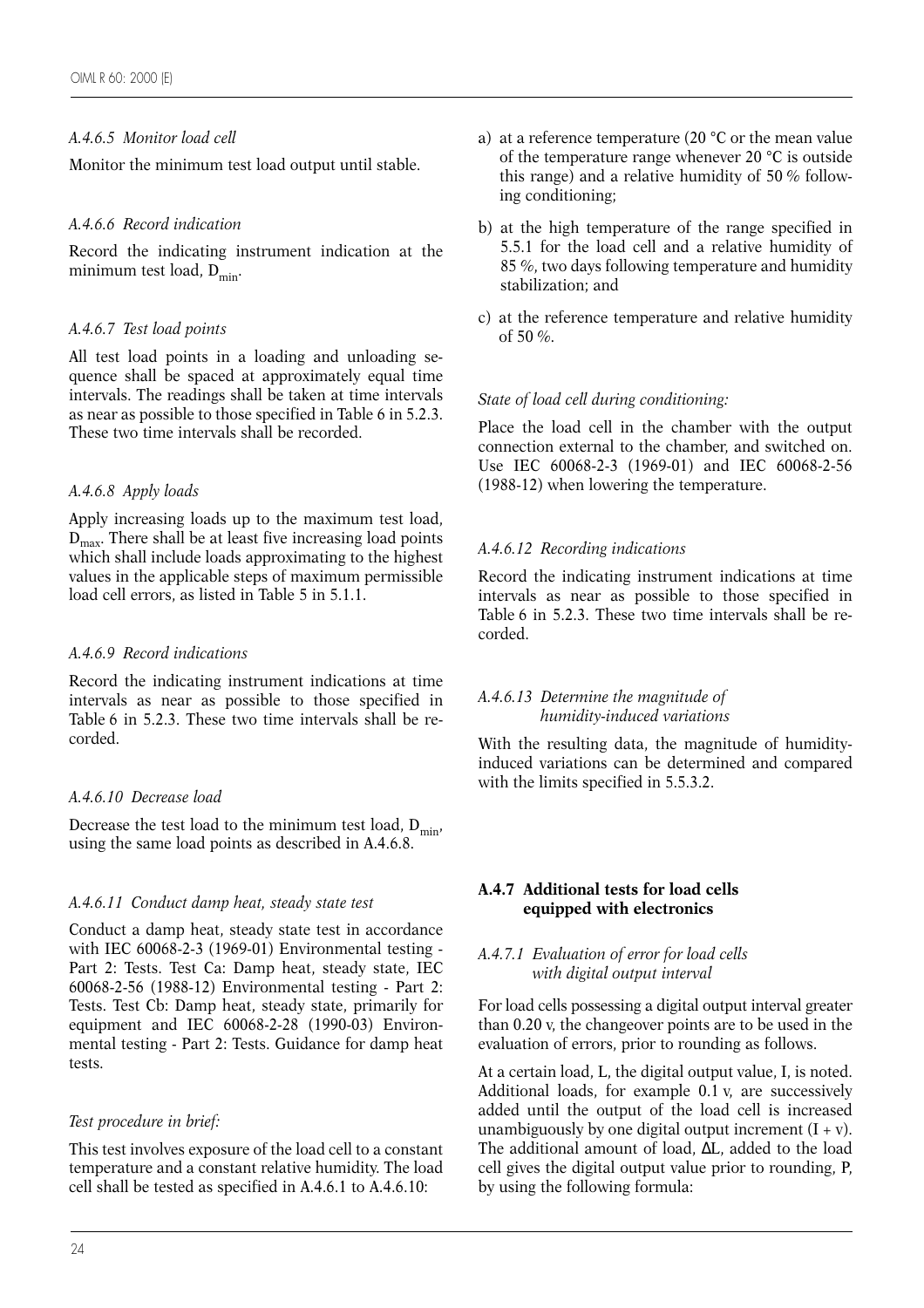# *A.4.6.5 Monitor load cell*

Monitor the minimum test load output until stable.

# *A.4.6.6 Record indication*

Record the indicating instrument indication at the minimum test load,  $D_{min}$ .

# *A.4.6.7 Test load points*

All test load points in a loading and unloading sequence shall be spaced at approximately equal time intervals. The readings shall be taken at time intervals as near as possible to those specified in Table 6 in 5.2.3. These two time intervals shall be recorded.

# *A.4.6.8 Apply loads*

Apply increasing loads up to the maximum test load,  $D<sub>max</sub>$ . There shall be at least five increasing load points which shall include loads approximating to the highest values in the applicable steps of maximum permissible load cell errors, as listed in Table 5 in 5.1.1.

# *A.4.6.9 Record indications*

Record the indicating instrument indications at time intervals as near as possible to those specified in Table 6 in 5.2.3. These two time intervals shall be recorded.

# *A.4.6.10 Decrease load*

Decrease the test load to the minimum test load,  $D_{\text{min}}$ , using the same load points as described in A.4.6.8.

# *A.4.6.11 Conduct damp heat, steady state test*

Conduct a damp heat, steady state test in accordance with IEC 60068-2-3 (1969-01) Environmental testing - Part 2: Tests. Test Ca: Damp heat, steady state, IEC 60068-2-56 (1988-12) Environmental testing - Part 2: Tests. Test Cb: Damp heat, steady state, primarily for equipment and IEC 60068-2-28 (1990-03) Environmental testing - Part 2: Tests. Guidance for damp heat tests.

# *Test procedure in brief:*

This test involves exposure of the load cell to a constant temperature and a constant relative humidity. The load cell shall be tested as specified in A.4.6.1 to A.4.6.10:

- a) at a reference temperature (20 °C or the mean value of the temperature range whenever 20 °C is outside this range) and a relative humidity of 50 % following conditioning;
- b) at the high temperature of the range specified in 5.5.1 for the load cell and a relative humidity of 85 %, two days following temperature and humidity stabilization; and
- c) at the reference temperature and relative humidity of 50  $%$ .

# *State of load cell during conditioning:*

Place the load cell in the chamber with the output connection external to the chamber, and switched on. Use IEC 60068-2-3 (1969-01) and IEC 60068-2-56 (1988-12) when lowering the temperature.

# *A.4.6.12 Recording indications*

Record the indicating instrument indications at time intervals as near as possible to those specified in Table 6 in 5.2.3. These two time intervals shall be recorded.

# *A.4.6.13 Determine the magnitude of humidity-induced variations*

With the resulting data, the magnitude of humidityinduced variations can be determined and compared with the limits specified in 5.5.3.2.

# **A.4.7 Additional tests for load cells equipped with electronics**

#### *A.4.7.1 Evaluation of error for load cells with digital output interval*

For load cells possessing a digital output interval greater than 0.20 v, the changeover points are to be used in the evaluation of errors, prior to rounding as follows.

At a certain load, L, the digital output value, I, is noted. Additional loads, for example 0.1 v, are successively added until the output of the load cell is increased unambiguously by one digital output increment  $(I + v)$ . The additional amount of load, ∆L, added to the load cell gives the digital output value prior to rounding, P, by using the following formula: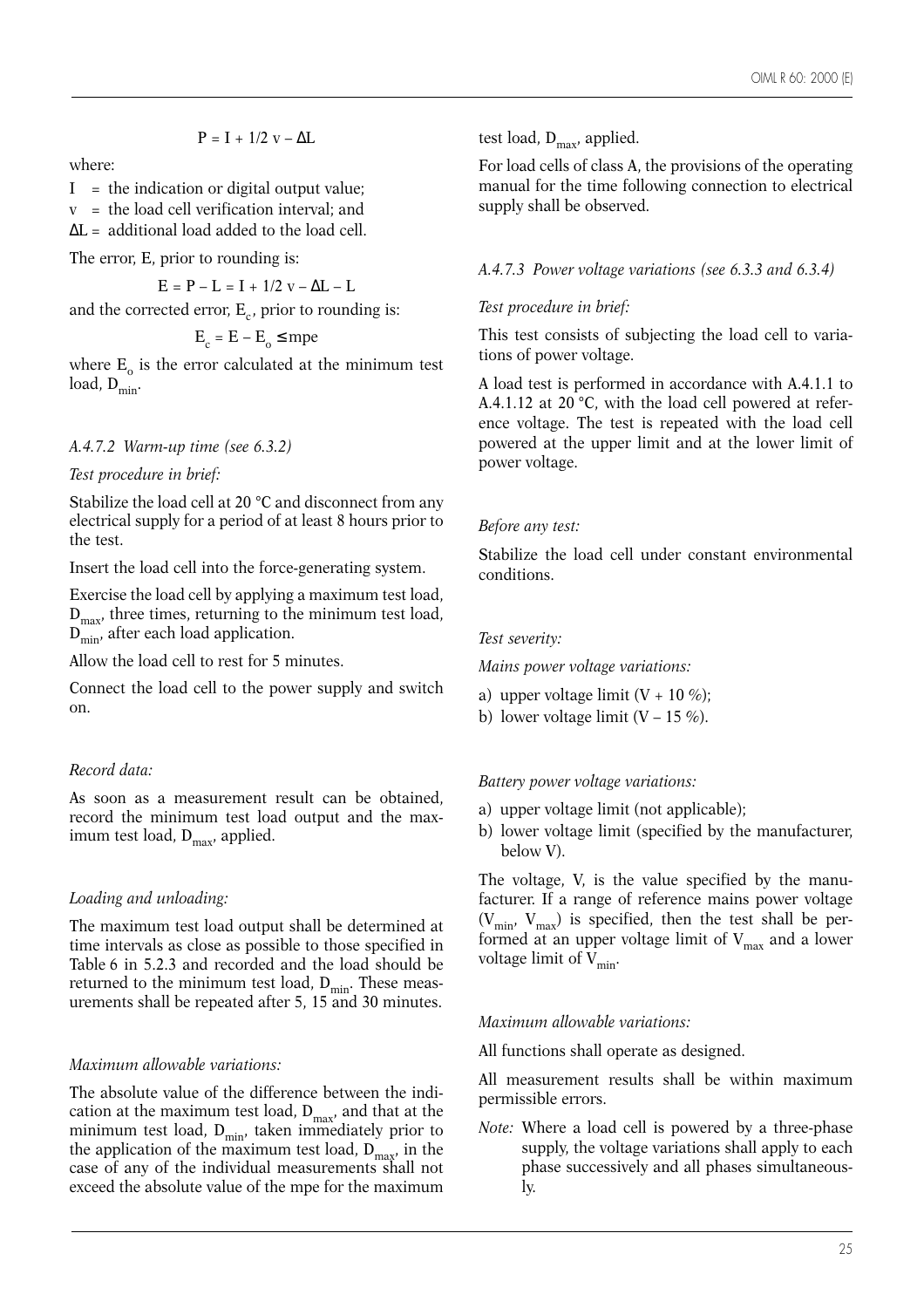$$
P=I\,+\,1/2\,\,v-\Delta L
$$

where:

- $I =$  the indication or digital output value;
- v = the load cell verification interval; and
- $\Delta L =$  additional load added to the load cell.

The error, E, prior to rounding is:

 $E = P - L = I + 1/2 v - \Delta L - L$ 

and the corrected error,  $E_c$ , prior to rounding is:

$$
E_c = E - E_o \leq mpe
$$

where  $E_0$  is the error calculated at the minimum test load,  $D_{\min}$ .

# *A.4.7.2 Warm-up time (see 6.3.2)*

*Test procedure in brief:*

Stabilize the load cell at 20 °C and disconnect from any electrical supply for a period of at least 8 hours prior to the test.

Insert the load cell into the force-generating system.

Exercise the load cell by applying a maximum test load,  $D_{\text{max}}$ , three times, returning to the minimum test load,  $D_{\min}$ , after each load application.

Allow the load cell to rest for 5 minutes.

Connect the load cell to the power supply and switch on.

# *Record data:*

As soon as a measurement result can be obtained, record the minimum test load output and the maximum test load,  $D_{\text{max}}$ , applied.

# *Loading and unloading:*

The maximum test load output shall be determined at time intervals as close as possible to those specified in Table 6 in 5.2.3 and recorded and the load should be returned to the minimum test load,  $D_{\min}$ . These measurements shall be repeated after 5, 15 and 30 minutes.

# *Maximum allowable variations:*

The absolute value of the difference between the indication at the maximum test load,  $D_{\text{max}}$ , and that at the minimum test load,  $D_{min}$ , taken immediately prior to the application of the maximum test load,  $D_{\text{max}}$ , in the case of any of the individual measurements shall not exceed the absolute value of the mpe for the maximum

test load,  $D_{\text{max}}$ , applied.

For load cells of class A, the provisions of the operating manual for the time following connection to electrical supply shall be observed.

*A.4.7.3 Power voltage variations (see 6.3.3 and 6.3.4)*

#### *Test procedure in brief:*

This test consists of subjecting the load cell to variations of power voltage.

A load test is performed in accordance with A.4.1.1 to A.4.1.12 at 20 °C, with the load cell powered at reference voltage. The test is repeated with the load cell powered at the upper limit and at the lower limit of power voltage.

# *Before any test:*

Stabilize the load cell under constant environmental conditions.

#### *Test severity:*

*Mains power voltage variations:* 

- a) upper voltage limit  $(V + 10\%)$ ;
- b) lower voltage limit  $(V 15\%)$ .

# *Battery power voltage variations:*

- a) upper voltage limit (not applicable);
- b) lower voltage limit (specified by the manufacturer, below V).

The voltage, V, is the value specified by the manufacturer. If a range of reference mains power voltage  $(V_{min}, V_{max})$  is specified, then the test shall be performed at an upper voltage limit of  $\rm V_{max}$  and a lower voltage limit of  $V_{\text{min}}$ .

# *Maximum allowable variations:*

All functions shall operate as designed.

All measurement results shall be within maximum permissible errors.

*Note:* Where a load cell is powered by a three-phase supply, the voltage variations shall apply to each phase successively and all phases simultaneously.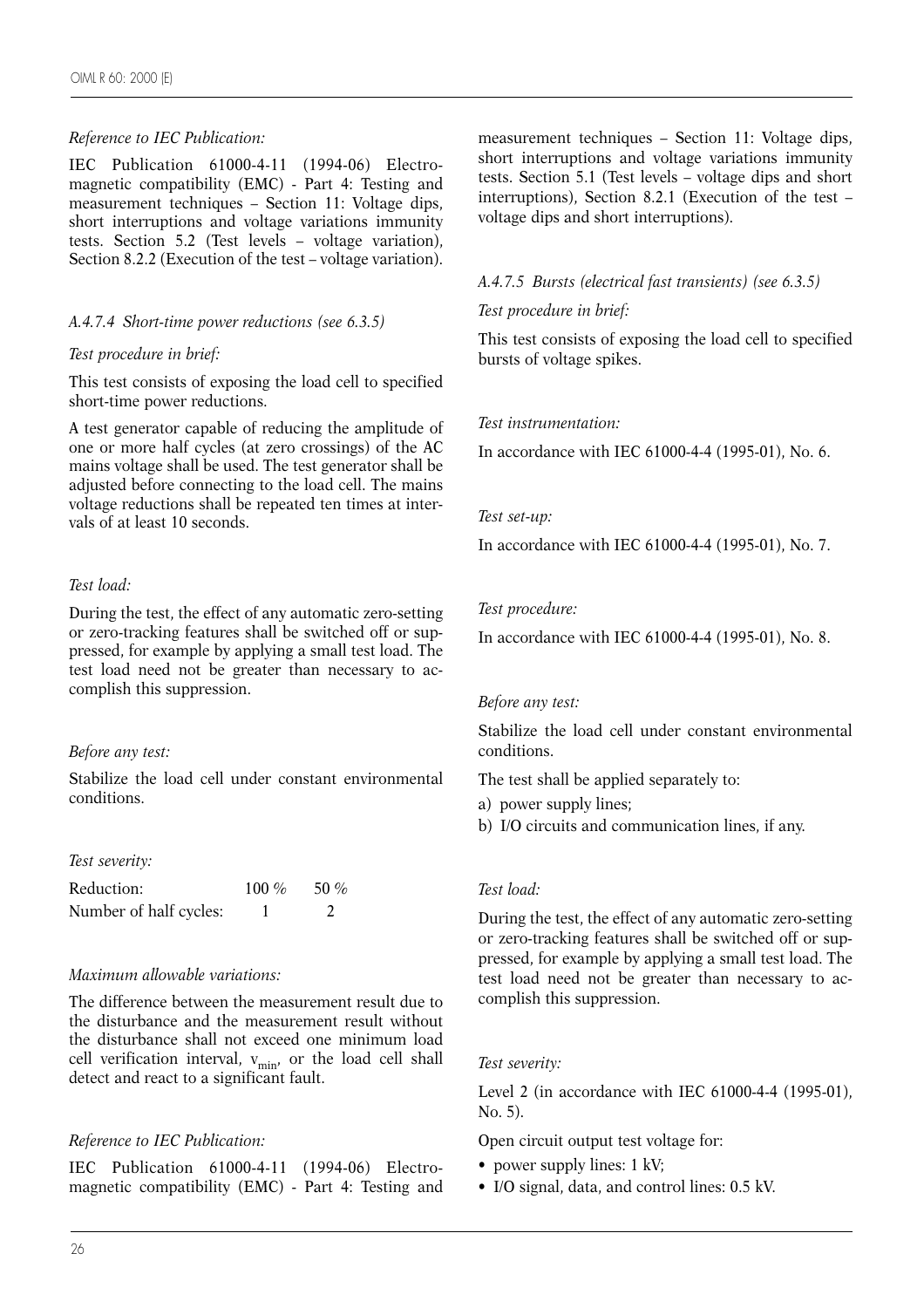#### *Reference to IEC Publication:*

IEC Publication 61000-4-11 (1994-06) Electromagnetic compatibility (EMC) - Part 4: Testing and measurement techniques – Section 11: Voltage dips, short interruptions and voltage variations immunity tests. Section 5.2 (Test levels – voltage variation), Section 8.2.2 (Execution of the test – voltage variation).

#### *A.4.7.4 Short-time power reductions (see 6.3.5)*

#### *Test procedure in brief:*

This test consists of exposing the load cell to specified short-time power reductions.

A test generator capable of reducing the amplitude of one or more half cycles (at zero crossings) of the AC mains voltage shall be used. The test generator shall be adjusted before connecting to the load cell. The mains voltage reductions shall be repeated ten times at intervals of at least 10 seconds.

#### *Test load:*

During the test, the effect of any automatic zero-setting or zero-tracking features shall be switched off or suppressed, for example by applying a small test load. The test load need not be greater than necessary to accomplish this suppression.

#### *Before any test:*

Stabilize the load cell under constant environmental conditions.

#### *Test severity:*

| Reduction:             | 100 $\%$ | 50 $%$ |
|------------------------|----------|--------|
| Number of half cycles: |          |        |

#### *Maximum allowable variations:*

The difference between the measurement result due to the disturbance and the measurement result without the disturbance shall not exceed one minimum load cell verification interval,  $v_{\text{min}}$ , or the load cell shall detect and react to a significant fault.

#### *Reference to IEC Publication:*

IEC Publication 61000-4-11 (1994-06) Electromagnetic compatibility (EMC) - Part 4: Testing and measurement techniques – Section 11: Voltage dips, short interruptions and voltage variations immunity tests. Section 5.1 (Test levels – voltage dips and short interruptions), Section 8.2.1 (Execution of the test – voltage dips and short interruptions).

# *A.4.7.5 Bursts (electrical fast transients) (see 6.3.5)*

#### *Test procedure in brief:*

This test consists of exposing the load cell to specified bursts of voltage spikes.

#### *Test instrumentation:*

In accordance with IEC 61000-4-4 (1995-01), No. 6.

#### *Test set-up:*

In accordance with IEC 61000-4-4 (1995-01), No. 7.

#### *Test procedure:*

In accordance with IEC 61000-4-4 (1995-01), No. 8.

#### *Before any test:*

Stabilize the load cell under constant environmental conditions.

The test shall be applied separately to:

- a) power supply lines;
- b) I/O circuits and communication lines, if any.

#### *Test load:*

During the test, the effect of any automatic zero-setting or zero-tracking features shall be switched off or suppressed, for example by applying a small test load. The test load need not be greater than necessary to accomplish this suppression.

#### *Test severity:*

Level 2 (in accordance with IEC 61000-4-4 (1995-01), No. 5).

- Open circuit output test voltage for:
- power supply lines: 1 kV;
- I/O signal, data, and control lines: 0.5 kV.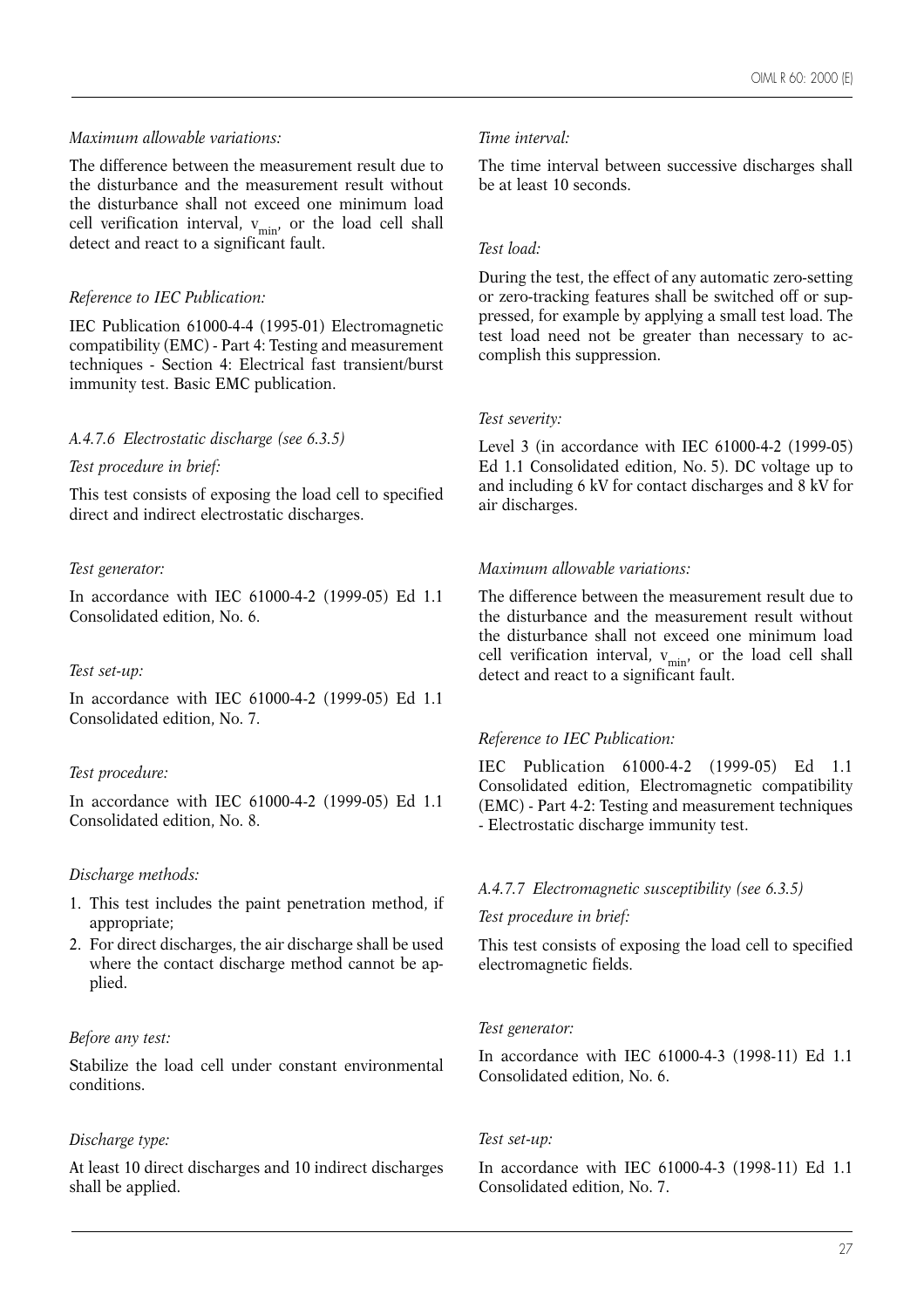#### *Maximum allowable variations:*

The difference between the measurement result due to the disturbance and the measurement result without the disturbance shall not exceed one minimum load cell verification interval,  $v_{\text{min}}$ , or the load cell shall detect and react to a significant fault.

# *Reference to IEC Publication:*

IEC Publication 61000-4-4 (1995-01) Electromagnetic compatibility (EMC) - Part 4: Testing and measurement techniques - Section 4: Electrical fast transient/burst immunity test. Basic EMC publication.

#### *A.4.7.6 Electrostatic discharge (see 6.3.5)*

*Test procedure in brief:*

This test consists of exposing the load cell to specified direct and indirect electrostatic discharges.

#### *Test generator:*

In accordance with IEC 61000-4-2 (1999-05) Ed 1.1 Consolidated edition, No. 6.

#### *Test set-up:*

In accordance with IEC 61000-4-2 (1999-05) Ed 1.1 Consolidated edition, No. 7.

# *Test procedure:*

In accordance with IEC 61000-4-2 (1999-05) Ed 1.1 Consolidated edition, No. 8.

#### *Discharge methods:*

- 1. This test includes the paint penetration method, if appropriate;
- 2. For direct discharges, the air discharge shall be used where the contact discharge method cannot be applied.

#### *Before any test:*

Stabilize the load cell under constant environmental conditions.

# *Discharge type:*

At least 10 direct discharges and 10 indirect discharges shall be applied.

#### *Time interval:*

The time interval between successive discharges shall be at least 10 seconds.

#### *Test load:*

During the test, the effect of any automatic zero-setting or zero-tracking features shall be switched off or suppressed, for example by applying a small test load. The test load need not be greater than necessary to accomplish this suppression.

#### *Test severity:*

Level 3 (in accordance with IEC 61000-4-2 (1999-05) Ed 1.1 Consolidated edition, No. 5). DC voltage up to and including 6 kV for contact discharges and 8 kV for air discharges.

#### *Maximum allowable variations:*

The difference between the measurement result due to the disturbance and the measurement result without the disturbance shall not exceed one minimum load cell verification interval,  $v_{min}$ , or the load cell shall detect and react to a significant fault.

# *Reference to IEC Publication:*

IEC Publication 61000-4-2 (1999-05) Ed 1.1 Consolidated edition, Electromagnetic compatibility (EMC) - Part 4-2: Testing and measurement techniques - Electrostatic discharge immunity test.

#### *A.4.7.7 Electromagnetic susceptibility (see 6.3.5)*

#### *Test procedure in brief:*

This test consists of exposing the load cell to specified electromagnetic fields.

#### *Test generator:*

In accordance with IEC 61000-4-3 (1998-11) Ed 1.1 Consolidated edition, No. 6.

#### *Test set-up:*

In accordance with IEC 61000-4-3 (1998-11) Ed 1.1 Consolidated edition, No. 7.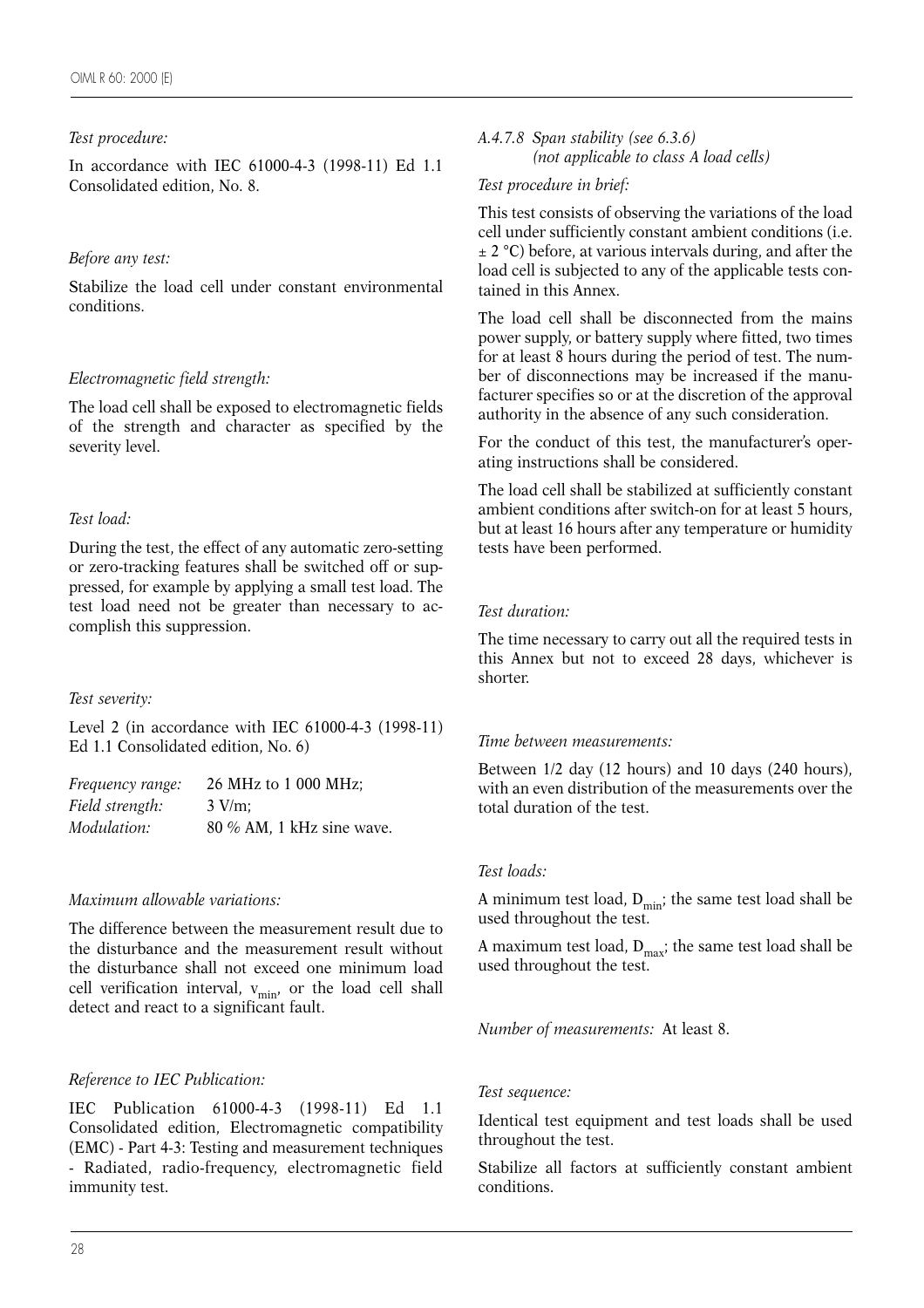#### *Test procedure:*

In accordance with IEC 61000-4-3 (1998-11) Ed 1.1 Consolidated edition, No. 8.

#### *Before any test:*

Stabilize the load cell under constant environmental conditions.

# *Electromagnetic field strength:*

The load cell shall be exposed to electromagnetic fields of the strength and character as specified by the severity level.

# *Test load:*

During the test, the effect of any automatic zero-setting or zero-tracking features shall be switched off or suppressed, for example by applying a small test load. The test load need not be greater than necessary to accomplish this suppression.

#### *Test severity:*

Level 2 (in accordance with IEC 61000-4-3 (1998-11) Ed 1.1 Consolidated edition, No. 6)

| Frequency range: | 26 MHz to 1 000 MHz;      |
|------------------|---------------------------|
| Field strength:  | $3$ V/m:                  |
| Modulation:      | 80 % AM, 1 kHz sine wave. |

# *Maximum allowable variations:*

The difference between the measurement result due to the disturbance and the measurement result without the disturbance shall not exceed one minimum load cell verification interval,  $v_{min}$ , or the load cell shall detect and react to a significant fault.

# *Reference to IEC Publication:*

IEC Publication 61000-4-3 (1998-11) Ed 1.1 Consolidated edition, Electromagnetic compatibility (EMC) - Part 4-3: Testing and measurement techniques - Radiated, radio-frequency, electromagnetic field immunity test.

#### *A.4.7.8 Span stability (see 6.3.6) (not applicable to class A load cells)*

#### *Test procedure in brief:*

This test consists of observing the variations of the load cell under sufficiently constant ambient conditions (i.e.  $\pm$  2 °C) before, at various intervals during, and after the load cell is subjected to any of the applicable tests contained in this Annex.

The load cell shall be disconnected from the mains power supply, or battery supply where fitted, two times for at least 8 hours during the period of test. The number of disconnections may be increased if the manufacturer specifies so or at the discretion of the approval authority in the absence of any such consideration.

For the conduct of this test, the manufacturer's operating instructions shall be considered.

The load cell shall be stabilized at sufficiently constant ambient conditions after switch-on for at least 5 hours, but at least 16 hours after any temperature or humidity tests have been performed.

#### *Test duration:*

The time necessary to carry out all the required tests in this Annex but not to exceed 28 days, whichever is shorter.

#### *Time between measurements:*

Between 1/2 day (12 hours) and 10 days (240 hours), with an even distribution of the measurements over the total duration of the test.

#### *Test loads:*

A minimum test load,  $D_{\text{min}}$ ; the same test load shall be used throughout the test.

A maximum test load,  $D_{\text{max}}$ ; the same test load shall be used throughout the test.

*Number of measurements:* At least 8.

#### *Test sequence:*

Identical test equipment and test loads shall be used throughout the test.

Stabilize all factors at sufficiently constant ambient conditions.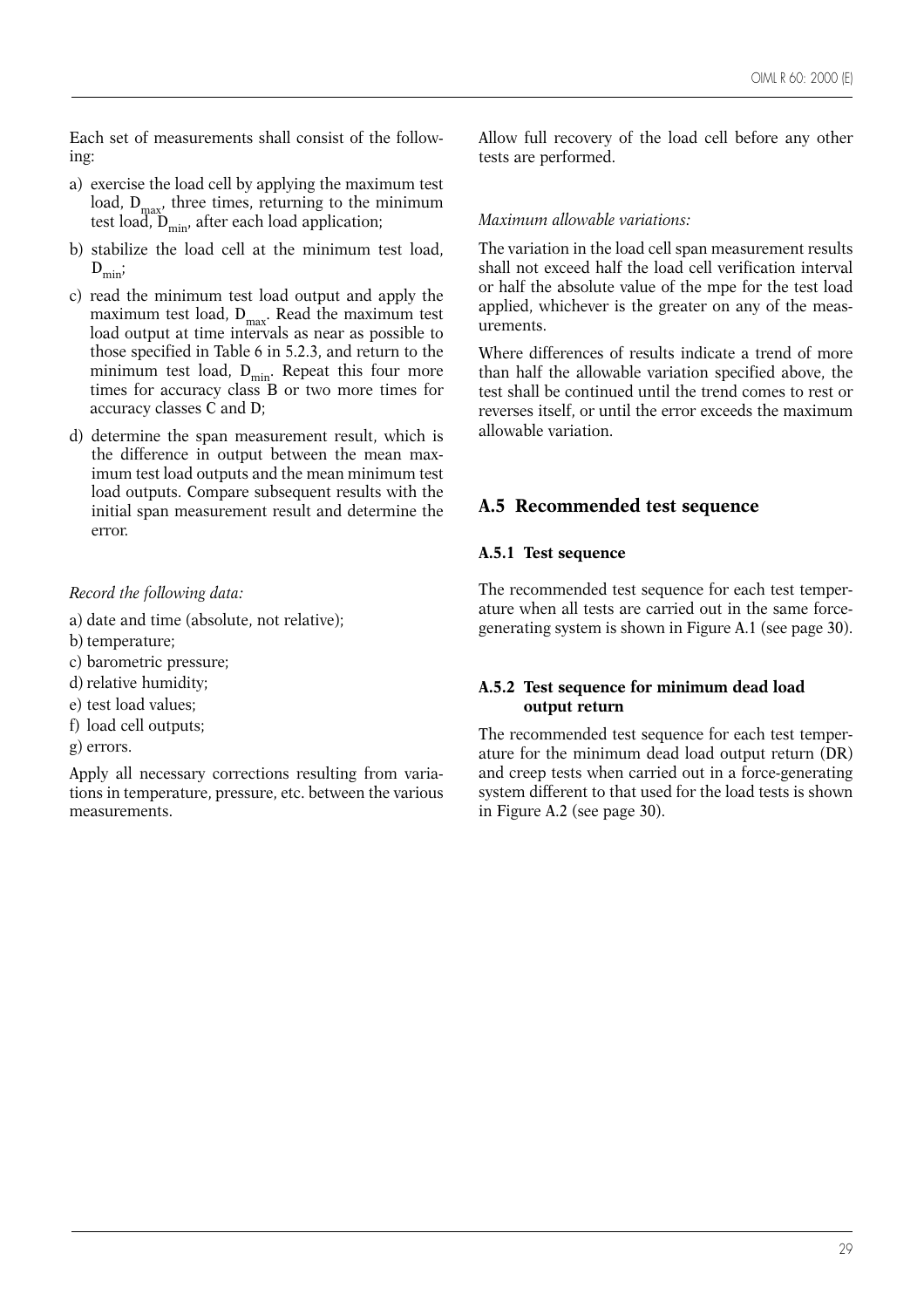Each set of measurements shall consist of the following:

- a) exercise the load cell by applying the maximum test load,  $D_{\text{max}}$ , three times, returning to the minimum test load,  $D_{\min}$ , after each load application;
- b) stabilize the load cell at the minimum test load,  $D_{\min}$
- c) read the minimum test load output and apply the maximum test load,  $D_{\text{max}}$ . Read the maximum test load output at time intervals as near as possible to those specified in Table 6 in 5.2.3, and return to the minimum test load,  $D_{min}$ . Repeat this four more times for accuracy class B or two more times for accuracy classes C and D;
- d) determine the span measurement result, which is the difference in output between the mean maximum test load outputs and the mean minimum test load outputs. Compare subsequent results with the initial span measurement result and determine the error.

#### *Record the following data:*

- a) date and time (absolute, not relative);
- b) temperature;
- c) barometric pressure;
- d) relative humidity;
- e) test load values;
- f) load cell outputs;
- g) errors.

Apply all necessary corrections resulting from variations in temperature, pressure, etc. between the various measurements.

Allow full recovery of the load cell before any other tests are performed.

#### *Maximum allowable variations:*

The variation in the load cell span measurement results shall not exceed half the load cell verification interval or half the absolute value of the mpe for the test load applied, whichever is the greater on any of the measurements.

Where differences of results indicate a trend of more than half the allowable variation specified above, the test shall be continued until the trend comes to rest or reverses itself, or until the error exceeds the maximum allowable variation.

# **A.5 Recommended test sequence**

#### **A.5.1 Test sequence**

The recommended test sequence for each test temperature when all tests are carried out in the same forcegenerating system is shown in Figure A.1 (see page 30).

#### **A.5.2 Test sequence for minimum dead load output return**

The recommended test sequence for each test temperature for the minimum dead load output return (DR) and creep tests when carried out in a force-generating system different to that used for the load tests is shown in Figure A.2 (see page 30).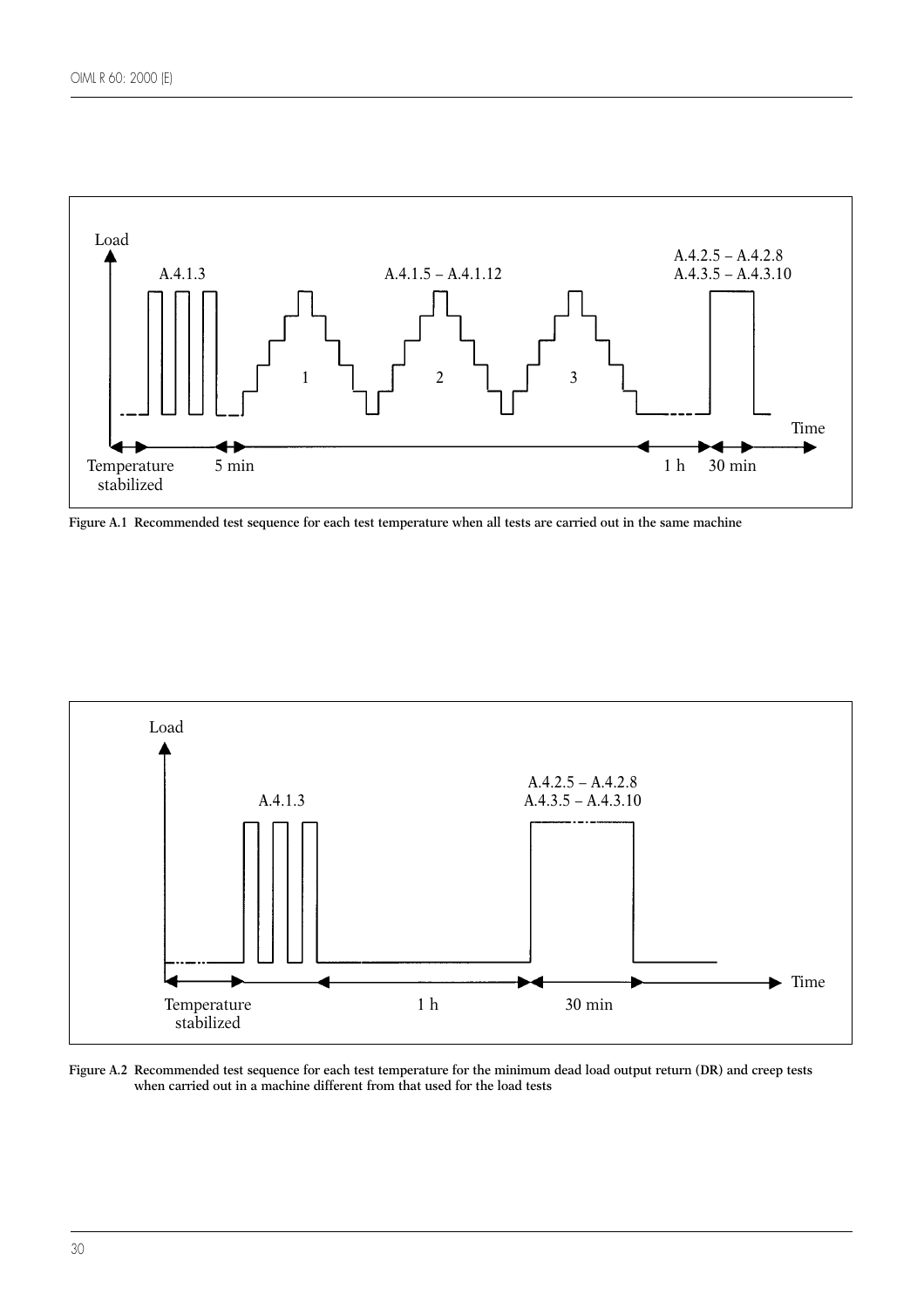

**Figure A.1 Recommended test sequence for each test temperature when all tests are carried out in the same machine**



**Figure A.2 Recommended test sequence for each test temperature for the minimum dead load output return (DR) and creep tests when carried out in a machine different from that used for the load tests**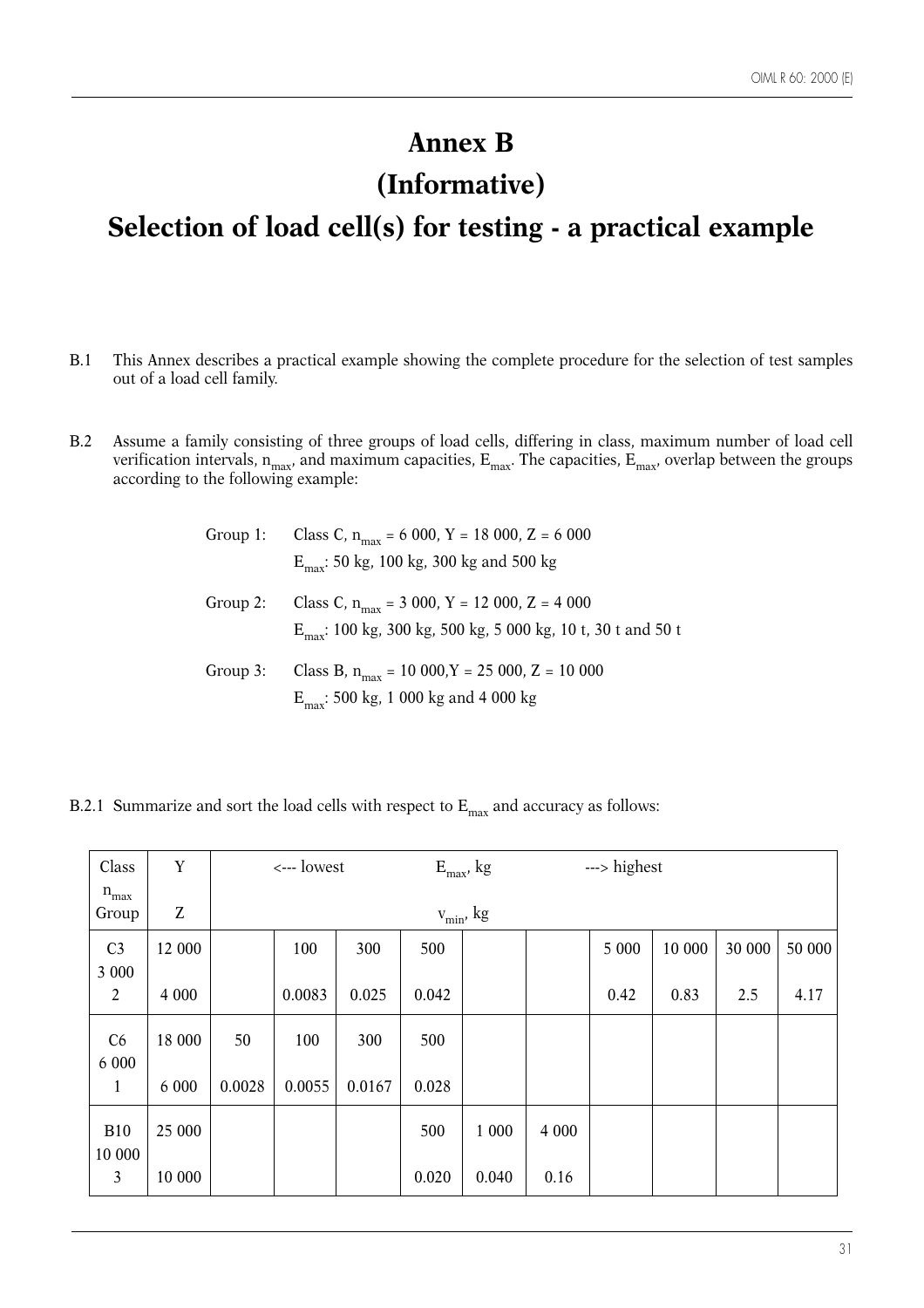# **Annex B**

# **(Informative)**

# **Selection of load cell(s) for testing - a practical example**

- B.1 This Annex describes a practical example showing the complete procedure for the selection of test samples out of a load cell family.
- B.2 Assume a family consisting of three groups of load cells, differing in class, maximum number of load cell verification intervals,  $n_{max}$ , and maximum capacities,  $E_{max}$ . The capacities,  $E_{max}$ , overlap between the groups according to the following example:

|          | Group 1: Class C, $n_{max} = 6000$ , Y = 18000, Z = 6000<br>$E_{\text{max}}$ : 50 kg, 100 kg, 300 kg and 500 kg               |
|----------|-------------------------------------------------------------------------------------------------------------------------------|
| Group 2: | Class C, $n_{max}$ = 3 000, Y = 12 000, Z = 4 000<br>$E_{\text{max}}$ : 100 kg, 300 kg, 500 kg, 5 000 kg, 10 t, 30 t and 50 t |
| Group 3: | Class B, $n_{max}$ = 10 000, Y = 25 000, Z = 10 000<br>$E_{\text{max}}$ : 500 kg, 1 000 kg and 4 000 kg                       |

B.2.1 Summarize and sort the load cells with respect to  $E_{\text{max}}$  and accuracy as follows:

| Class                   | Y                             | <--- lowest |        |        |       | $E_{max}$ , kg  | ---> highest |       |        |        |        |
|-------------------------|-------------------------------|-------------|--------|--------|-------|-----------------|--------------|-------|--------|--------|--------|
| $n_{max}$<br>Group      | $\ensuremath{\textnormal{Z}}$ |             |        |        |       | $v_{\min}$ , kg |              |       |        |        |        |
| C <sub>3</sub>          | 12 000                        |             | 100    | 300    | 500   |                 |              | 5 000 | 10 000 | 30 000 | 50 000 |
| 3 000<br>$\overline{2}$ | 4 0 0 0                       |             | 0.0083 | 0.025  | 0.042 |                 |              | 0.42  | 0.83   | 2.5    | 4.17   |
| C6<br>6 0 0 0           | 18 000                        | 50          | 100    | 300    | 500   |                 |              |       |        |        |        |
| $\mathbf{1}$            | 6 0 0 0                       | 0.0028      | 0.0055 | 0.0167 | 0.028 |                 |              |       |        |        |        |
| <b>B10</b><br>10 000    | 25 000                        |             |        |        | 500   | 1 000           | 4 0 0 0      |       |        |        |        |
| $\mathfrak{Z}$          | 10 000                        |             |        |        | 0.020 | 0.040           | 0.16         |       |        |        |        |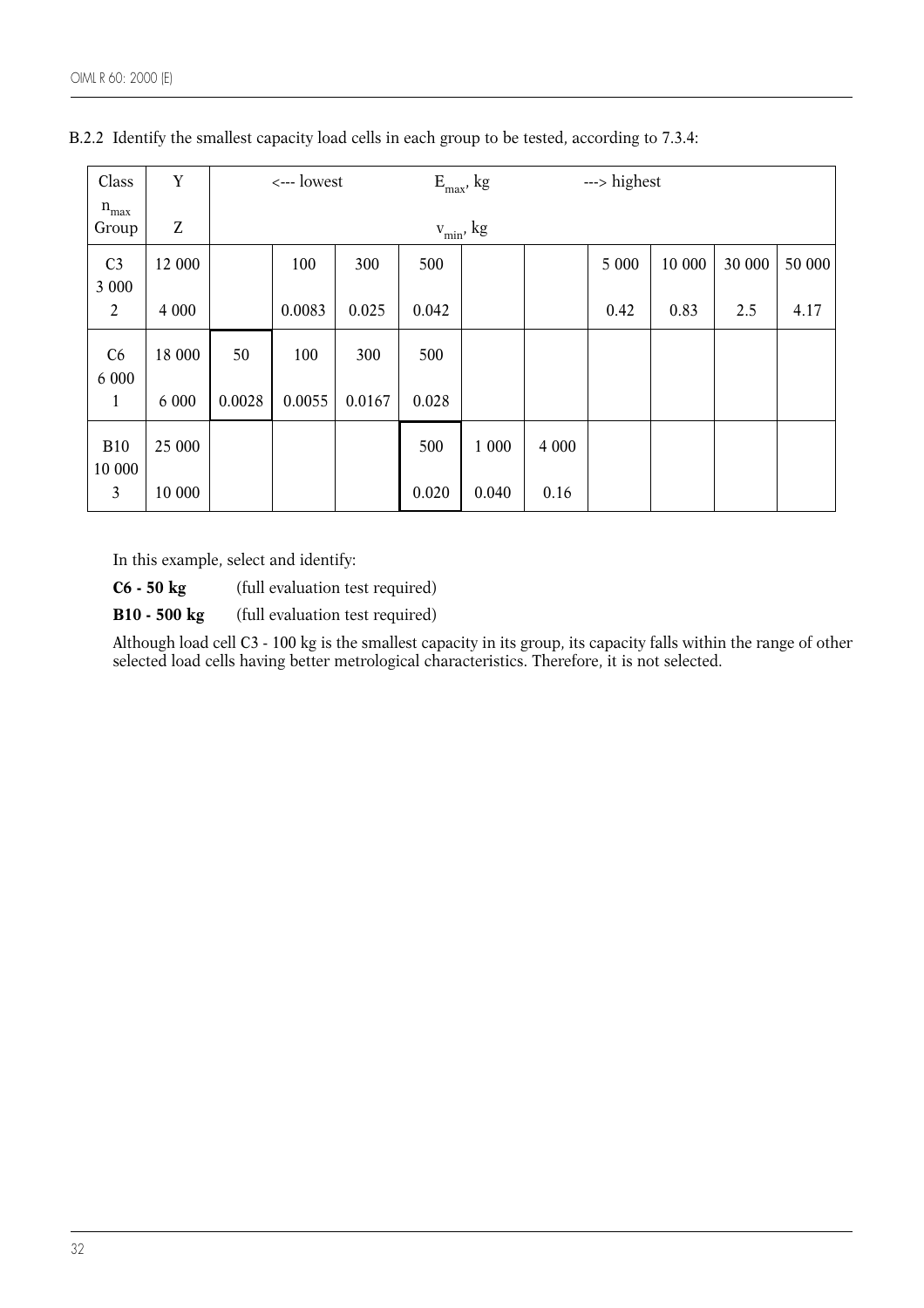| Class                   | Y                             | <--- lowest |        |        |       | $E_{max}$ , kg  | ---> highest |       |        |        |        |
|-------------------------|-------------------------------|-------------|--------|--------|-------|-----------------|--------------|-------|--------|--------|--------|
| $\rm n_{max}$<br>Group  | $\ensuremath{\textnormal{Z}}$ |             |        |        |       | $v_{\min}$ , kg |              |       |        |        |        |
| C <sub>3</sub>          | 12 000                        |             | 100    | 300    | 500   |                 |              | 5 000 | 10 000 | 30 000 | 50 000 |
| 3 000<br>$\overline{2}$ | 4 0 0 0                       |             | 0.0083 | 0.025  | 0.042 |                 |              | 0.42  | 0.83   | 2.5    | 4.17   |
| C6<br>6 0 0 0           | 18 000                        | 50          | 100    | 300    | 500   |                 |              |       |        |        |        |
| $\mathbf{1}$            | 6 0 0 0                       | 0.0028      | 0.0055 | 0.0167 | 0.028 |                 |              |       |        |        |        |
| <b>B10</b><br>10 000    | 25 000                        |             |        |        | 500   | 1 000           | 4 0 0 0      |       |        |        |        |
| $\mathfrak{Z}$          | 10 000                        |             |        |        | 0.020 | 0.040           | 0.16         |       |        |        |        |

B.2.2 Identify the smallest capacity load cells in each group to be tested, according to 7.3.4:

In this example, select and identify:

**C6 - 50 kg** (full evaluation test required)

**B10 - 500 kg** (full evaluation test required)

Although load cell C3 - 100 kg is the smallest capacity in its group, its capacity falls within the range of other selected load cells having better metrological characteristics. Therefore, it is not selected.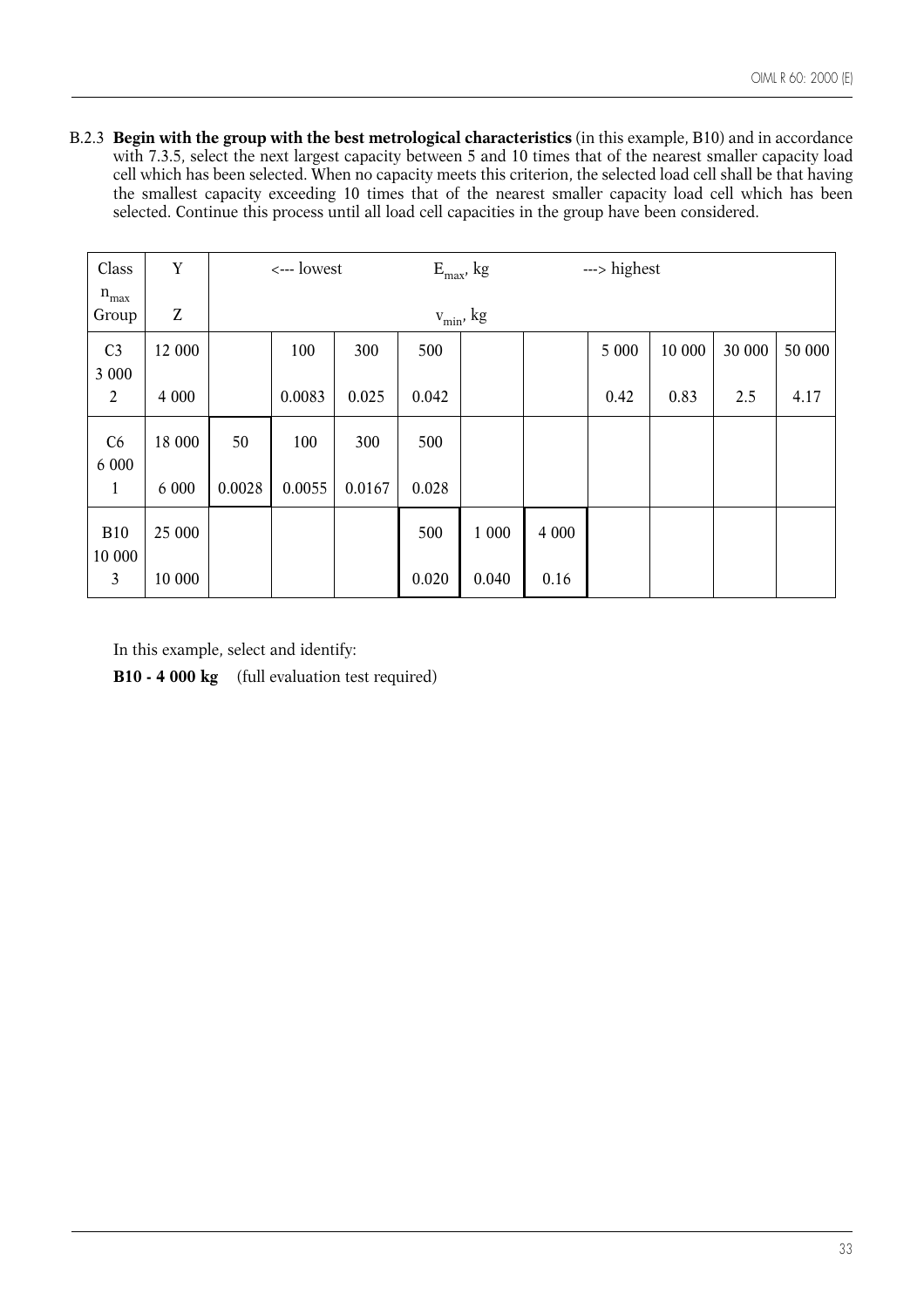B.2.3 **Begin with the group with the best metrological characteristics** (in this example, B10) and in accordance with 7.3.5, select the next largest capacity between 5 and 10 times that of the nearest smaller capacity load cell which has been selected. When no capacity meets this criterion, the selected load cell shall be that having the smallest capacity exceeding 10 times that of the nearest smaller capacity load cell which has been selected. Continue this process until all load cell capacities in the group have been considered.

| Class                     | $\mathbf Y$ | <--- lowest |                 |        | ---> highest<br>$E_{max}$ , kg |       |         |       |        |        |       |
|---------------------------|-------------|-------------|-----------------|--------|--------------------------------|-------|---------|-------|--------|--------|-------|
| $n_{max}$<br>Group        | Z           |             | $v_{\min}$ , kg |        |                                |       |         |       |        |        |       |
| C <sub>3</sub>            | 12 000      |             | 100             | 300    | 500                            |       |         | 5 000 | 10 000 | 30 000 | 50000 |
| 3 0 0 0<br>$\overline{2}$ | 4 0 0 0     |             | 0.0083          | 0.025  | 0.042                          |       |         | 0.42  | 0.83   | 2.5    | 4.17  |
| C6<br>6 0 0 0             | 18 000      | 50          | 100             | 300    | 500                            |       |         |       |        |        |       |
| 1                         | 6 0 0 0     | 0.0028      | 0.0055          | 0.0167 | 0.028                          |       |         |       |        |        |       |
| <b>B10</b><br>10 000      | 25 000      |             |                 |        | 500                            | 1 000 | 4 0 0 0 |       |        |        |       |
| 3                         | 10 000      |             |                 |        | 0.020                          | 0.040 | 0.16    |       |        |        |       |

In this example, select and identify:

**B10 - 4 000 kg** (full evaluation test required)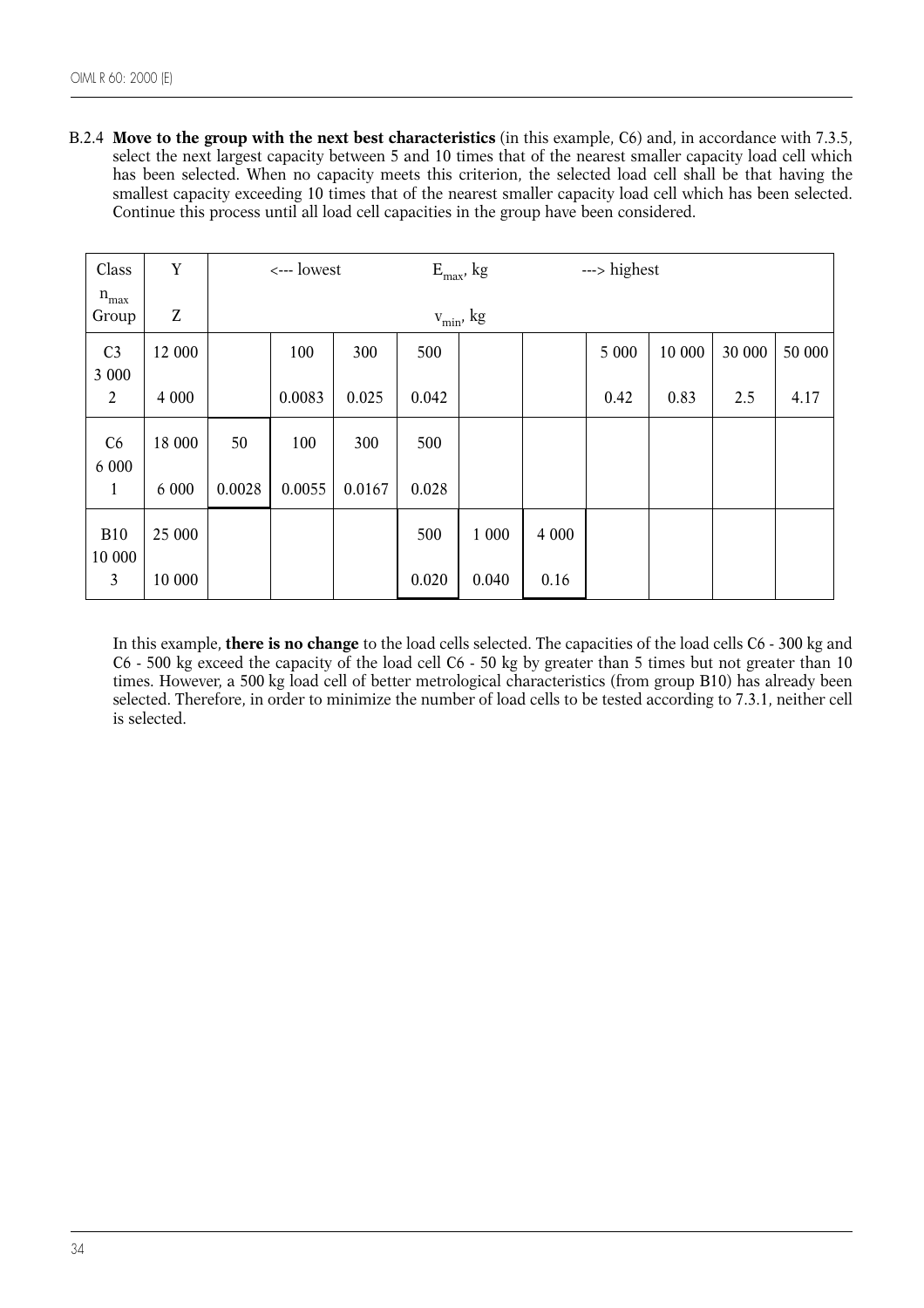B.2.4 **Move to the group with the next best characteristics** (in this example, C6) and, in accordance with 7.3.5, select the next largest capacity between 5 and 10 times that of the nearest smaller capacity load cell which has been selected. When no capacity meets this criterion, the selected load cell shall be that having the smallest capacity exceeding 10 times that of the nearest smaller capacity load cell which has been selected. Continue this process until all load cell capacities in the group have been considered.

| Class                   | Y       | <--- lowest |                 |        | ---> highest<br>$E_{max}$ , kg |       |         |       |        |        |        |
|-------------------------|---------|-------------|-----------------|--------|--------------------------------|-------|---------|-------|--------|--------|--------|
| $n_{max}$<br>Group      | Z       |             | $v_{\min}$ , kg |        |                                |       |         |       |        |        |        |
| C <sub>3</sub>          | 12 000  |             | 100             | 300    | 500                            |       |         | 5 000 | 10 000 | 30 000 | 50 000 |
| 3 000<br>$\overline{2}$ | 4 0 0 0 |             | 0.0083          | 0.025  | 0.042                          |       |         | 0.42  | 0.83   | 2.5    | 4.17   |
| C6<br>6 0 0 0           | 18 000  | 50          | 100             | 300    | 500                            |       |         |       |        |        |        |
| $\mathbf{1}$            | 6 0 0 0 | 0.0028      | 0.0055          | 0.0167 | 0.028                          |       |         |       |        |        |        |
| <b>B10</b><br>10 000    | 25 000  |             |                 |        | 500                            | 1 000 | 4 0 0 0 |       |        |        |        |
| $\mathfrak{Z}$          | 10 000  |             |                 |        | 0.020                          | 0.040 | 0.16    |       |        |        |        |

In this example, **there is no change** to the load cells selected. The capacities of the load cells C6 - 300 kg and C6 - 500 kg exceed the capacity of the load cell C6 - 50 kg by greater than 5 times but not greater than 10 times. However, a 500 kg load cell of better metrological characteristics (from group B10) has already been selected. Therefore, in order to minimize the number of load cells to be tested according to 7.3.1, neither cell is selected.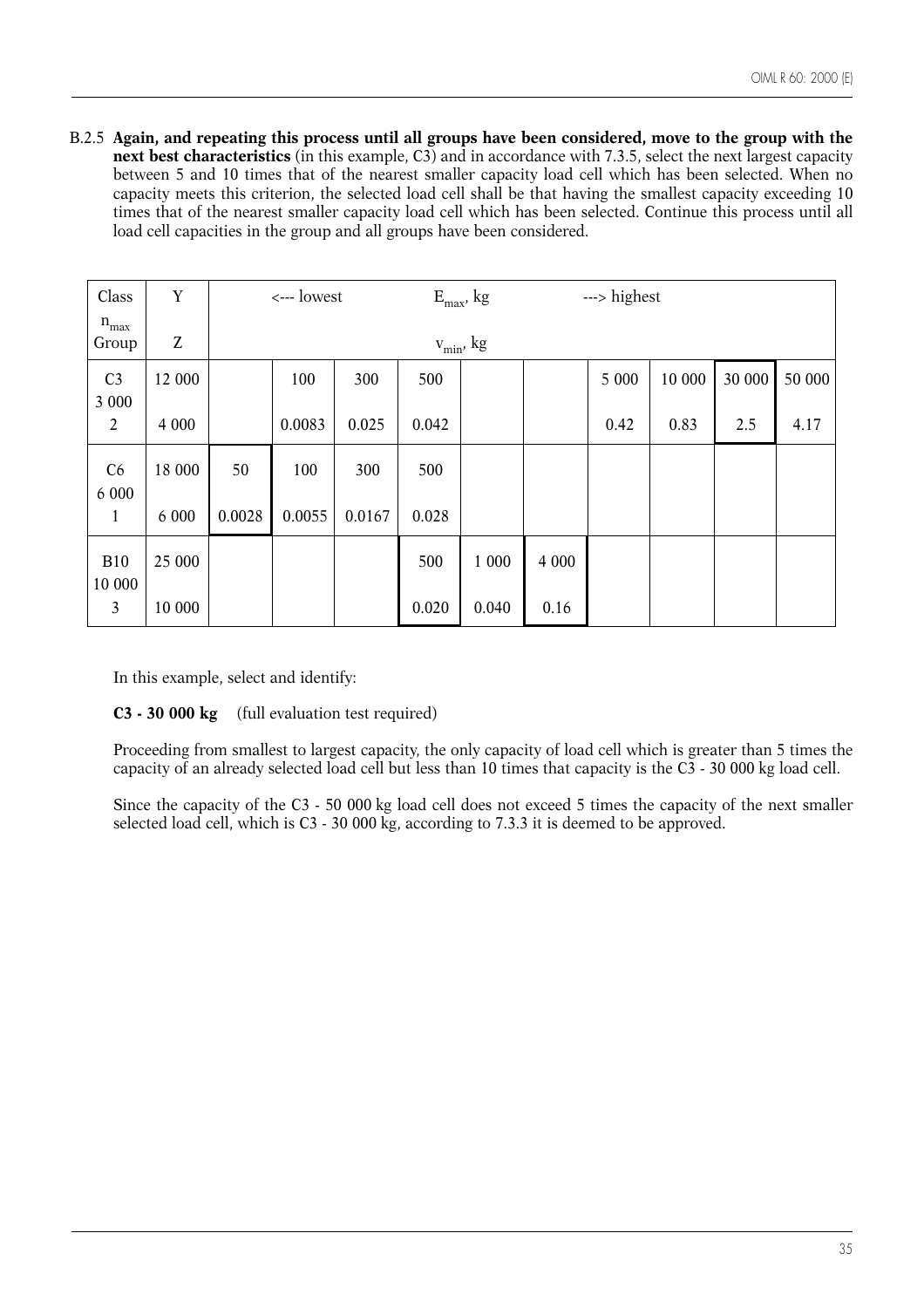B.2.5 **Again, and repeating this process until all groups have been considered, move to the group with the next best characteristics** (in this example, C3) and in accordance with 7.3.5, select the next largest capacity between 5 and 10 times that of the nearest smaller capacity load cell which has been selected. When no capacity meets this criterion, the selected load cell shall be that having the smallest capacity exceeding 10 times that of the nearest smaller capacity load cell which has been selected. Continue this process until all load cell capacities in the group and all groups have been considered.

| Class                | Y       | <--- lowest |        |        |       | $E_{max}$ , kg  |         | ---> highest |        |        |        |
|----------------------|---------|-------------|--------|--------|-------|-----------------|---------|--------------|--------|--------|--------|
| $n_{max}$<br>Group   | Z       |             |        |        |       | $v_{\min}$ , kg |         |              |        |        |        |
| C <sub>3</sub>       | 12 000  |             | 100    | 300    | 500   |                 |         | 5 000        | 10 000 | 30 000 | 50 000 |
| 3 0 0 0              |         |             |        |        |       |                 |         |              |        |        |        |
| 2                    | 4 0 0 0 |             | 0.0083 | 0.025  | 0.042 |                 |         | 0.42         | 0.83   | 2.5    | 4.17   |
| C6<br>6 0 0 0        | 18 000  | 50          | 100    | 300    | 500   |                 |         |              |        |        |        |
| $\mathbf{1}$         | 6 000   | 0.0028      | 0.0055 | 0.0167 | 0.028 |                 |         |              |        |        |        |
| <b>B10</b><br>10 000 | 25 000  |             |        |        | 500   | 1 000           | 4 0 0 0 |              |        |        |        |
| 3                    | 10 000  |             |        |        | 0.020 | 0.040           | 0.16    |              |        |        |        |

In this example, select and identify:

**C3 - 30 000 kg** (full evaluation test required)

Proceeding from smallest to largest capacity, the only capacity of load cell which is greater than 5 times the capacity of an already selected load cell but less than 10 times that capacity is the C3 - 30 000 kg load cell.

Since the capacity of the C3 - 50 000 kg load cell does not exceed 5 times the capacity of the next smaller selected load cell, which is C3 - 30 000 kg, according to 7.3.3 it is deemed to be approved.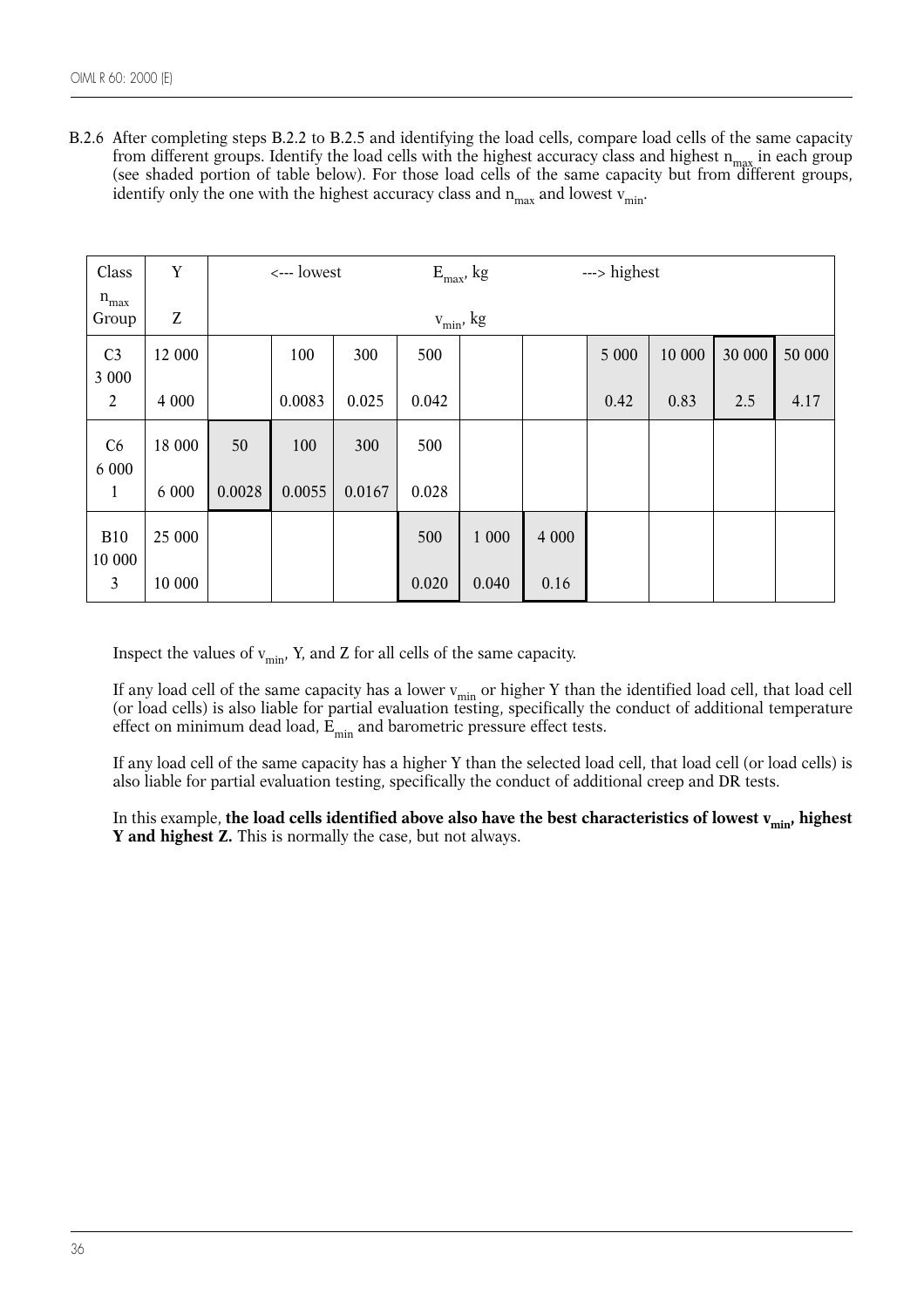B.2.6 After completing steps B.2.2 to B.2.5 and identifying the load cells, compare load cells of the same capacity from different groups. Identify the load cells with the highest accuracy class and highest  $n_{max}$  in each group (see shaded portion of table below). For those load cells of the same capacity but from different groups, identify only the one with the highest accuracy class and  $n_{max}$  and lowest  $v_{min}$ .

| Class                | Y       | <--- lowest |        |        |       | $E_{max}$ , kg    |         | ---> highest |        |        |        |
|----------------------|---------|-------------|--------|--------|-------|-------------------|---------|--------------|--------|--------|--------|
| $n_{max}$<br>Group   | Z       |             |        |        |       | $\rm v_{min},$ kg |         |              |        |        |        |
| C <sub>3</sub>       | 12 000  |             | 100    | 300    | 500   |                   |         | 5 000        | 10 000 | 30 000 | 50 000 |
| 3 000                |         |             |        |        |       |                   |         |              |        |        |        |
| $\overline{2}$       | 4 0 0 0 |             | 0.0083 | 0.025  | 0.042 |                   |         | 0.42         | 0.83   | 2.5    | 4.17   |
| C6                   | 18 000  | 50          | 100    | 300    | 500   |                   |         |              |        |        |        |
| 6 0 0 0<br>1         | 6 0 0 0 | 0.0028      | 0.0055 | 0.0167 | 0.028 |                   |         |              |        |        |        |
| <b>B10</b><br>10 000 | 25 000  |             |        |        | 500   | 1 000             | 4 0 0 0 |              |        |        |        |
| $\mathfrak{Z}$       | 10 000  |             |        |        | 0.020 | 0.040             | 0.16    |              |        |        |        |

Inspect the values of  $v_{\text{min}}$ , Y, and Z for all cells of the same capacity.

If any load cell of the same capacity has a lower  $v_{\text{min}}$  or higher Y than the identified load cell, that load cell (or load cells) is also liable for partial evaluation testing, specifically the conduct of additional temperature effect on minimum dead load,  $\vec{E}_{min}$  and barometric pressure effect tests.

If any load cell of the same capacity has a higher Y than the selected load cell, that load cell (or load cells) is also liable for partial evaluation testing, specifically the conduct of additional creep and DR tests.

In this example, **the load cells identified above also have the best characteristics of lowest v<sub>min</sub>, highest Y** and highest **Z.** This is normally the case, but not always.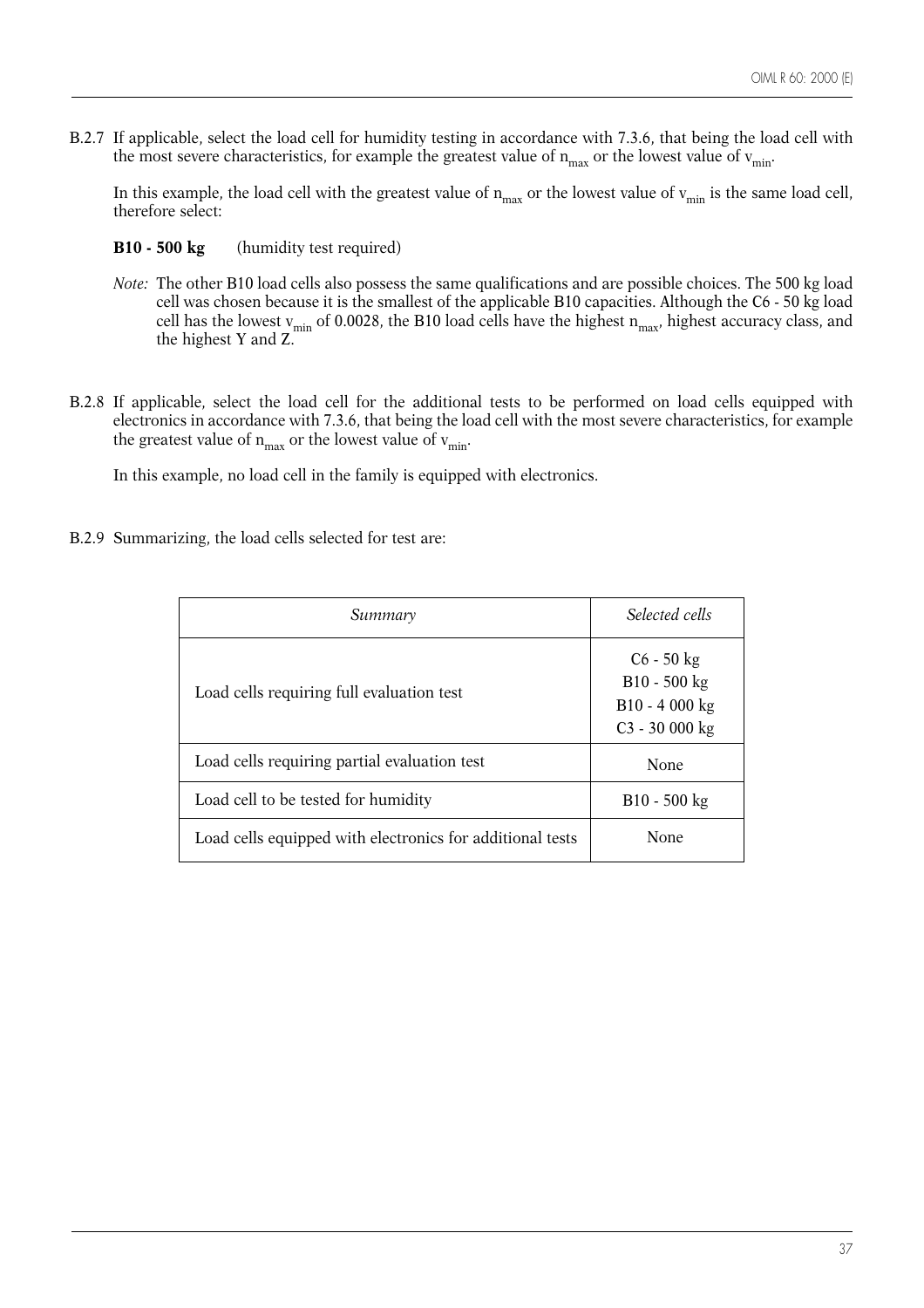B.2.7 If applicable, select the load cell for humidity testing in accordance with 7.3.6, that being the load cell with the most severe characteristics, for example the greatest value of  $n_{max}$  or the lowest value of  $v_{min}$ .

In this example, the load cell with the greatest value of  $n_{max}$  or the lowest value of  $v_{min}$  is the same load cell, therefore select:

- **B10 500 kg** (humidity test required)
- *Note:* The other B10 load cells also possess the same qualifications and are possible choices. The 500 kg load cell was chosen because it is the smallest of the applicable B10 capacities. Although the C6 - 50 kg load cell has the lowest v<sub>min</sub> of 0.0028, the B10 load cells have the highest  $\rm n_{max}$ , highest accuracy class, and the highest Y and Z.
- B.2.8 If applicable, select the load cell for the additional tests to be performed on load cells equipped with electronics in accordance with 7.3.6, that being the load cell with the most severe characteristics, for example the greatest value of  $n_{max}$  or the lowest value of  $v_{min}$ .

In this example, no load cell in the family is equipped with electronics.

B.2.9 Summarizing, the load cells selected for test are:

| Summary                                                   | Selected cells                                                      |
|-----------------------------------------------------------|---------------------------------------------------------------------|
| Load cells requiring full evaluation test                 | $C6 - 50$ kg<br>$B10 - 500$ kg<br>B10 - 4 000 kg<br>$C3 - 30000$ kg |
| Load cells requiring partial evaluation test              | None                                                                |
| Load cell to be tested for humidity                       | $B10 - 500$ kg                                                      |
| Load cells equipped with electronics for additional tests | None                                                                |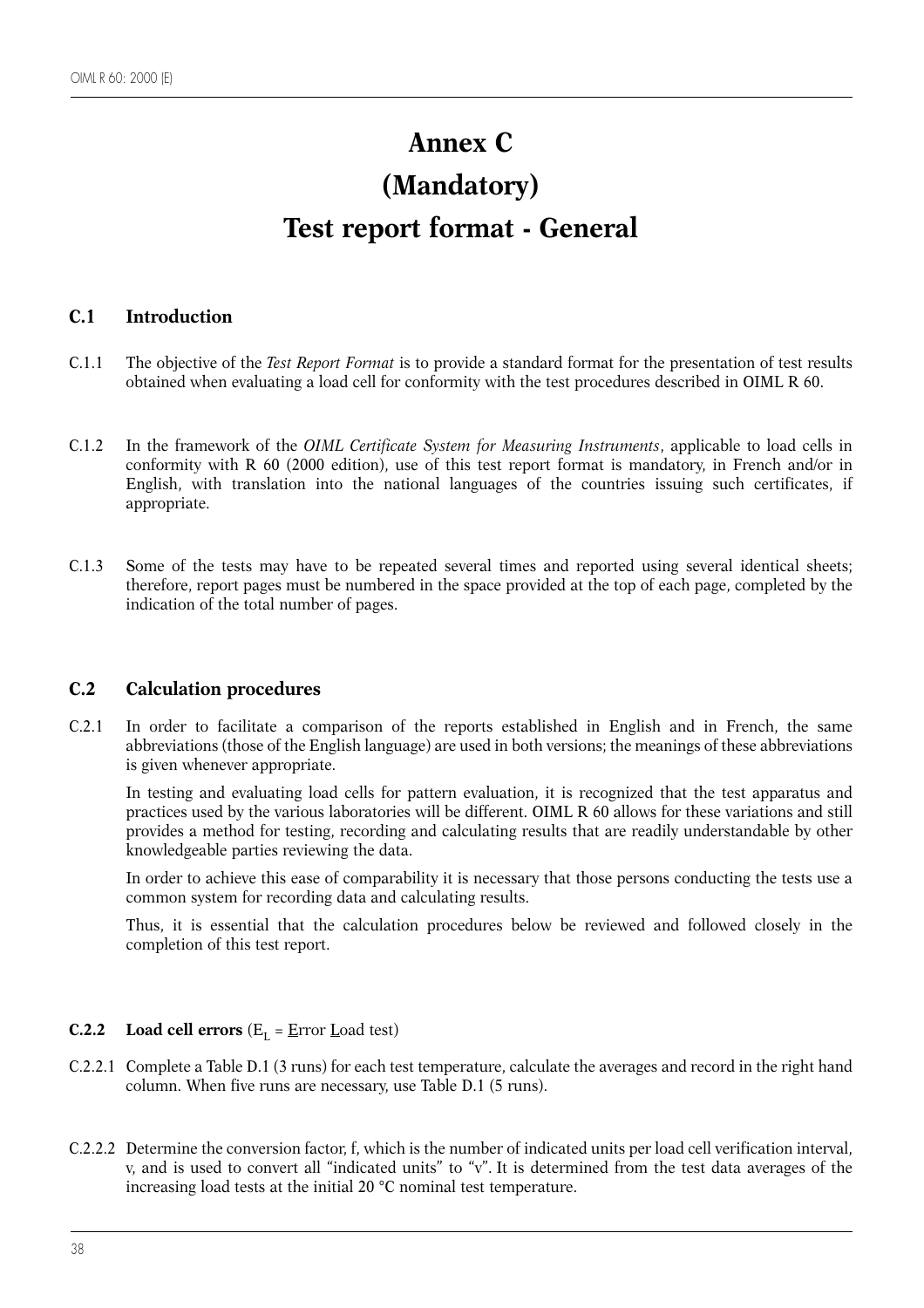# **Annex C (Mandatory) Test report format - General**

# **C.1 Introduction**

- C.1.1 The objective of the *Test Report Format* is to provide a standard format for the presentation of test results obtained when evaluating a load cell for conformity with the test procedures described in OIML R 60.
- C.1.2 In the framework of the *OIML Certificate System for Measuring Instruments*, applicable to load cells in conformity with R 60 (2000 edition), use of this test report format is mandatory, in French and/or in English, with translation into the national languages of the countries issuing such certificates, if appropriate.
- C.1.3 Some of the tests may have to be repeated several times and reported using several identical sheets; therefore, report pages must be numbered in the space provided at the top of each page, completed by the indication of the total number of pages.

# **C.2 Calculation procedures**

C.2.1 In order to facilitate a comparison of the reports established in English and in French, the same abbreviations (those of the English language) are used in both versions; the meanings of these abbreviations is given whenever appropriate.

In testing and evaluating load cells for pattern evaluation, it is recognized that the test apparatus and practices used by the various laboratories will be different. OIML R 60 allows for these variations and still provides a method for testing, recording and calculating results that are readily understandable by other knowledgeable parties reviewing the data.

In order to achieve this ease of comparability it is necessary that those persons conducting the tests use a common system for recording data and calculating results.

Thus, it is essential that the calculation procedures below be reviewed and followed closely in the completion of this test report.

# **C.2.2** Load cell errors  $(E_{\text{I}} = \underline{E}$ rror  $\underline{L}$ oad test)

- C.2.2.1 Complete a Table D.1 (3 runs) for each test temperature, calculate the averages and record in the right hand column. When five runs are necessary, use Table D.1 (5 runs).
- C.2.2.2 Determine the conversion factor, f, which is the number of indicated units per load cell verification interval, v, and is used to convert all "indicated units" to "v". It is determined from the test data averages of the increasing load tests at the initial 20 °C nominal test temperature.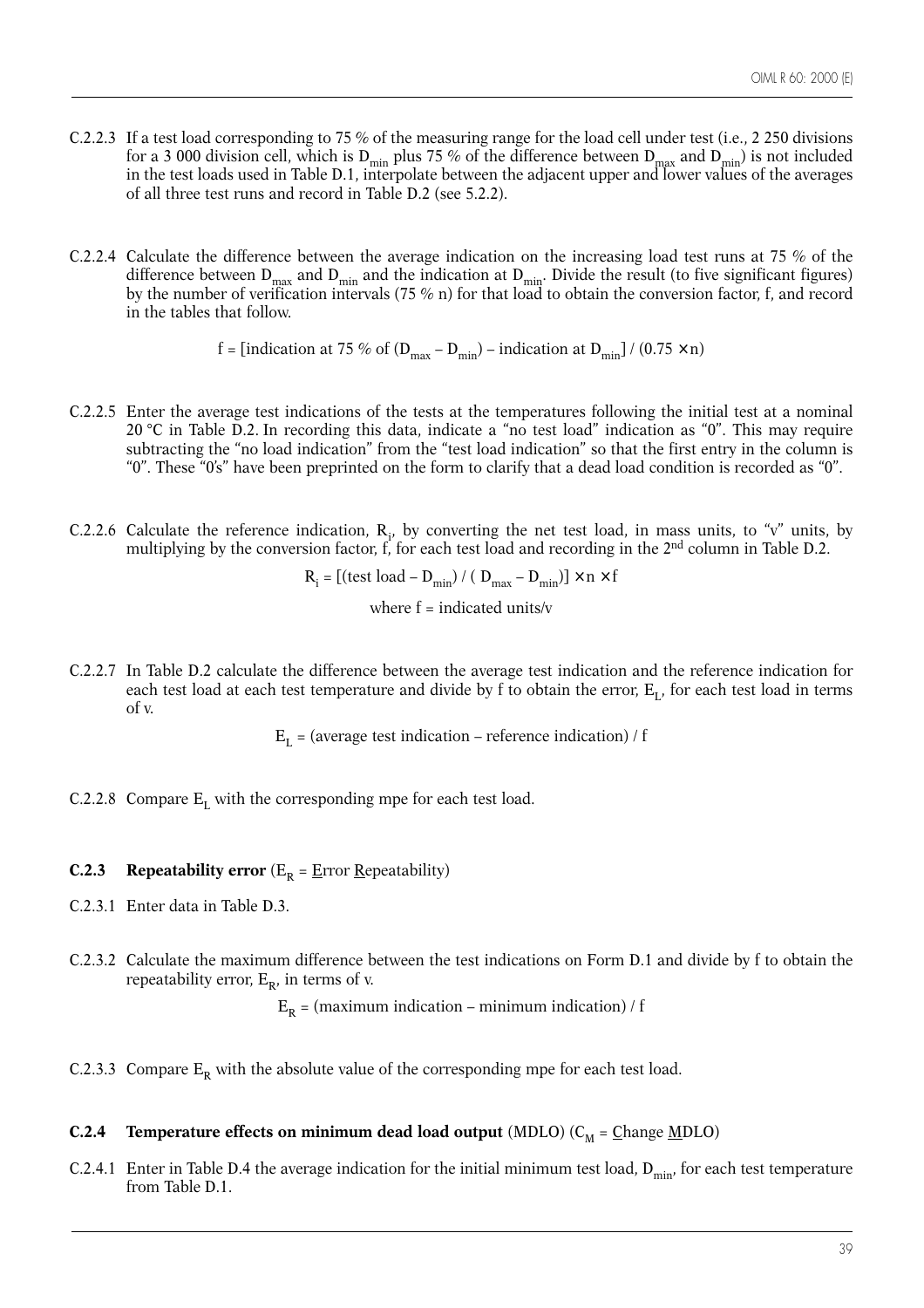- C.2.2.3 If a test load corresponding to 75 % of the measuring range for the load cell under test (i.e., 2 250 divisions for a 3 000 division cell, which is  $D_{min}$  plus 75 % of the difference between  $D_{max}$  and  $D_{min}$ ) is not included in the test loads used in Table D.1, interpolate between the adjacent upper and lower values of the averages of all three test runs and record in Table D.2 (see 5.2.2).
- C.2.2.4 Calculate the difference between the average indication on the increasing load test runs at 75 % of the difference between  $D_{max}$  and  $D_{min}$  and the indication at  $D_{min}$ . Divide the result (to five significant figures) by the number of verification intervals (75 % n) for that load to obtain the conversion factor, f, and record in the tables that follow.

f = [indication at 75 % of  $(D_{max} - D_{min})$  – indication at  $D_{min}$ ] / (0.75 × n)

- C.2.2.5 Enter the average test indications of the tests at the temperatures following the initial test at a nominal 20 °C in Table D.2. In recording this data, indicate a "no test load" indication as "0". This may require subtracting the "no load indication" from the "test load indication" so that the first entry in the column is "0". These "0's" have been preprinted on the form to clarify that a dead load condition is recorded as "0".
- C.2.2.6 Calculate the reference indication,  $R_i$ , by converting the net test load, in mass units, to "v" units, by multiplying by the conversion factor, f, for each test load and recording in the 2<sup>nd</sup> column in Table D.2.

 $R_i = [(test load - D_{min}) / ( D_{max} - D_{min})] \times n \times f$ 

where  $f = \text{indicated units}/v$ 

C.2.2.7 In Table D.2 calculate the difference between the average test indication and the reference indication for each test load at each test temperature and divide by f to obtain the error,  $E_L$ , for each test load in terms of v.

 $E_{I}$  = (average test indication – reference indication) / f

C.2.2.8 Compare  $E_I$  with the corresponding mpe for each test load.

#### **C.2.3** Repeatability error  $(E_R = \underline{E}$ rror <u>R</u>epeatability)

- C.2.3.1 Enter data in Table D.3.
- C.2.3.2 Calculate the maximum difference between the test indications on Form D.1 and divide by f to obtain the repeatability error,  $E_{\text{p}}$ , in terms of v.

 $E_R$  = (maximum indication – minimum indication) / f

C.2.3.3 Compare  $E_R$  with the absolute value of the corresponding mpe for each test load.

#### **C.2.4** Temperature effects on minimum dead load output  $(MDLO)$  ( $C_M = \underline{C}$ hange  $\underline{M}DLO$ )

C.2.4.1 Enter in Table D.4 the average indication for the initial minimum test load,  $D_{min}$ , for each test temperature from Table D.1.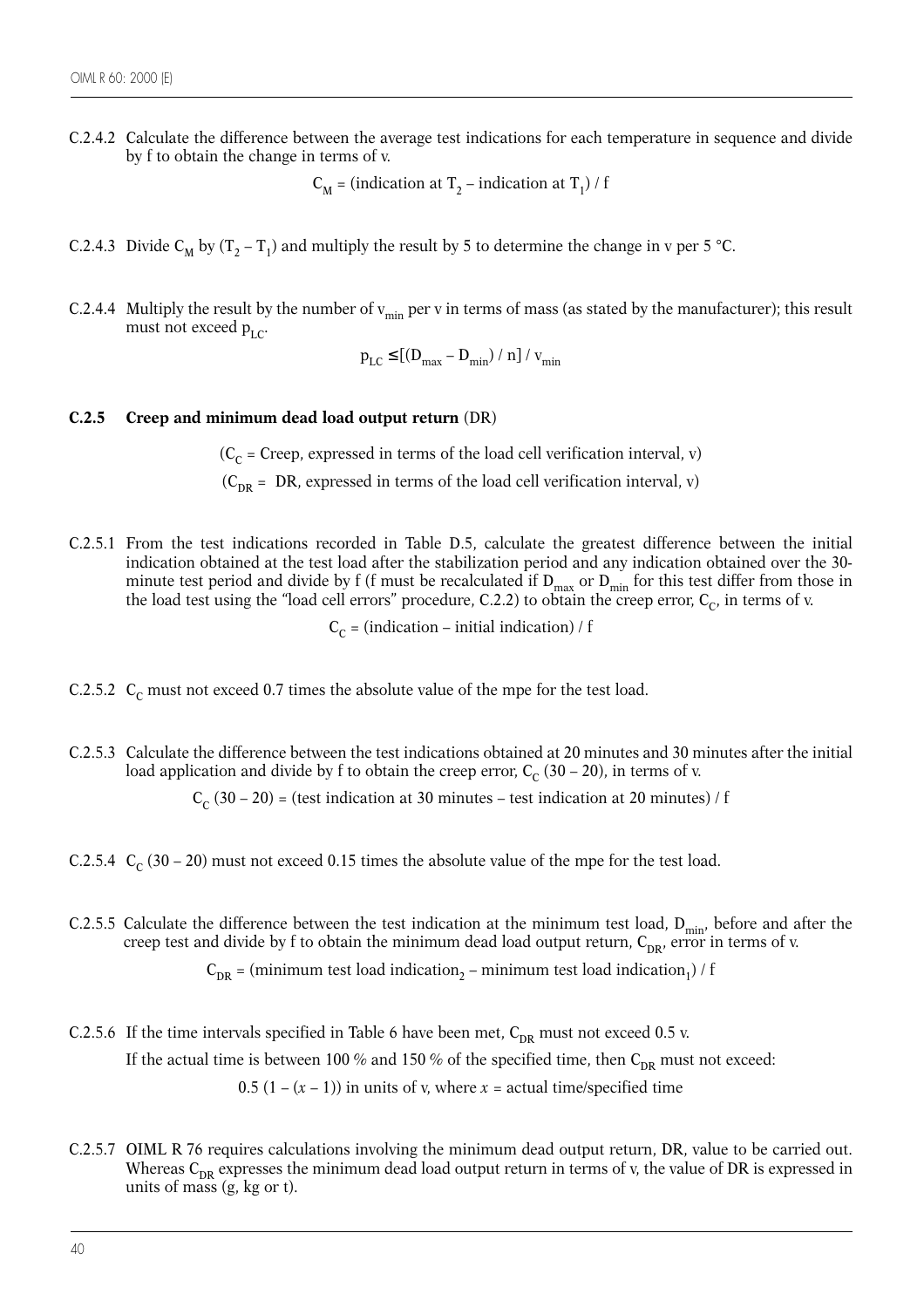C.2.4.2 Calculate the difference between the average test indications for each temperature in sequence and divide by f to obtain the change in terms of v.

 $C_M$  = (indication at T<sub>2</sub> – indication at T<sub>1</sub>) / f

- C.2.4.3 Divide C<sub>M</sub> by  $(T_2 T_1)$  and multiply the result by 5 to determine the change in v per 5 °C.
- C.2.4.4 Multiply the result by the number of  $v_{\text{min}}$  per v in terms of mass (as stated by the manufacturer); this result must not exceed  $p_{LC}$ .

 $p_{LC} \leq [(D_{max} - D_{min}) / n] / v_{min}$ 

#### **C.2.5 Creep and minimum dead load output return** (DR)

 $(C<sub>c</sub> = Creep, expressed in terms of the load cell verification interval, v)$ 

 $(C_{DR} = DR$ , expressed in terms of the load cell verification interval, v)

C.2.5.1 From the test indications recorded in Table D.5, calculate the greatest difference between the initial indication obtained at the test load after the stabilization period and any indication obtained over the 30 minute test period and divide by f (f must be recalculated if  $D_{max}$  or  $D_{min}$  for this test differ from those in the load test using the "load cell errors" procedure, C.2.2) to obtain the creep error,  $\rm C_{C}$ , in terms of v.

 $C_c = (indication - initial indication) / f$ 

- C.2.5.2  $C_c$  must not exceed 0.7 times the absolute value of the mpe for the test load.
- C.2.5.3 Calculate the difference between the test indications obtained at 20 minutes and 30 minutes after the initial load application and divide by f to obtain the creep error,  $C_c$  (30 – 20), in terms of v.

 $C_c$  (30 – 20) = (test indication at 30 minutes – test indication at 20 minutes) / f

- C.2.5.4  $C_c$  (30 20) must not exceed 0.15 times the absolute value of the mpe for the test load.
- C.2.5.5 Calculate the difference between the test indication at the minimum test load,  $D_{min}$ , before and after the creep test and divide by f to obtain the minimum dead load output return,  $C_{DR}$ , error in terms of v.

 $C_{DR}$  = (minimum test load indication<sub>2</sub> – minimum test load indication<sub>1</sub>) / f

- C.2.5.6 If the time intervals specified in Table 6 have been met,  $C_{DR}$  must not exceed 0.5 v. If the actual time is between 100 % and 150 % of the specified time, then  $C_{DR}$  must not exceed: 0.5  $(1 - (x - 1))$  in units of v, where  $x =$  actual time/specified time
- C.2.5.7 OIML R 76 requires calculations involving the minimum dead output return, DR, value to be carried out. Whereas  $C_{DR}$  expresses the minimum dead load output return in terms of v, the value of DR is expressed in units of mass  $(g, kg \text{ or } t)$ .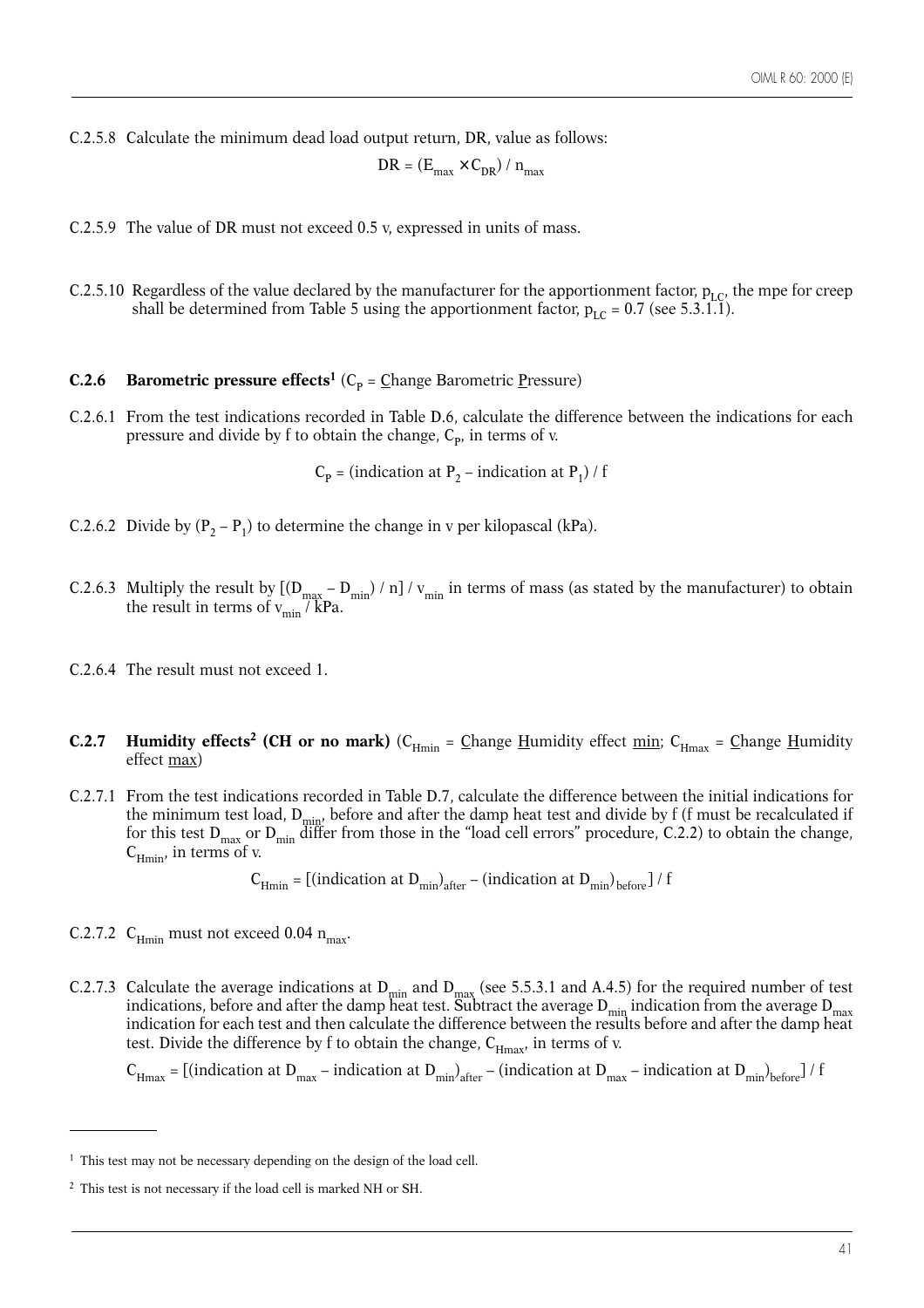C.2.5.8 Calculate the minimum dead load output return, DR, value as follows:

$$
DR = (E_{\text{max}} \times C_{\text{DR}}) / n_{\text{max}}
$$

- C.2.5.9 The value of DR must not exceed 0.5 v, expressed in units of mass.
- C.2.5.10 Regardless of the value declared by the manufacturer for the apportionment factor,  $p_{LC}$ , the mpe for creep shall be determined from Table 5 using the apportionment factor,  $p_{LC} = 0.7$  (see 5.3.1.1).

#### **C.2.6 Barometric pressure effects<sup>1</sup>** ( $C_p = \text{Change}$  Barometric <u>P</u>ressure)

C.2.6.1 From the test indications recorded in Table D.6, calculate the difference between the indications for each pressure and divide by f to obtain the change,  $C_{\rm p}$ , in terms of v.

 $C_p$  = (indication at P<sub>2</sub> – indication at P<sub>1</sub>) / f

- C.2.6.2 Divide by  $(P_2 P_1)$  to determine the change in v per kilopascal (kPa).
- C.2.6.3 Multiply the result by  $[(D_{max} D_{min}) / n] / v_{min}$  in terms of mass (as stated by the manufacturer) to obtain the result in terms of  $v_{\text{min}}$  / kPa.
- C.2.6.4 The result must not exceed 1.
- **C.2.7 Humidity effects<sup>2</sup> (CH or no mark)**  $(C_{Hmin} = \text{Change H}$ umidity effect min;  $C_{Hmax} = \text{Change H}$ umidity effect max)
- C.2.7.1 From the test indications recorded in Table D.7, calculate the difference between the initial indications for the minimum test load,  $D_{min}$ , before and after the damp heat test and divide by f (f must be recalculated if for this test  $D_{max}$  or  $D_{min}$  differ from those in the "load cell errors" procedure, C.2.2) to obtain the change,  $C_{Hmin}$ , in terms of v.

 $C_{Hmin}$  = [(indication at D<sub>min</sub>)<sub>after</sub> – (indication at D<sub>min</sub>)<sub>before</sub>] / f

- C.2.7.2  $C_{\text{Hmin}}$  must not exceed 0.04  $n_{\text{max}}$ .
- C.2.7.3 Calculate the average indications at  $D_{min}$  and  $D_{max}$  (see 5.5.3.1 and A.4.5) for the required number of test indications, before and after the damp heat test. Subtract the average  $D_{\min}$  indication from the average  $D_{\max}$ indication for each test and then calculate the difference between the results before and after the damp heat test. Divide the difference by f to obtain the change,  $C_{H_{\text{max}}}$ , in terms of v.

 $C_{Hmax}$  = [(indication at D<sub>max</sub> – indication at D<sub>min</sub>)<sub>after</sub> – (indication at D<sub>max</sub> – indication at D<sub>min</sub>)<sub>before</sub>] / f

<sup>&</sup>lt;sup>1</sup> This test may not be necessary depending on the design of the load cell.

<sup>2</sup> This test is not necessary if the load cell is marked NH or SH.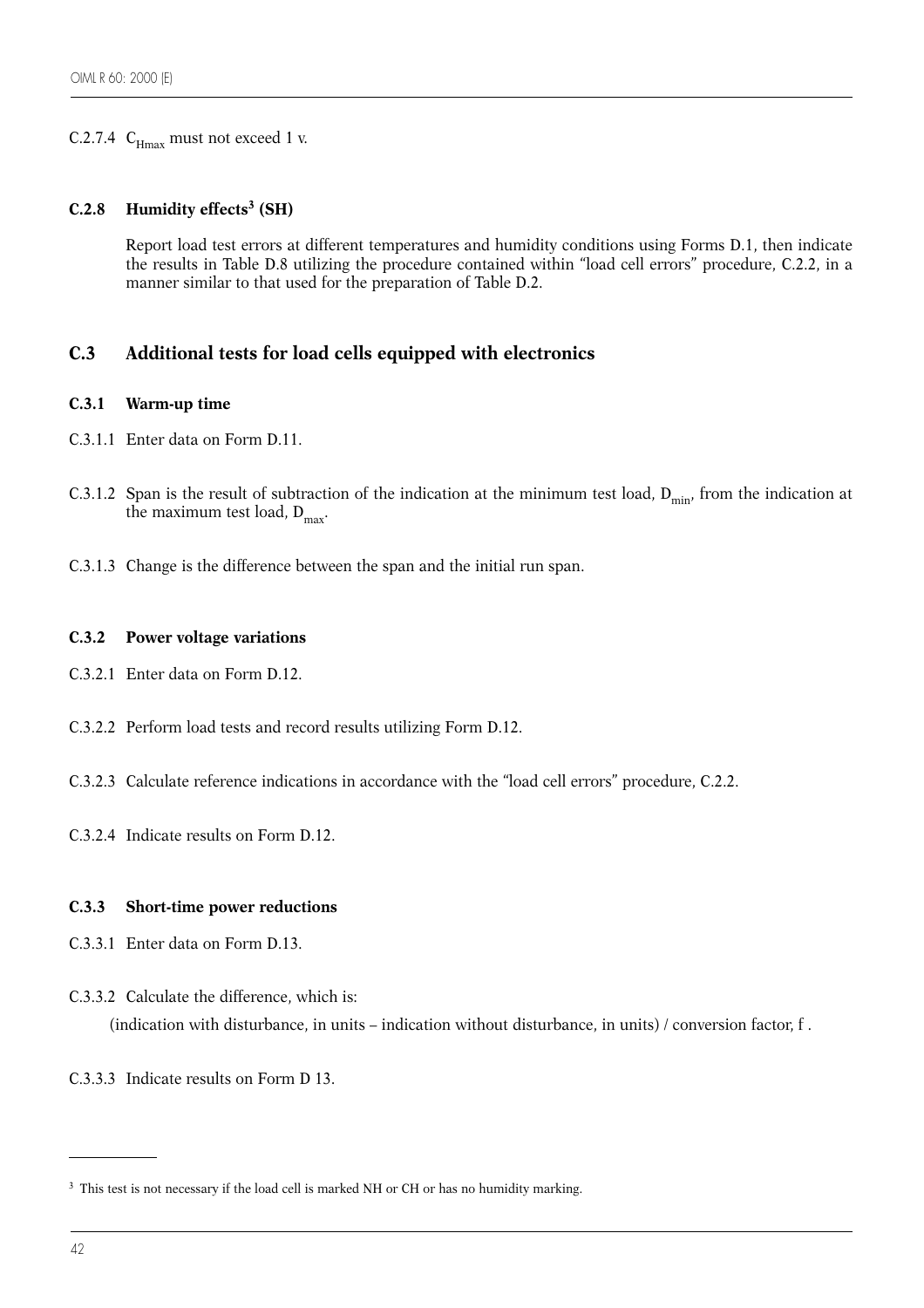# C.2.7.4  $C_{\text{Hmax}}$  must not exceed 1 v.

#### **C.2.8 Humidity effects3 (SH)**

Report load test errors at different temperatures and humidity conditions using Forms D.1, then indicate the results in Table D.8 utilizing the procedure contained within "load cell errors" procedure, C.2.2, in a manner similar to that used for the preparation of Table D.2.

# **C.3 Additional tests for load cells equipped with electronics**

#### **C.3.1 Warm-up time**

- C.3.1.1 Enter data on Form D.11.
- C.3.1.2 Span is the result of subtraction of the indication at the minimum test load,  $D_{min}$ , from the indication at the maximum test load,  $D_{\text{max}}$ .
- C.3.1.3 Change is the difference between the span and the initial run span.

#### **C.3.2 Power voltage variations**

- C.3.2.1 Enter data on Form D.12.
- C.3.2.2 Perform load tests and record results utilizing Form D.12.
- C.3.2.3 Calculate reference indications in accordance with the "load cell errors" procedure, C.2.2.
- C.3.2.4 Indicate results on Form D.12.

#### **C.3.3 Short-time power reductions**

- C.3.3.1 Enter data on Form D.13.
- C.3.3.2 Calculate the difference, which is:

(indication with disturbance, in units – indication without disturbance, in units) / conversion factor, f .

C.3.3.3 Indicate results on Form D 13.

<sup>&</sup>lt;sup>3</sup> This test is not necessary if the load cell is marked NH or CH or has no humidity marking.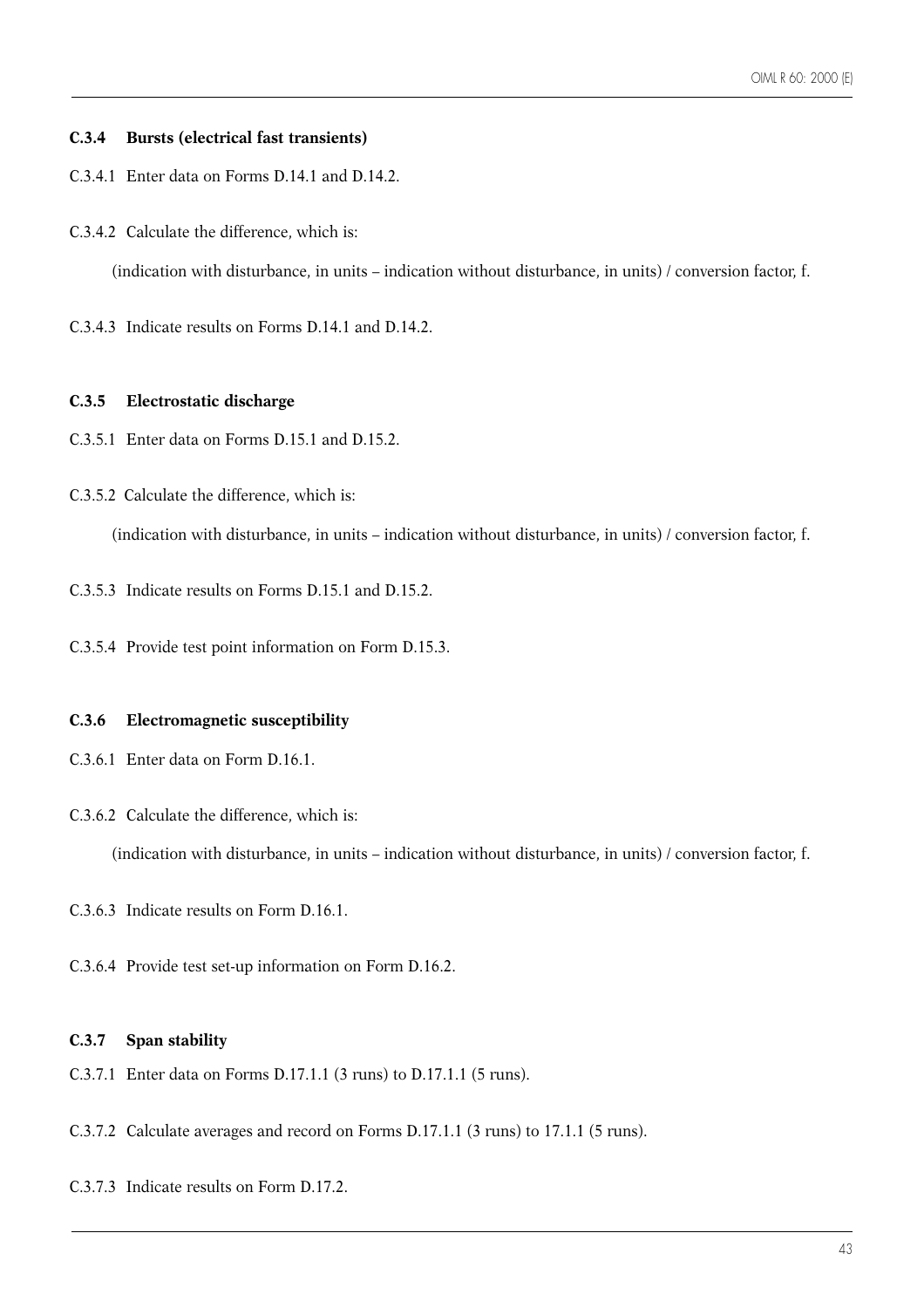#### **C.3.4 Bursts (electrical fast transients)**

- C.3.4.1 Enter data on Forms D.14.1 and D.14.2.
- C.3.4.2 Calculate the difference, which is:

(indication with disturbance, in units – indication without disturbance, in units) / conversion factor, f.

C.3.4.3 Indicate results on Forms D.14.1 and D.14.2.

#### **C.3.5 Electrostatic discharge**

- C.3.5.1 Enter data on Forms D.15.1 and D.15.2.
- C.3.5.2 Calculate the difference, which is:

(indication with disturbance, in units – indication without disturbance, in units) / conversion factor, f.

- C.3.5.3 Indicate results on Forms D.15.1 and D.15.2.
- C.3.5.4 Provide test point information on Form D.15.3.

#### **C.3.6 Electromagnetic susceptibility**

- C.3.6.1 Enter data on Form D.16.1.
- C.3.6.2 Calculate the difference, which is:

(indication with disturbance, in units – indication without disturbance, in units) / conversion factor, f.

- C.3.6.3 Indicate results on Form D.16.1.
- C.3.6.4 Provide test set-up information on Form D.16.2.

#### **C.3.7 Span stability**

- C.3.7.1 Enter data on Forms D.17.1.1 (3 runs) to D.17.1.1 (5 runs).
- C.3.7.2 Calculate averages and record on Forms D.17.1.1 (3 runs) to 17.1.1 (5 runs).
- C.3.7.3 Indicate results on Form D.17.2.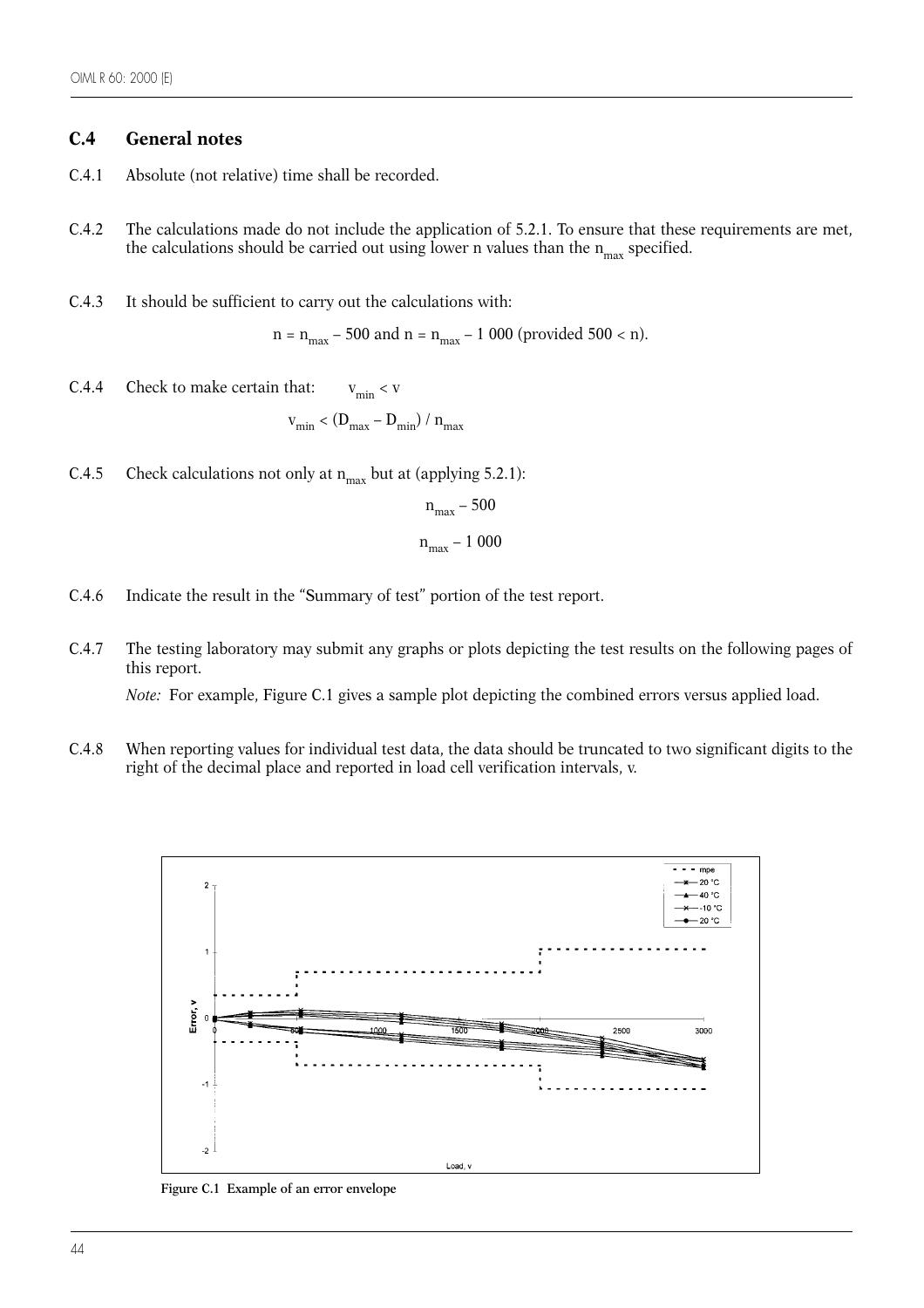# **C.4 General notes**

- C.4.1 Absolute (not relative) time shall be recorded.
- C.4.2 The calculations made do not include the application of 5.2.1. To ensure that these requirements are met, the calculations should be carried out using lower n values than the  $n_{max}$  specified.
- C.4.3 It should be sufficient to carry out the calculations with:

 $n = n_{max} - 500$  and  $n = n_{max} - 1000$  (provided 500 < n).

C.4.4 Check to make certain that:  $v_{\text{min}} < v$ 

$$
v_{\min} < (D_{\max} - D_{\min}) / n_{\max}
$$

C.4.5 Check calculations not only at  $n_{max}$  but at (applying 5.2.1):

$$
n_{\text{max}} - 500
$$

$$
n_{\text{max}} - 1000
$$

- 
- C.4.6 Indicate the result in the "Summary of test" portion of the test report.
- C.4.7 The testing laboratory may submit any graphs or plots depicting the test results on the following pages of this report.

*Note:* For example, Figure C.1 gives a sample plot depicting the combined errors versus applied load.

C.4.8 When reporting values for individual test data, the data should be truncated to two significant digits to the right of the decimal place and reported in load cell verification intervals, v.



**Figure C.1 Example of an error envelope**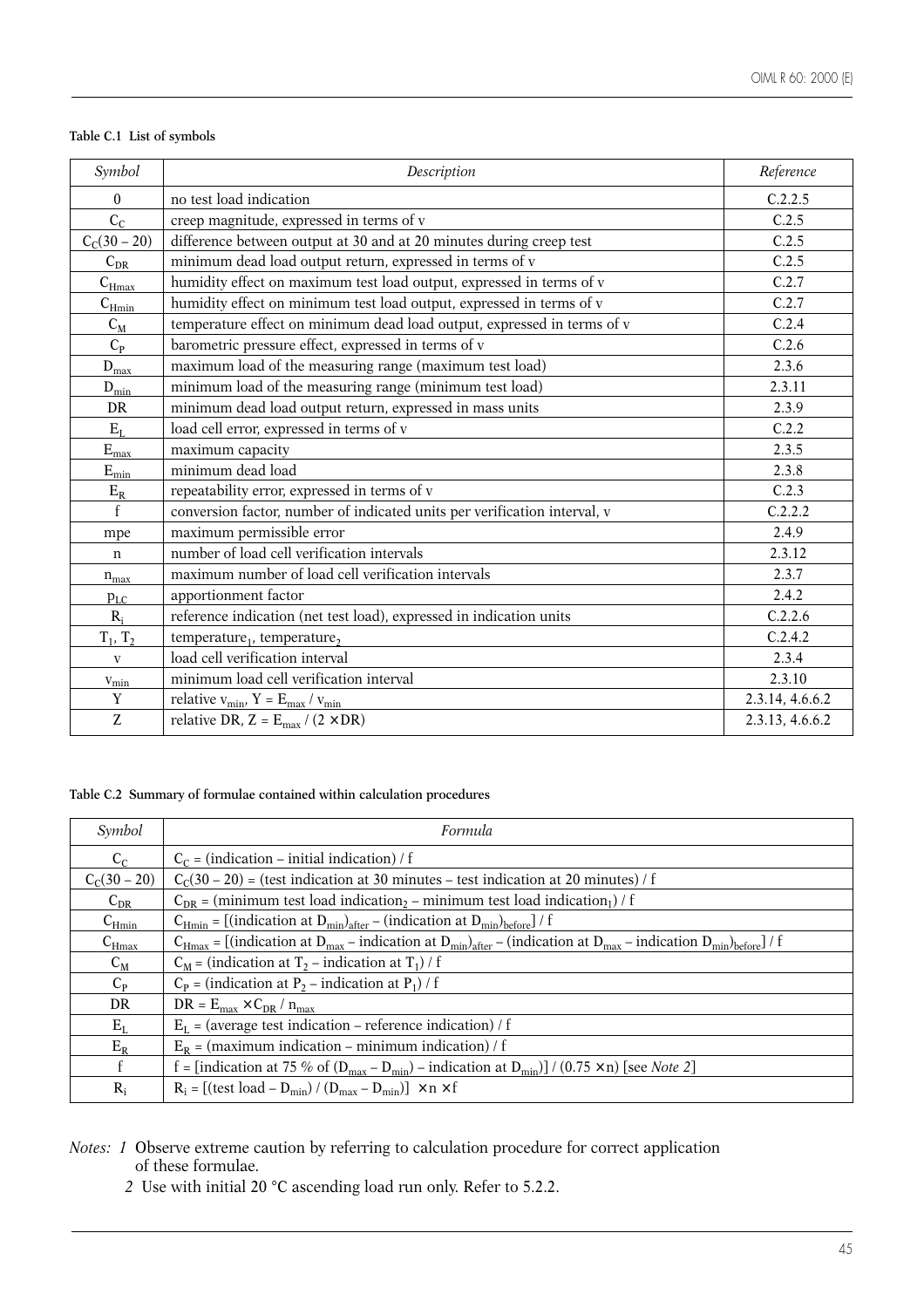# **Table C.1 List of symbols**

| Symbol                        | Description                                                               | Reference       |
|-------------------------------|---------------------------------------------------------------------------|-----------------|
| $\theta$                      | no test load indication                                                   | C.2.2.5         |
| $C_{C}$                       | creep magnitude, expressed in terms of v                                  | C.2.5           |
| $C_C(30-20)$                  | difference between output at 30 and at 20 minutes during creep test       | C.2.5           |
| $C_{DR}$                      | minimum dead load output return, expressed in terms of v                  | C.2.5           |
| $C_{\underline{\text{Hmax}}}$ | humidity effect on maximum test load output, expressed in terms of v      | C.2.7           |
| $C_{\rm Hmin}$                | humidity effect on minimum test load output, expressed in terms of v      | C.2.7           |
| $C_M$                         | temperature effect on minimum dead load output, expressed in terms of v   | C.2.4           |
| $C_{P}$                       | barometric pressure effect, expressed in terms of v                       | C.2.6           |
| $D_{\underline{max}}$         | maximum load of the measuring range (maximum test load)                   | 2.3.6           |
| $\mathbf{D}_{\text{min}}$     | minimum load of the measuring range (minimum test load)                   | 2.3.11          |
| DR                            | minimum dead load output return, expressed in mass units                  | 2.3.9           |
| $\rm E_{L}$                   | load cell error, expressed in terms of v                                  | C.2.2           |
| $\mathbf{E}_{\text{max}}$     | maximum capacity                                                          | 2.3.5           |
| $\mathbf{E}_{\text{min}}$     | minimum dead load                                                         | 2.3.8           |
| $\rm E_R$                     | repeatability error, expressed in terms of v                              | C.2.3           |
| $\mathbf{f}$                  | conversion factor, number of indicated units per verification interval, v | C.2.2.2         |
| mpe                           | maximum permissible error                                                 | 2.4.9           |
| n                             | number of load cell verification intervals                                | 2.3.12          |
| $n_{max}$                     | maximum number of load cell verification intervals                        | 2.3.7           |
| $p_{LC}$                      | apportionment factor                                                      | 2.4.2           |
| $R_i$                         | reference indication (net test load), expressed in indication units       | C.2.2.6         |
| $T_1, T_2$                    | temperature, temperature,                                                 | C.2.4.2         |
| $\mathbf{V}$                  | load cell verification interval                                           | 2.3.4           |
| $v_{\rm min}$                 | minimum load cell verification interval                                   | 2.3.10          |
| $\mathbf Y$                   | relative $v_{\text{min}}$ , Y = $E_{\text{max}} / v_{\text{min}}$         | 2.3.14, 4.6.6.2 |
| Z                             | relative DR, $Z = E_{max} / (2 \times DR)$                                | 2.3.13, 4.6.6.2 |

### **Table C.2 Summary of formulae contained within calculation procedures**

| Symbol            | Formula                                                                                                                                                                                             |
|-------------------|-----------------------------------------------------------------------------------------------------------------------------------------------------------------------------------------------------|
| $C_{C}$           | $C_C$ = (indication – initial indication) / f                                                                                                                                                       |
| $C_C(30-20)$      | $C_c(30-20)$ = (test indication at 30 minutes – test indication at 20 minutes) / f                                                                                                                  |
| $C_{DR}$          | $C_{DR}$ = (minimum test load indication <sub>2</sub> – minimum test load indication <sub>1</sub> ) / f                                                                                             |
| $C_{\text{Hmin}}$ | $C_{Hmin}$ = [(indication at $D_{min}$ ) <sub>after</sub> – (indication at $D_{min}$ ) <sub>before</sub> ] / f                                                                                      |
| $C_{\text{Hmax}}$ | $C_{\text{Hmax}} = [$ (indication at $D_{\text{max}}$ – indication at $D_{\text{min}}$ ) <sub>after</sub> – (indication at $D_{\text{max}}$ – indication $D_{\text{min}}$ ) <sub>before</sub> ] / f |
| $C_M$             | $C_M$ = (indication at T <sub>2</sub> – indication at T <sub>1</sub> ) / f                                                                                                                          |
| $C_{P}$           | $C_P$ = (indication at P <sub>2</sub> – indication at P <sub>1</sub> ) / f                                                                                                                          |
| DR                | $DR = E_{max} \times C_{DR} / n_{max}$                                                                                                                                                              |
| $E_{L}$           | $E_I$ = (average test indication – reference indication) / f                                                                                                                                        |
| $E_R$             | $E_R$ = (maximum indication – minimum indication) / f                                                                                                                                               |
| f                 | f = [indication at 75 % of $(D_{max} - D_{min})$ – indication at $D_{min}$ ] / (0.75 × n) [see Note 2]                                                                                              |
| $R_i$             | $R_i = [(test load - D_{min}) / (D_{max} - D_{min})] \times n \times f$                                                                                                                             |

*Notes: 1* Observe extreme caution by referring to calculation procedure for correct application of these formulae.

*2* Use with initial 20 °C ascending load run only. Refer to 5.2.2.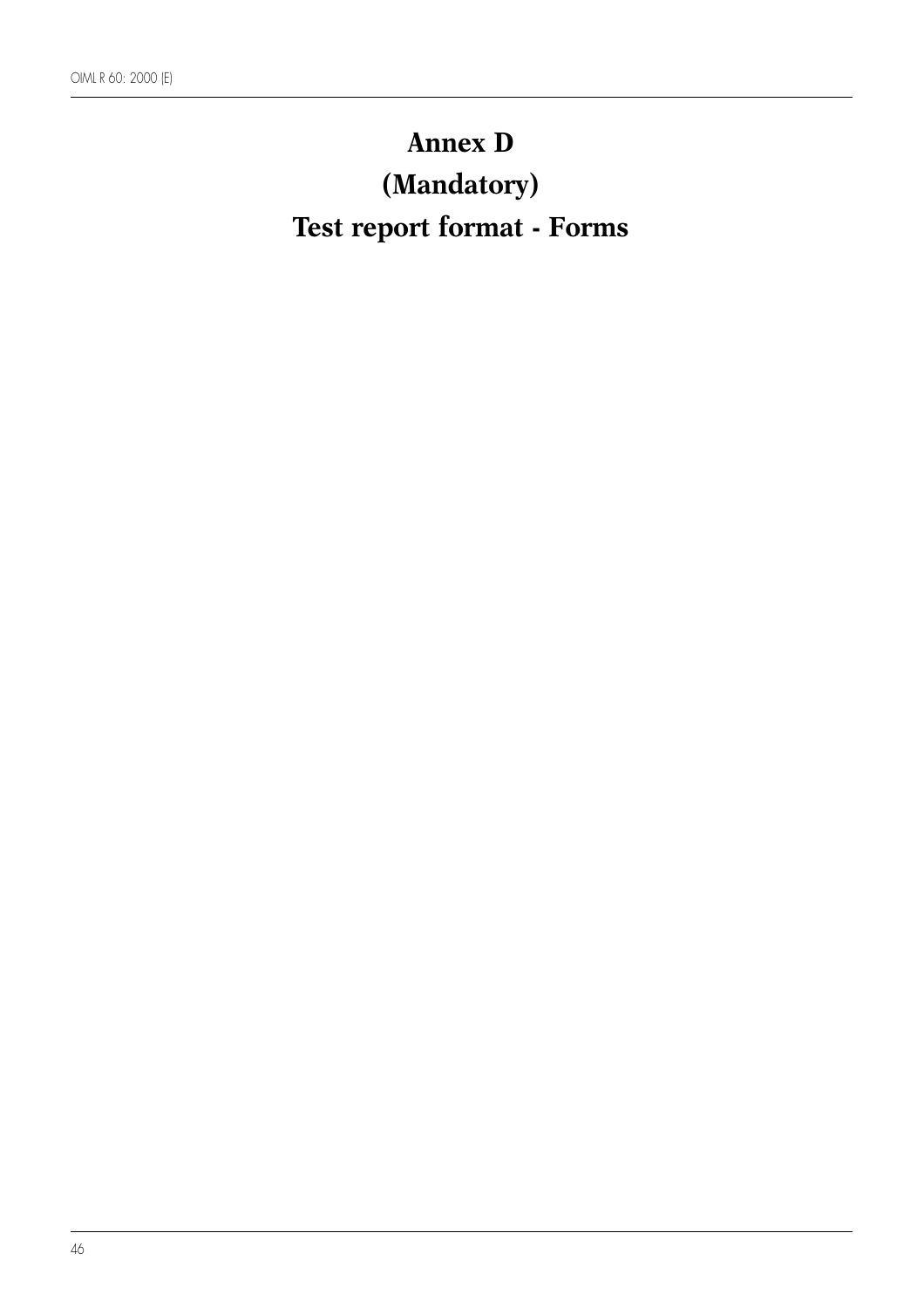# **Annex D (Mandatory) Test report format - Forms**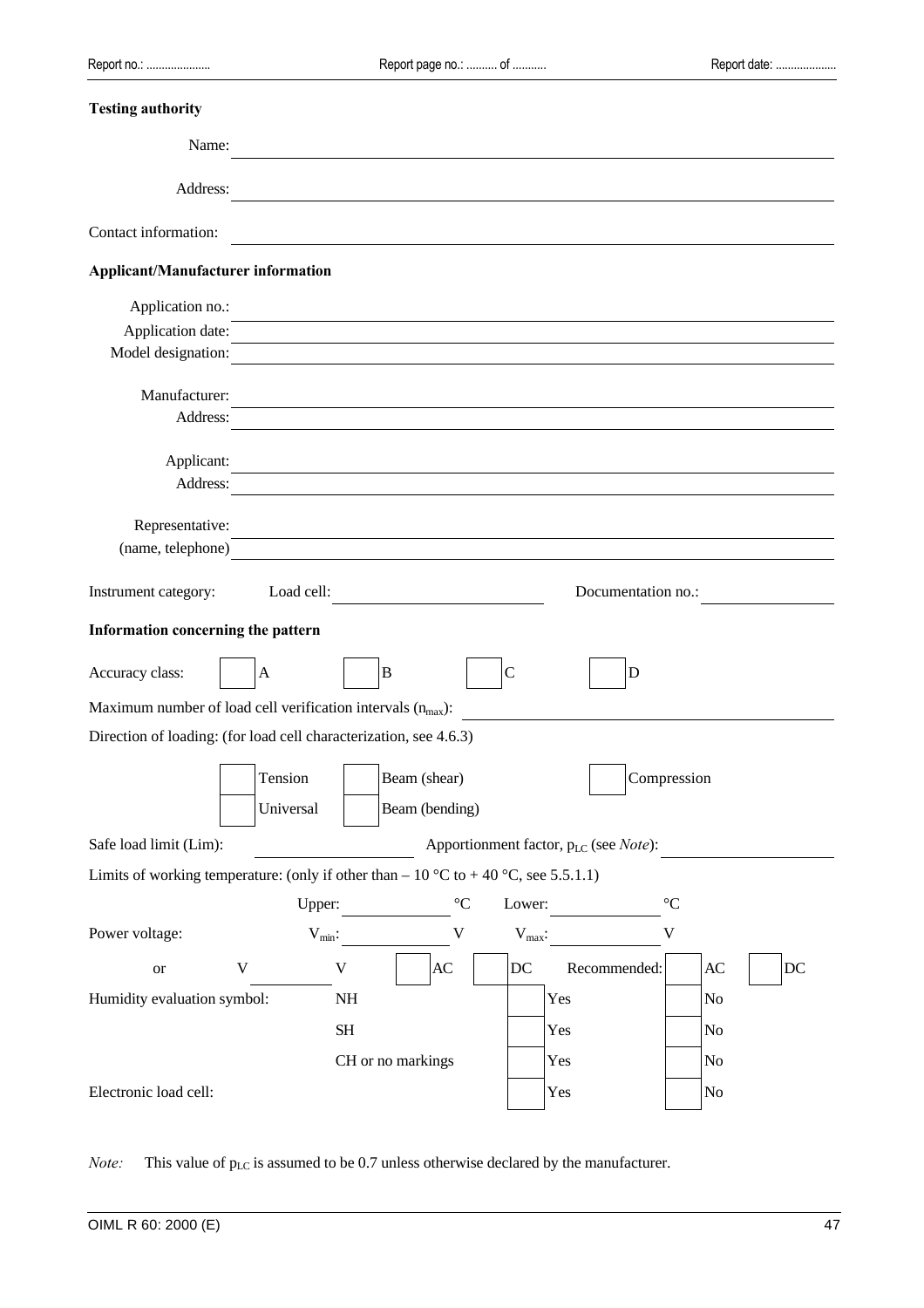| <b>Testing authority</b>                                                            |              |                     |                      |                    |                                                    |                 |                        |    |
|-------------------------------------------------------------------------------------|--------------|---------------------|----------------------|--------------------|----------------------------------------------------|-----------------|------------------------|----|
| Name:                                                                               |              |                     |                      |                    |                                                    |                 |                        |    |
| Address:                                                                            |              |                     |                      |                    |                                                    |                 |                        |    |
|                                                                                     |              |                     |                      |                    |                                                    |                 |                        |    |
| Contact information:                                                                |              |                     |                      |                    |                                                    |                 |                        |    |
| <b>Applicant/Manufacturer information</b>                                           |              |                     |                      |                    |                                                    |                 |                        |    |
| Application no.:                                                                    |              |                     |                      |                    |                                                    |                 |                        |    |
| Application date:                                                                   |              |                     |                      |                    |                                                    |                 |                        |    |
| Model designation:                                                                  |              |                     |                      |                    |                                                    |                 |                        |    |
| Manufacturer:                                                                       |              |                     |                      |                    |                                                    |                 |                        |    |
| Address:                                                                            |              |                     |                      |                    |                                                    |                 |                        |    |
| Applicant:                                                                          |              |                     |                      |                    |                                                    |                 |                        |    |
| Address:                                                                            |              |                     |                      |                    |                                                    |                 |                        |    |
|                                                                                     |              |                     |                      |                    |                                                    |                 |                        |    |
| Representative:<br>(name, telephone)                                                |              |                     |                      |                    |                                                    |                 |                        |    |
|                                                                                     |              |                     |                      |                    |                                                    |                 |                        |    |
| Instrument category:                                                                | Load cell:   |                     |                      |                    | Documentation no.:                                 |                 |                        |    |
| Information concerning the pattern                                                  |              |                     |                      |                    |                                                    |                 |                        |    |
| Accuracy class:                                                                     | $\mathbf{A}$ | $\bf{B}$            |                      | $\mathsf{C}$       | D                                                  |                 |                        |    |
| Maximum number of load cell verification intervals $(n_{max})$ :                    |              |                     |                      |                    |                                                    |                 |                        |    |
| Direction of loading: (for load cell characterization, see 4.6.3)                   |              |                     |                      |                    |                                                    |                 |                        |    |
|                                                                                     | Tension      |                     |                      |                    |                                                    |                 |                        |    |
|                                                                                     |              |                     | Beam (shear)         |                    |                                                    | Compression     |                        |    |
|                                                                                     | Universal    |                     | Beam (bending)       |                    |                                                    |                 |                        |    |
| Safe load limit (Lim):                                                              |              |                     |                      |                    | Apportionment factor, $p_{LC}$ (see <i>Note</i> ): |                 |                        |    |
| Limits of working temperature: (only if other than – 10 °C to + 40 °C, see 5.5.1.1) |              |                     |                      |                    |                                                    |                 |                        |    |
|                                                                                     | Upper:       |                     | $^{\circ}\mathrm{C}$ | Lower:             |                                                    | $\rm ^{\circ}C$ |                        |    |
| Power voltage:                                                                      | $V_{min}$ :  |                     | $\mathbf V$          | $V_{\text{max}}$ : |                                                    | $\mathbf V$     |                        |    |
| <b>or</b>                                                                           | $\mathbf V$  | $\mathbf V$         | AC                   | DC                 | Recommended:                                       |                 | $\mathbf{A}\mathbf{C}$ | DC |
| Humidity evaluation symbol:                                                         |              | $\rm NH$            |                      |                    | Yes                                                | $\rm No$        |                        |    |
|                                                                                     |              | $\operatorname{SH}$ |                      |                    | Yes                                                |                 | No                     |    |
|                                                                                     |              | CH or no markings   |                      |                    | Yes                                                | No              |                        |    |
| Electronic load cell:                                                               |              |                     |                      |                    | Yes                                                |                 | No                     |    |

*Note:* This value of  $p_{LC}$  is assumed to be 0.7 unless otherwise declared by the manufacturer.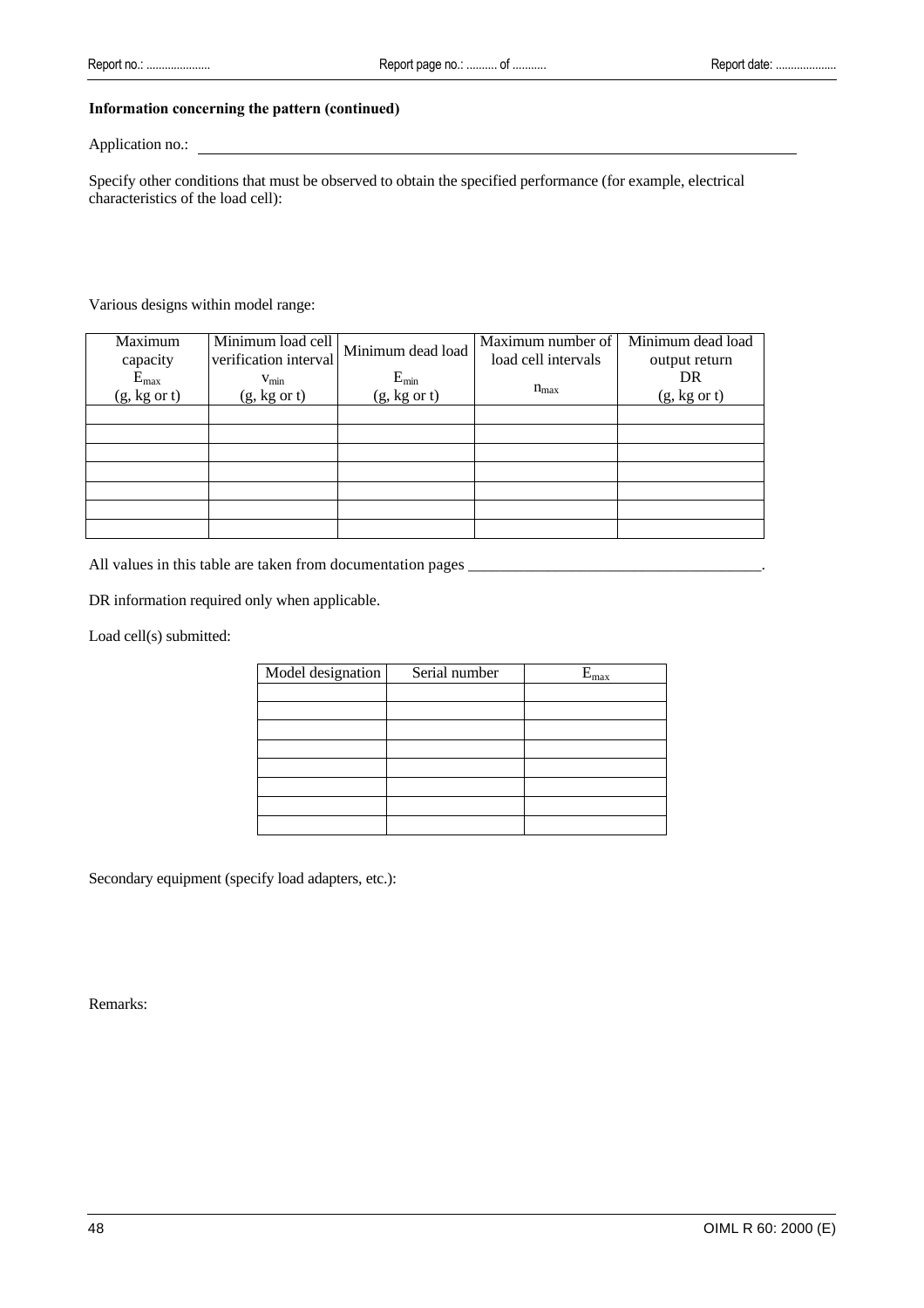#### **Information concerning the pattern (continued)**

#### Application no.:

Specify other conditions that must be observed to obtain the specified performance (for example, electrical characteristics of the load cell):

#### Various designs within model range:

| Maximum<br>capacity       | Minimum load cell<br>verification interval  | Minimum dead load         | Maximum number of<br>load cell intervals | Minimum dead load<br>output return |  |
|---------------------------|---------------------------------------------|---------------------------|------------------------------------------|------------------------------------|--|
| $E_{max}$<br>(g, kg or t) | $V_{\text{min}}$<br>$(g, kg \text{ or } t)$ | $E_{min}$<br>(g, kg or t) | $n_{max}$                                | DR<br>$(g, kg \text{ or } t)$      |  |
|                           |                                             |                           |                                          |                                    |  |
|                           |                                             |                           |                                          |                                    |  |
|                           |                                             |                           |                                          |                                    |  |
|                           |                                             |                           |                                          |                                    |  |
|                           |                                             |                           |                                          |                                    |  |
|                           |                                             |                           |                                          |                                    |  |
|                           |                                             |                           |                                          |                                    |  |

All values in this table are taken from documentation pages \_\_\_\_\_\_\_\_\_\_\_\_\_\_\_\_\_\_\_\_\_\_\_\_\_\_\_\_\_\_\_\_\_\_\_\_\_.

DR information required only when applicable.

Load cell(s) submitted:

| Model designation | Serial number | $E_{max}$ |
|-------------------|---------------|-----------|
|                   |               |           |
|                   |               |           |
|                   |               |           |
|                   |               |           |
|                   |               |           |
|                   |               |           |
|                   |               |           |
|                   |               |           |

Secondary equipment (specify load adapters, etc.):

Remarks: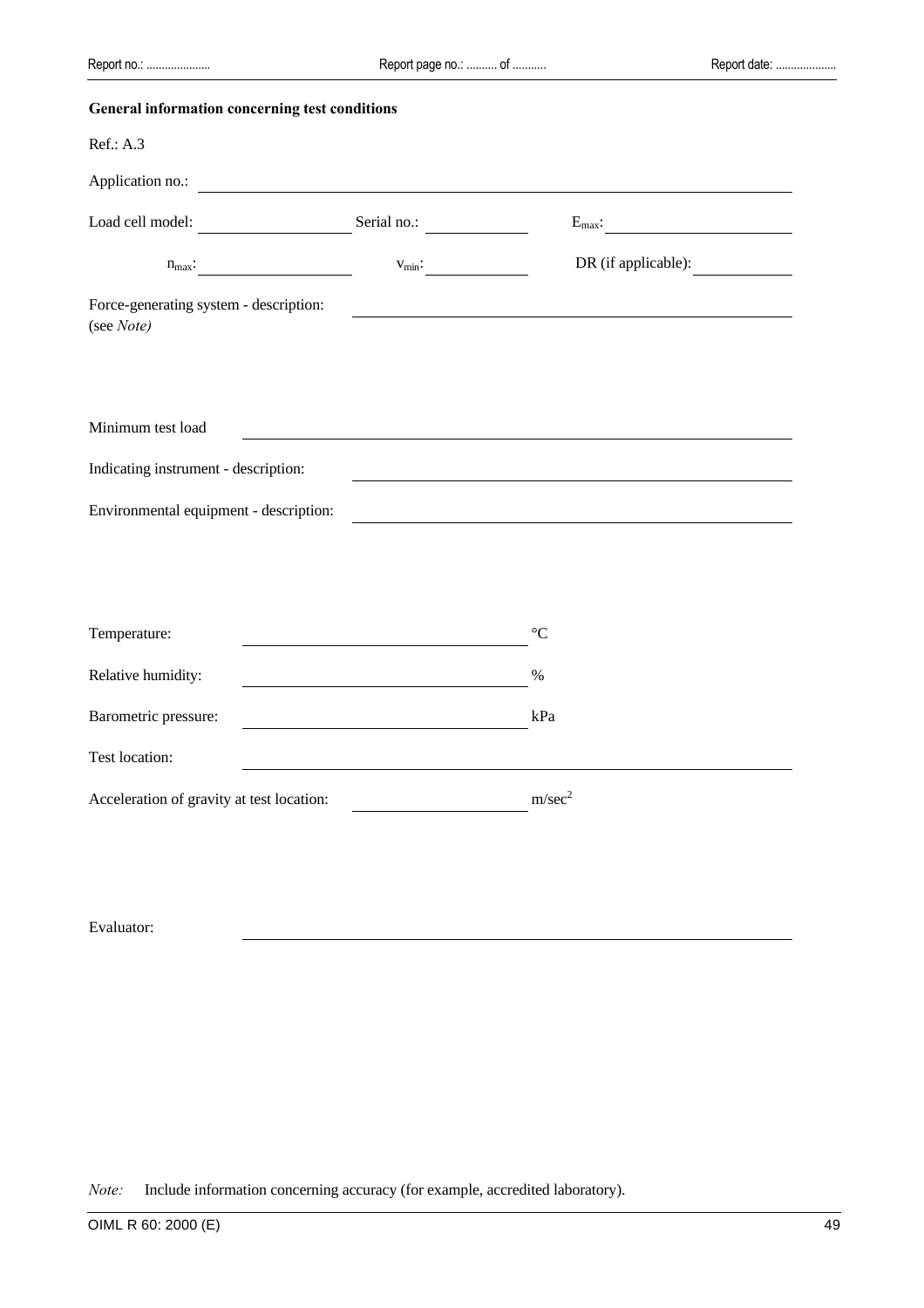| General information concerning test conditions       |                    |                     |
|------------------------------------------------------|--------------------|---------------------|
| Ref.: A.3                                            |                    |                     |
| Application no.:                                     |                    |                     |
| Load cell model:<br>$\overline{\phantom{a}}$         | Serial no.:        | $E_{\text{max}}$ :  |
| $n_{\text{max}}$ :                                   | $V_{\text{min}}$ : | DR (if applicable): |
| Force-generating system - description:<br>(see Note) |                    |                     |
|                                                      |                    |                     |
| Minimum test load                                    |                    |                     |
| Indicating instrument - description:                 |                    |                     |
| Environmental equipment - description:               |                    |                     |
|                                                      |                    |                     |
|                                                      |                    |                     |
| Temperature:                                         |                    | $\rm ^{\circ}C$     |
| Relative humidity:                                   |                    | %                   |
| Barometric pressure:                                 |                    | kPa                 |
| Test location:                                       |                    |                     |
| Acceleration of gravity at test location:            |                    | m/sec <sup>2</sup>  |
|                                                      |                    |                     |

Evaluator:

*Note:* Include information concerning accuracy (for example, accredited laboratory).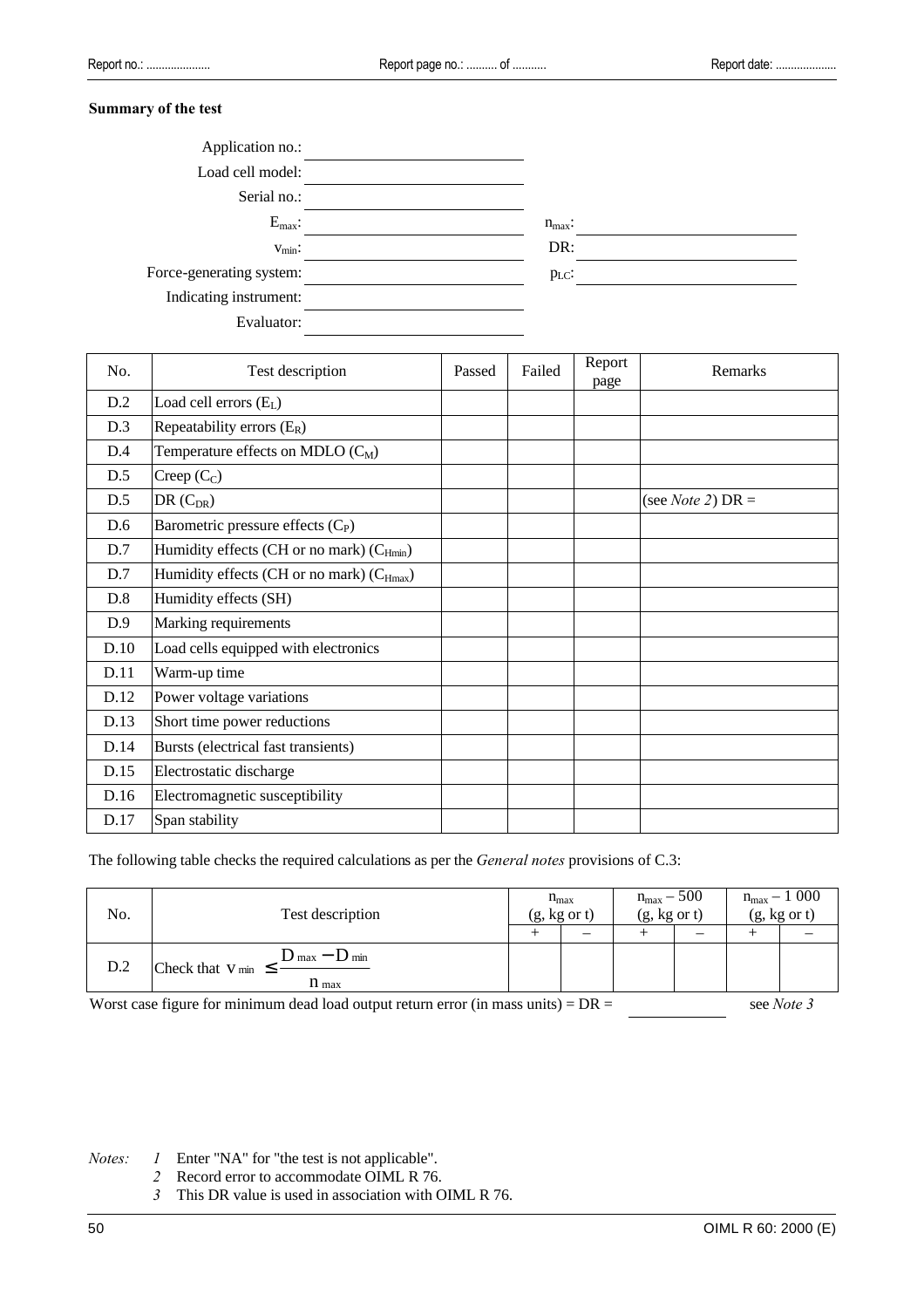#### **Summary of the test**

| Application no.:         |                    |
|--------------------------|--------------------|
| Load cell model:         |                    |
| Serial no.:              |                    |
| $E_{\text{max}}$ :       | $n_{\text{max}}$ : |
| $V_{\text{min}}$ :       | DR:                |
| Force-generating system: | $p_{LC}$ :         |
| Indicating instrument:   |                    |
| Evaluator:               |                    |

| No.  | Test description                                      | Passed | Failed | Report<br>page | Remarks                     |
|------|-------------------------------------------------------|--------|--------|----------------|-----------------------------|
| D.2  | Load cell errors $(EL)$                               |        |        |                |                             |
| D.3  | Repeatability errors $(E_R)$                          |        |        |                |                             |
| D.4  | Temperature effects on MDLO $(C_M)$                   |        |        |                |                             |
| D.5  | Creep $(C_C)$                                         |        |        |                |                             |
| D.5  | $DR(C_{DR})$                                          |        |        |                | (see <i>Note 2</i> ) $DR =$ |
| D.6  | Barometric pressure effects (C <sub>P</sub> )         |        |        |                |                             |
| D.7  | Humidity effects (CH or no mark) (C <sub>Hmin</sub> ) |        |        |                |                             |
| D.7  | Humidity effects (CH or no mark) (C <sub>Hmax</sub> ) |        |        |                |                             |
| D.8  | Humidity effects (SH)                                 |        |        |                |                             |
| D.9  | Marking requirements                                  |        |        |                |                             |
| D.10 | Load cells equipped with electronics                  |        |        |                |                             |
| D.11 | Warm-up time                                          |        |        |                |                             |
| D.12 | Power voltage variations                              |        |        |                |                             |
| D.13 | Short time power reductions                           |        |        |                |                             |
| D.14 | Bursts (electrical fast transients)                   |        |        |                |                             |
| D.15 | Electrostatic discharge                               |        |        |                |                             |
| D.16 | Electromagnetic susceptibility                        |        |        |                |                             |
| D.17 | Span stability                                        |        |        |                |                             |

The following table checks the required calculations as per the *General notes* provisions of C.3:

| No.                                                                                                       | Test description                                                                   |  | $n_{max}$<br>$(g, kg \text{ or } t)$ |  | $n_{max} - 500$<br>$(g, kg \text{ or } t)$ |  | $n_{max} - 1000$<br>$(g, kg \text{ or } t)$ |  |
|-----------------------------------------------------------------------------------------------------------|------------------------------------------------------------------------------------|--|--------------------------------------|--|--------------------------------------------|--|---------------------------------------------|--|
|                                                                                                           |                                                                                    |  |                                      |  |                                            |  |                                             |  |
| D.2                                                                                                       | $D_{\text{max}} - D_{\text{min}}$<br>Check that $V_{min} \leq$<br>$n_{\text{max}}$ |  |                                      |  |                                            |  |                                             |  |
| Worst case figure for minimum dead load output return error (in mass units) $= DR =$<br>see <i>Note</i> 3 |                                                                                    |  |                                      |  |                                            |  |                                             |  |

*Notes: 1* Enter "NA" for "the test is not applicable".

*2* Record error to accommodate OIML R 76.

*3* This DR value is used in association with OIML R 76.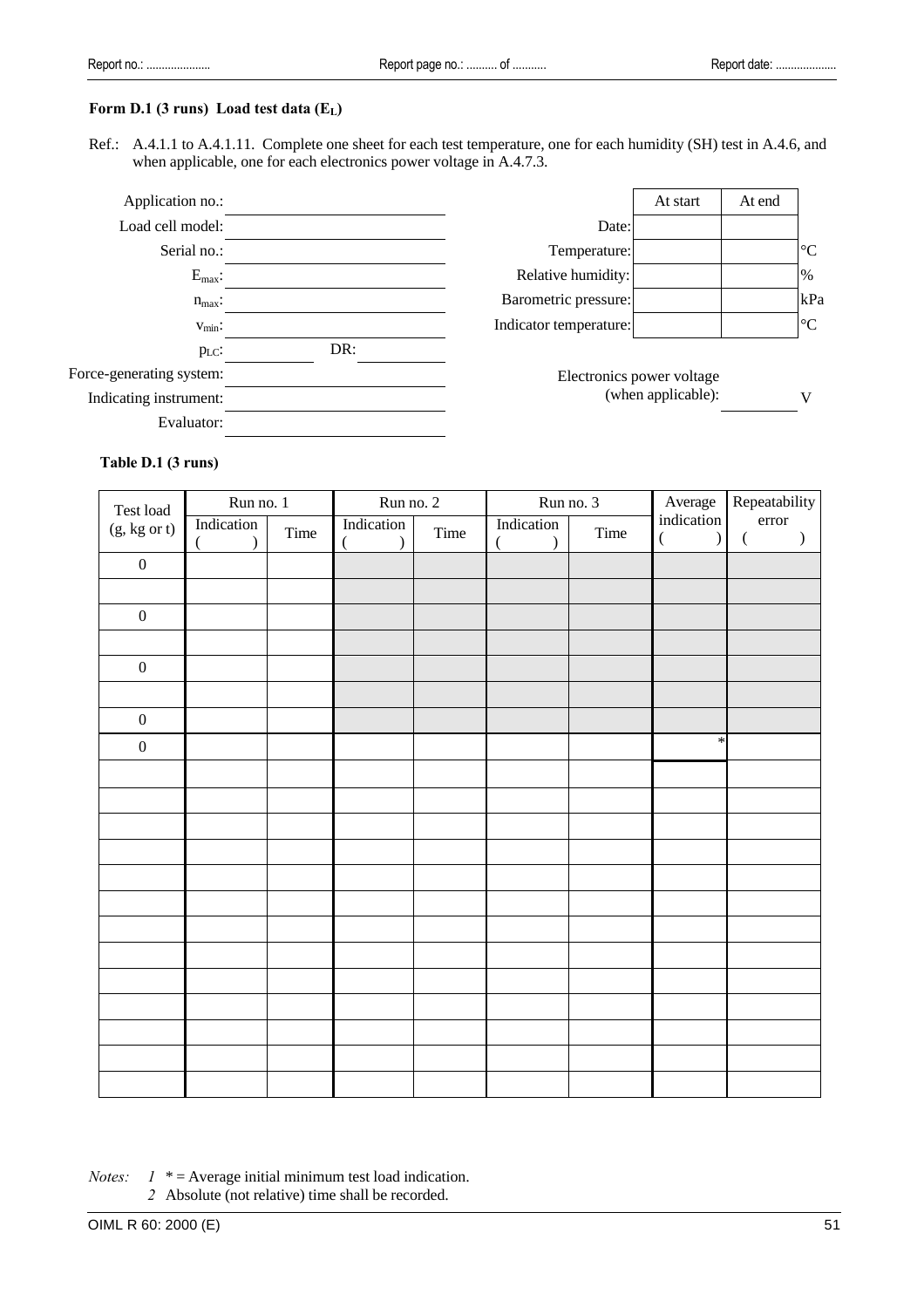#### **Form D.1 (3 runs) Load test data (EL)**

Ref.: A.4.1.1 to A.4.1.11. Complete one sheet for each test temperature, one for each humidity (SH) test in A.4.6, and when applicable, one for each electronics power voltage in A.4.7.3.



Electronics power voltage (when applicable): V

#### **Table D.1 (3 runs)**

| Test load                                             | Run no. 1               |      | Run no. 2                                 |      |            | Run no. 3 | Average                                         | Repeatability                                       |
|-------------------------------------------------------|-------------------------|------|-------------------------------------------|------|------------|-----------|-------------------------------------------------|-----------------------------------------------------|
| $(\mathrm{g},\mathrm{kg} \ \mathrm{or} \ \mathrm{t})$ | Indication<br>$\lambda$ | Time | Indication<br>$\overline{(}$<br>$\lambda$ | Time | Indication | Time      | indication<br>$\overline{(\ }$<br>$\mathcal{L}$ | error<br>$\big)$<br>$\left(\rule{0pt}{12pt}\right.$ |
| $\boldsymbol{0}$                                      |                         |      |                                           |      |            |           |                                                 |                                                     |
|                                                       |                         |      |                                           |      |            |           |                                                 |                                                     |
| $\boldsymbol{0}$                                      |                         |      |                                           |      |            |           |                                                 |                                                     |
|                                                       |                         |      |                                           |      |            |           |                                                 |                                                     |
| $\boldsymbol{0}$                                      |                         |      |                                           |      |            |           |                                                 |                                                     |
|                                                       |                         |      |                                           |      |            |           |                                                 |                                                     |
| $\boldsymbol{0}$                                      |                         |      |                                           |      |            |           |                                                 |                                                     |
| $\boldsymbol{0}$                                      |                         |      |                                           |      |            |           | $\ast$                                          |                                                     |
|                                                       |                         |      |                                           |      |            |           |                                                 |                                                     |
|                                                       |                         |      |                                           |      |            |           |                                                 |                                                     |
|                                                       |                         |      |                                           |      |            |           |                                                 |                                                     |
|                                                       |                         |      |                                           |      |            |           |                                                 |                                                     |
|                                                       |                         |      |                                           |      |            |           |                                                 |                                                     |
|                                                       |                         |      |                                           |      |            |           |                                                 |                                                     |
|                                                       |                         |      |                                           |      |            |           |                                                 |                                                     |
|                                                       |                         |      |                                           |      |            |           |                                                 |                                                     |
|                                                       |                         |      |                                           |      |            |           |                                                 |                                                     |
|                                                       |                         |      |                                           |      |            |           |                                                 |                                                     |
|                                                       |                         |      |                                           |      |            |           |                                                 |                                                     |
|                                                       |                         |      |                                           |      |            |           |                                                 |                                                     |
|                                                       |                         |      |                                           |      |            |           |                                                 |                                                     |

*Notes:*  $1 * =$  Average initial minimum test load indication. *2* Absolute (not relative) time shall be recorded.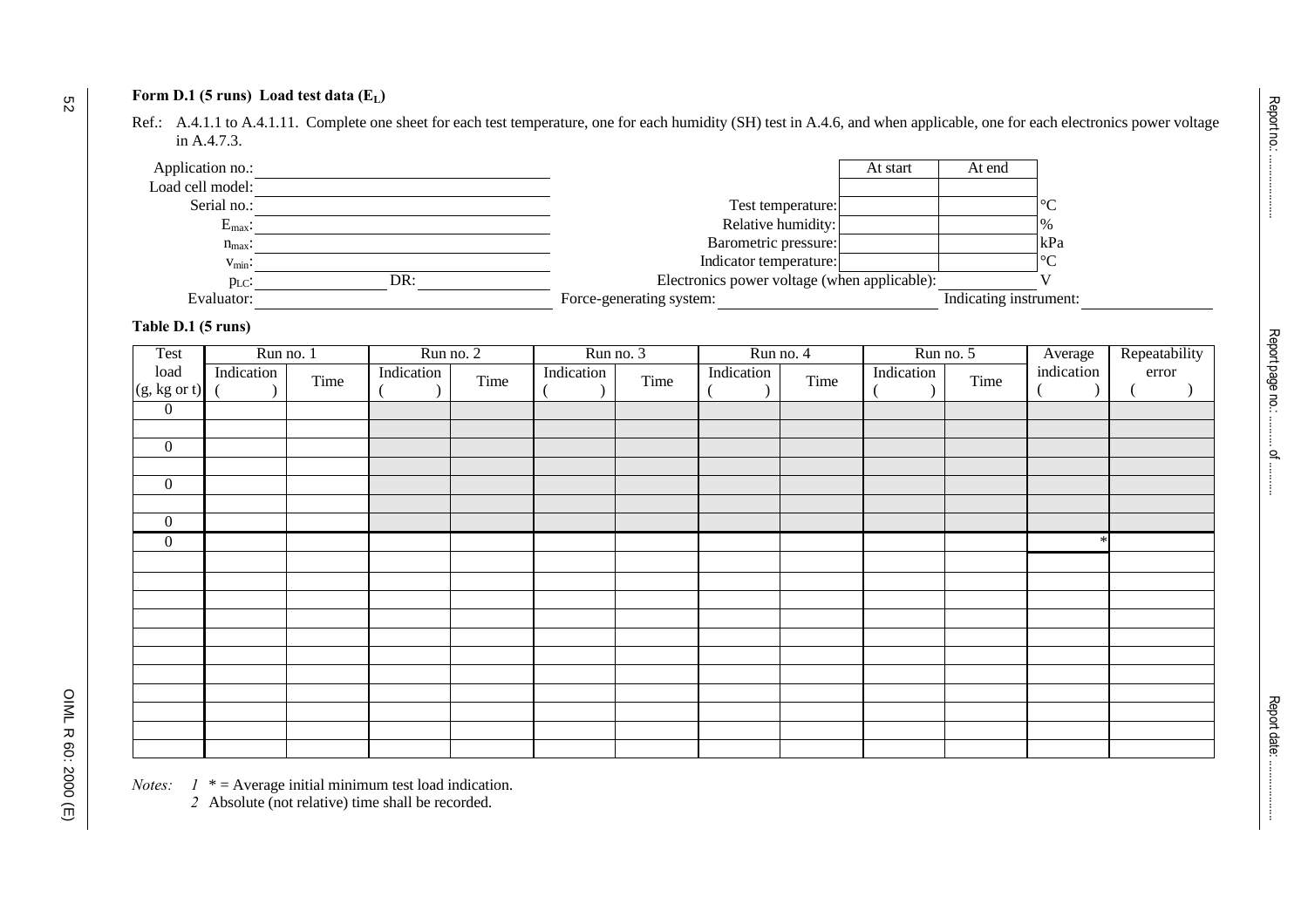# **Form D.1 (5 runs) Load test data (EL)**

Ref.: A.4.1.1 to A.4.1.11. Complete one sheet for each test temperature, one for each humidity (SH) test in A.4.6, and when applicable, one for each electronics power voltage in A.4.7.3.

| Application no.:   |                          | At start                                     | At end                 |
|--------------------|--------------------------|----------------------------------------------|------------------------|
| Load cell model:   |                          |                                              |                        |
| Serial no.:        |                          | Test temperature:                            |                        |
| $E_{\text{max}}$ : |                          | Relative humidity:                           | $\frac{0}{6}$          |
| $n_{\text{max}}$ : |                          | Barometric pressure:                         | kPa                    |
| $v_{\text{min}}$ : |                          | Indicator temperature:                       |                        |
| $p_{LC}$ :         | DR:                      | Electronics power voltage (when applicable): |                        |
| Evaluator:         | Force-generating system: |                                              | Indicating instrument: |

# **Table D.1 (5 runs)**

| Test                                  | Run no. 1  |      | Run no. 2  |      |            | Run no. 3 |            | Run no. 4 |            | Run no. 5 | Average<br>indication | Repeatability<br>error |
|---------------------------------------|------------|------|------------|------|------------|-----------|------------|-----------|------------|-----------|-----------------------|------------------------|
| $\rm load$<br>$(g, kg \text{ or } t)$ | Indication | Time | Indication | Time | Indication | Time      | Indication | Time      | Indication | Time      |                       |                        |
| $\overline{0}$                        |            |      |            |      |            |           |            |           |            |           |                       |                        |
|                                       |            |      |            |      |            |           |            |           |            |           |                       |                        |
| $\boldsymbol{0}$                      |            |      |            |      |            |           |            |           |            |           |                       |                        |
|                                       |            |      |            |      |            |           |            |           |            |           |                       |                        |
| $\boldsymbol{0}$                      |            |      |            |      |            |           |            |           |            |           |                       |                        |
|                                       |            |      |            |      |            |           |            |           |            |           |                       |                        |
| $\overline{0}$                        |            |      |            |      |            |           |            |           |            |           |                       |                        |
| $\boldsymbol{0}$                      |            |      |            |      |            |           |            |           |            |           |                       |                        |
|                                       |            |      |            |      |            |           |            |           |            |           |                       |                        |
|                                       |            |      |            |      |            |           |            |           |            |           |                       |                        |
|                                       |            |      |            |      |            |           |            |           |            |           |                       |                        |
|                                       |            |      |            |      |            |           |            |           |            |           |                       |                        |
|                                       |            |      |            |      |            |           |            |           |            |           |                       |                        |
|                                       |            |      |            |      |            |           |            |           |            |           |                       |                        |
|                                       |            |      |            |      |            |           |            |           |            |           |                       |                        |
|                                       |            |      |            |      |            |           |            |           |            |           |                       |                        |
|                                       |            |      |            |      |            |           |            |           |            |           |                       |                        |
|                                       |            |      |            |      |            |           |            |           |            |           |                       |                        |
|                                       |            |      |            |      |            |           |            |           |            |           |                       |                        |

*Notes:*  $1 * =$  Average initial minimum test load indication.

*2* Absolute (not relative) time shall be recorded.

OIML R 60: 2000 (E)

OIML R 60: 2000 (E)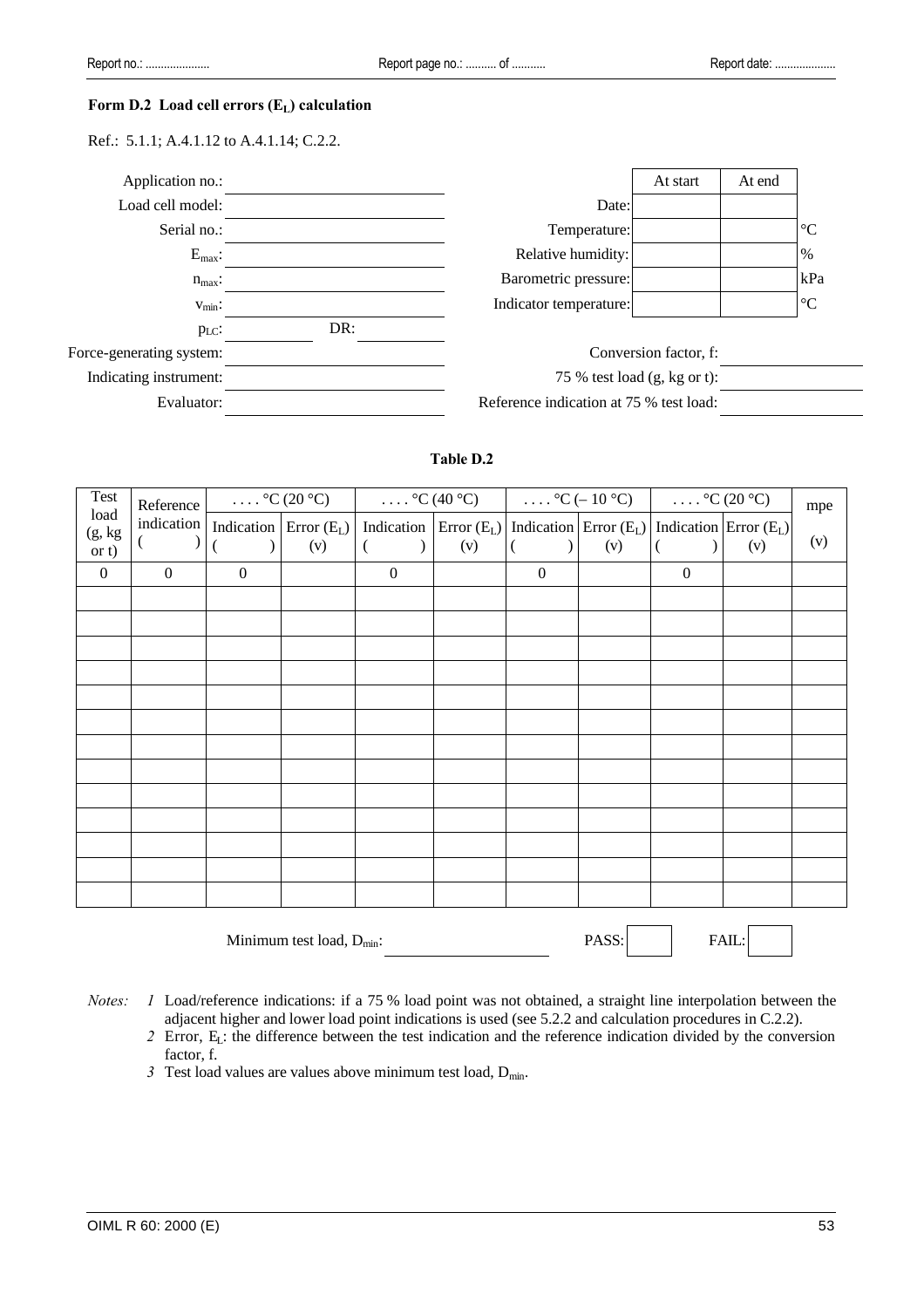#### **Form D.2 Load cell errors (EL) calculation**

Ref.: 5.1.1; A.4.1.12 to A.4.1.14; C.2.2.



# **Table D.2**

| Test            | Reference        |                  | $\ldots$ °C (20 °C)      | $\ldots$ °C (40 °C) |                                                    |                  | $\ldots$ °C (- 10 °C)                                   | $\ldots$ °C (20 °C) |     | mpe |
|-----------------|------------------|------------------|--------------------------|---------------------|----------------------------------------------------|------------------|---------------------------------------------------------|---------------------|-----|-----|
| load<br>(g, kg) | indication       |                  | Indication Error $(E_L)$ |                     | Indication $\vert$ Error (E <sub>L</sub> ) $\vert$ |                  | Indication $\text{Error}(E_L)$ Indication Error $(E_L)$ |                     |     | (v) |
| or t)           |                  |                  | (v)                      | €                   | (v)                                                |                  | (v)                                                     |                     | (v) |     |
| $\overline{0}$  | $\boldsymbol{0}$ | $\boldsymbol{0}$ |                          | $\mathbf{0}$        |                                                    | $\boldsymbol{0}$ |                                                         | $\boldsymbol{0}$    |     |     |
|                 |                  |                  |                          |                     |                                                    |                  |                                                         |                     |     |     |
|                 |                  |                  |                          |                     |                                                    |                  |                                                         |                     |     |     |
|                 |                  |                  |                          |                     |                                                    |                  |                                                         |                     |     |     |
|                 |                  |                  |                          |                     |                                                    |                  |                                                         |                     |     |     |
|                 |                  |                  |                          |                     |                                                    |                  |                                                         |                     |     |     |
|                 |                  |                  |                          |                     |                                                    |                  |                                                         |                     |     |     |
|                 |                  |                  |                          |                     |                                                    |                  |                                                         |                     |     |     |
|                 |                  |                  |                          |                     |                                                    |                  |                                                         |                     |     |     |
|                 |                  |                  |                          |                     |                                                    |                  |                                                         |                     |     |     |
|                 |                  |                  |                          |                     |                                                    |                  |                                                         |                     |     |     |
|                 |                  |                  |                          |                     |                                                    |                  |                                                         |                     |     |     |
|                 |                  |                  |                          |                     |                                                    |                  |                                                         |                     |     |     |
|                 |                  |                  |                          |                     |                                                    |                  |                                                         |                     |     |     |
|                 |                  |                  |                          |                     |                                                    |                  |                                                         |                     |     |     |

*Notes: 1* Load/reference indications: if a 75 % load point was not obtained, a straight line interpolation between the adjacent higher and lower load point indications is used (see 5.2.2 and calculation procedures in C.2.2).

*2* Error, EL: the difference between the test indication and the reference indication divided by the conversion factor, f.

Minimum test load,  $D_{min}$ : PASS: FAIL:

*3* Test load values are values above minimum test load,  $D_{\text{min}}$ .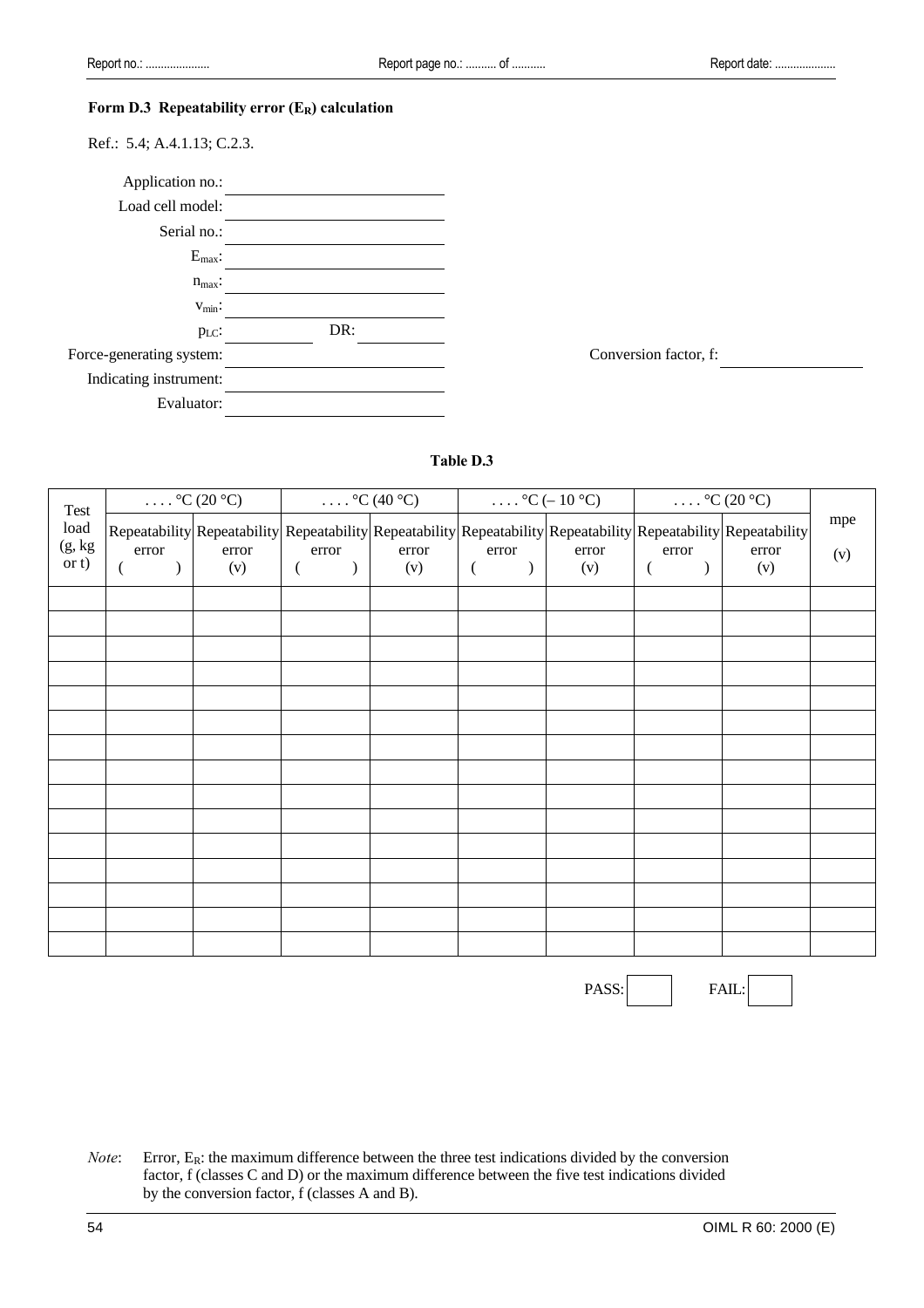#### **Form D.3 Repeatability error (ER) calculation**

Ref.: 5.4; A.4.1.13; C.2.3.



# **Table D.3**

| Test    |                                   | $\ldots$ °C (20 °C) |                                                                                                                 | $\ldots$ °C (40 °C) |                           | $\ldots$ °C (-10 °C) |                           | $\ldots$ °C (20 °C) |     |
|---------|-----------------------------------|---------------------|-----------------------------------------------------------------------------------------------------------------|---------------------|---------------------------|----------------------|---------------------------|---------------------|-----|
| load    |                                   |                     | Repeatability Repeatability Repeatability Repeatability Repeatability Repeatability Repeatability Repeatability |                     |                           |                      |                           |                     | mpe |
| (g, kg) | error                             | error               | error                                                                                                           | error               | error                     | error                | error                     | error               | (v) |
| or t)   | $\mathcal{L}$<br>$\overline{(\ }$ | (v)                 | $\left($<br>$\overline{)}$                                                                                      | (v)                 | $\left($<br>$\mathcal{E}$ | (v)                  | $\left($<br>$\mathcal{E}$ | (v)                 |     |
|         |                                   |                     |                                                                                                                 |                     |                           |                      |                           |                     |     |
|         |                                   |                     |                                                                                                                 |                     |                           |                      |                           |                     |     |
|         |                                   |                     |                                                                                                                 |                     |                           |                      |                           |                     |     |
|         |                                   |                     |                                                                                                                 |                     |                           |                      |                           |                     |     |
|         |                                   |                     |                                                                                                                 |                     |                           |                      |                           |                     |     |
|         |                                   |                     |                                                                                                                 |                     |                           |                      |                           |                     |     |
|         |                                   |                     |                                                                                                                 |                     |                           |                      |                           |                     |     |
|         |                                   |                     |                                                                                                                 |                     |                           |                      |                           |                     |     |
|         |                                   |                     |                                                                                                                 |                     |                           |                      |                           |                     |     |
|         |                                   |                     |                                                                                                                 |                     |                           |                      |                           |                     |     |
|         |                                   |                     |                                                                                                                 |                     |                           |                      |                           |                     |     |
|         |                                   |                     |                                                                                                                 |                     |                           |                      |                           |                     |     |
|         |                                   |                     |                                                                                                                 |                     |                           |                      |                           |                     |     |
|         |                                   |                     |                                                                                                                 |                     |                           |                      |                           |                     |     |
|         |                                   |                     |                                                                                                                 |                     |                           |                      |                           |                     |     |

PASS: FAIL:

*Note*: Error,  $E_R$ : the maximum difference between the three test indications divided by the conversion factor, f (classes C and D) or the maximum difference between the five test indications divided by the conversion factor, f (classes A and B).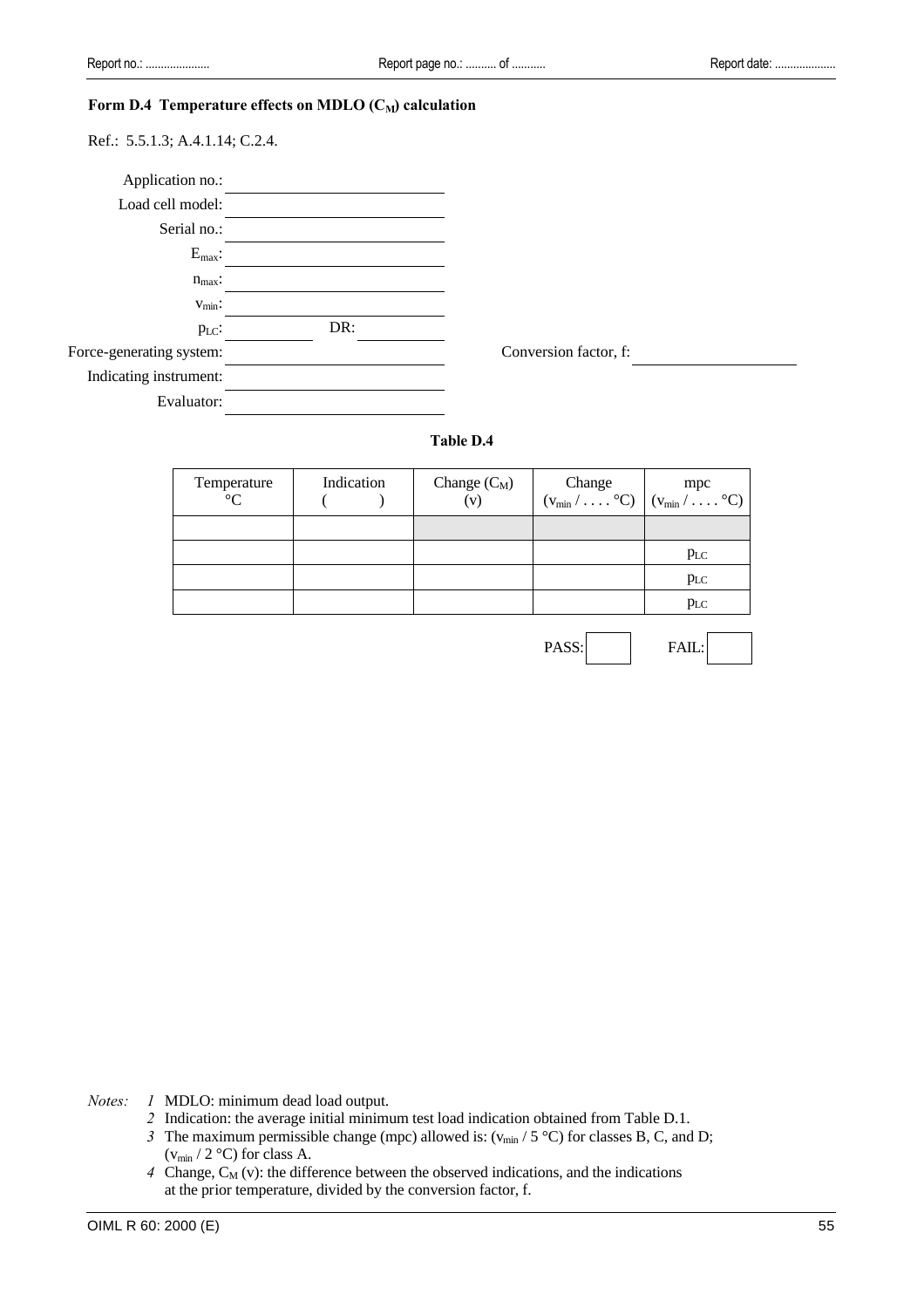# Form D.4 Temperature effects on MDLO (C<sub>M</sub>) calculation

Ref.: 5.5.1.3; A.4.1.14; C.2.4.

| Application no.:         |     |                       |  |
|--------------------------|-----|-----------------------|--|
| Load cell model:         |     |                       |  |
| Serial no.:              |     |                       |  |
| $E_{\text{max}}$ :       |     |                       |  |
| $n_{max}$ :              |     |                       |  |
| $v_{\text{min}}$ :       |     |                       |  |
| $p_{LC}$ :               | DR: |                       |  |
| Force-generating system: |     | Conversion factor, f: |  |
| Indicating instrument:   |     |                       |  |
| Evaluator:               |     |                       |  |

PASS: FAIL:

#### **Table D.4**

| Temperature<br>$^{\circ}C$ | Indication | Change $(C_M)$<br>(v) | Change $(w_{min} / \ldots \degree C)$ $(w_{min} / \ldots \degree C)$ |
|----------------------------|------------|-----------------------|----------------------------------------------------------------------|
|                            |            |                       |                                                                      |
|                            |            |                       | $p_{LC}$                                                             |
|                            |            |                       | $p_{LC}$                                                             |
|                            |            |                       | $p_{LC}$                                                             |
|                            |            |                       |                                                                      |

*Notes: 1* MDLO: minimum dead load output.

- *2* Indication: the average initial minimum test load indication obtained from Table D.1.
- *3* The maximum permissible change (mpc) allowed is:  $(v_{min} / 5 \degree C)$  for classes B, C, and D;  $(v_{min} / 2 \text{ °C})$  for class A.
- $4$  Change,  $C_M$  (v): the difference between the observed indications, and the indications at the prior temperature, divided by the conversion factor, f.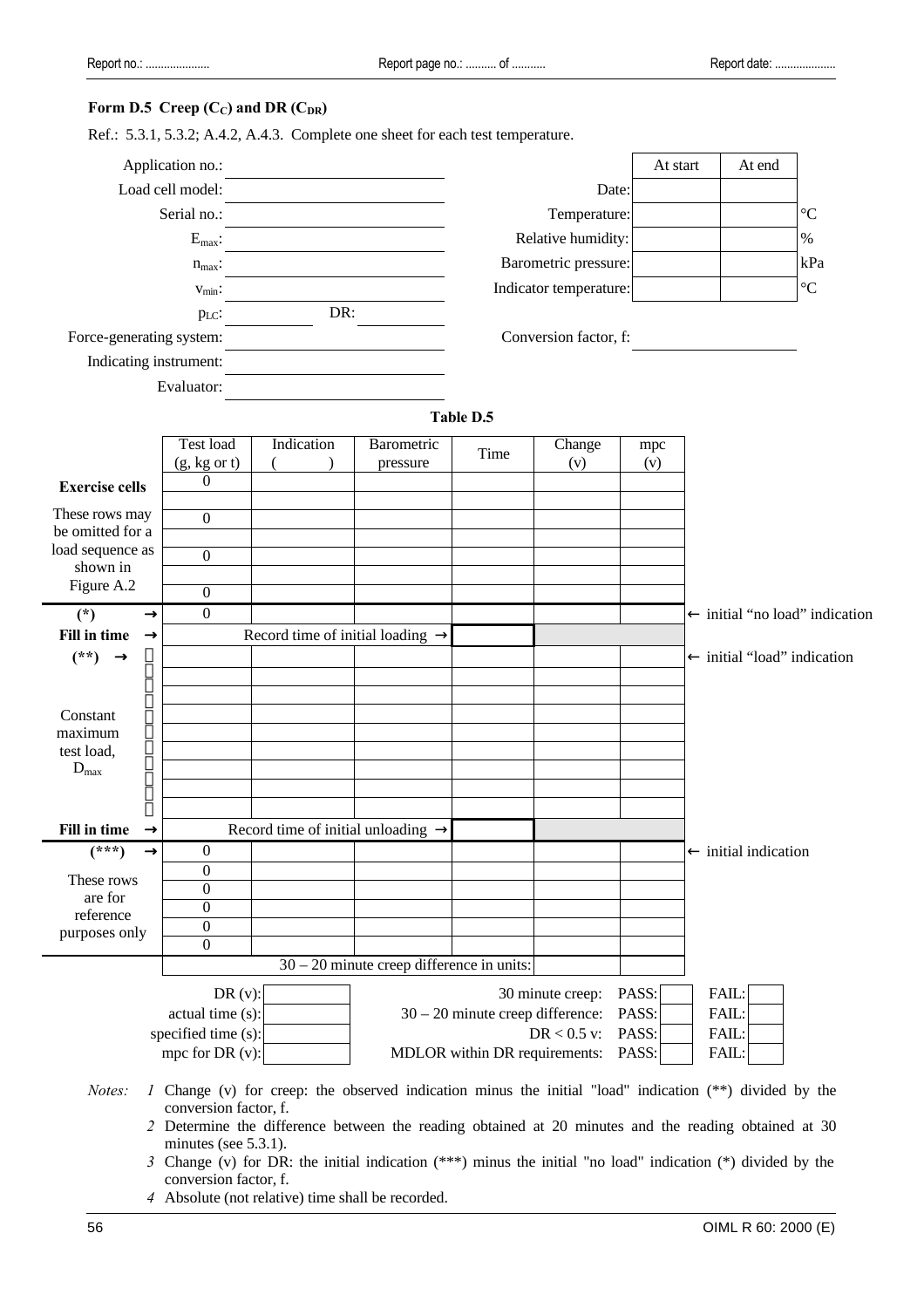# **Form D.5 Creep (CC) and DR (CDR)**

|  | Ref.: 5.3.1, 5.3.2; A.4.2, A.4.3. Complete one sheet for each test temperature. |  |
|--|---------------------------------------------------------------------------------|--|
|  |                                                                                 |  |

|                                      | Application no.:                        |                                                |                                                                                                                |                                    |                        | At start       |                | At end                                 |                                |
|--------------------------------------|-----------------------------------------|------------------------------------------------|----------------------------------------------------------------------------------------------------------------|------------------------------------|------------------------|----------------|----------------|----------------------------------------|--------------------------------|
|                                      | Load cell model:                        |                                                |                                                                                                                |                                    | Date:                  |                |                |                                        |                                |
|                                      | Serial no.:                             |                                                |                                                                                                                |                                    | Temperature:           |                |                |                                        | $\rm ^{\circ}C$                |
|                                      | $\mathbf{E}_{\max}\mathbf{:}$           |                                                |                                                                                                                |                                    | Relative humidity:     |                |                |                                        | $\%$                           |
|                                      | $n_{max}$ :                             |                                                |                                                                                                                |                                    | Barometric pressure:   |                |                |                                        | kPa                            |
|                                      | $V_{\text{min}}$ :                      |                                                |                                                                                                                |                                    | Indicator temperature: |                |                |                                        | $\rm ^{\circ}C$                |
|                                      | p <sub>LC</sub> :                       | DR:                                            |                                                                                                                |                                    |                        |                |                |                                        |                                |
| Force-generating system:             |                                         |                                                |                                                                                                                |                                    | Conversion factor, f:  |                |                |                                        |                                |
| Indicating instrument:               |                                         |                                                |                                                                                                                |                                    |                        |                |                |                                        |                                |
|                                      | Evaluator:                              |                                                |                                                                                                                |                                    |                        |                |                |                                        |                                |
|                                      |                                         |                                                |                                                                                                                | <b>Table D.5</b>                   |                        |                |                |                                        |                                |
|                                      | Test load                               | Indication                                     | Barometric                                                                                                     | Time                               | Change                 | mpc            |                |                                        |                                |
|                                      | $(g, kg \text{ or } t)$                 |                                                | pressure                                                                                                       |                                    | (v)                    | (v)            |                |                                        |                                |
| <b>Exercise cells</b>                | $\boldsymbol{0}$                        |                                                |                                                                                                                |                                    |                        |                |                |                                        |                                |
| These rows may                       | $\boldsymbol{0}$                        |                                                |                                                                                                                |                                    |                        |                |                |                                        |                                |
| be omitted for a<br>load sequence as |                                         |                                                |                                                                                                                |                                    |                        |                |                |                                        |                                |
| shown in                             | $\overline{0}$                          |                                                |                                                                                                                |                                    |                        |                |                |                                        |                                |
| Figure A.2                           | $\overline{0}$                          |                                                |                                                                                                                |                                    |                        |                |                |                                        |                                |
| $^\circledR$<br>$(*)$                | $\mathbf{0}$                            |                                                |                                                                                                                |                                    |                        |                |                |                                        | ← initial "no load" indication |
| Fill in time<br>$^{\circledR}$       |                                         | Record time of initial loading $\rightarrow$   |                                                                                                                |                                    |                        |                |                |                                        |                                |
| $(**)$<br>®                          |                                         |                                                |                                                                                                                |                                    |                        |                |                | $\leftarrow$ initial "load" indication |                                |
|                                      |                                         |                                                |                                                                                                                |                                    |                        |                |                |                                        |                                |
| Constant                             |                                         |                                                |                                                                                                                |                                    |                        |                |                |                                        |                                |
| maximum                              |                                         |                                                |                                                                                                                |                                    |                        |                |                |                                        |                                |
| test load,<br>$D_{\text{max}}$       |                                         |                                                |                                                                                                                |                                    |                        |                |                |                                        |                                |
|                                      |                                         |                                                |                                                                                                                |                                    |                        |                |                |                                        |                                |
|                                      |                                         |                                                |                                                                                                                |                                    |                        |                |                |                                        |                                |
| Fill in time<br>®                    |                                         | Record time of initial unloading $\rightarrow$ |                                                                                                                |                                    |                        |                |                |                                        |                                |
| $(***)$<br>®                         | 0                                       |                                                |                                                                                                                |                                    |                        |                |                | $\leftarrow$ initial indication        |                                |
| These rows                           | $\overline{0}$<br>$\overline{0}$        |                                                |                                                                                                                |                                    |                        |                |                |                                        |                                |
| are for                              | $\overline{0}$                          |                                                |                                                                                                                |                                    |                        |                |                |                                        |                                |
| reference<br>purposes only           | $\boldsymbol{0}$                        |                                                |                                                                                                                |                                    |                        |                |                |                                        |                                |
|                                      | $\overline{0}$                          |                                                |                                                                                                                |                                    |                        |                |                |                                        |                                |
|                                      |                                         |                                                | $30 - 20$ minute creep difference in units:                                                                    |                                    |                        |                |                |                                        |                                |
|                                      | DR(v):                                  |                                                |                                                                                                                |                                    | 30 minute creep:       | PASS:          | FAIL:          |                                        |                                |
|                                      | actual time (s):<br>specified time (s): |                                                |                                                                                                                | $30 - 20$ minute creep difference: | $DR < 0.5$ v:          | PASS:<br>PASS: | FAIL:<br>FAIL: |                                        |                                |
|                                      | mpc for DR $(v)$ :                      |                                                |                                                                                                                | MDLOR within DR requirements:      |                        | PASS:          | FAIL:          |                                        |                                |
| Notes:                               | conversion factor, f.                   |                                                | <i>l</i> Change (v) for creep: the observed indication minus the initial "load" indication (**) divided by the |                                    |                        |                |                |                                        |                                |
|                                      | minutes (see $5.3.1$ ).                 |                                                | 2 Determine the difference between the reading obtained at 20 minutes and the reading obtained at 30           |                                    |                        |                |                |                                        |                                |

- *3* Change (v) for DR: the initial indication (\*\*\*) minus the initial "no load" indication (\*) divided by the conversion factor, f.
- *4* Absolute (not relative) time shall be recorded.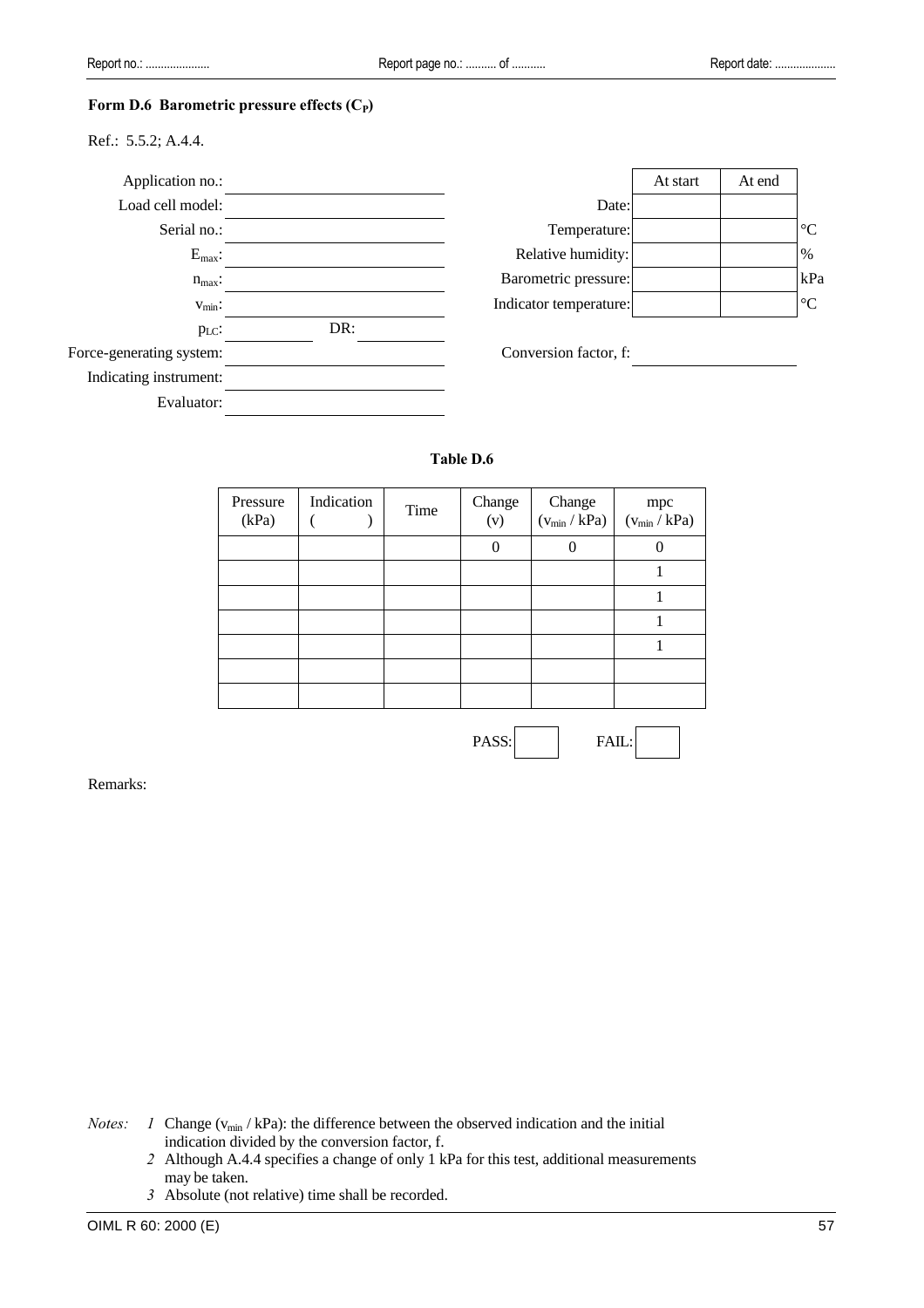#### Form D.6 Barometric pressure effects (C<sub>P</sub>)

Ref.: 5.5.2; A.4.4.



# **Table D.6**

| Pressure<br>(kPa) | Indication | Time | Change<br>(v) | Change<br>$(v_{min} / kPa)$ | mpc<br>$(v_{min} / kPa)$ |
|-------------------|------------|------|---------------|-----------------------------|--------------------------|
|                   |            |      |               |                             |                          |
|                   |            |      |               |                             |                          |
|                   |            |      |               |                             |                          |
|                   |            |      |               |                             |                          |
|                   |            |      |               |                             |                          |
|                   |            |      |               |                             |                          |
|                   |            |      |               |                             |                          |

PASS: FAIL:

Remarks:

*Notes: 1* Change  $(v_{min} / kPa)$ : the difference between the observed indication and the initial indication divided by the conversion factor, f.

- *2* Although A.4.4 specifies a change of only 1 kPa for this test, additional measurements may be taken.
- *3* Absolute (not relative) time shall be recorded.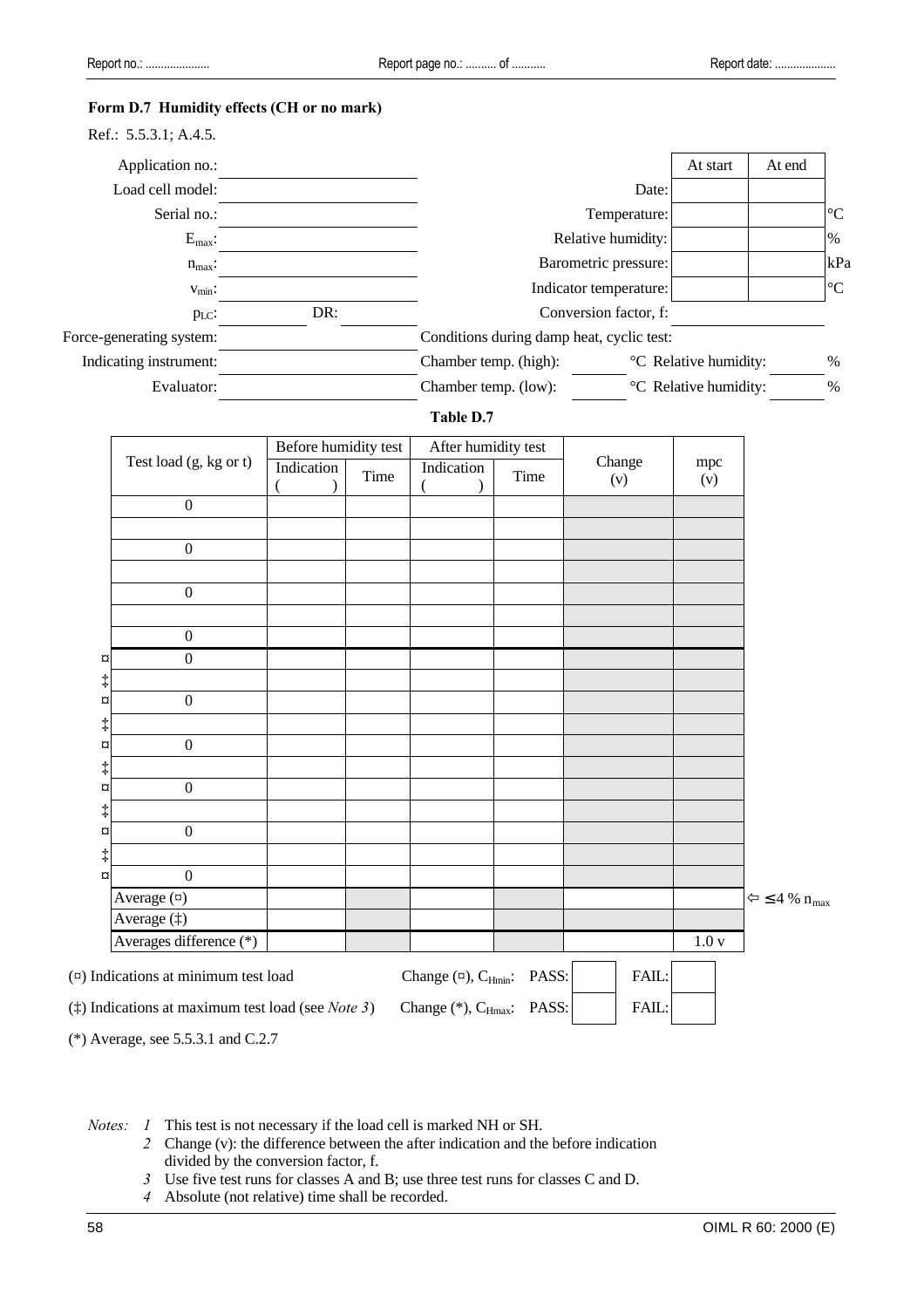# **Form D.7 Humidity effects (CH or no mark)**

| Ref.: 5.5.3.1; A.4.5.    |     |                                           |                                   |        |                 |
|--------------------------|-----|-------------------------------------------|-----------------------------------|--------|-----------------|
| Application no.:         |     |                                           | At start                          | At end |                 |
| Load cell model:         |     | Date:                                     |                                   |        |                 |
| Serial no.:              |     | Temperature:                              |                                   |        | $\rm ^{\circ}C$ |
| $E_{\text{max}}$ :       |     | Relative humidity:                        |                                   |        | $\%$            |
| $n_{max}$ :              |     | Barometric pressure:                      |                                   |        | kPa             |
| $V_{\text{min}}$ :       |     | Indicator temperature:                    |                                   |        | $\rm ^{\circ}C$ |
| $p_{LC}$ :               | DR: | Conversion factor, f:                     |                                   |        |                 |
| Force-generating system: |     | Conditions during damp heat, cyclic test: |                                   |        |                 |
| Indicating instrument:   |     | Chamber temp. (high):                     | <sup>o</sup> C Relative humidity: |        | %               |
| Evaluator:               |     | Chamber temp. (low):                      | <sup>o</sup> C Relative humidity: |        | $\%$            |

# **Table D.7**

|                                                      | Before humidity test |      | After humidity test |      |               |            |                                          |
|------------------------------------------------------|----------------------|------|---------------------|------|---------------|------------|------------------------------------------|
| Test load (g, kg or t)                               | Indication           | Time | Indication          | Time | Change<br>(v) | mpc<br>(v) |                                          |
| $\boldsymbol{0}$                                     |                      |      |                     |      |               |            |                                          |
|                                                      |                      |      |                     |      |               |            |                                          |
| $\boldsymbol{0}$                                     |                      |      |                     |      |               |            |                                          |
| $\boldsymbol{0}$                                     |                      |      |                     |      |               |            |                                          |
| $\boldsymbol{0}$                                     |                      |      |                     |      |               |            |                                          |
| $\mathbf{0}$<br>$\alpha$                             |                      |      |                     |      |               |            |                                          |
| ţ<br>$\boldsymbol{0}$<br>¤                           |                      |      |                     |      |               |            |                                          |
| ţ                                                    |                      |      |                     |      |               |            |                                          |
| $\boldsymbol{0}$<br>¤<br>ţ                           |                      |      |                     |      |               |            |                                          |
| $\boldsymbol{0}$<br>¤                                |                      |      |                     |      |               |            |                                          |
| ţ<br>$\boldsymbol{0}$<br>¤                           |                      |      |                     |      |               |            |                                          |
| $\ddagger$                                           |                      |      |                     |      |               |            |                                          |
| $\boldsymbol{0}$<br>$\alpha$<br>Average ( $\alpha$ ) |                      |      |                     |      |               |            | $\Leftrightarrow$ ≤ 4 % $n_{\text{max}}$ |
| Average (‡)                                          |                      |      |                     |      |               |            |                                          |
| Averages difference (*)                              |                      |      |                     |      |               | 1.0v       |                                          |

(\*) Average, see 5.5.3.1 and C.2.7

*Notes: 1* This test is not necessary if the load cell is marked NH or SH.

- *2* Change (v): the difference between the after indication and the before indication divided by the conversion factor, f.
- *3* Use five test runs for classes A and B; use three test runs for classes C and D.
- *4* Absolute (not relative) time shall be recorded.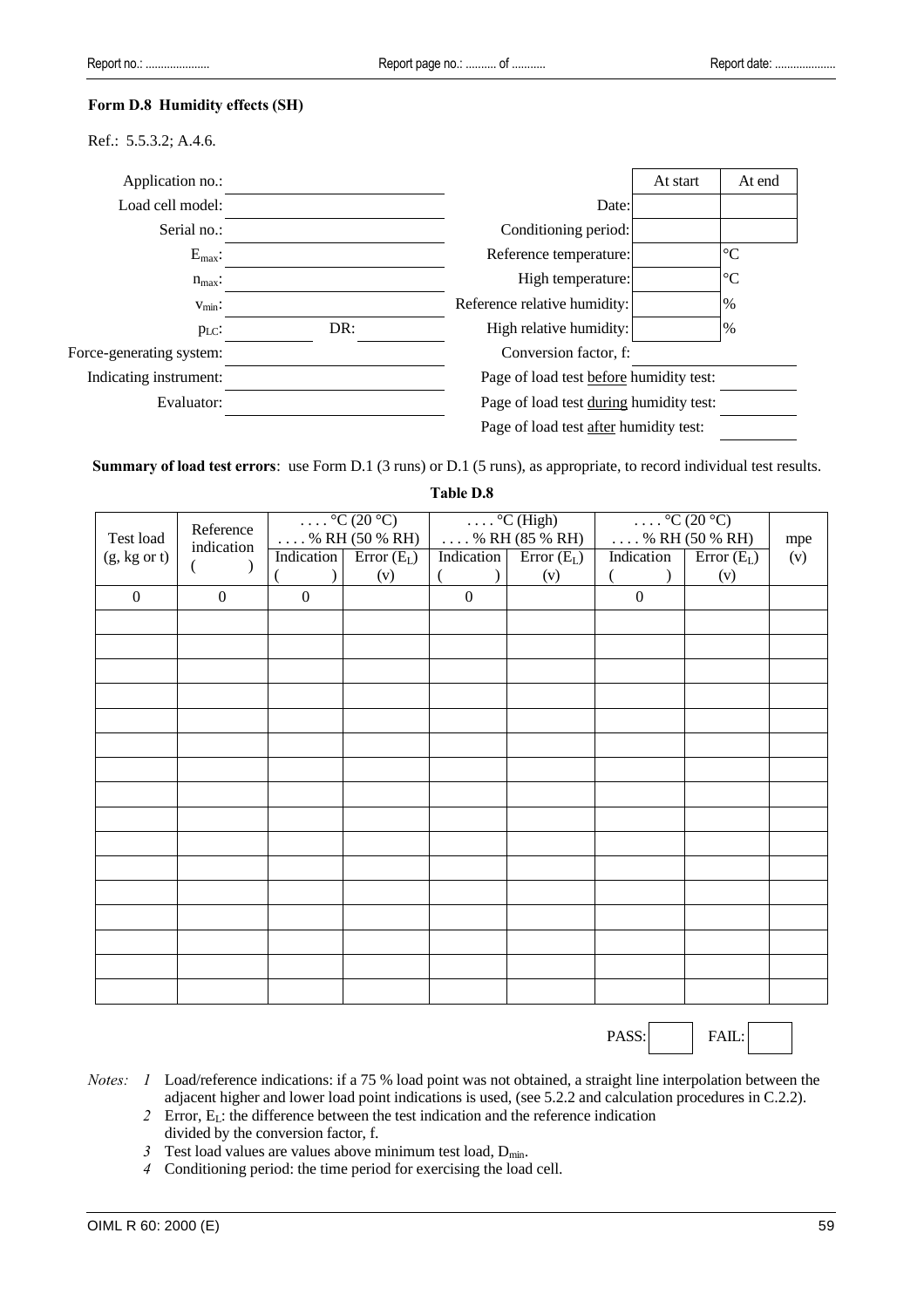#### **Form D.8 Humidity effects (SH)**

Ref.: 5.5.3.2; A.4.6.

| Application no.:         |     |                                         | At start | At end          |
|--------------------------|-----|-----------------------------------------|----------|-----------------|
| Load cell model:         |     | Date:                                   |          |                 |
| Serial no.:              |     | Conditioning period:                    |          |                 |
| $E_{\text{max}}$ :       |     | Reference temperature:                  |          | $\rm ^{\circ}C$ |
| $n_{max}$ :              |     | High temperature:                       |          | $\rm ^{\circ}C$ |
| $V_{\text{min}}$ :       |     | Reference relative humidity:            |          | $\%$            |
| $p_{LC}$ :               | DR: | High relative humidity:                 |          | %               |
| Force-generating system: |     | Conversion factor, f:                   |          |                 |
| Indicating instrument:   |     | Page of load test before humidity test: |          |                 |
| Evaluator:               |     | Page of load test during humidity test: |          |                 |
|                          |     | Page of load test after humidity test:  |          |                 |

**Summary of load test errors**: use Form D.1 (3 runs) or D.1 (5 runs), as appropriate, to record individual test results.

**Table D.8**

|                         | Reference    |                  | $\ldots$ °C (20 °C)     |              | $\ldots$ °C (High)      | $\ldots$ °C (20 °C)     |              |     |
|-------------------------|--------------|------------------|-------------------------|--------------|-------------------------|-------------------------|--------------|-----|
| Test load               | indication   |                  | $\ldots$ % RH (50 % RH) |              | $\ldots$ % RH (85 % RH) | $\ldots$ % RH (50 % RH) |              | mpe |
| $(g, kg \text{ or } t)$ |              | Indication       | $Error(E_L)$            | Indication   | $Error(E_L)$            | Indication              | $Error(E_L)$ | (v) |
|                         |              |                  | (v)                     |              | (v)                     |                         | (v)          |     |
| $\mathbf{0}$            | $\mathbf{0}$ | $\boldsymbol{0}$ |                         | $\mathbf{0}$ |                         | $\mathbf{0}$            |              |     |
|                         |              |                  |                         |              |                         |                         |              |     |
|                         |              |                  |                         |              |                         |                         |              |     |
|                         |              |                  |                         |              |                         |                         |              |     |
|                         |              |                  |                         |              |                         |                         |              |     |
|                         |              |                  |                         |              |                         |                         |              |     |
|                         |              |                  |                         |              |                         |                         |              |     |
|                         |              |                  |                         |              |                         |                         |              |     |
|                         |              |                  |                         |              |                         |                         |              |     |
|                         |              |                  |                         |              |                         |                         |              |     |
|                         |              |                  |                         |              |                         |                         |              |     |
|                         |              |                  |                         |              |                         |                         |              |     |
|                         |              |                  |                         |              |                         |                         |              |     |
|                         |              |                  |                         |              |                         |                         |              |     |
|                         |              |                  |                         |              |                         |                         |              |     |
|                         |              |                  |                         |              |                         |                         |              |     |
|                         |              |                  |                         |              |                         |                         |              |     |

PASS: | FAIL:

- *Notes: 1* Load/reference indications: if a 75 % load point was not obtained, a straight line interpolation between the adjacent higher and lower load point indications is used, (see 5.2.2 and calculation procedures in C.2.2).
	- *2* Error, EL: the difference between the test indication and the reference indication divided by the conversion factor, f.
	- $3$  Test load values are values above minimum test load,  $D_{min}$ .
	- *4* Conditioning period: the time period for exercising the load cell.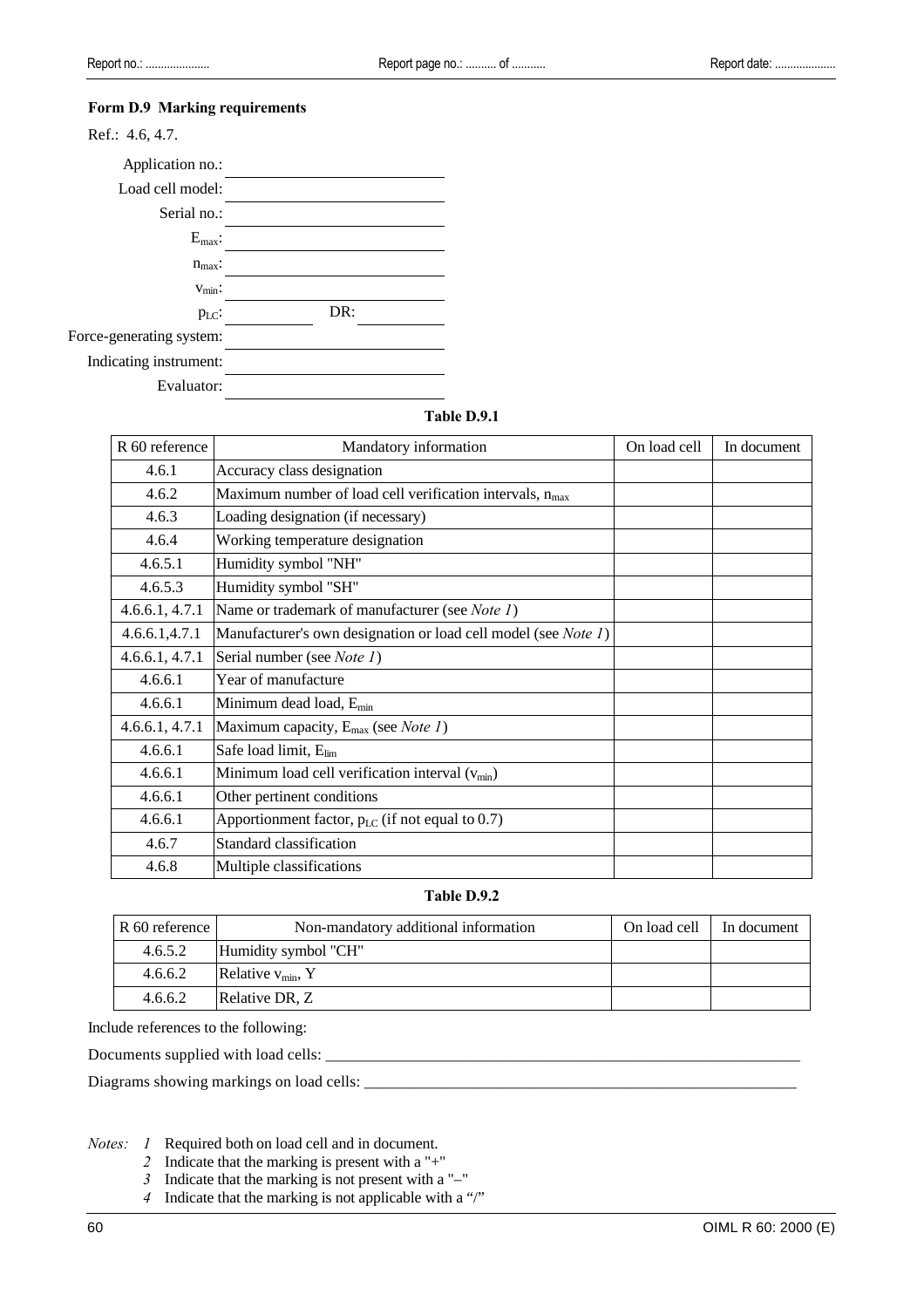#### **Form D.9 Marking requirements**

| Ref.: 4.6, 4.7.          |     |
|--------------------------|-----|
| Application no.:         |     |
| Load cell model:         |     |
| Serial no.:              |     |
| $E_{\text{max}}$ :       |     |
| $n_{\text{max}}$ :       |     |
| $v_{\text{min}}$ :       |     |
| $p_{LC}$ :               | DR: |
| Force-generating system: |     |
| Indicating instrument:   |     |

Evaluator:

#### **Table D.9.1**

| R 60 reference | Mandatory information                                          | On load cell | In document |
|----------------|----------------------------------------------------------------|--------------|-------------|
| 4.6.1          | Accuracy class designation                                     |              |             |
| 4.6.2          | Maximum number of load cell verification intervals, $n_{max}$  |              |             |
| 4.6.3          | Loading designation (if necessary)                             |              |             |
| 4.6.4          | Working temperature designation                                |              |             |
| 4.6.5.1        | Humidity symbol "NH"                                           |              |             |
| 4.6.5.3        | Humidity symbol "SH"                                           |              |             |
| 4.6.6.1, 4.7.1 | Name or trademark of manufacturer (see Note 1)                 |              |             |
| 4.6.6.1, 4.7.1 | Manufacturer's own designation or load cell model (see Note 1) |              |             |
| 4.6.6.1, 4.7.1 | Serial number (see Note 1)                                     |              |             |
| 4.6.6.1        | Year of manufacture                                            |              |             |
| 4.6.6.1        | Minimum dead load, E <sub>min</sub>                            |              |             |
| 4.6.6.1, 4.7.1 | Maximum capacity, $E_{max}$ (see <i>Note 1</i> )               |              |             |
| 4.6.6.1        | Safe load limit, Elim                                          |              |             |
| 4.6.6.1        | Minimum load cell verification interval $(v_{min})$            |              |             |
| 4.6.6.1        | Other pertinent conditions                                     |              |             |
| 4.6.6.1        | Apportionment factor, $p_{LC}$ (if not equal to 0.7)           |              |             |
| 4.6.7          | Standard classification                                        |              |             |
| 4.6.8          | Multiple classifications                                       |              |             |

# **Table D.9.2**

| R 60 reference | Non-mandatory additional information | On load cell I In document |  |
|----------------|--------------------------------------|----------------------------|--|
| 4.6.5.2        | Humidity symbol "CH"                 |                            |  |
| 4.6.6.2        | Relative $v_{\text{min}}$ , Y        |                            |  |
| 4.6.6.2        | Relative DR, Z                       |                            |  |

Include references to the following:

Documents supplied with load cells: \_\_\_\_\_\_\_\_\_\_\_\_\_\_\_\_\_\_\_\_\_\_\_\_\_\_\_\_\_\_\_\_\_\_\_\_\_\_\_\_\_\_\_\_\_\_\_\_\_\_\_\_\_\_\_\_\_\_\_

Diagrams showing markings on load cells: \_\_\_\_\_\_\_\_\_\_\_\_\_\_\_\_\_\_\_\_\_\_\_\_\_\_\_\_\_\_\_\_\_\_\_\_\_\_\_\_\_\_\_\_\_\_\_\_\_\_\_\_\_\_

*Notes: 1* Required both on load cell and in document.

- *2* Indicate that the marking is present with a "+"
- *3* Indicate that the marking is not present with a "–"
- *4* Indicate that the marking is not applicable with a "/"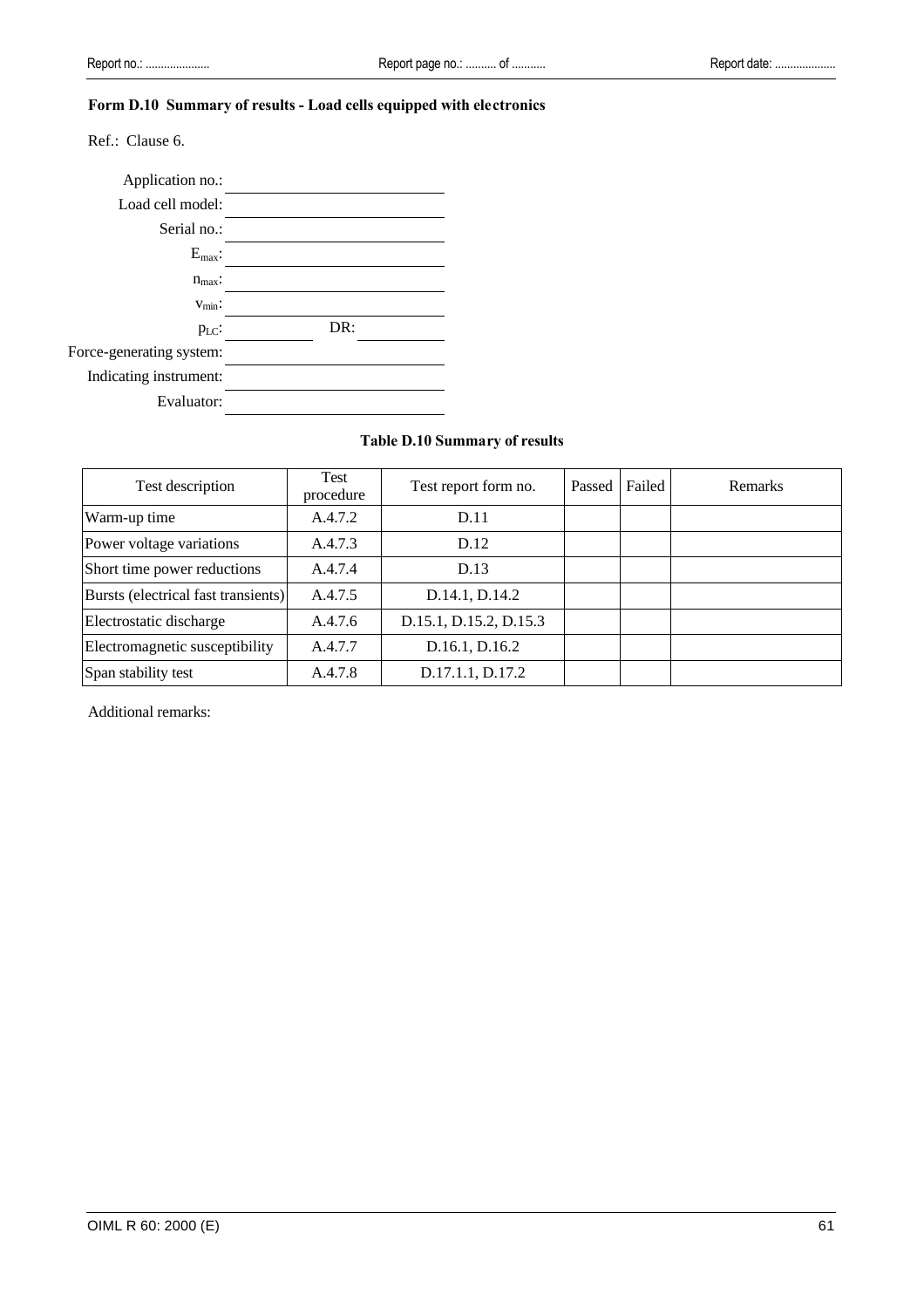# **Form D.10 Summary of results - Load cells equipped with electronics**

Ref.: Clause 6.



# **Table D.10 Summary of results**

| Test description                    | Test<br>procedure | Test report form no.   | Passed | Failed | Remarks |
|-------------------------------------|-------------------|------------------------|--------|--------|---------|
| Warm-up time                        | A.4.7.2           | D.11                   |        |        |         |
| Power voltage variations            | A.4.7.3           | D.12                   |        |        |         |
| Short time power reductions         | A.4.7.4           | D.13                   |        |        |         |
| Bursts (electrical fast transients) | A.4.7.5           | D.14.1, D.14.2         |        |        |         |
| Electrostatic discharge             | A.4.7.6           | D.15.1, D.15.2, D.15.3 |        |        |         |
| Electromagnetic susceptibility      | A.4.7.7           | D.16.1, D.16.2         |        |        |         |
| Span stability test                 | A.4.7.8           | D.17.1.1, D.17.2       |        |        |         |

Additional remarks: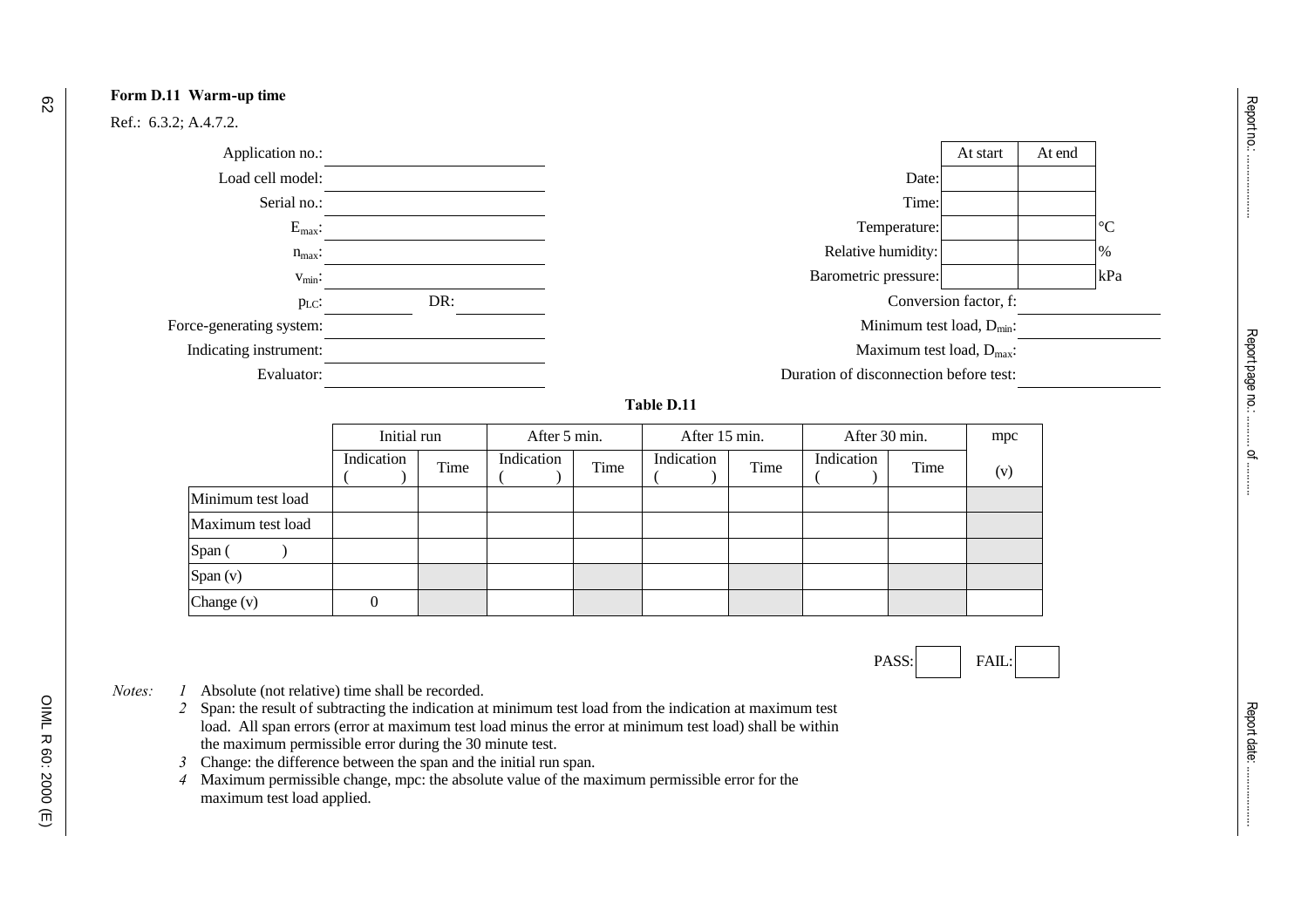

Ref.: 6.3.2; A.4.7.2.



**Table D.11**

|                   | Initial run |      | After 5 min. |      | After 15 min. |      | After 30 min. |      | mpc |
|-------------------|-------------|------|--------------|------|---------------|------|---------------|------|-----|
|                   | Indication  | Time | Indication   | Time | Indication    | Time | Indication    | Time | (v) |
| Minimum test load |             |      |              |      |               |      |               |      |     |
| Maximum test load |             |      |              |      |               |      |               |      |     |
| Span (            |             |      |              |      |               |      |               |      |     |
| Span (v)          |             |      |              |      |               |      |               |      |     |
| Change $(v)$      |             |      |              |      |               |      |               |      |     |



- *Notes: 1* Absolute (not relative) time shall be recorded.
	- *2* Span: the result of subtracting the indication at minimum test load from the indication at maximum test load. All span errors (error at maximum test load minus the error at minimum test load) shall be within the maximum permissible error during the 30 minute test.
	- *3* Change: the difference between the span and the initial run span.

*4* Maximum permissible change, mpc: the absolute value of the maximum permissible error for the maximum test load applied.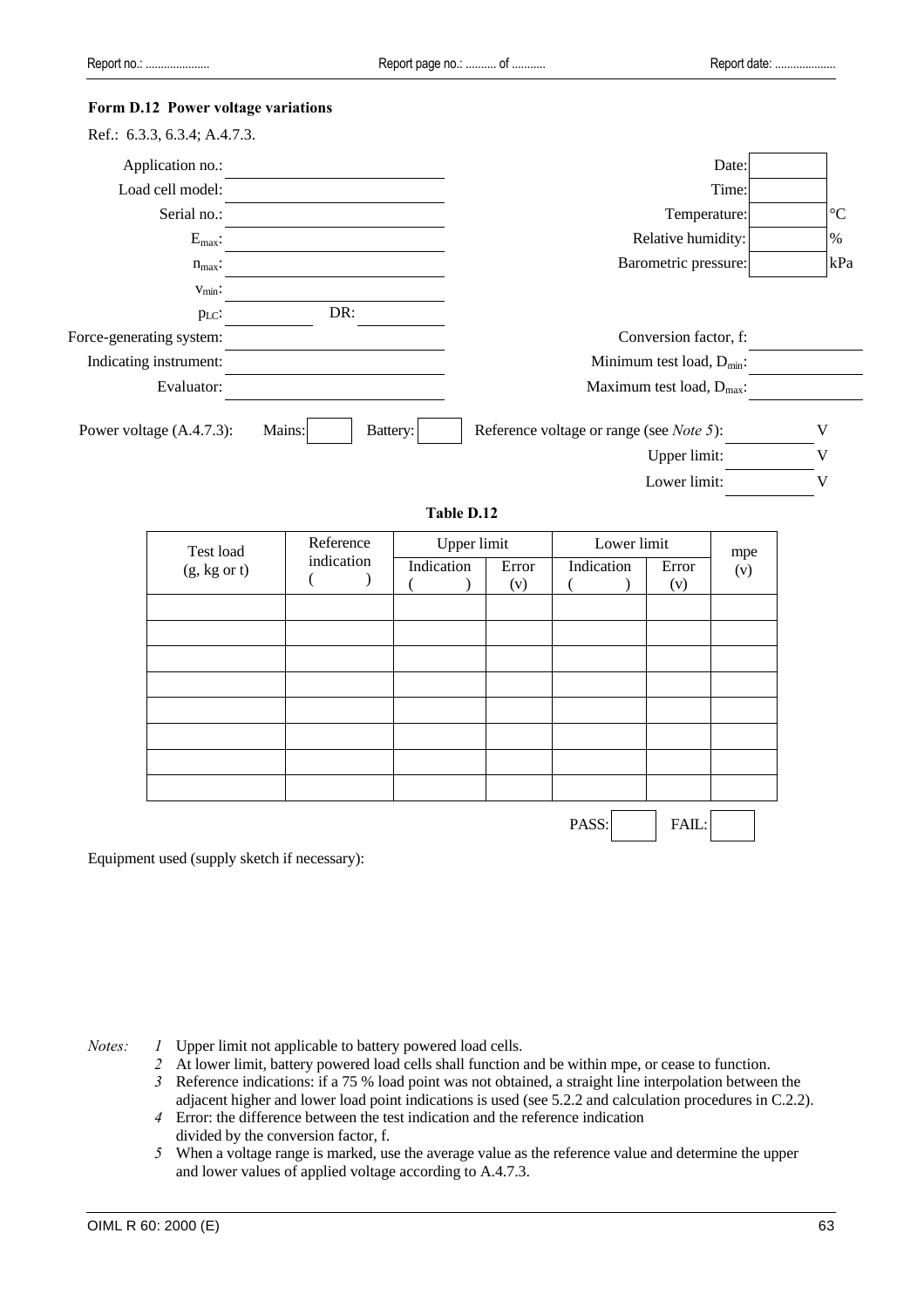#### **Form D.12 Power voltage variations**

| Ref.: 6.3.3, 6.3.4; A.4.7.3. |                    |                                                 |                 |
|------------------------------|--------------------|-------------------------------------------------|-----------------|
| Application no.:             |                    | Date:                                           |                 |
| Load cell model:             |                    | Time:                                           |                 |
| Serial no.:                  |                    | Temperature:                                    | $\rm ^{\circ}C$ |
| $E_{max}$ :                  |                    | Relative humidity:                              | %               |
| $n_{max}$ :                  |                    | Barometric pressure:                            | kPa             |
| $V_{\text{min}}$ :           |                    |                                                 |                 |
| PLC:                         | DR:                |                                                 |                 |
| Force-generating system:     |                    | Conversion factor, f:                           |                 |
| Indicating instrument:       |                    | Minimum test load, $D_{min}$ :                  |                 |
| Evaluator:                   |                    | Maximum test load, D <sub>max</sub> :           |                 |
| Power voltage (A.4.7.3):     | Mains:<br>Battery: | Reference voltage or range (see <i>Note</i> 5): | V               |
|                              |                    | Upper limit:                                    |                 |
|                              |                    | Lower limit:                                    |                 |

# **Table D.12**

| Test load    | Reference  | <b>Upper limit</b> |              | Lower limit |              | mpe |
|--------------|------------|--------------------|--------------|-------------|--------------|-----|
| (g, kg or t) | indication | Indication         | Error<br>(v) | Indication  | Error<br>(v) | (v) |
|              |            |                    |              |             |              |     |
|              |            |                    |              |             |              |     |
|              |            |                    |              |             |              |     |
|              |            |                    |              |             |              |     |
|              |            |                    |              |             |              |     |
|              |            |                    |              |             |              |     |
|              |            |                    |              |             |              |     |
|              |            |                    |              |             |              |     |
|              |            |                    |              | PASS:       | FAIL:        |     |

Equipment used (supply sketch if necessary):

- *Notes: 1* Upper limit not applicable to battery powered load cells.
	- *2* At lower limit, battery powered load cells shall function and be within mpe, or cease to function.
	- *3* Reference indications: if a 75 % load point was not obtained, a straight line interpolation between the adjacent higher and lower load point indications is used (see 5.2.2 and calculation procedures in C.2.2).
	- *4* Error: the difference between the test indication and the reference indication divided by the conversion factor, f.
	- *5* When a voltage range is marked, use the average value as the reference value and determine the upper and lower values of applied voltage according to A.4.7.3.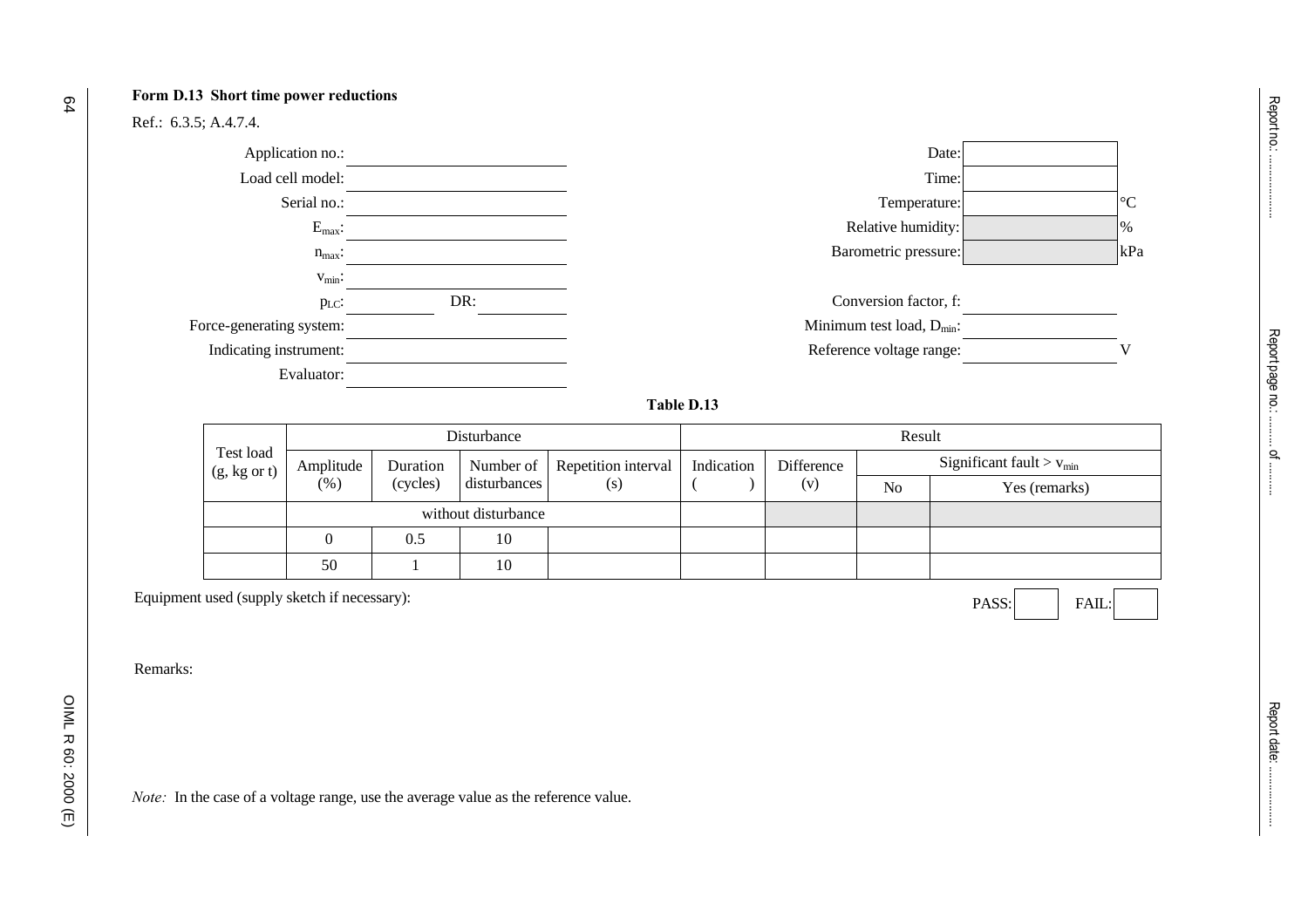#### **Form D.13 Short time power reductions**

Ref.: 6.3.5; A.4.7.4.



#### **Table D.13**

|                                      | Disturbance         |          |              |                                 |  | Result                   |    |                                        |  |  |
|--------------------------------------|---------------------|----------|--------------|---------------------------------|--|--------------------------|----|----------------------------------------|--|--|
| Test load<br>$(g, kg \text{ or } t)$ | Amplitude           | Duration |              | Number of   Repetition interval |  | Indication<br>Difference |    | Significant fault $>$ $v_{\text{min}}$ |  |  |
|                                      | (%)                 | (cycles) | disturbances | (s)                             |  | (v)                      | No | Yes (remarks)                          |  |  |
|                                      | without disturbance |          |              |                                 |  |                          |    |                                        |  |  |
|                                      |                     | 0.5      | 10           |                                 |  |                          |    |                                        |  |  |
|                                      | 50                  |          | 10           |                                 |  |                          |    |                                        |  |  |

Equipment used (supply sketch if necessary): FAIL: FAIL:

Remarks:

OIML R 60: 2000 (E)

OIML R 60: 2000 (E)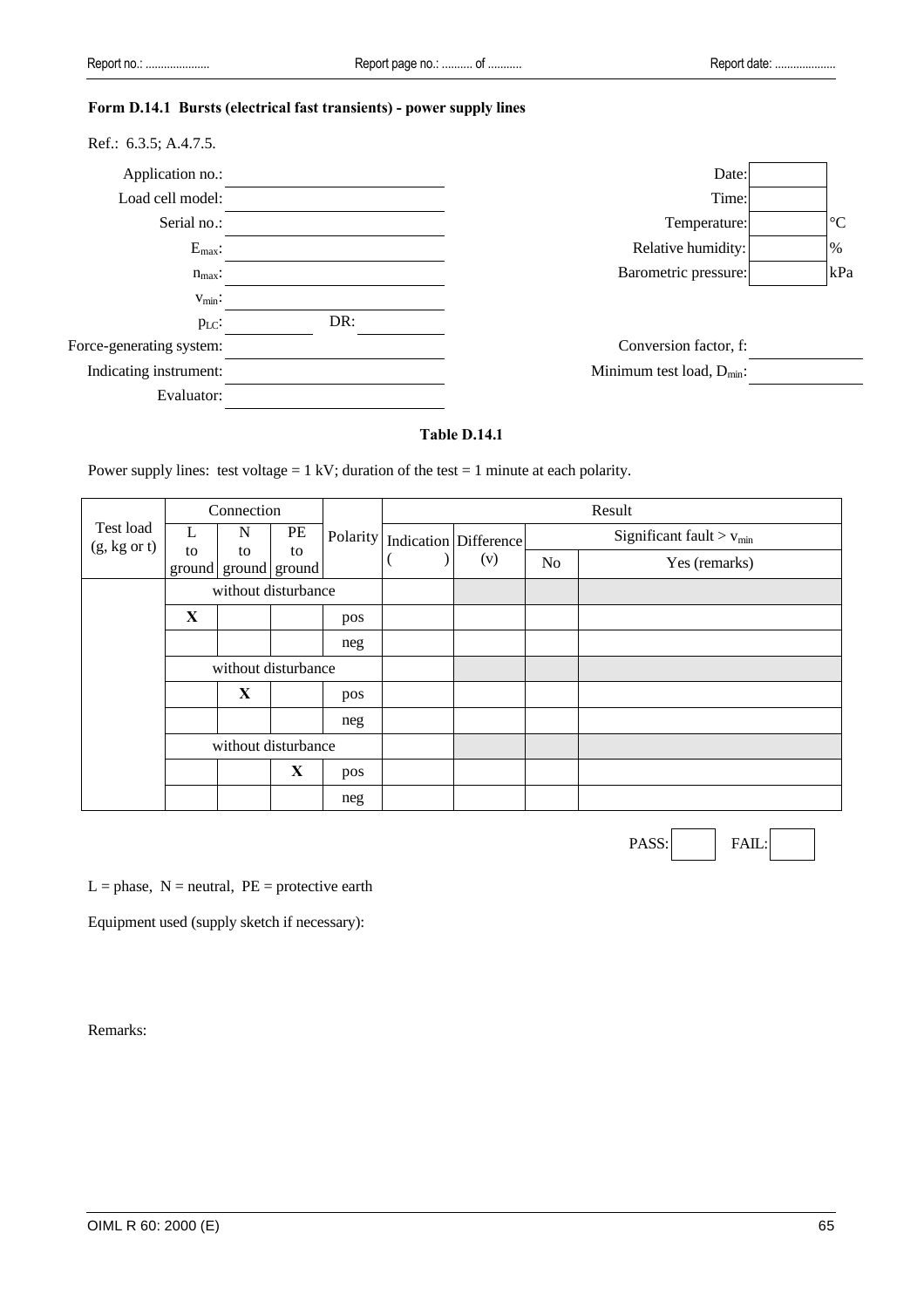# **Form D.14.1 Bursts (electrical fast transients) - power supply lines**

| Ref.: 6.3.5; A.4.7.5.    |     |                                |                 |
|--------------------------|-----|--------------------------------|-----------------|
| Application no.:         |     | Date:                          |                 |
| Load cell model:         |     | Time:                          |                 |
| Serial no.:              |     | Temperature:                   | $\rm ^{\circ}C$ |
| $E_{max}$ :              |     | Relative humidity:             | $\%$            |
| $n_{max}$ :              |     | Barometric pressure:           | kPa             |
| $v_{\text{min}}$ :       |     |                                |                 |
| $p_{LC}$ :               | DR: |                                |                 |
| Force-generating system: |     | Conversion factor, f:          |                 |
| Indicating instrument:   |     | Minimum test load, $D_{min}$ : |                 |
| Evaluator:               |     |                                |                 |

# **Table D.14.1**

Power supply lines: test voltage =  $1 \text{ kV}$ ; duration of the test =  $1 \text{ minute}$  at each polarity.

|                                      |                                             | Connection |    |     |                                    |     |                | Result                                 |  |  |
|--------------------------------------|---------------------------------------------|------------|----|-----|------------------------------------|-----|----------------|----------------------------------------|--|--|
| Test load<br>$(g, kg \text{ or } t)$ |                                             | N          | PE |     | Polarity   Indication   Difference |     |                | Significant fault $>$ v <sub>min</sub> |  |  |
|                                      | to                                          | to         | to |     |                                    | (v) | N <sub>0</sub> | Yes (remarks)                          |  |  |
|                                      | ground ground ground<br>without disturbance |            |    |     |                                    |     |                |                                        |  |  |
|                                      | X                                           |            |    | pos |                                    |     |                |                                        |  |  |
|                                      |                                             |            |    | neg |                                    |     |                |                                        |  |  |
|                                      | without disturbance                         |            |    |     |                                    |     |                |                                        |  |  |
|                                      |                                             | X          |    | pos |                                    |     |                |                                        |  |  |
|                                      |                                             |            |    | neg |                                    |     |                |                                        |  |  |
|                                      | without disturbance                         |            |    |     |                                    |     |                |                                        |  |  |
|                                      |                                             |            | X  | pos |                                    |     |                |                                        |  |  |
|                                      |                                             |            |    | neg |                                    |     |                |                                        |  |  |

PASS: FAIL

 $L =$  phase,  $N =$  neutral,  $PE =$  protective earth

Equipment used (supply sketch if necessary):

Remarks: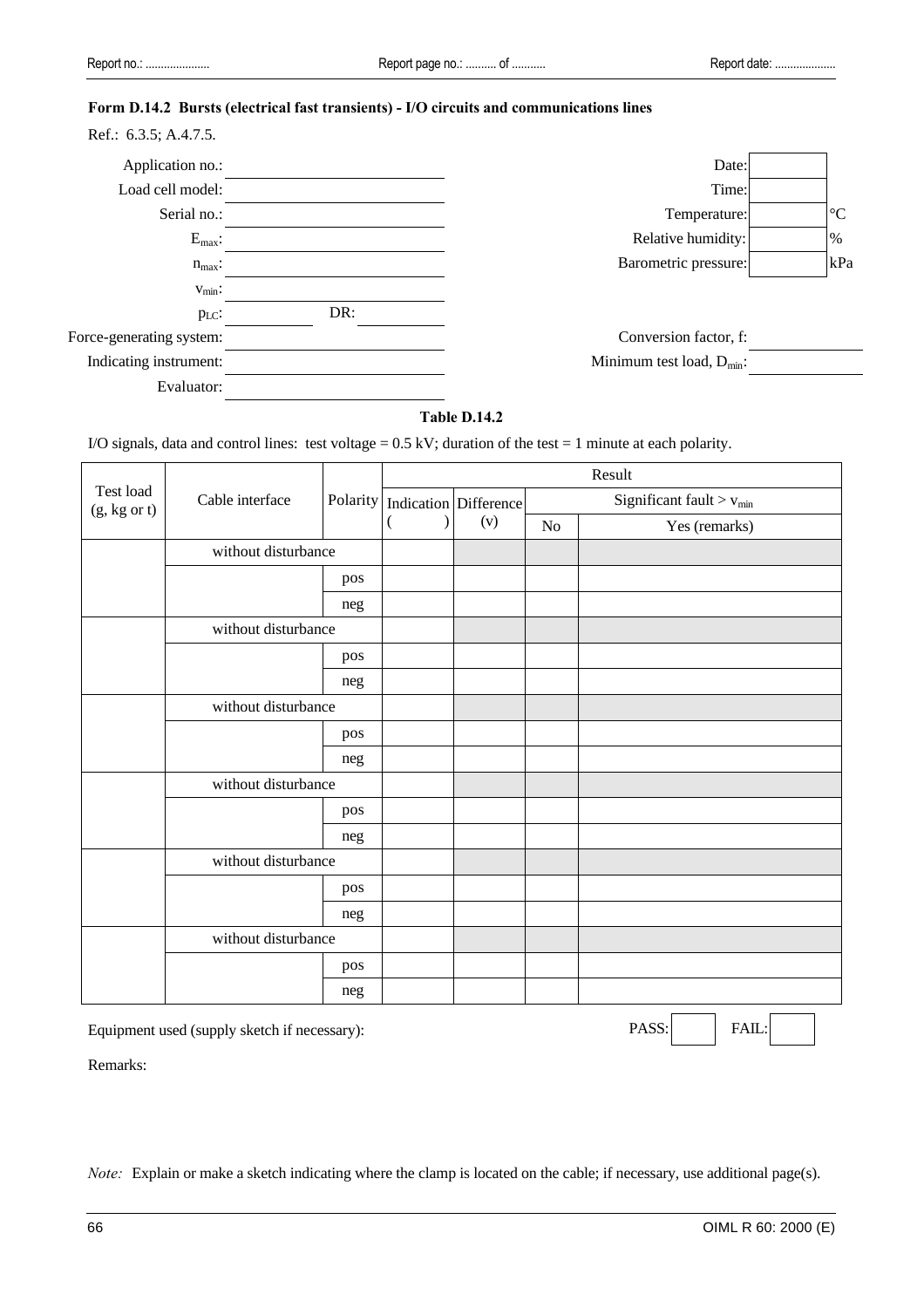# **Form D.14.2 Bursts (electrical fast transients) - I/O circuits and communications lines**

| Ref.: 6.3.5; A.4.7.5.    |     |                                |                 |
|--------------------------|-----|--------------------------------|-----------------|
| Application no.:         |     | Date:                          |                 |
| Load cell model:         |     | Time:                          |                 |
| Serial no.:              |     | Temperature:                   | $\rm ^{\circ}C$ |
| $E_{\text{max}}$ :       |     | Relative humidity:             | $\%$            |
| $n_{max}$ :              |     | Barometric pressure:           | kPa             |
| $V_{\text{min}}$ :       |     |                                |                 |
| $p_{LC}$ :               | DR: |                                |                 |
| Force-generating system: |     | Conversion factor, f:          |                 |
| Indicating instrument:   |     | Minimum test load, $D_{min}$ : |                 |
| Evaluator:               |     |                                |                 |

# **Table D.14.2**

I/O signals, data and control lines: test voltage =  $0.5 \text{ kV}$ ; duration of the test = 1 minute at each polarity.

|                           | Cable interface     |     | Result                             |     |                                        |               |  |
|---------------------------|---------------------|-----|------------------------------------|-----|----------------------------------------|---------------|--|
| Test load<br>(g, kg or t) |                     |     | Polarity   Indication   Difference |     | Significant fault $>$ v <sub>min</sub> |               |  |
|                           |                     |     | (                                  | (v) | $\rm No$                               | Yes (remarks) |  |
|                           | without disturbance |     |                                    |     |                                        |               |  |
|                           |                     | pos |                                    |     |                                        |               |  |
|                           |                     | neg |                                    |     |                                        |               |  |
|                           | without disturbance |     |                                    |     |                                        |               |  |
|                           |                     | pos |                                    |     |                                        |               |  |
|                           |                     | neg |                                    |     |                                        |               |  |
|                           | without disturbance |     |                                    |     |                                        |               |  |
|                           |                     | pos |                                    |     |                                        |               |  |
|                           |                     | neg |                                    |     |                                        |               |  |
|                           | without disturbance |     |                                    |     |                                        |               |  |
|                           |                     | pos |                                    |     |                                        |               |  |
|                           |                     |     |                                    |     |                                        |               |  |
|                           | without disturbance |     |                                    |     |                                        |               |  |
|                           |                     | pos |                                    |     |                                        |               |  |
|                           |                     | neg |                                    |     |                                        |               |  |
|                           | without disturbance |     |                                    |     |                                        |               |  |
|                           |                     | pos |                                    |     |                                        |               |  |
|                           |                     | neg |                                    |     |                                        |               |  |

Equipment used (supply sketch if necessary): PASS: PASS: FAIL:

Remarks:

*Note:* Explain or make a sketch indicating where the clamp is located on the cable; if necessary, use additional page(s).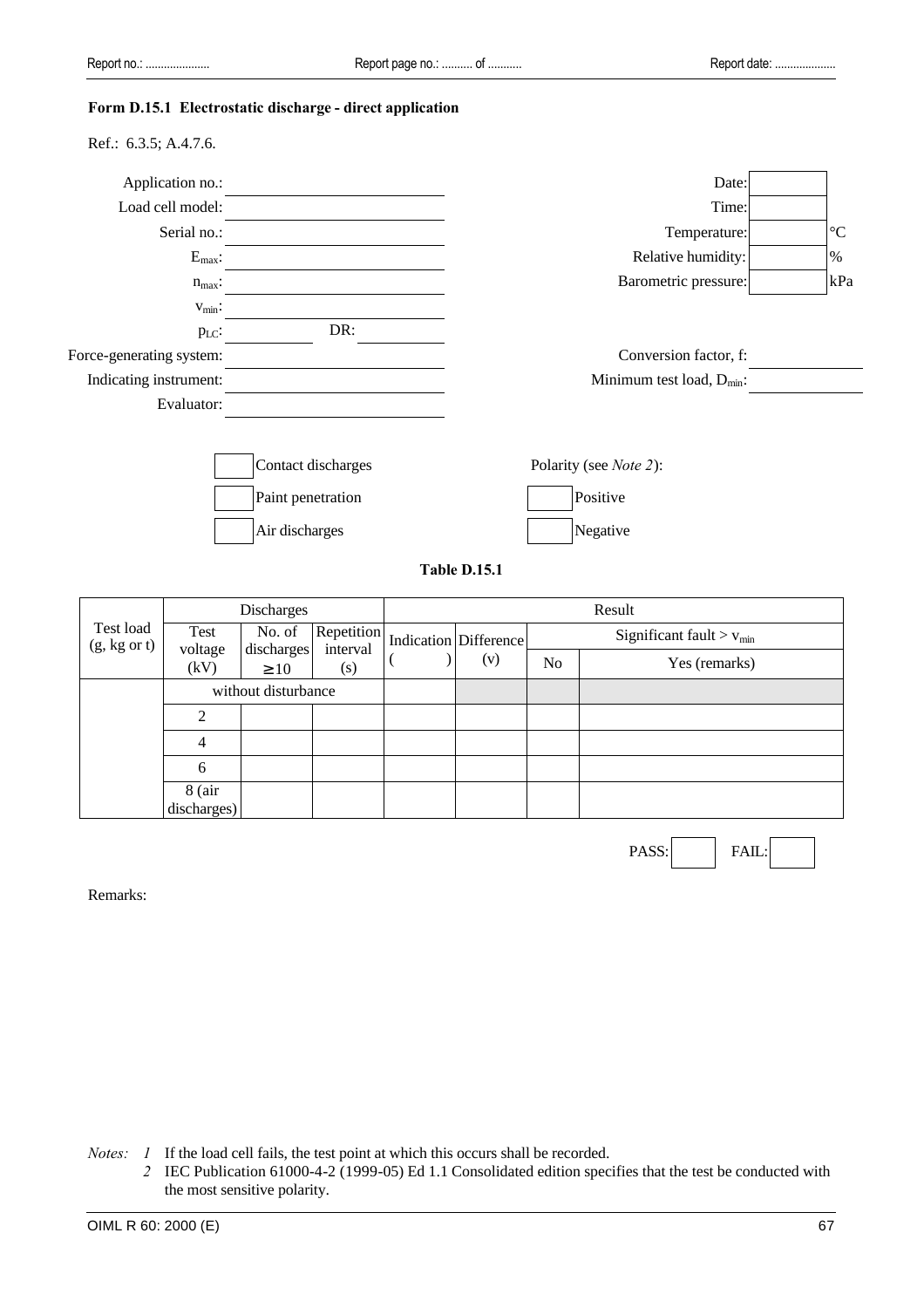#### **Form D.15.1 Electrostatic discharge - direct application**

Ref.: 6.3.5; A.4.7.6.

| Application no.:         |                    | Date:                          |                 |
|--------------------------|--------------------|--------------------------------|-----------------|
| Load cell model:         |                    | Time:                          |                 |
| Serial no.:              |                    | Temperature:                   | $\rm ^{\circ}C$ |
| $E_{max}$ :              |                    | Relative humidity:             | $\%$            |
| $n_{max}$ :              |                    | Barometric pressure:           | kPa             |
| $v_{min}$ :              |                    |                                |                 |
| $p_{LC}$ :               | DR:                |                                |                 |
| Force-generating system: |                    | Conversion factor, f:          |                 |
| Indicating instrument:   |                    | Minimum test load, $D_{min}$ : |                 |
| Evaluator:               |                    |                                |                 |
|                          |                    |                                |                 |
|                          | Contact discharges | Polarity (see Note 2):         |                 |
|                          | Paint penetration  | Positive                       |                 |
|                          | Air discharges     | Negative                       |                 |

**Table D.15.1**

|           |                         | Discharges                                         |                     |                               | Result |                              |                |                                 |  |
|-----------|-------------------------|----------------------------------------------------|---------------------|-------------------------------|--------|------------------------------|----------------|---------------------------------|--|
| Test load | $(g, kg \text{ or } t)$ | Test<br>voltage<br>discharges<br>(kV)<br>$\geq 10$ | No. of              | Repetition<br>interval<br>(s) |        | Indication Difference<br>(v) |                | Significant fault $>$ $v_{min}$ |  |
|           |                         |                                                    |                     |                               |        |                              | N <sub>o</sub> | Yes (remarks)                   |  |
|           |                         |                                                    | without disturbance |                               |        |                              |                |                                 |  |
|           |                         | $\mathfrak{D}$                                     |                     |                               |        |                              |                |                                 |  |
|           |                         | 4                                                  |                     |                               |        |                              |                |                                 |  |
|           |                         | 6                                                  |                     |                               |        |                              |                |                                 |  |
|           |                         | $8$ (air<br>discharges)                            |                     |                               |        |                              |                |                                 |  |

PASS: FAIL

Remarks:

*Notes: 1* If the load cell fails, the test point at which this occurs shall be recorded.

*2* IEC Publication 61000-4-2 (1999-05) Ed 1.1 Consolidated edition specifies that the test be conducted with the most sensitive polarity.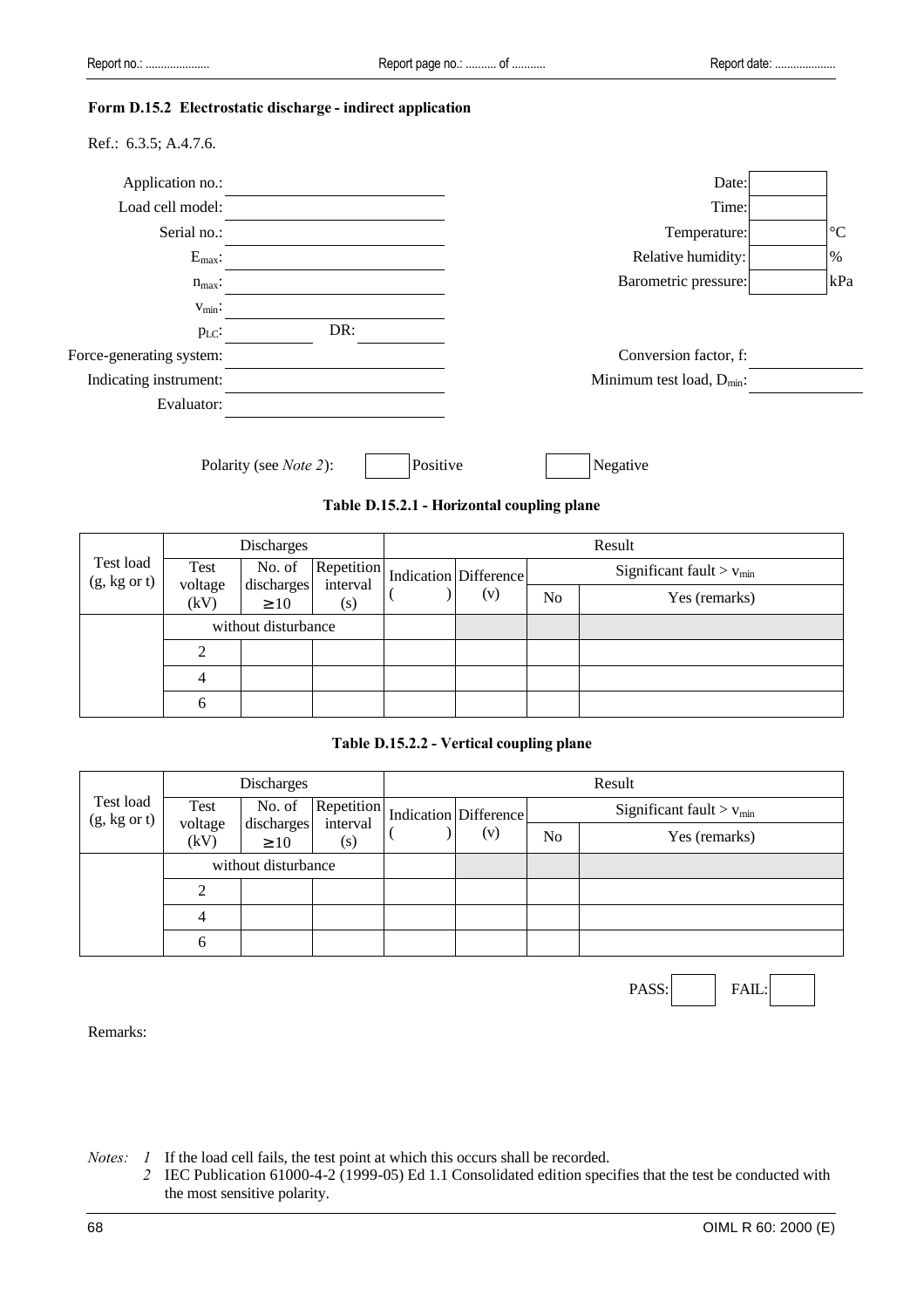#### **Form D.15.2 Electrostatic discharge - indirect application**

|  | Ref.: $6.3.5$ ; A.4.7.6. |  |
|--|--------------------------|--|
|--|--------------------------|--|

| Application no.:         |                                            | Date:                          |                 |
|--------------------------|--------------------------------------------|--------------------------------|-----------------|
| Load cell model:         |                                            | Time:                          |                 |
| Serial no.:              |                                            | Temperature:                   | $\rm ^{\circ}C$ |
| $E_{max}$ :              |                                            | Relative humidity:             | %               |
| $n_{max}$ :              |                                            | Barometric pressure:           | kPa             |
| $v_{\text{min}}$ :       |                                            |                                |                 |
| p <sub>LC</sub> :        | DR:                                        |                                |                 |
| Force-generating system: |                                            | Conversion factor, f:          |                 |
| Indicating instrument:   |                                            | Minimum test load, $D_{min}$ : |                 |
| Evaluator:               |                                            |                                |                 |
|                          |                                            |                                |                 |
|                          | Positive<br>Polarity (see <i>Note 2</i> ): | Negative                       |                 |



|                                      | <b>Discharges</b>   |                         |                 | Result                |                                        |                |               |
|--------------------------------------|---------------------|-------------------------|-----------------|-----------------------|----------------------------------------|----------------|---------------|
| Test load<br>$(g, kg \text{ or } t)$ | No. of<br>Test      | Repetition              |                 | Indication Difference | Significant fault $>$ v <sub>min</sub> |                |               |
|                                      | voltage<br>(kV)     | discharges<br>$\geq 10$ | interval<br>(s) |                       | (v)                                    | N <sub>o</sub> | Yes (remarks) |
|                                      | without disturbance |                         |                 |                       |                                        |                |               |
|                                      |                     |                         |                 |                       |                                        |                |               |
|                                      |                     |                         |                 |                       |                                        |                |               |
|                                      | h                   |                         |                 |                       |                                        |                |               |

# **Table D.15.2.2 - Vertical coupling plane**

|                                      | <b>Discharges</b>   |                         |                 | Result |                       |                                        |               |
|--------------------------------------|---------------------|-------------------------|-----------------|--------|-----------------------|----------------------------------------|---------------|
| Test load<br>$(g, kg \text{ or } t)$ | Test                | No. of                  | Repetition      |        | Indication Difference | Significant fault $>$ $v_{\text{min}}$ |               |
|                                      | voltage<br>(kV)     | discharges<br>$\geq 10$ | interval<br>(s) |        | (v)                   | N <sub>o</sub>                         | Yes (remarks) |
|                                      | without disturbance |                         |                 |        |                       |                                        |               |
|                                      |                     |                         |                 |        |                       |                                        |               |
|                                      |                     |                         |                 |        |                       |                                        |               |
|                                      | 6                   |                         |                 |        |                       |                                        |               |

PASS: FAIL:

Remarks:

*Notes: 1* If the load cell fails, the test point at which this occurs shall be recorded.

*2* IEC Publication 61000-4-2 (1999-05) Ed 1.1 Consolidated edition specifies that the test be conducted with the most sensitive polarity.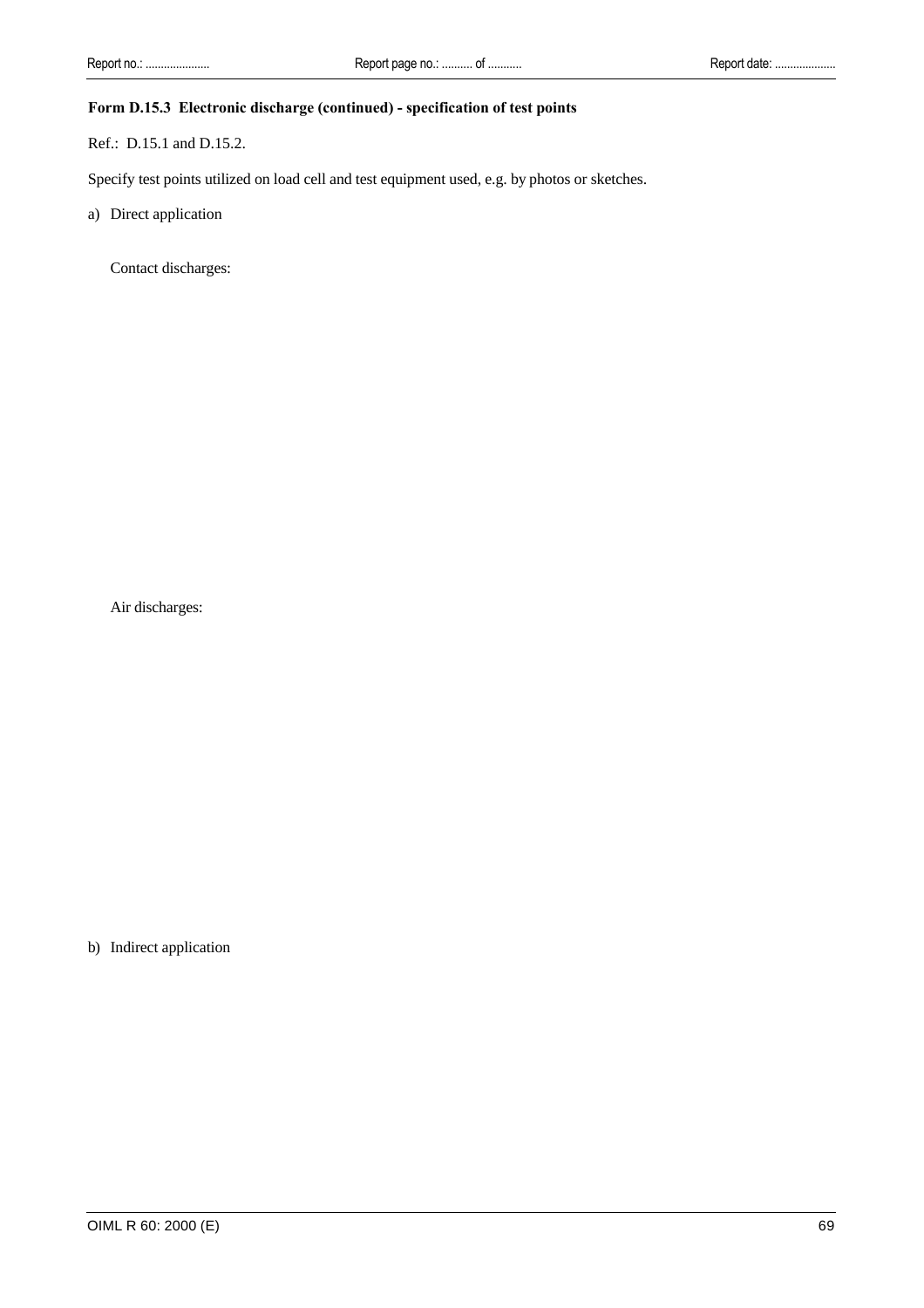# **Form D.15.3 Electronic discharge (continued) - specification of test points**

Ref.: D.15.1 and D.15.2.

Specify test points utilized on load cell and test equipment used, e.g. by photos or sketches.

a) Direct application

Contact discharges:

Air discharges:

b) Indirect application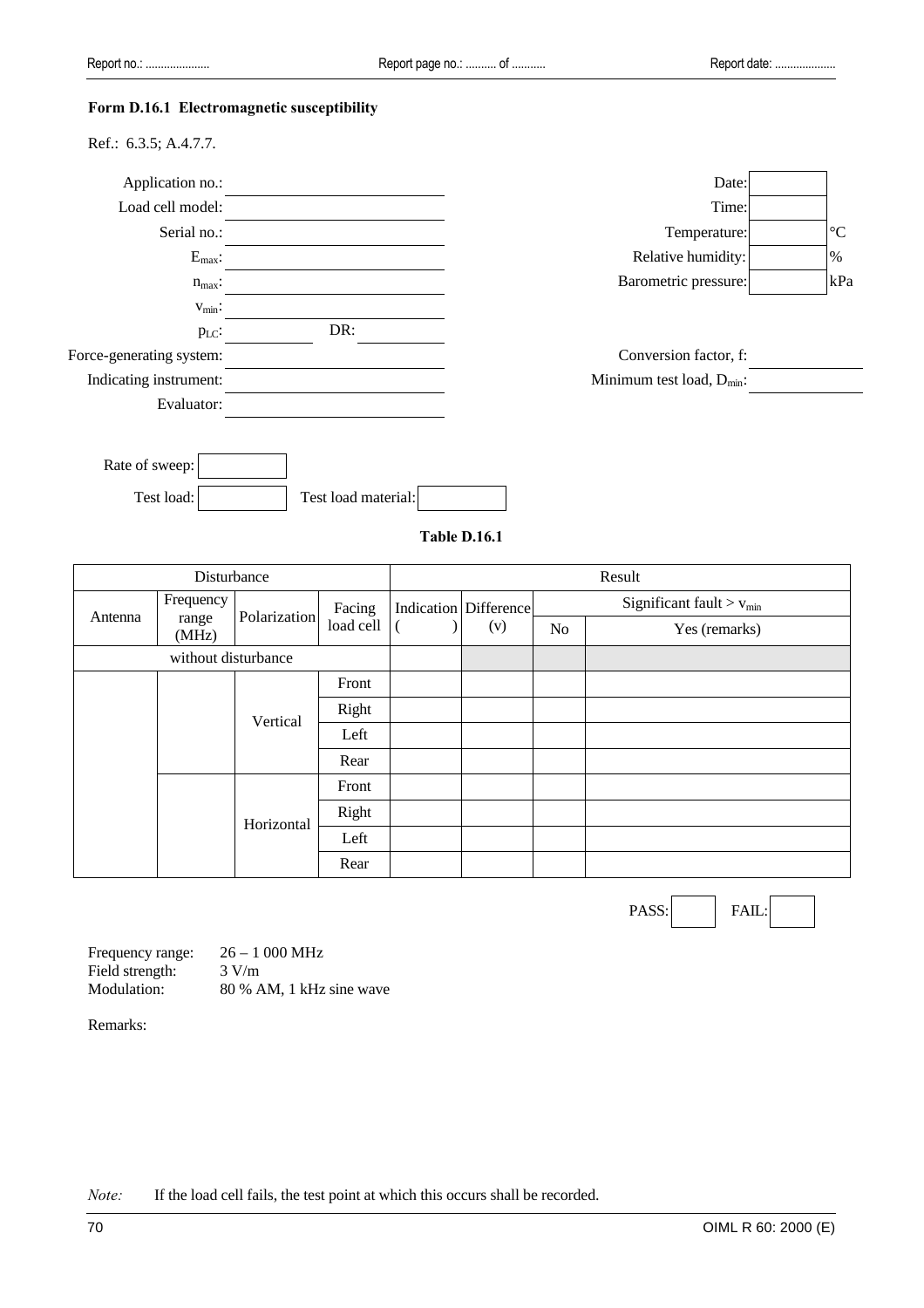#### **Form D.16.1 Electromagnetic susceptibility**

| Application no.:         |                     | Date:                          |                 |
|--------------------------|---------------------|--------------------------------|-----------------|
| Load cell model:         |                     | Time:                          |                 |
| Serial no.:              |                     | Temperature:                   | $\rm ^{\circ}C$ |
| $E_{max}$ :              |                     | Relative humidity:             | $\%$            |
| $n_{max}$ :              |                     | Barometric pressure:           | kPa             |
| $V_{\text{min}}$ :       |                     |                                |                 |
| $p_{LC}$ :               | DR:                 |                                |                 |
| Force-generating system: |                     | Conversion factor, f:          |                 |
| Indicating instrument:   |                     | Minimum test load, $D_{min}$ : |                 |
| Evaluator:               |                     |                                |                 |
|                          |                     |                                |                 |
| Rate of sweep:           |                     |                                |                 |
| Test load:               | Test load material: |                                |                 |

**Table D.16.1**

| Disturbance         |                |              |           | Result |                              |    |                                        |  |
|---------------------|----------------|--------------|-----------|--------|------------------------------|----|----------------------------------------|--|
| Antenna             | Frequency      |              | Facing    |        | <b>Indication</b> Difference |    | Significant fault $>$ v <sub>min</sub> |  |
|                     | range<br>(MHz) | Polarization | load cell |        | (v)                          | No | Yes (remarks)                          |  |
| without disturbance |                |              |           |        |                              |    |                                        |  |
|                     |                |              | Front     |        |                              |    |                                        |  |
|                     |                | Vertical     | Right     |        |                              |    |                                        |  |
|                     |                |              | Left      |        |                              |    |                                        |  |
|                     |                |              | Rear      |        |                              |    |                                        |  |
|                     |                |              | Front     |        |                              |    |                                        |  |
|                     | Horizontal     | Right        |           |        |                              |    |                                        |  |
|                     |                |              | Left      |        |                              |    |                                        |  |
|                     |                |              | Rear      |        |                              |    |                                        |  |

PASS: FAIL:

Frequency range: 26 – 1 000 MHz Field strength:  $3 \text{ V/m}$ <br>Modulation:  $80 \% A$ 80 % AM, 1 kHz sine wave

Remarks:

*Note:* If the load cell fails, the test point at which this occurs shall be recorded.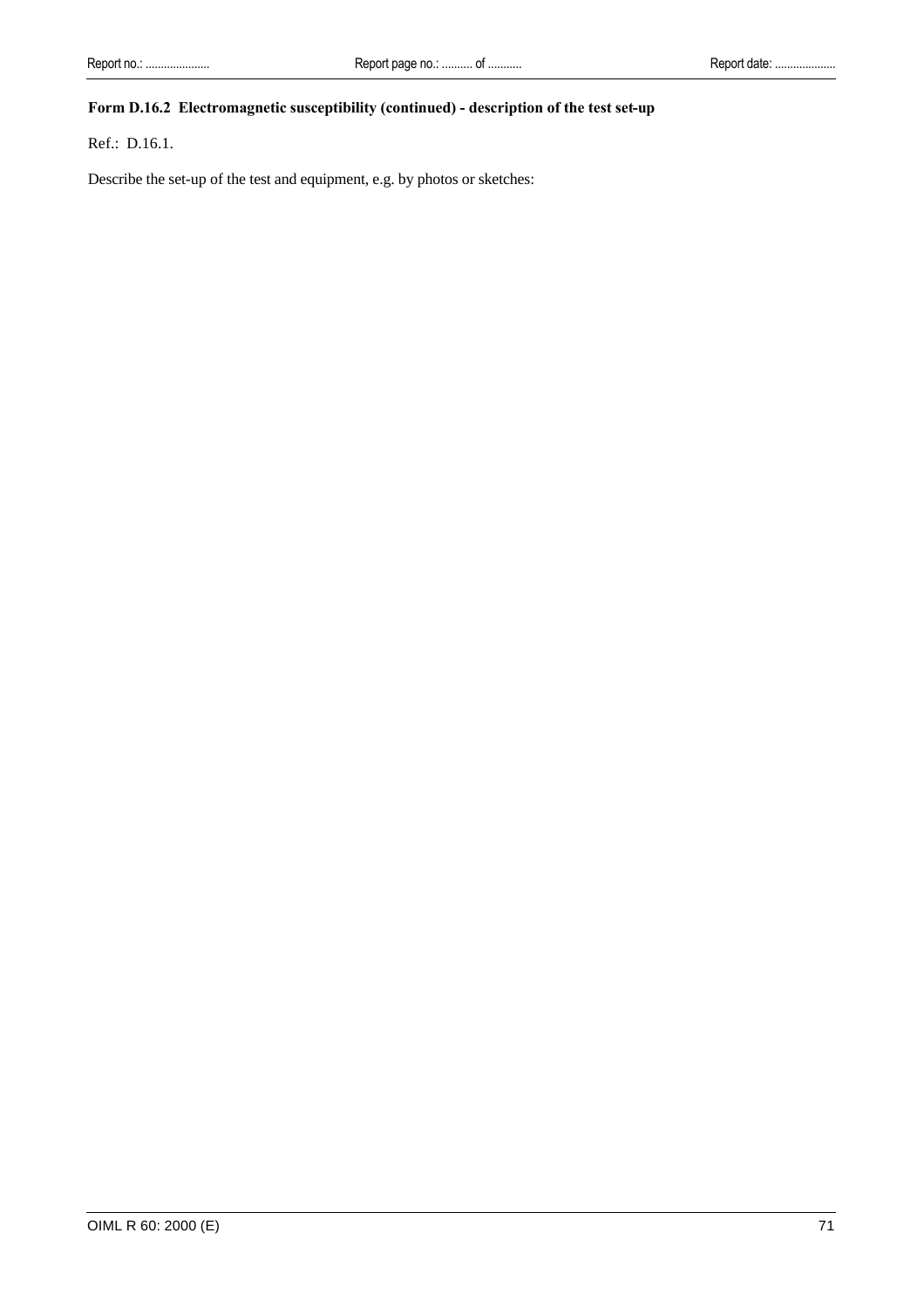## **Form D.16.2 Electromagnetic susceptibility (continued) - description of the test set-up**

Ref.: D.16.1.

Describe the set-up of the test and equipment, e.g. by photos or sketches: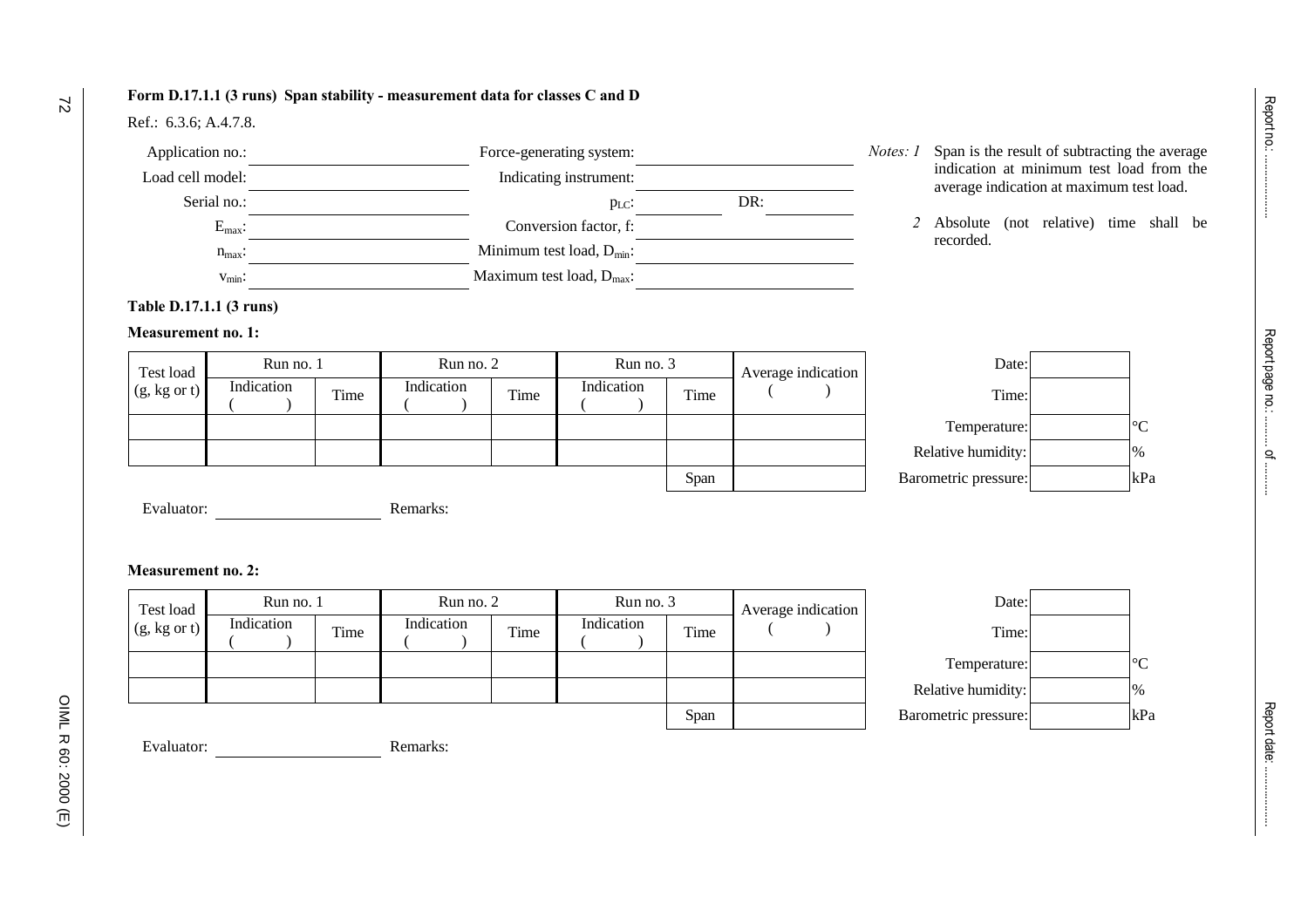### **Form D.17.1.1 (3 runs) Span stability - measurement data for classes C and D**

Ref.: 6.3.6; A.4.7.8.

| Application no.:   | Force-generating system:              |     | Notes: |
|--------------------|---------------------------------------|-----|--------|
| Load cell model:   | Indicating instrument:                |     |        |
| Serial no.:        | $p_{LC}$ :                            | DR: |        |
| $E_{\text{max}}$ : | Conversion factor, f:                 |     |        |
| $n_{\text{max}}$ : | Minimum test load, $D_{min}$ :        |     |        |
| $V_{\text{min}}$ : | Maximum test load, $D_{\text{max}}$ : |     |        |

*Note Span* is the result of subtracting the average indication at minimum test load from the average indication at maximum test load.

*2* Absolute (not relative) time shall be recorded.

## **Table D.17.1.1 (3 runs)**

**Measurement no. 1:**

| Test load               | Run no. 1  |      | Run no. 2  |      | Run no. 3  |      | Average indication | Date:                |                 |
|-------------------------|------------|------|------------|------|------------|------|--------------------|----------------------|-----------------|
| $(g, kg \text{ or } t)$ | Indication | Time | Indication | Time | Indication | Time |                    | Time:                |                 |
|                         |            |      |            |      |            |      |                    | Temperature:         | $\rm ^{\circ}C$ |
|                         |            |      |            |      |            |      |                    | Relative humidity:   | $\%$            |
|                         |            |      |            |      |            | Span |                    | Barometric pressure: | kPa             |

| rage indication | Date:                |               |
|-----------------|----------------------|---------------|
|                 | Time:                |               |
|                 | Temperature:         | $\Gamma$      |
|                 | Relative humidity:   | $\frac{0}{0}$ |
|                 | Barometric pressure: | kPa           |

Evaluator: Remarks:

## **Measurement no. 2:**

| Test load               | Run no. 1  |      | Run no. 2  |      | Run no. 3  |      | Average indication | Date:                |         |
|-------------------------|------------|------|------------|------|------------|------|--------------------|----------------------|---------|
| $(g, kg \text{ or } t)$ | Indication | Time | Indication | Time | Indication | Time |                    | Time:                |         |
|                         |            |      |            |      |            |      |                    | Temperature:         | $\circ$ |
|                         |            |      |            |      |            |      |                    | Relative humidity:   | $\%$    |
|                         |            |      |            |      |            | Span |                    | Barometric pressure: | kP      |



Evaluator: Remarks:

72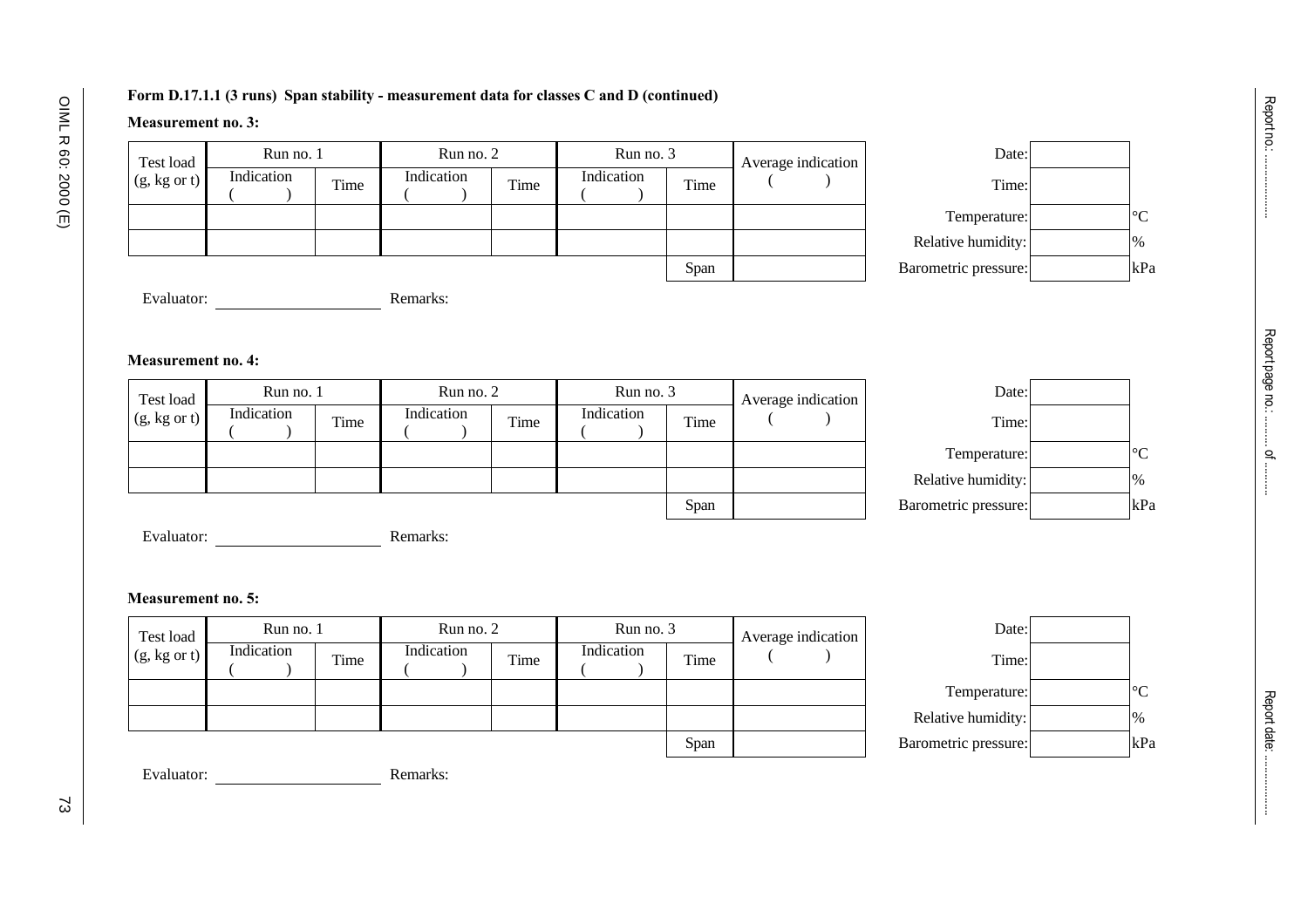### **Form D.17.1.1 (3 runs) Span stability - measurement data for classes C and D (continued)**

## **Measurement no. 3:**

| Test load               | Run no. 1  |      | Run no. 2  |      | Run no. 3  |      | Average indication | Date:                |                 |
|-------------------------|------------|------|------------|------|------------|------|--------------------|----------------------|-----------------|
| $(g, kg \text{ or } t)$ | Indication | Time | Indication | Time | Indication | Time |                    | Time:                |                 |
|                         |            |      |            |      |            |      |                    | Temperature:         | $\rm ^{\circ}C$ |
|                         |            |      |            |      |            |      |                    | Relative humidity:   | $\%$            |
|                         |            |      |            |      |            | Span |                    | Barometric pressure: | $\mathbf{k}$ P  |



Evaluator: Remarks:

### **Measurement no. 4:**

| Test load               | Run no. 1  |      | Run no. 2  |      | Run no. 3  |      | Average indication | Date:                |                 |
|-------------------------|------------|------|------------|------|------------|------|--------------------|----------------------|-----------------|
| $(g, kg \text{ or } t)$ | Indication | Time | Indication | Time | Indication | Time |                    | Time:                |                 |
|                         |            |      |            |      |            |      |                    | Temperature:         | $\rm ^{\circ}C$ |
|                         |            |      |            |      |            |      |                    | Relative humidity:   | $\%$            |
|                         |            |      |            |      |            | Span |                    | Barometric pressure: | kPa             |

| Date:              |               |
|--------------------|---------------|
| Time:              |               |
| Temperature:       |               |
| Relative humidity: | $\frac{0}{0}$ |
| rometric pressure: | kP            |

| Evaluator: | Remarks: |
|------------|----------|
|------------|----------|

## **Measurement no. 5:**

| Test load               | Run no. 1  |      | Run no. 2  |      | Run no. 3  |      | Average indication | Date:                |              |
|-------------------------|------------|------|------------|------|------------|------|--------------------|----------------------|--------------|
| $(g, kg \text{ or } t)$ | Indication | Time | Indication | Time | Indication | Time |                    | Time:                |              |
|                         |            |      |            |      |            |      |                    | Temperature:         | $\circ$<br>◡ |
|                         |            |      |            |      |            |      |                    | Relative humidity:   | $\%$         |
|                         |            |      |            |      |            | Span |                    | Barometric pressure: | kP           |



Report no.: .....................

Report no .. .......................

Evaluator: Remarks: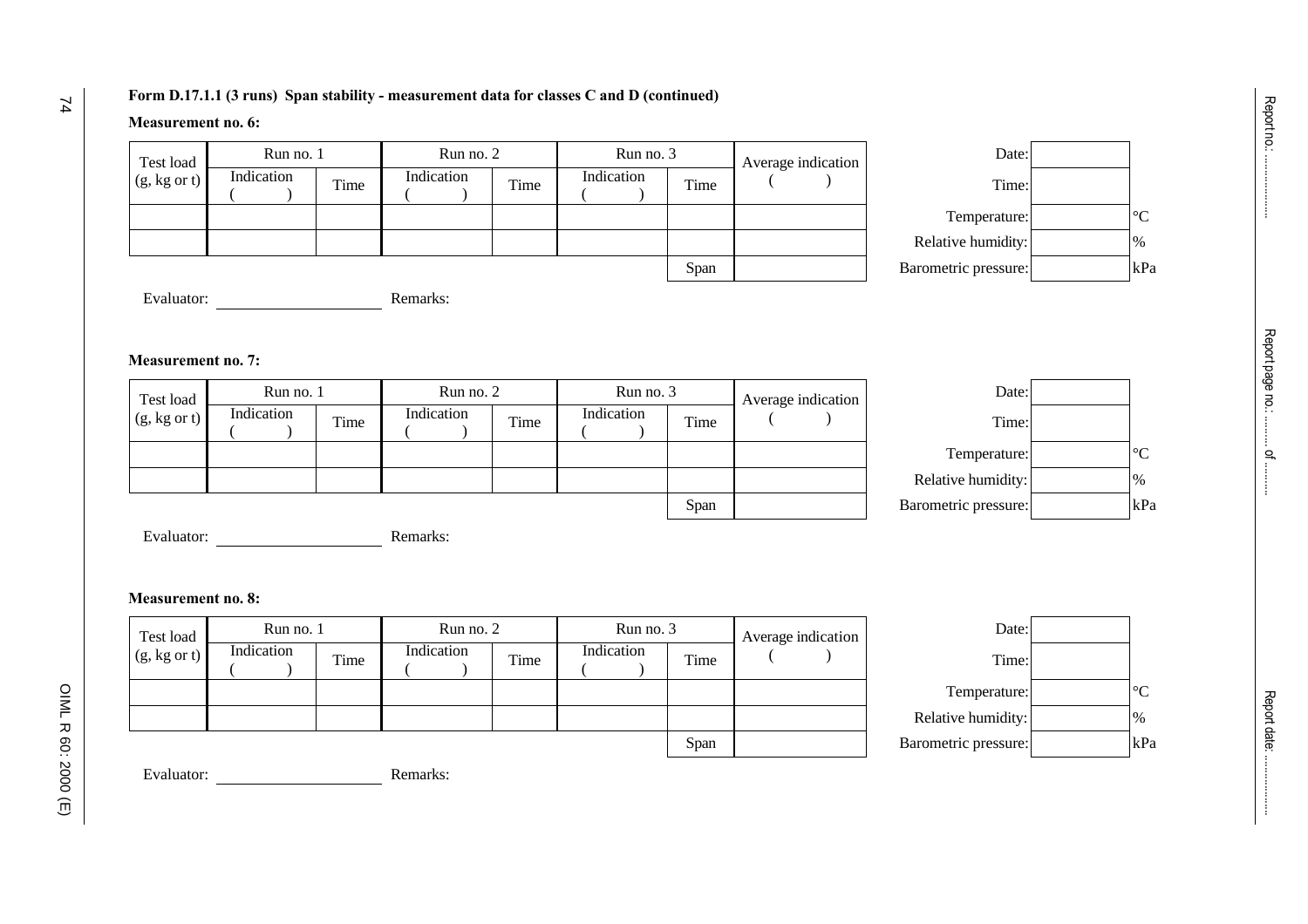#### **Form D.17.1.1 (3 runs) Span stability - measurement data for classes C and D (continued)**

### **Measurement no. 6:**

| Test load               | Run no. 1  |      | Run no. 2  |      | Run no. 3  |      | Average indication | Date:                |               |                 |
|-------------------------|------------|------|------------|------|------------|------|--------------------|----------------------|---------------|-----------------|
| $(g, kg \text{ or } t)$ | Indication | Time | Indication | Time | Indication | Time |                    | Time:                |               |                 |
|                         |            |      |            |      |            |      |                    | Temperature:         |               | $\rm ^{\circ}C$ |
|                         |            |      |            |      |            |      |                    | Relative humidity:   | $\frac{9}{6}$ |                 |
|                         |            |      |            |      |            | Span |                    | Barometric pressure: |               | kP              |



Evaluator: Remarks:

#### **Measurement no. 7:**

| Test load               | Run no. 1  |      | Run no. 2  |      | Run no. 3  |      | Average indication | Date:                |                 |
|-------------------------|------------|------|------------|------|------------|------|--------------------|----------------------|-----------------|
| $(g, kg \text{ or } t)$ | Indication | Time | Indication | Time | Indication | Time |                    | Time:                |                 |
|                         |            |      |            |      |            |      |                    | Temperature:         | $\rm ^{\circ}C$ |
|                         |            |      |            |      |            |      |                    | Relative humidity:   | $\%$            |
|                         |            |      |            |      |            | Span |                    | Barometric pressure: | kPa             |

| Date:             |     |
|-------------------|-----|
| Time:             |     |
| Temperature:      |     |
| elative humidity: | 0/2 |
| ometric pressure: | kP  |

Evaluator: Remarks:

## **Measurement no. 8:**

| Test load               | Run no. 1  |      | Run no. 2  |      | Run no. 3  |      | Average indication | Date:                |         |
|-------------------------|------------|------|------------|------|------------|------|--------------------|----------------------|---------|
| $(g, kg \text{ or } t)$ | Indication | Time | Indication | Time | Indication | Time |                    | Time:                |         |
|                         |            |      |            |      |            |      |                    | Temperature:         | $\circ$ |
|                         |            |      |            |      |            |      |                    | Relative humidity:   | $\%$    |
|                         |            |      |            |      |            | Span |                    | Barometric pressure: | kP      |



Evaluator: Remarks: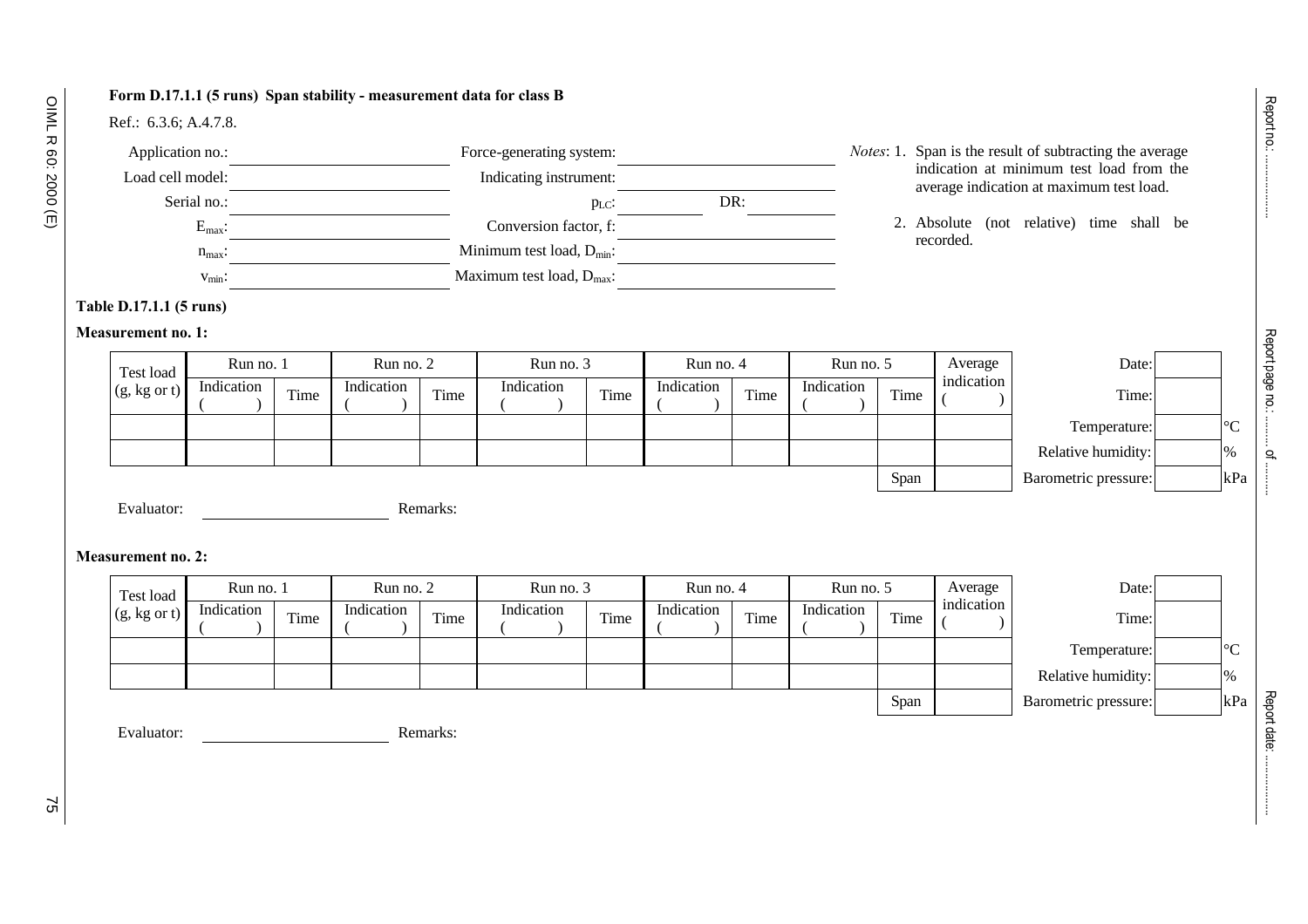## **Form D.17.1.1 (5 runs) Span stability - measurement data for class B**

## Ref.: 6.3.6; A.4.7.8.

| Application no.:   | Force-generating system:              |     | <i>Notes:</i> 1. Span is the result of subtracting the average                       |
|--------------------|---------------------------------------|-----|--------------------------------------------------------------------------------------|
| Load cell model:   | Indicating instrument:                |     | indication at minimum test load from the<br>average indication at maximum test load. |
| Serial no.:        | $p_{LC}$ :                            | DR: |                                                                                      |
| $E_{\text{max}}$ : | Conversion factor, f:                 |     | 2. Absolute (not relative) time shall be                                             |
| $n_{\text{max}}$ : | Minimum test load, $D_{min}$ :        |     | recorded.                                                                            |
| $v_{\text{min}}$ : | Maximum test load, $D_{\text{max}}$ : |     |                                                                                      |

## **Table D.17.1.1 (5 runs)**

## **Measurement no. 1:**

| Test load               | Run no. 1  |      | Run no. 2  |      | Run no. 3  |      | Run no. 4  |      | Run no. 5  |      | Average    | Date:                |                 |
|-------------------------|------------|------|------------|------|------------|------|------------|------|------------|------|------------|----------------------|-----------------|
| $(g, kg \text{ or } t)$ | Indication | Time | Indication | Time | Indication | Time | Indication | Time | Indication | Time | indication | Time:                |                 |
|                         |            |      |            |      |            |      |            |      |            |      |            | Temperature:         | $\rm ^{\circ}C$ |
|                         |            |      |            |      |            |      |            |      |            |      |            | Relative humidity:   | $\%$            |
|                         |            |      |            |      |            |      |            |      |            | Span |            | Barometric pressure: | kPa             |

Evaluator: Remarks:

## **Measurement no. 2:**

| Test load               | Run no. 1  |      | Run no. 2  |      | Run no. 3  |      | Run no. 4  |      | Run no. 5  |      | Average    | Date:                |                 |
|-------------------------|------------|------|------------|------|------------|------|------------|------|------------|------|------------|----------------------|-----------------|
| $(g, kg \text{ or } t)$ | Indication | Time | Indication | Time | Indication | Time | Indication | Time | Indication | Time | indication | Time:                |                 |
|                         |            |      |            |      |            |      |            |      |            |      |            | Temperature:         | $\rm ^{\circ}C$ |
|                         |            |      |            |      |            |      |            |      |            |      |            | Relative humidity:   | $\frac{9}{6}$   |
|                         |            |      |            |      |            |      |            |      |            | Span |            | Barometric pressure: | kPa             |

Evaluator: Remarks:

Report no.: .....................

Report no.: ........................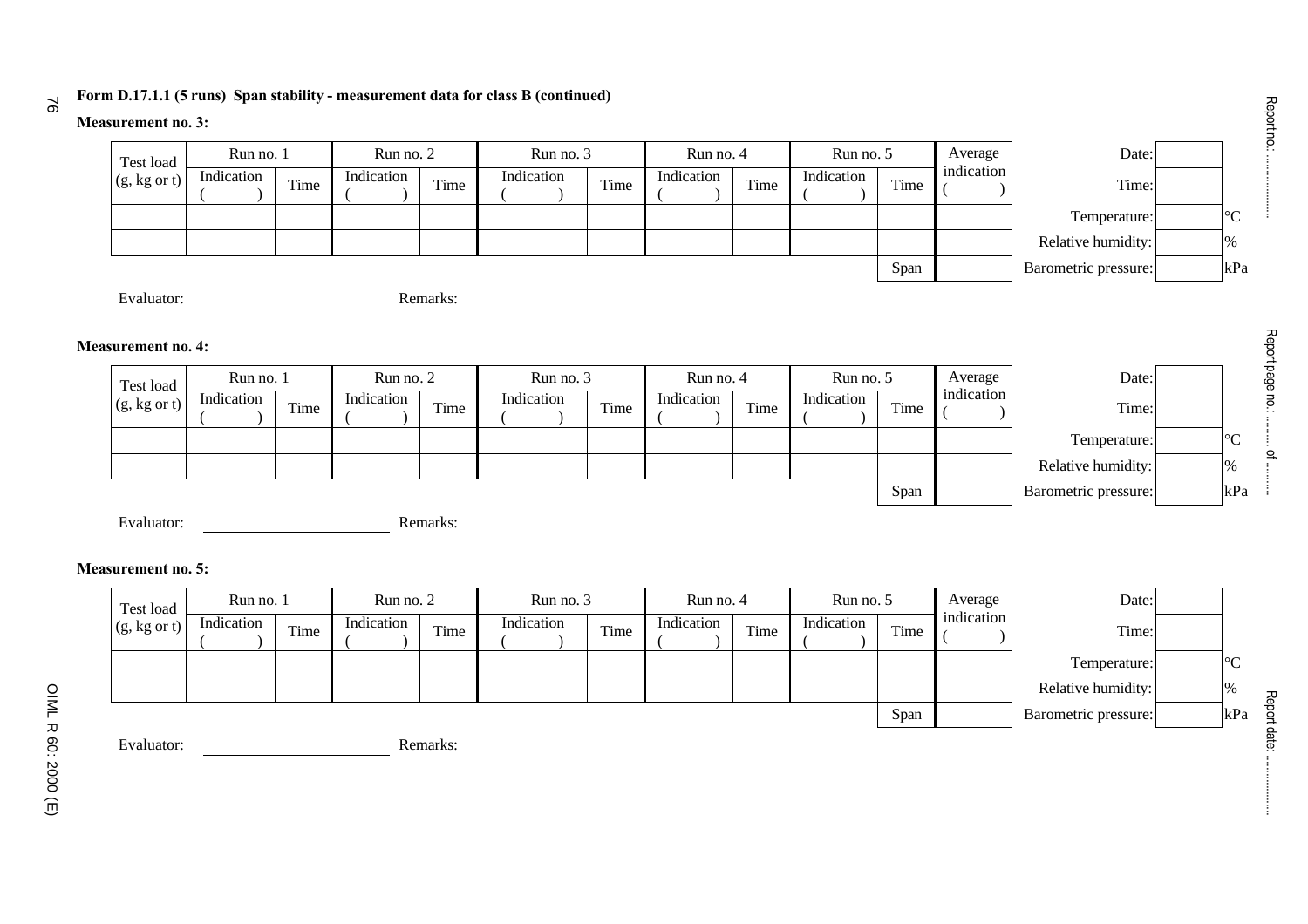## **Form D.17.1.1 (5 runs) Span stability - measurement data for class B (continued)**

## **Measurement no. 3:**

76

| Test load                 | Run no. 1  |      | Run no. 2  |          | Run no. 3  |      | Run no. 4  |      | Run no. 5  |      | Average    | Date:                |  |
|---------------------------|------------|------|------------|----------|------------|------|------------|------|------------|------|------------|----------------------|--|
| $(g, kg \text{ or } t)$   | Indication | Time | Indication | Time     | Indication | Time | Indication | Time | Indication | Time | indication | Time:                |  |
|                           |            |      |            |          |            |      |            |      |            |      |            | Temperature:         |  |
|                           |            |      |            |          |            |      |            |      |            |      |            | Relative humidity:   |  |
|                           |            |      |            |          |            |      |            |      |            | Span |            | Barometric pressure: |  |
| Evaluator:                |            |      |            | Remarks: |            |      |            |      |            |      |            |                      |  |
|                           |            |      |            |          |            |      |            |      |            |      |            |                      |  |
| <b>Measurement no. 4:</b> |            |      |            |          |            |      |            |      |            |      |            |                      |  |
| Test load                 | Run no. 1  |      | Run no. 2  |          | Run no. 3  |      | Run no. 4  |      | Run no. 5  |      | Average    | Date:                |  |
| (g, kg or t)              | Indication | Time | Indication | Time     | Indication | Time | Indication | Time | Indication | Time | indication | Time:                |  |
|                           |            |      |            |          |            |      |            |      |            |      |            | Temperature:         |  |
|                           |            |      |            |          |            |      |            |      |            |      |            | Relative humidity:   |  |
|                           |            |      |            |          |            |      |            |      |            | Span |            | Barometric pressure: |  |
| Evaluator:                |            |      |            | Remarks: |            |      |            |      |            |      |            |                      |  |
|                           |            |      |            |          |            |      |            |      |            |      |            |                      |  |
| <b>Measurement no. 5:</b> |            |      |            |          |            |      |            |      |            |      |            |                      |  |
| Test load                 | Run no. 1  |      | Run no. 2  |          | Run no. 3  |      | Run no. 4  |      | Run no. 5  |      | Average    | Date:                |  |
| $(g, kg \text{ or } t)$   | Indication | Time | Indication | Time     | Indication | Time | Indication | Time | Indication | Time | indication | Time:                |  |
|                           |            |      |            |          |            |      |            |      |            |      |            | Temperature:         |  |
|                           |            |      |            |          |            |      |            |      |            |      |            | Relative humidity:   |  |
|                           |            |      |            |          |            |      |            |      |            |      |            |                      |  |
|                           |            |      |            |          |            |      |            |      |            | Span |            | Barometric pressure: |  |

Report date: ....................

Report date: ........................

Report page no.: .......... of ...........

Report page no: ........... of ...........

OIML R 60: 2000 (E) OIML R 60: 2000 (E)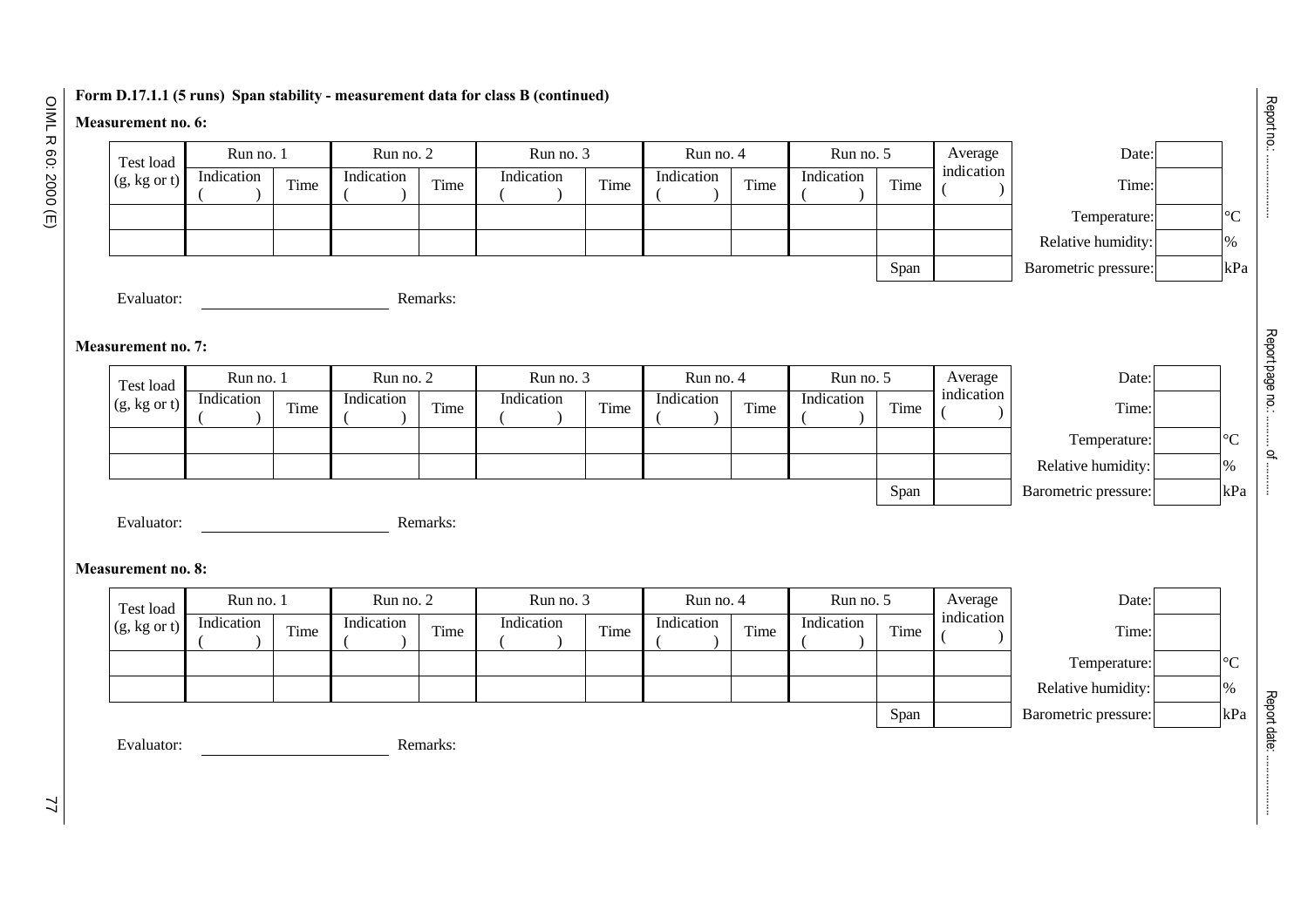## **Form D.17.1.1 (5 runs) Span stability - measurement data for class B (continued)**

## **Measurement no. 6:**

OIML R 60: 2000 (E) OIML R 60: 2000 (E)

| Test load                 | Run no. 1  |      | Run no. 2  |          | Run no. 3  |      | Run no. 4  |      | Run no. 5  |      | Average    | Date:                |  |
|---------------------------|------------|------|------------|----------|------------|------|------------|------|------------|------|------------|----------------------|--|
| $(g, kg \text{ or } t)$   | Indication | Time | Indication | Time     | Indication | Time | Indication | Time | Indication | Time | indication | Time:                |  |
|                           |            |      |            |          |            |      |            |      |            |      |            | Temperature:         |  |
|                           |            |      |            |          |            |      |            |      |            |      |            | Relative humidity:   |  |
|                           |            |      |            |          |            |      |            |      |            | Span |            | Barometric pressure: |  |
| Evaluator:                |            |      |            | Remarks: |            |      |            |      |            |      |            |                      |  |
|                           |            |      |            |          |            |      |            |      |            |      |            |                      |  |
| <b>Measurement no. 7:</b> |            |      |            |          |            |      |            |      |            |      |            |                      |  |
| Test load                 | Run no. 1  |      | Run no. 2  |          | Run no. 3  |      | Run no. 4  |      | Run no. 5  |      | Average    | Date:                |  |
| $(g, kg \text{ or } t)$   | Indication | Time | Indication | Time     | Indication | Time | Indication | Time | Indication | Time | indication | Time:                |  |
|                           |            |      |            |          |            |      |            |      |            |      |            | Temperature:         |  |
|                           |            |      |            |          |            |      |            |      |            |      |            | Relative humidity:   |  |
|                           |            |      |            |          |            |      |            |      |            | Span |            | Barometric pressure: |  |
| Evaluator:                |            |      |            | Remarks: |            |      |            |      |            |      |            |                      |  |
|                           |            |      |            |          |            |      |            |      |            |      |            |                      |  |
| <b>Measurement no. 8:</b> |            |      |            |          |            |      |            |      |            |      |            |                      |  |
| Test load                 | Run no. 1  |      | Run no. 2  |          | Run no. 3  |      | Run no. 4  |      | Run no. 5  |      | Average    | Date:                |  |
| $(g, kg \text{ or } t)$   | Indication | Time | Indication | Time     | Indication | Time | Indication | Time | Indication | Time | indication | Time:                |  |
|                           |            |      |            |          |            |      |            |      |            |      |            | Temperature:         |  |
|                           |            |      |            |          |            |      |            |      |            |      |            | Relative humidity:   |  |
|                           |            |      |            |          |            |      |            |      |            | Span |            | Barometric pressure: |  |
|                           |            |      |            | Remarks: |            |      |            |      |            |      |            |                      |  |

Report no.: .....................

**Report no.: ...................** 

Report page no.: .......... of ...........

Report page no: ............ of ...........

Report date: ....................

Report date: ........................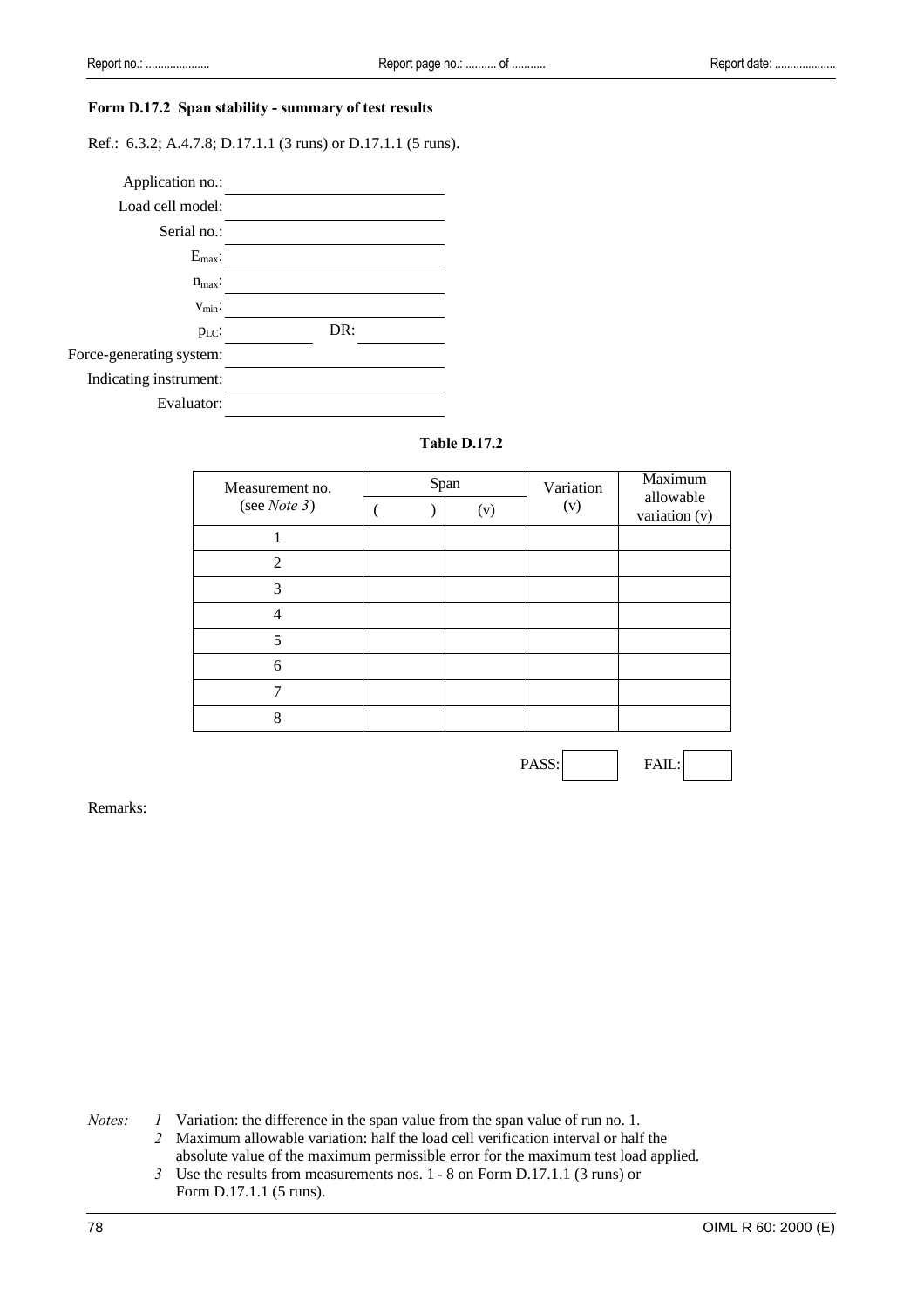#### **Form D.17.2 Span stability - summary of test results**

Ref.: 6.3.2; A.4.7.8; D.17.1.1 (3 runs) or D.17.1.1 (5 runs).



#### **Table D.17.2**

| Measurement no.             | Span |     | Variation | Maximum<br>allowable<br>variation (v) |  |
|-----------------------------|------|-----|-----------|---------------------------------------|--|
| (see <i>Note</i> $3$ )      |      | (v) | (v)       |                                       |  |
|                             |      |     |           |                                       |  |
| $\mathcal{D}_{\mathcal{L}}$ |      |     |           |                                       |  |
| 3                           |      |     |           |                                       |  |
| 4                           |      |     |           |                                       |  |
|                             |      |     |           |                                       |  |
| 6                           |      |     |           |                                       |  |
|                             |      |     |           |                                       |  |
| 8                           |      |     |           |                                       |  |

PASS: FAIL:

Remarks:

*Notes: 1* Variation: the difference in the span value from the span value of run no. 1.

*2* Maximum allowable variation: half the load cell verification interval or half the absolute value of the maximum permissible error for the maximum test load applied.

*3* Use the results from measurements nos. 1 - 8 on Form D.17.1.1 (3 runs) or Form D.17.1.1 (5 runs).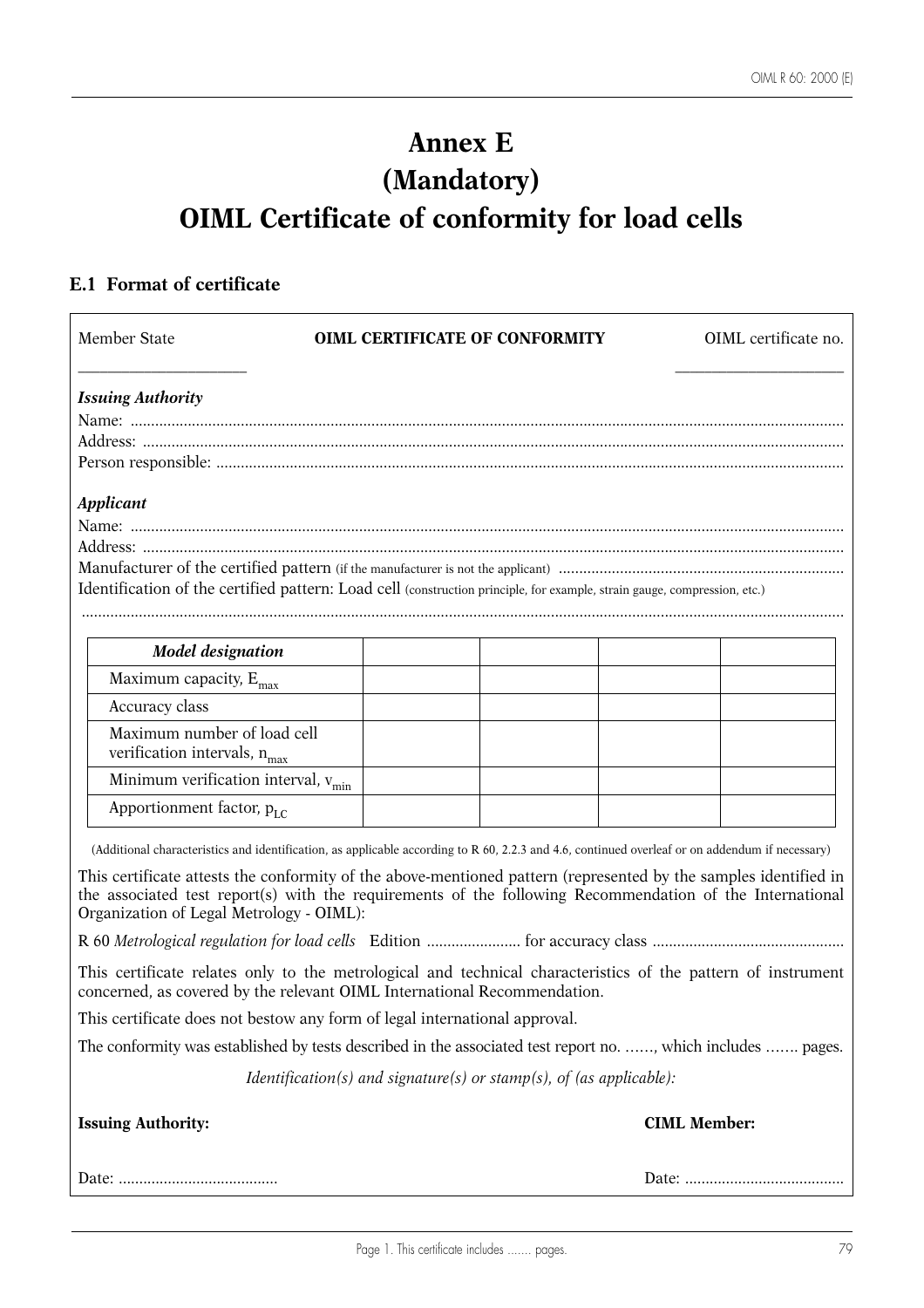# **Annex E (Mandatory) OIML Certificate of conformity for load cells**

## **E.1 Format of certificate**

| Member State                                                                                                                                                                                                                                                             | <b>OIML CERTIFICATE OF CONFORMITY</b>                                      |                     | OIML certificate no. |
|--------------------------------------------------------------------------------------------------------------------------------------------------------------------------------------------------------------------------------------------------------------------------|----------------------------------------------------------------------------|---------------------|----------------------|
| <b>Issuing Authority</b>                                                                                                                                                                                                                                                 |                                                                            |                     |                      |
|                                                                                                                                                                                                                                                                          |                                                                            |                     |                      |
|                                                                                                                                                                                                                                                                          |                                                                            |                     |                      |
|                                                                                                                                                                                                                                                                          |                                                                            |                     |                      |
| <b>Applicant</b>                                                                                                                                                                                                                                                         |                                                                            |                     |                      |
|                                                                                                                                                                                                                                                                          |                                                                            |                     |                      |
|                                                                                                                                                                                                                                                                          |                                                                            |                     |                      |
|                                                                                                                                                                                                                                                                          |                                                                            |                     |                      |
| Identification of the certified pattern: Load cell (construction principle, for example, strain gauge, compression, etc.)                                                                                                                                                |                                                                            |                     |                      |
|                                                                                                                                                                                                                                                                          |                                                                            |                     |                      |
| <b>Model</b> designation                                                                                                                                                                                                                                                 |                                                                            |                     |                      |
| Maximum capacity, $E_{max}$                                                                                                                                                                                                                                              |                                                                            |                     |                      |
|                                                                                                                                                                                                                                                                          |                                                                            |                     |                      |
| Accuracy class                                                                                                                                                                                                                                                           |                                                                            |                     |                      |
| Maximum number of load cell<br>verification intervals, $n_{\rm max}$                                                                                                                                                                                                     |                                                                            |                     |                      |
| Minimum verification interval, v <sub>min</sub>                                                                                                                                                                                                                          |                                                                            |                     |                      |
| Apportionment factor, $p_{LC}$                                                                                                                                                                                                                                           |                                                                            |                     |                      |
| (Additional characteristics and identification, as applicable according to R 60, 2.2.3 and 4.6, continued overleaf or on addendum if necessary)                                                                                                                          |                                                                            |                     |                      |
| This certificate attests the conformity of the above-mentioned pattern (represented by the samples identified in<br>the associated test report(s) with the requirements of the following Recommendation of the International<br>Organization of Legal Metrology - OIML): |                                                                            |                     |                      |
|                                                                                                                                                                                                                                                                          |                                                                            |                     |                      |
| This certificate relates only to the metrological and technical characteristics of the pattern of instrument<br>concerned, as covered by the relevant OIML International Recommendation.                                                                                 |                                                                            |                     |                      |
| This certificate does not bestow any form of legal international approval.                                                                                                                                                                                               |                                                                            |                     |                      |
| The conformity was established by tests described in the associated test report no. , which includes  pages.                                                                                                                                                             |                                                                            |                     |                      |
|                                                                                                                                                                                                                                                                          | <i>Identification(s)</i> and signature(s) or stamp(s), of (as applicable): |                     |                      |
| <b>Issuing Authority:</b>                                                                                                                                                                                                                                                |                                                                            | <b>CIML Member:</b> |                      |
|                                                                                                                                                                                                                                                                          |                                                                            |                     |                      |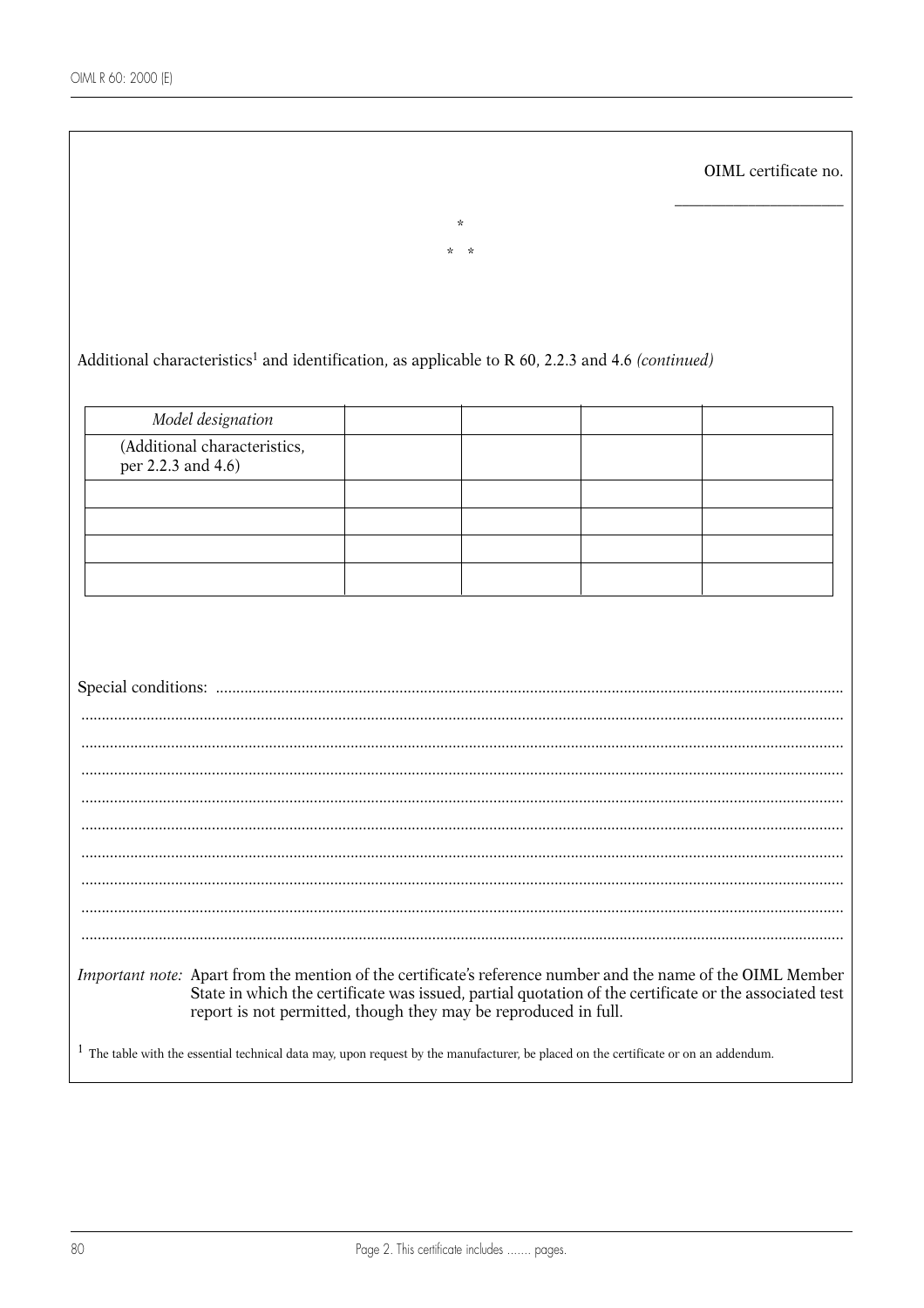|                                                                                                                                                                                 |                  |  | OIML certificate no.                                                                                   |
|---------------------------------------------------------------------------------------------------------------------------------------------------------------------------------|------------------|--|--------------------------------------------------------------------------------------------------------|
|                                                                                                                                                                                 | $\star$<br>$*$ * |  |                                                                                                        |
|                                                                                                                                                                                 |                  |  |                                                                                                        |
|                                                                                                                                                                                 |                  |  |                                                                                                        |
| Additional characteristics <sup>1</sup> and identification, as applicable to R 60, 2.2.3 and 4.6 (continued)                                                                    |                  |  |                                                                                                        |
|                                                                                                                                                                                 |                  |  |                                                                                                        |
| Model designation                                                                                                                                                               |                  |  |                                                                                                        |
| (Additional characteristics,<br>per 2.2.3 and 4.6)                                                                                                                              |                  |  |                                                                                                        |
|                                                                                                                                                                                 |                  |  |                                                                                                        |
|                                                                                                                                                                                 |                  |  |                                                                                                        |
|                                                                                                                                                                                 |                  |  |                                                                                                        |
|                                                                                                                                                                                 |                  |  |                                                                                                        |
|                                                                                                                                                                                 |                  |  |                                                                                                        |
|                                                                                                                                                                                 |                  |  |                                                                                                        |
|                                                                                                                                                                                 |                  |  |                                                                                                        |
|                                                                                                                                                                                 |                  |  |                                                                                                        |
|                                                                                                                                                                                 |                  |  |                                                                                                        |
|                                                                                                                                                                                 |                  |  |                                                                                                        |
|                                                                                                                                                                                 |                  |  |                                                                                                        |
|                                                                                                                                                                                 |                  |  |                                                                                                        |
|                                                                                                                                                                                 |                  |  |                                                                                                        |
|                                                                                                                                                                                 |                  |  |                                                                                                        |
|                                                                                                                                                                                 |                  |  |                                                                                                        |
| Important note: Apart from the mention of the certificate's reference number and the name of the OIML Member<br>report is not permitted, though they may be reproduced in full. |                  |  | State in which the certificate was issued, partial quotation of the certificate or the associated test |
| $\perp$<br>The table with the essential technical data may, upon request by the manufacturer, be placed on the certificate or on an addendum.                                   |                  |  |                                                                                                        |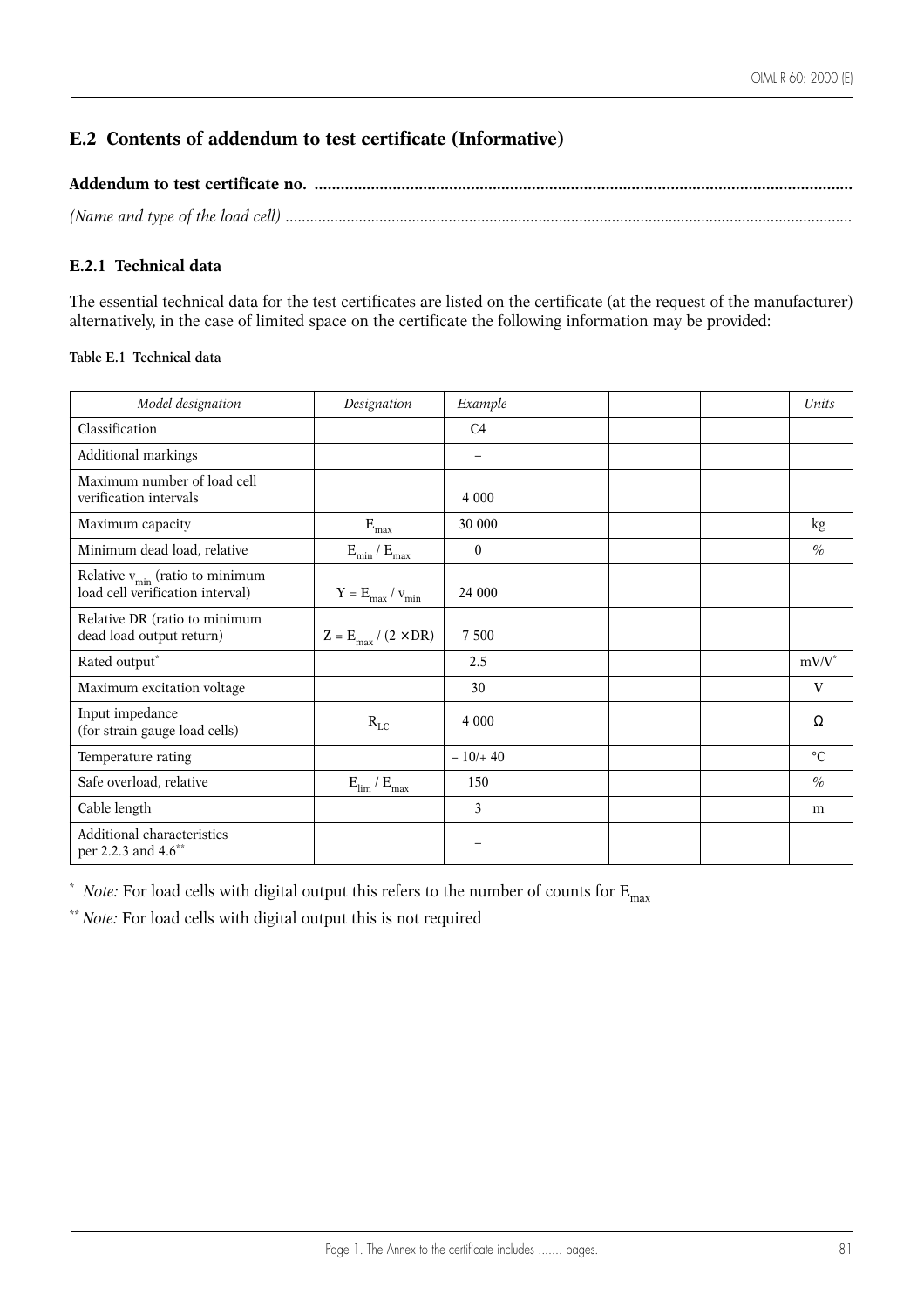## **E.2 Contents of addendum to test certificate (Informative)**

## **E.2.1 Technical data**

The essential technical data for the test certificates are listed on the certificate (at the request of the manufacturer) alternatively, in the case of limited space on the certificate the following information may be provided:

## **Table E.1 Technical data**

| Model designation                                                         | Designation                             | Example                  |  | Units           |
|---------------------------------------------------------------------------|-----------------------------------------|--------------------------|--|-----------------|
| Classification                                                            |                                         | C <sub>4</sub>           |  |                 |
| Additional markings                                                       |                                         | $\overline{\phantom{m}}$ |  |                 |
| Maximum number of load cell<br>verification intervals                     |                                         | 4 0 0 0                  |  |                 |
| Maximum capacity                                                          | $\mathbf{E}_{\text{max}}$               | 30 000                   |  | kg              |
| Minimum dead load, relative                                               | $\rm E_{min}$ / $\rm E_{max}$           | $\theta$                 |  | $\%$            |
| Relative $v_{\min}$ (ratio to minimum<br>load cell verification interval) | $\rm Y$ = $\rm E_{max}$ / $\rm v_{min}$ | 24 000                   |  |                 |
| Relative DR (ratio to minimum<br>dead load output return)                 | $Z = E_{\text{max}} / (2 \times DR)$    | 7 500                    |  |                 |
| Rated output*                                                             |                                         | 2.5                      |  | $mV/V^*$        |
| Maximum excitation voltage                                                |                                         | 30                       |  | V               |
| Input impedance<br>(for strain gauge load cells)                          | $R_{LC}$                                | 4 0 0 0                  |  | Ω               |
| Temperature rating                                                        |                                         | $-10/440$                |  | $\rm ^{\circ}C$ |
| Safe overload, relative                                                   | $\rm E_{lim}$ / $\rm E_{max}$           | 150                      |  | $\%$            |
| Cable length                                                              |                                         | $\overline{3}$           |  | m               |
| Additional characteristics<br>per 2.2.3 and 4.6 <sup>**</sup>             |                                         |                          |  |                 |

\* *Note:* For load cells with digital output this refers to the number of counts for  $E_{max}$ 

\*\* *Note:* For load cells with digital output this is not required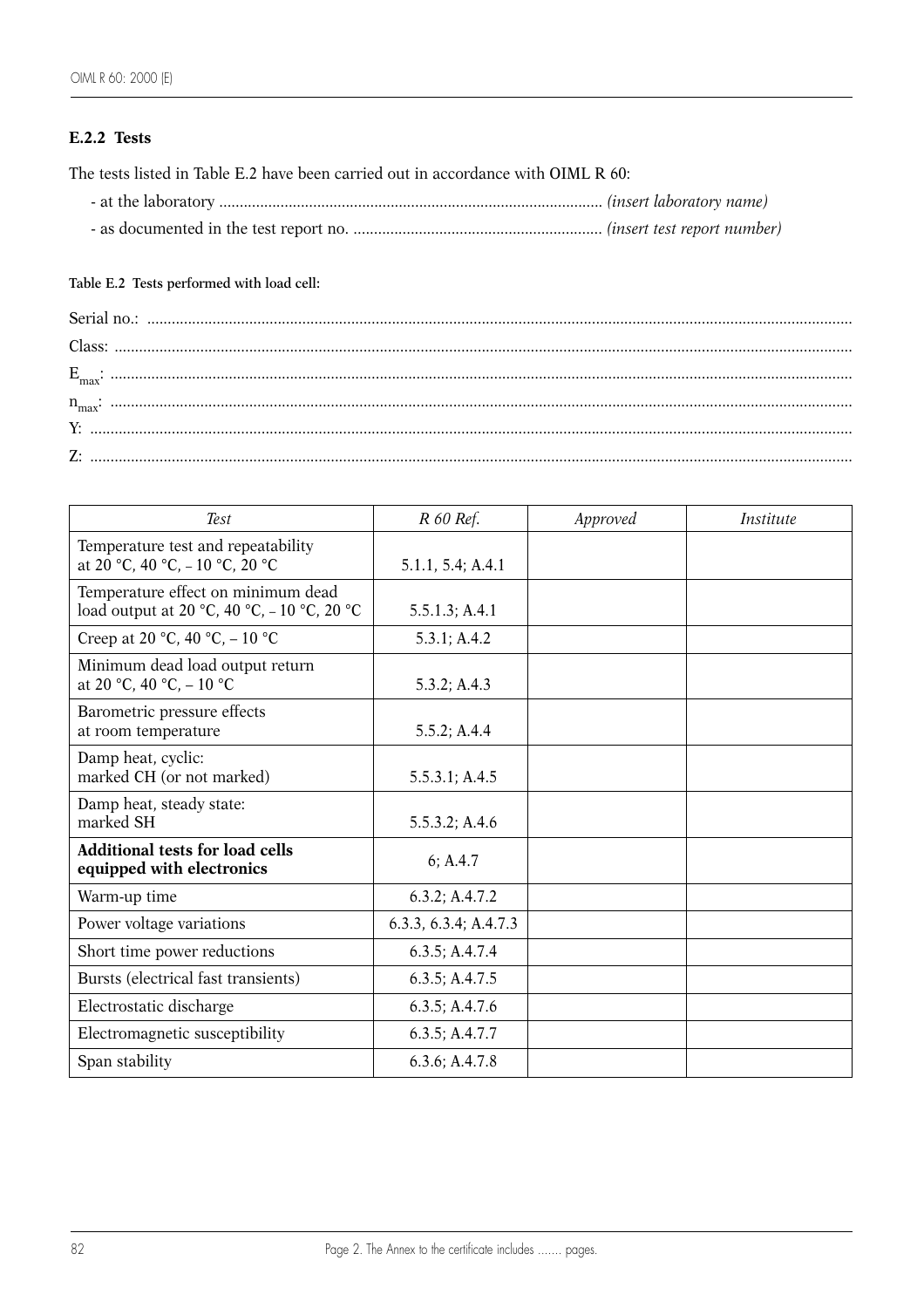## **E.2.2 Tests**

The tests listed in Table E.2 have been carried out in accordance with OIML R 60:

| - at the laboratory<br>(insert laboratory name) ( <i>insert laboratory name</i> ) |  |  |  |
|-----------------------------------------------------------------------------------|--|--|--|
|-----------------------------------------------------------------------------------|--|--|--|

- as documented in the test report no. ............................................................. *(insert test report number)*

## **Table E.2 Tests performed with load cell:**

| Test                                                                             | R 60 Ref.             | Approved | Institute |
|----------------------------------------------------------------------------------|-----------------------|----------|-----------|
| Temperature test and repeatability<br>at 20 °C, 40 °C, -10 °C, 20 °C             | 5.1.1, 5.4; A.4.1     |          |           |
| Temperature effect on minimum dead<br>load output at 20 °C, 40 °C, -10 °C, 20 °C | 5.5.1.3; A.4.1        |          |           |
| Creep at 20 °C, 40 °C, $-10$ °C                                                  | 5.3.1; A.4.2          |          |           |
| Minimum dead load output return<br>at 20 °C, 40 °C, $-10$ °C                     | 5.3.2; A.4.3          |          |           |
| Barometric pressure effects<br>at room temperature                               | 5.5.2; A.4.4          |          |           |
| Damp heat, cyclic:<br>marked CH (or not marked)                                  | 5.5.3.1; A.4.5        |          |           |
| Damp heat, steady state:<br>marked SH                                            | 5.5.3.2; A.4.6        |          |           |
| <b>Additional tests for load cells</b><br>equipped with electronics              | 6; A.4.7              |          |           |
| Warm-up time                                                                     | 6.3.2; A.4.7.2        |          |           |
| Power voltage variations                                                         | 6.3.3, 6.3.4; A.4.7.3 |          |           |
| Short time power reductions                                                      | 6.3.5; A.4.7.4        |          |           |
| Bursts (electrical fast transients)                                              | 6.3.5; A.4.7.5        |          |           |
| Electrostatic discharge                                                          | 6.3.5; A.4.7.6        |          |           |
| Electromagnetic susceptibility                                                   | 6.3.5; A.4.7.7        |          |           |
| Span stability                                                                   | 6.3.6; A.4.7.8        |          |           |